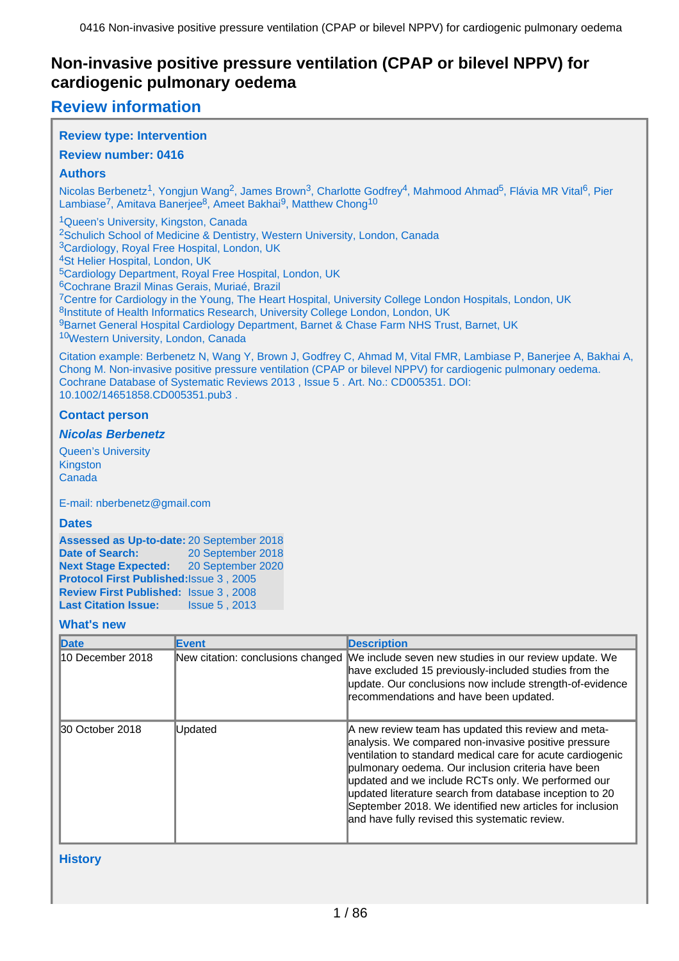# **Review information**

## **Review type: Intervention**

## **Review number: 0416**

## **Authors**

Nicolas Berbenetz<sup>1</sup>, Yongjun Wang<sup>2</sup>, James Brown<sup>3</sup>, Charlotte Godfrey<sup>4</sup>, Mahmood Ahmad<sup>5</sup>, Flávia MR Vital<sup>6</sup>, Pier Lambiase<sup>7</sup>, Amitava Banerjee<sup>8</sup>, Ameet Bakhai<sup>9</sup>, Matthew Chong<sup>10</sup>

<sup>1</sup>Queen's University, Kingston, Canada <sup>2</sup>Schulich School of Medicine & Dentistry, Western University, London, Canada <sup>3</sup>Cardiology, Royal Free Hospital, London, UK <sup>4</sup>St Helier Hospital, London, UK <sup>5</sup>Cardiology Department, Royal Free Hospital, London, UK <sup>6</sup>Cochrane Brazil Minas Gerais, Muriaé, Brazil <sup>7</sup>Centre for Cardiology in the Young, The Heart Hospital, University College London Hospitals, London, UK 8Institute of Health Informatics Research, University College London, London, UK 9Barnet General Hospital Cardiology Department, Barnet & Chase Farm NHS Trust, Barnet, UK 10Western University, London, Canada

Citation example: Berbenetz N, Wang Y, Brown J, Godfrey C, Ahmad M, Vital FMR, Lambiase P, Banerjee A, Bakhai A, Chong M. Non-invasive positive pressure ventilation (CPAP or bilevel NPPV) for cardiogenic pulmonary oedema. Cochrane Database of Systematic Reviews 2013 , Issue 5 . Art. No.: CD005351. DOI: 10.1002/14651858.CD005351.pub3 .

## **Contact person**

## **Nicolas Berbenetz**

Queen's University **Kingston** Canada

E-mail: nberbenetz@gmail.com

### **Dates**

**Assessed as Up-to-date:** 20 September 2018 **Date of Search:** 20 September 2018 **Next Stage Expected:** 20 September 2020 **Protocol First Published:**Issue 3 , 2005 **Review First Published:** Issue 3 , 2008 **Last Citation Issue:** Issue 5, 2013

### **What's new**

| Date              | Event                             | <b>Description</b>                                                                                                                                                                                                                                                                                                                                                                                                                                             |
|-------------------|-----------------------------------|----------------------------------------------------------------------------------------------------------------------------------------------------------------------------------------------------------------------------------------------------------------------------------------------------------------------------------------------------------------------------------------------------------------------------------------------------------------|
| l10 December 2018 | New citation: conclusions changed | We include seven new studies in our review update. We<br>have excluded 15 previously-included studies from the<br>update. Our conclusions now include strength-of-evidence<br>recommendations and have been updated.                                                                                                                                                                                                                                           |
| 30 October 2018   | Updated                           | A new review team has updated this review and meta-<br>analysis. We compared non-invasive positive pressure<br>ventilation to standard medical care for acute cardiogenic<br>pulmonary oedema. Our inclusion criteria have been<br>updated and we include RCTs only. We performed our<br>updated literature search from database inception to 20<br>September 2018. We identified new articles for inclusion<br>and have fully revised this systematic review. |

### **History**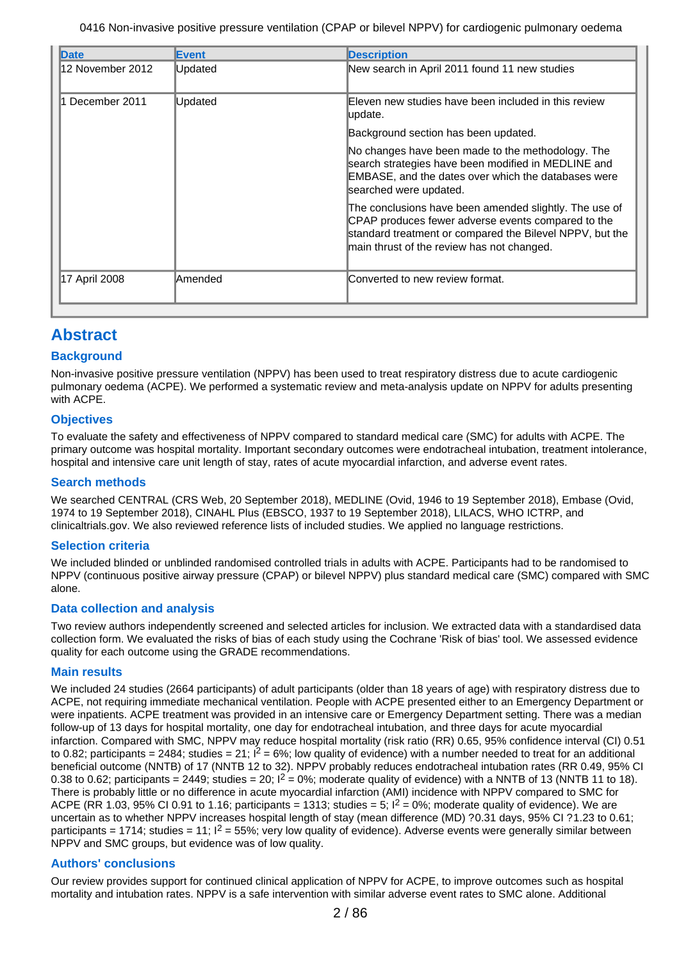| Date             | <b>Event</b>   | <b>Description</b>                                                                                                                                                                                                     |
|------------------|----------------|------------------------------------------------------------------------------------------------------------------------------------------------------------------------------------------------------------------------|
| 12 November 2012 | Updated        | New search in April 2011 found 11 new studies                                                                                                                                                                          |
| 1 December 2011  | Updated        | Eleven new studies have been included in this review<br>update.                                                                                                                                                        |
|                  |                | Background section has been updated.                                                                                                                                                                                   |
|                  |                | No changes have been made to the methodology. The<br>search strategies have been modified in MEDLINE and<br>EMBASE, and the dates over which the databases were<br>searched were updated.                              |
|                  |                | The conclusions have been amended slightly. The use of<br>CPAP produces fewer adverse events compared to the<br>standard treatment or compared the Bilevel NPPV, but the<br>main thrust of the review has not changed. |
| 17 April 2008    | <b>Amended</b> | Converted to new review format.                                                                                                                                                                                        |

# **Abstract**

## **Background**

Non-invasive positive pressure ventilation (NPPV) has been used to treat respiratory distress due to acute cardiogenic pulmonary oedema (ACPE). We performed a systematic review and meta-analysis update on NPPV for adults presenting with ACPE.

## **Objectives**

To evaluate the safety and effectiveness of NPPV compared to standard medical care (SMC) for adults with ACPE. The primary outcome was hospital mortality. Important secondary outcomes were endotracheal intubation, treatment intolerance, hospital and intensive care unit length of stay, rates of acute myocardial infarction, and adverse event rates.

### **Search methods**

We searched CENTRAL (CRS Web, 20 September 2018), MEDLINE (Ovid, 1946 to 19 September 2018), Embase (Ovid, 1974 to 19 September 2018), CINAHL Plus (EBSCO, 1937 to 19 September 2018), LILACS, WHO ICTRP, and clinicaltrials.gov. We also reviewed reference lists of included studies. We applied no language restrictions.

### **Selection criteria**

We included blinded or unblinded randomised controlled trials in adults with ACPE. Participants had to be randomised to NPPV (continuous positive airway pressure (CPAP) or bilevel NPPV) plus standard medical care (SMC) compared with SMC alone.

### **Data collection and analysis**

Two review authors independently screened and selected articles for inclusion. We extracted data with a standardised data collection form. We evaluated the risks of bias of each study using the Cochrane 'Risk of bias' tool. We assessed evidence quality for each outcome using the GRADE recommendations.

### **Main results**

We included 24 studies (2664 participants) of adult participants (older than 18 years of age) with respiratory distress due to ACPE, not requiring immediate mechanical ventilation. People with ACPE presented either to an Emergency Department or were inpatients. ACPE treatment was provided in an intensive care or Emergency Department setting. There was a median follow-up of 13 days for hospital mortality, one day for endotracheal intubation, and three days for acute myocardial infarction. Compared with SMC, NPPV may reduce hospital mortality (risk ratio (RR) 0.65, 95% confidence interval (CI) 0.51 to 0.82; participants = 2484; studies = 21;  $I^2 = 6\%$ ; low quality of evidence) with a number needed to treat for an additional beneficial outcome (NNTB) of 17 (NNTB 12 to 32). NPPV probably reduces endotracheal intubation rates (RR 0.49, 95% CI 0.38 to 0.62; participants = 2449; studies = 20;  $I^2 = 0\%$ ; moderate quality of evidence) with a NNTB of 13 (NNTB 11 to 18). There is probably little or no difference in acute myocardial infarction (AMI) incidence with NPPV compared to SMC for ACPE (RR 1.03, 95% CI 0.91 to 1.16; participants = 1313; studies = 5;  $I^2 = 0\%$ ; moderate quality of evidence). We are uncertain as to whether NPPV increases hospital length of stay (mean difference (MD) ?0.31 days, 95% CI ?1.23 to 0.61; participants = 1714; studies = 11;  $I^2$  = 55%; very low quality of evidence). Adverse events were generally similar between NPPV and SMC groups, but evidence was of low quality.

## **Authors' conclusions**

Our review provides support for continued clinical application of NPPV for ACPE, to improve outcomes such as hospital mortality and intubation rates. NPPV is a safe intervention with similar adverse event rates to SMC alone. Additional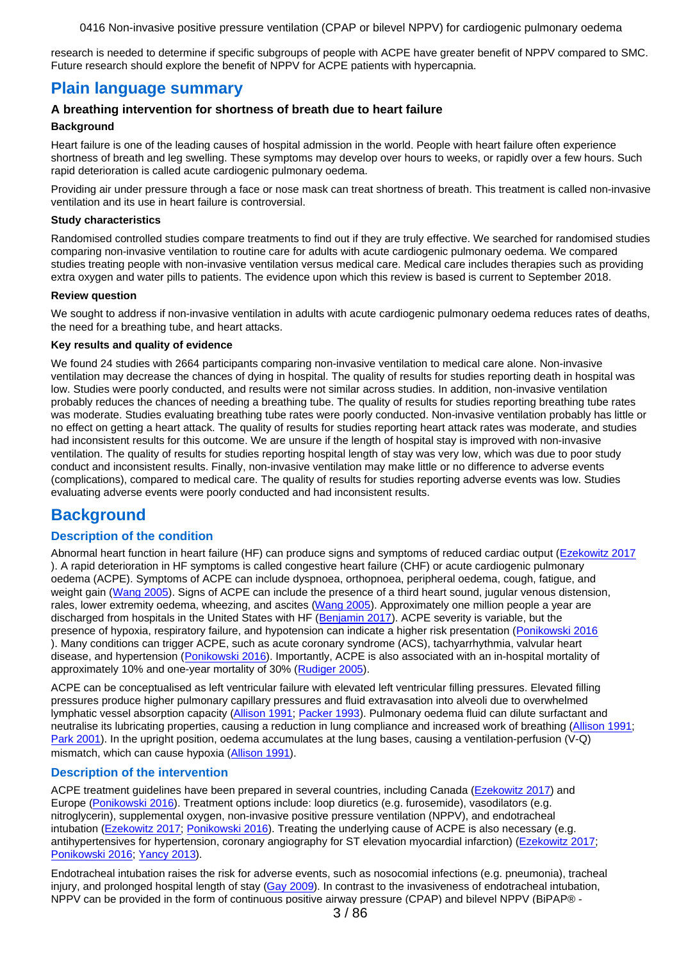research is needed to determine if specific subgroups of people with ACPE have greater benefit of NPPV compared to SMC. Future research should explore the benefit of NPPV for ACPE patients with hypercapnia.

## **Plain language summary**

## **A breathing intervention for shortness of breath due to heart failure**

#### **Background**

Heart failure is one of the leading causes of hospital admission in the world. People with heart failure often experience shortness of breath and leg swelling. These symptoms may develop over hours to weeks, or rapidly over a few hours. Such rapid deterioration is called acute cardiogenic pulmonary oedema.

Providing air under pressure through a face or nose mask can treat shortness of breath. This treatment is called non-invasive ventilation and its use in heart failure is controversial.

#### **Study characteristics**

Randomised controlled studies compare treatments to find out if they are truly effective. We searched for randomised studies comparing non-invasive ventilation to routine care for adults with acute cardiogenic pulmonary oedema. We compared studies treating people with non-invasive ventilation versus medical care. Medical care includes therapies such as providing extra oxygen and water pills to patients. The evidence upon which this review is based is current to September 2018.

#### **Review question**

We sought to address if non-invasive ventilation in adults with acute cardiogenic pulmonary oedema reduces rates of deaths, the need for a breathing tube, and heart attacks.

#### **Key results and quality of evidence**

We found 24 studies with 2664 participants comparing non-invasive ventilation to medical care alone. Non-invasive ventilation may decrease the chances of dying in hospital. The quality of results for studies reporting death in hospital was low. Studies were poorly conducted, and results were not similar across studies. In addition, non-invasive ventilation probably reduces the chances of needing a breathing tube. The quality of results for studies reporting breathing tube rates was moderate. Studies evaluating breathing tube rates were poorly conducted. Non-invasive ventilation probably has little or no effect on getting a heart attack. The quality of results for studies reporting heart attack rates was moderate, and studies had inconsistent results for this outcome. We are unsure if the length of hospital stay is improved with non-invasive ventilation. The quality of results for studies reporting hospital length of stay was very low, which was due to poor study conduct and inconsistent results. Finally, non-invasive ventilation may make little or no difference to adverse events (complications), compared to medical care. The quality of results for studies reporting adverse events was low. Studies evaluating adverse events were poorly conducted and had inconsistent results.

# **Background**

## **Description of the condition**

Abnormal heart function in heart failure (HF) can produce signs and symptoms of reduced cardiac output [\(Ezekowitz 2017](#page-70-0) ). A rapid deterioration in HF symptoms is called congestive heart failure (CHF) or acute cardiogenic pulmonary oedema (ACPE). Symptoms of ACPE can include dyspnoea, orthopnoea, peripheral oedema, cough, fatigue, and weight gain [\(Wang 2005](#page-72-0)). Signs of ACPE can include the presence of a third heart sound, jugular venous distension, rales, lower extremity oedema, wheezing, and ascites [\(Wang 2005](#page-72-0)). Approximately one million people a year are discharged from hospitals in the United States with HF [\(Benjamin 2017](#page-70-0)). ACPE severity is variable, but the presence of hypoxia, respiratory failure, and hypotension can indicate a higher risk presentation [\(Ponikowski 2016](#page-72-0) ). Many conditions can trigger ACPE, such as acute coronary syndrome (ACS), tachyarrhythmia, valvular heart disease, and hypertension [\(Ponikowski 2016](#page-72-0)). Importantly, ACPE is also associated with an in-hospital mortality of approximately 10% and one-year mortality of 30% ([Rudiger 2005](#page-72-0)).

ACPE can be conceptualised as left ventricular failure with elevated left ventricular filling pressures. Elevated filling pressures produce higher pulmonary capillary pressures and fluid extravasation into alveoli due to overwhelmed lymphatic vessel absorption capacity [\(Allison 1991](#page-70-0); [Packer 1993](#page-72-0)). Pulmonary oedema fluid can dilute surfactant and neutralise its lubricating properties, causing a reduction in lung compliance and increased work of breathing [\(Allison 1991](#page-70-0); [Park 2001](#page-65-0)). In the upright position, oedema accumulates at the lung bases, causing a ventilation-perfusion (V-Q) mismatch, which can cause hypoxia [\(Allison 1991](#page-70-0)).

### **Description of the intervention**

ACPE treatment guidelines have been prepared in several countries, including Canada [\(Ezekowitz 2017](#page-70-0)) and Europe [\(Ponikowski 2016](#page-72-0)). Treatment options include: loop diuretics (e.g. furosemide), vasodilators (e.g. nitroglycerin), supplemental oxygen, non-invasive positive pressure ventilation (NPPV), and endotracheal intubation [\(Ezekowitz 2017](#page-70-0); [Ponikowski 2016](#page-72-0)). Treating the underlying cause of ACPE is also necessary (e.g. antihypertensives for hypertension, coronary angiography for ST elevation myocardial infarction) [\(Ezekowitz 2017](#page-70-0); [Ponikowski 2016](#page-72-0); [Yancy 2013](#page-72-0)).

Endotracheal intubation raises the risk for adverse events, such as nosocomial infections (e.g. pneumonia), tracheal injury, and prolonged hospital length of stay [\(Gay 2009](#page-71-0)). In contrast to the invasiveness of endotracheal intubation, NPPV can be provided in the form of continuous positive airway pressure (CPAP) and bilevel NPPV (BiPAP® -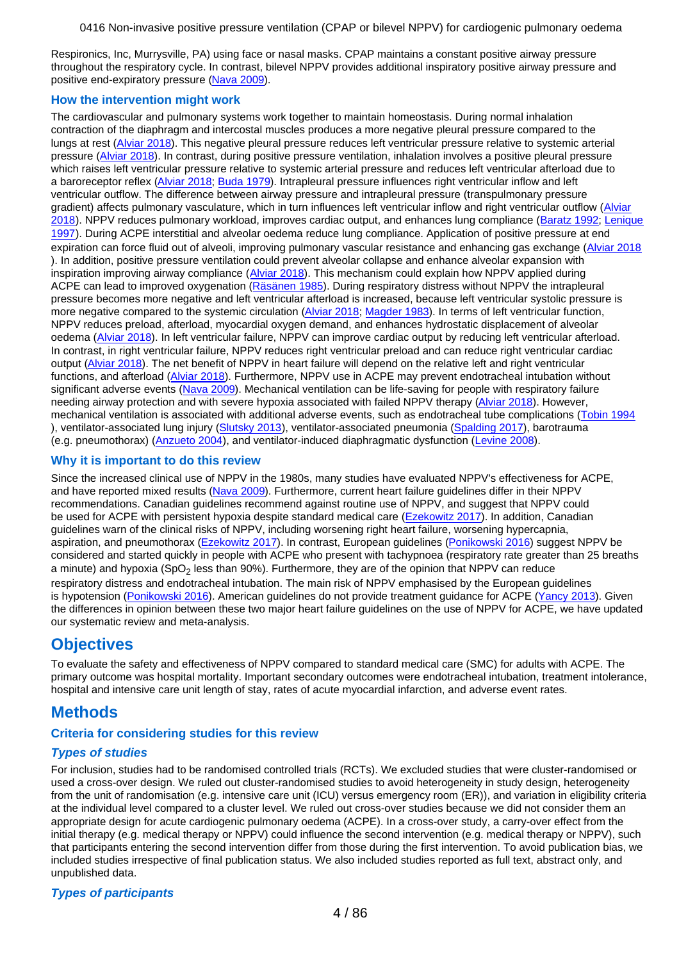<span id="page-3-0"></span>Respironics, Inc, Murrysville, PA) using face or nasal masks. CPAP maintains a constant positive airway pressure throughout the respiratory cycle. In contrast, bilevel NPPV provides additional inspiratory positive airway pressure and positive end-expiratory pressure [\(Nava 2009](#page-71-0)).

### **How the intervention might work**

The cardiovascular and pulmonary systems work together to maintain homeostasis. During normal inhalation contraction of the diaphragm and intercostal muscles produces a more negative pleural pressure compared to the lungs at rest [\(Alviar 2018](#page-70-0)). This negative pleural pressure reduces left ventricular pressure relative to systemic arterial pressure [\(Alviar 2018](#page-70-0)). In contrast, during positive pressure ventilation, inhalation involves a positive pleural pressure which raises left ventricular pressure relative to systemic arterial pressure and reduces left ventricular afterload due to a baroreceptor reflex [\(Alviar 2018](#page-70-0); [Buda 1979](#page-70-0)). Intrapleural pressure influences right ventricular inflow and left ventricular outflow. The difference between airway pressure and intrapleural pressure (transpulmonary pressure gradient) affects pulmonary vasculature, which in turn influences left ventricular inflow and right ventricular outflow ([Alviar](#page-70-0) [2018](#page-70-0)). NPPV reduces pulmonary workload, improves cardiac output, and enhances lung compliance [\(Baratz 1992](#page-66-0); [Lenique](#page-71-0) [1997](#page-71-0)). During ACPE interstitial and alveolar oedema reduce lung compliance. Application of positive pressure at end expiration can force fluid out of alveoli, improving pulmonary vascular resistance and enhancing gas exchange [\(Alviar 2018](#page-70-0) ). In addition, positive pressure ventilation could prevent alveolar collapse and enhance alveolar expansion with inspiration improving airway compliance [\(Alviar 2018](#page-70-0)). This mechanism could explain how NPPV applied during ACPE can lead to improved oxygenation [\(Räsänen 1985](#page-66-0)). During respiratory distress without NPPV the intrapleural pressure becomes more negative and left ventricular afterload is increased, because left ventricular systolic pressure is more negative compared to the systemic circulation [\(Alviar 2018](#page-70-0); [Magder 1983](#page-71-0)). In terms of left ventricular function, NPPV reduces preload, afterload, myocardial oxygen demand, and enhances hydrostatic displacement of alveolar oedema ([Alviar 2018](#page-70-0)). In left ventricular failure, NPPV can improve cardiac output by reducing left ventricular afterload. In contrast, in right ventricular failure, NPPV reduces right ventricular preload and can reduce right ventricular cardiac output [\(Alviar 2018](#page-70-0)). The net benefit of NPPV in heart failure will depend on the relative left and right ventricular functions, and afterload [\(Alviar 2018](#page-70-0)). Furthermore, NPPV use in ACPE may prevent endotracheal intubation without significant adverse events ([Nava 2009](#page-71-0)). Mechanical ventilation can be life-saving for people with respiratory failure needing airway protection and with severe hypoxia associated with failed NPPV therapy [\(Alviar 2018](#page-70-0)). However, mechanical ventilation is associated with additional adverse events, such as endotracheal tube complications ([Tobin 1994](#page-72-0) ), ventilator-associated lung injury [\(Slutsky 2013](#page-72-0)), ventilator-associated pneumonia [\(Spalding 2017](#page-72-0)), barotrauma (e.g. pneumothorax) [\(Anzueto 2004](#page-70-0)), and ventilator-induced diaphragmatic dysfunction [\(Levine 2008](#page-71-0)).

#### **Why it is important to do this review**

Since the increased clinical use of NPPV in the 1980s, many studies have evaluated NPPV's effectiveness for ACPE, and have reported mixed results [\(Nava 2009](#page-71-0)). Furthermore, current heart failure guidelines differ in their NPPV recommendations. Canadian guidelines recommend against routine use of NPPV, and suggest that NPPV could be used for ACPE with persistent hypoxia despite standard medical care [\(Ezekowitz 2017](#page-70-0)). In addition, Canadian guidelines warn of the clinical risks of NPPV, including worsening right heart failure, worsening hypercapnia, aspiration, and pneumothorax [\(Ezekowitz 2017](#page-70-0)). In contrast, European guidelines [\(Ponikowski 2016](#page-72-0)) suggest NPPV be considered and started quickly in people with ACPE who present with tachypnoea (respiratory rate greater than 25 breaths a minute) and hypoxia (SpO<sub>2</sub> less than 90%). Furthermore, they are of the opinion that NPPV can reduce respiratory distress and endotracheal intubation. The main risk of NPPV emphasised by the European guidelines is hypotension [\(Ponikowski 2016](#page-72-0)). American quidelines do not provide treatment quidance for ACPE [\(Yancy 2013](#page-72-0)). Given the differences in opinion between these two major heart failure guidelines on the use of NPPV for ACPE, we have updated our systematic review and meta-analysis.

# **Objectives**

To evaluate the safety and effectiveness of NPPV compared to standard medical care (SMC) for adults with ACPE. The primary outcome was hospital mortality. Important secondary outcomes were endotracheal intubation, treatment intolerance, hospital and intensive care unit length of stay, rates of acute myocardial infarction, and adverse event rates.

# **Methods**

## **Criteria for considering studies for this review**

## **Types of studies**

For inclusion, studies had to be randomised controlled trials (RCTs). We excluded studies that were cluster-randomised or used a cross-over design. We ruled out cluster-randomised studies to avoid heterogeneity in study design, heterogeneity from the unit of randomisation (e.g. intensive care unit (ICU) versus emergency room (ER)), and variation in eligibility criteria at the individual level compared to a cluster level. We ruled out cross-over studies because we did not consider them an appropriate design for acute cardiogenic pulmonary oedema (ACPE). In a cross-over study, a carry-over effect from the initial therapy (e.g. medical therapy or NPPV) could influence the second intervention (e.g. medical therapy or NPPV), such that participants entering the second intervention differ from those during the first intervention. To avoid publication bias, we included studies irrespective of final publication status. We also included studies reported as full text, abstract only, and unpublished data.

## **Types of participants**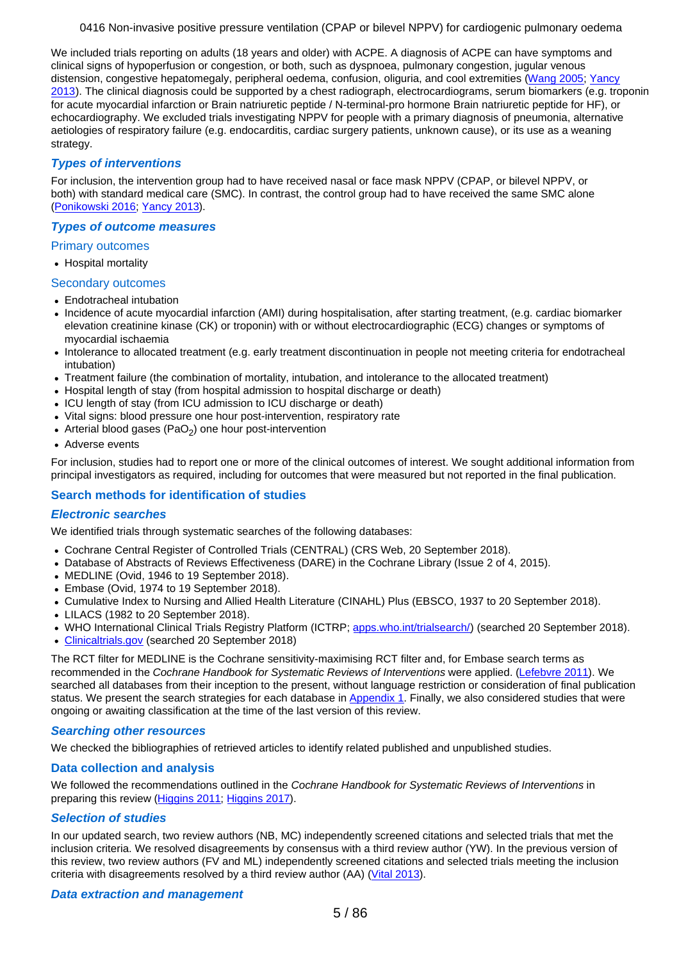We included trials reporting on adults (18 years and older) with ACPE. A diagnosis of ACPE can have symptoms and clinical signs of hypoperfusion or congestion, or both, such as dyspnoea, pulmonary congestion, jugular venous distension, congestive hepatomegaly, peripheral oedema, confusion, oliguria, and cool extremities [\(Wang 2005](#page-72-0); [Yancy](#page-72-0) [2013](#page-72-0)). The clinical diagnosis could be supported by a chest radiograph, electrocardiograms, serum biomarkers (e.g. troponin for acute myocardial infarction or Brain natriuretic peptide / N-terminal-pro hormone Brain natriuretic peptide for HF), or echocardiography. We excluded trials investigating NPPV for people with a primary diagnosis of pneumonia, alternative aetiologies of respiratory failure (e.g. endocarditis, cardiac surgery patients, unknown cause), or its use as a weaning strategy.

## **Types of interventions**

For inclusion, the intervention group had to have received nasal or face mask NPPV (CPAP, or bilevel NPPV, or both) with standard medical care (SMC). In contrast, the control group had to have received the same SMC alone [\(Ponikowski 2016](#page-72-0); [Yancy 2013](#page-72-0)).

### **Types of outcome measures**

### Primary outcomes

• Hospital mortality

### Secondary outcomes

- Endotracheal intubation
- Incidence of acute myocardial infarction (AMI) during hospitalisation, after starting treatment, (e.g. cardiac biomarker elevation creatinine kinase (CK) or troponin) with or without electrocardiographic (ECG) changes or symptoms of myocardial ischaemia
- Intolerance to allocated treatment (e.g. early treatment discontinuation in people not meeting criteria for endotracheal intubation)
- Treatment failure (the combination of mortality, intubation, and intolerance to the allocated treatment)
- Hospital length of stay (from hospital admission to hospital discharge or death)
- ICU length of stay (from ICU admission to ICU discharge or death)
- Vital signs: blood pressure one hour post-intervention, respiratory rate
- Arterial blood gases (PaO<sub>2</sub>) one hour post-intervention
- Adverse events

For inclusion, studies had to report one or more of the clinical outcomes of interest. We sought additional information from principal investigators as required, including for outcomes that were measured but not reported in the final publication.

## **Search methods for identification of studies**

### **Electronic searches**

We identified trials through systematic searches of the following databases:

- Cochrane Central Register of Controlled Trials (CENTRAL) (CRS Web, 20 September 2018).
- Database of Abstracts of Reviews Effectiveness (DARE) in the Cochrane Library (Issue 2 of 4, 2015).
- MEDLINE (Ovid, 1946 to 19 September 2018).  $\bullet$
- Embase (Ovid, 1974 to 19 September 2018).
- Cumulative Index to Nursing and Allied Health Literature (CINAHL) Plus (EBSCO, 1937 to 20 September 2018).
- LILACS (1982 to 20 September 2018).
- WHO International Clinical Trials Registry Platform (ICTRP; [apps.who.int/trialsearch/](http://apps.who.int/trialsearch/)) (searched 20 September 2018).
- [Clinicaltrials.gov](http://Clinicaltrials.gov) (searched 20 September 2018)

The RCT filter for MEDLINE is the Cochrane sensitivity-maximising RCT filter and, for Embase search terms as recommended in the Cochrane Handbook for Systematic Reviews of Interventions were applied. [\(Lefebvre 2011](#page-71-0)). We searched all databases from their inception to the present, without language restriction or consideration of final publication status. We present the search strategies for each database in [Appendix 1](#page-80-0). Finally, we also considered studies that were ongoing or awaiting classification at the time of the last version of this review.

### **Searching other resources**

We checked the bibliographies of retrieved articles to identify related published and unpublished studies.

### **Data collection and analysis**

We followed the recommendations outlined in the Cochrane Handbook for Systematic Reviews of Interventions in preparing this review [\(Higgins 2011](#page-71-0); [Higgins 2017](#page-71-0)).

### **Selection of studies**

In our updated search, two review authors (NB, MC) independently screened citations and selected trials that met the inclusion criteria. We resolved disagreements by consensus with a third review author (YW). In the previous version of this review, two review authors (FV and ML) independently screened citations and selected trials meeting the inclusion criteria with disagreements resolved by a third review author (AA) [\(Vital 2013](#page-73-0)).

### **Data extraction and management**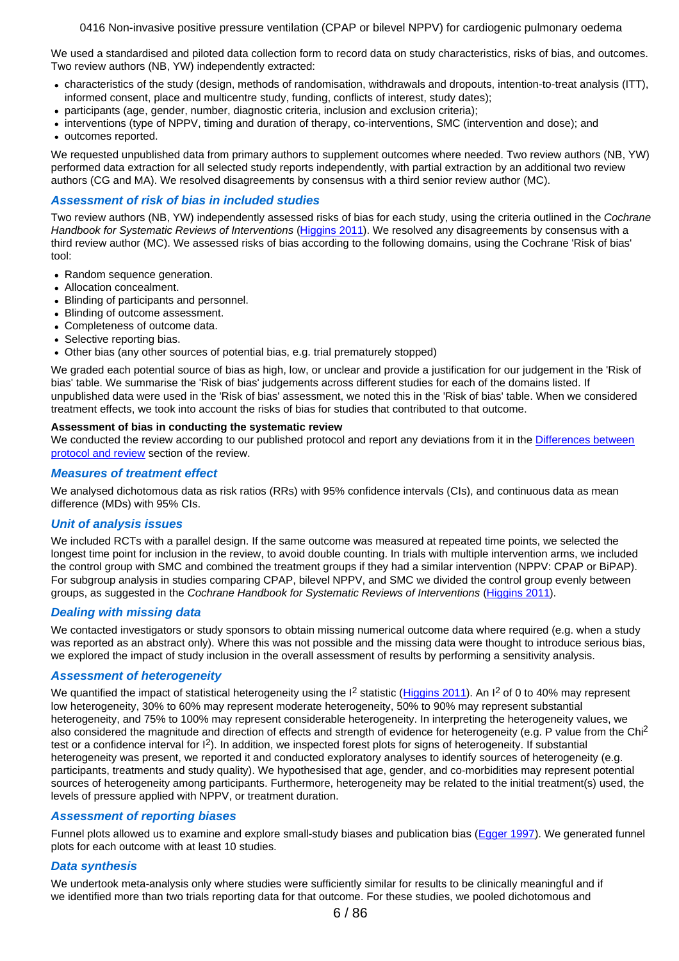We used a standardised and piloted data collection form to record data on study characteristics, risks of bias, and outcomes. Two review authors (NB, YW) independently extracted:

- characteristics of the study (design, methods of randomisation, withdrawals and dropouts, intention-to-treat analysis (ITT), informed consent, place and multicentre study, funding, conflicts of interest, study dates);
- participants (age, gender, number, diagnostic criteria, inclusion and exclusion criteria);
- interventions (type of NPPV, timing and duration of therapy, co-interventions, SMC (intervention and dose); and
- outcomes reported.

We requested unpublished data from primary authors to supplement outcomes where needed. Two review authors (NB, YW) performed data extraction for all selected study reports independently, with partial extraction by an additional two review authors (CG and MA). We resolved disagreements by consensus with a third senior review author (MC).

### **Assessment of risk of bias in included studies**

Two review authors (NB, YW) independently assessed risks of bias for each study, using the criteria outlined in the Cochrane Handbook for Systematic Reviews of Interventions [\(Higgins 2011](#page-71-0)). We resolved any disagreements by consensus with a third review author (MC). We assessed risks of bias according to the following domains, using the Cochrane 'Risk of bias' tool:

- Random sequence generation.
- Allocation concealment.
- Blinding of participants and personnel.  $\bullet$
- Blinding of outcome assessment.
- Completeness of outcome data.
- Selective reporting bias.
- Other bias (any other sources of potential bias, e.g. trial prematurely stopped)

We graded each potential source of bias as high, low, or unclear and provide a justification for our judgement in the 'Risk of bias' table. We summarise the 'Risk of bias' judgements across different studies for each of the domains listed. If unpublished data were used in the 'Risk of bias' assessment, we noted this in the 'Risk of bias' table. When we considered treatment effects, we took into account the risks of bias for studies that contributed to that outcome.

#### **Assessment of bias in conducting the systematic review**

We conducted the review according to our published protocol and report any deviations from it in the [Differences between](#page-16-0) [protocol and review](#page-16-0) section of the review.

### **Measures of treatment effect**

We analysed dichotomous data as risk ratios (RRs) with 95% confidence intervals (CIs), and continuous data as mean difference (MDs) with 95% CIs.

### **Unit of analysis issues**

We included RCTs with a parallel design. If the same outcome was measured at repeated time points, we selected the longest time point for inclusion in the review, to avoid double counting. In trials with multiple intervention arms, we included the control group with SMC and combined the treatment groups if they had a similar intervention (NPPV: CPAP or BiPAP). For subgroup analysis in studies comparing CPAP, bilevel NPPV, and SMC we divided the control group evenly between groups, as suggested in the Cochrane Handbook for Systematic Reviews of Interventions [\(Higgins 2011](#page-71-0)).

### **Dealing with missing data**

We contacted investigators or study sponsors to obtain missing numerical outcome data where required (e.g. when a study was reported as an abstract only). Where this was not possible and the missing data were thought to introduce serious bias, we explored the impact of study inclusion in the overall assessment of results by performing a sensitivity analysis.

### **Assessment of heterogeneity**

We quantified the impact of statistical heterogeneity using the I<sup>2</sup> statistic [\(Higgins 2011](#page-71-0)). An I<sup>2</sup> of 0 to 40% may represent low heterogeneity, 30% to 60% may represent moderate heterogeneity, 50% to 90% may represent substantial heterogeneity, and 75% to 100% may represent considerable heterogeneity. In interpreting the heterogeneity values, we also considered the magnitude and direction of effects and strength of evidence for heterogeneity (e.g. P value from the Chi<sup>2</sup> test or a confidence interval for I2). In addition, we inspected forest plots for signs of heterogeneity. If substantial heterogeneity was present, we reported it and conducted exploratory analyses to identify sources of heterogeneity (e.g. participants, treatments and study quality). We hypothesised that age, gender, and co-morbidities may represent potential sources of heterogeneity among participants. Furthermore, heterogeneity may be related to the initial treatment(s) used, the levels of pressure applied with NPPV, or treatment duration.

### **Assessment of reporting biases**

Funnel plots allowed us to examine and explore small-study biases and publication bias [\(Egger 1997](#page-70-0)). We generated funnel plots for each outcome with at least 10 studies.

### **Data synthesis**

We undertook meta-analysis only where studies were sufficiently similar for results to be clinically meaningful and if we identified more than two trials reporting data for that outcome. For these studies, we pooled dichotomous and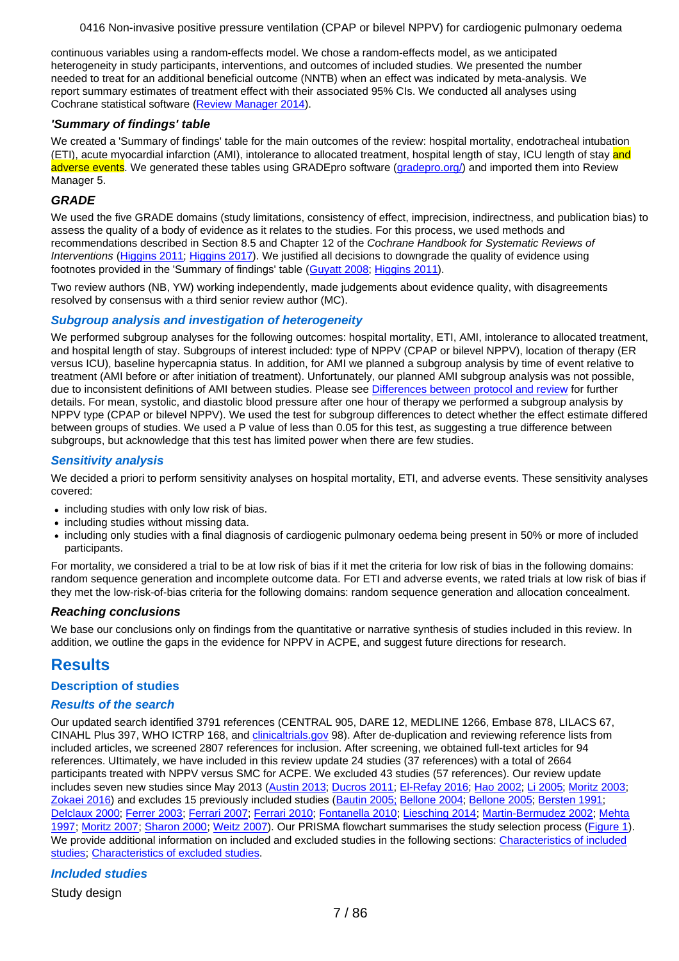continuous variables using a random-effects model. We chose a random-effects model, as we anticipated heterogeneity in study participants, interventions, and outcomes of included studies. We presented the number needed to treat for an additional beneficial outcome (NNTB) when an effect was indicated by meta-analysis. We report summary estimates of treatment effect with their associated 95% CIs. We conducted all analyses using Cochrane statistical software [\(Review Manager 2014](#page-72-0)).

### **'Summary of findings' table**

We created a 'Summary of findings' table for the main outcomes of the review: hospital mortality, endotracheal intubation (ETI), acute myocardial infarction (AMI), intolerance to allocated treatment, hospital length of stay, ICU length of stay and adverse events. We generated these tables using GRADEpro software [\(gradepro.org/](https://gradepro.org/)) and imported them into Review Manager 5.

## **GRADE**

We used the five GRADE domains (study limitations, consistency of effect, imprecision, indirectness, and publication bias) to assess the quality of a body of evidence as it relates to the studies. For this process, we used methods and recommendations described in Section 8.5 and Chapter 12 of the Cochrane Handbook for Systematic Reviews of Interventions [\(Higgins 2011](#page-71-0); [Higgins 2017](#page-71-0)). We justified all decisions to downgrade the quality of evidence using footnotes provided in the 'Summary of findings' table ([Guyatt 2008](#page-71-0); [Higgins 2011](#page-71-0)).

Two review authors (NB, YW) working independently, made judgements about evidence quality, with disagreements resolved by consensus with a third senior review author (MC).

## **Subgroup analysis and investigation of heterogeneity**

We performed subgroup analyses for the following outcomes: hospital mortality, ETI, AMI, intolerance to allocated treatment, and hospital length of stay. Subgroups of interest included: type of NPPV (CPAP or bilevel NPPV), location of therapy (ER versus ICU), baseline hypercapnia status. In addition, for AMI we planned a subgroup analysis by time of event relative to treatment (AMI before or after initiation of treatment). Unfortunately, our planned AMI subgroup analysis was not possible, due to inconsistent definitions of AMI between studies. Please see [Differences between protocol and review](#page-16-0) for further details. For mean, systolic, and diastolic blood pressure after one hour of therapy we performed a subgroup analysis by NPPV type (CPAP or bilevel NPPV). We used the test for subgroup differences to detect whether the effect estimate differed between groups of studies. We used a P value of less than 0.05 for this test, as suggesting a true difference between subgroups, but acknowledge that this test has limited power when there are few studies.

### **Sensitivity analysis**

We decided a priori to perform sensitivity analyses on hospital mortality, ETI, and adverse events. These sensitivity analyses covered:

- including studies with only low risk of bias.
- including studies without missing data.
- $\bullet$ including only studies with a final diagnosis of cardiogenic pulmonary oedema being present in 50% or more of included participants.

For mortality, we considered a trial to be at low risk of bias if it met the criteria for low risk of bias in the following domains: random sequence generation and incomplete outcome data. For ETI and adverse events, we rated trials at low risk of bias if they met the low-risk-of-bias criteria for the following domains: random sequence generation and allocation concealment.

### **Reaching conclusions**

We base our conclusions only on findings from the quantitative or narrative synthesis of studies included in this review. In addition, we outline the gaps in the evidence for NPPV in ACPE, and suggest future directions for research.

# **Results**

### **Description of studies**

### **Results of the search**

Our updated search identified 3791 references (CENTRAL 905, DARE 12, MEDLINE 1266, Embase 878, LILACS 67, CINAHL Plus 397, WHO ICTRP 168, and [clinicaltrials.gov](http://clinicaltrials.gov) 98). After de-duplication and reviewing reference lists from included articles, we screened 2807 references for inclusion. After screening, we obtained full-text articles for 94 references. UItimately, we have included in this review update 24 studies (37 references) with a total of 2664 participants treated with NPPV versus SMC for ACPE. We excluded 43 studies (57 references). Our review update includes seven new studies since May 2013 [\(Austin 2013](#page-64-0); [Ducros 2011](#page-64-0); [El-Refay 2016](#page-64-0); [Hao 2002](#page-65-0); [Li 2005](#page-65-0); [Moritz 2003](#page-65-0); [Zokaei 2016](#page-66-0)) and excludes 15 previously included studies [\(Bautin 2005;](#page-66-0) [Bellone 2004](#page-67-0); [Bellone 2005](#page-67-0); [Bersten 1991](#page-67-0); [Delclaux 2000](#page-67-0); [Ferrer 2003](#page-68-0); [Ferrari 2007](#page-67-0); [Ferrari 2010](#page-68-0); [Fontanella 2010](#page-68-0); [Liesching 2014](#page-68-0); [Martin-Bermudez 2002](#page-68-0); [Mehta](#page-69-0) [1997](#page-69-0); [Moritz 2007](#page-69-0); [Sharon 2000](#page-70-0); [Weitz 2007](#page-70-0)). Our PRISMA flowchart summarises the study selection process [\(Figure 1](#page-75-0)). We provide additional information on included and excluded studies in the following sections: [Characteristics of included](#page-16-0) [studies](#page-16-0); [Characteristics of excluded studies](#page-53-0).

## **Included studies**

Study design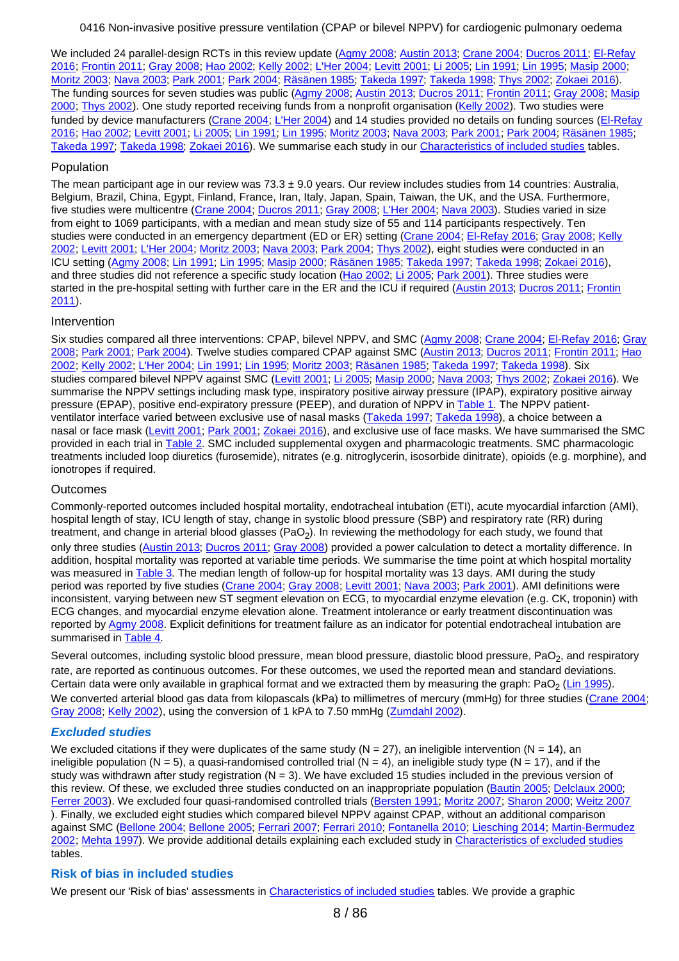We included 24 parallel-design RCTs in this review update [\(Agmy 2008](#page-63-0); [Austin 2013](#page-64-0); [Crane 2004](#page-64-0); [Ducros 2011](#page-64-0); [El-Refay](#page-64-0) [2016](#page-64-0); [Frontin 2011](#page-64-0); [Gray 2008](#page-64-0); [Hao 2002](#page-65-0); [Kelly 2002](#page-65-0); [L'Her 2004](#page-65-0); [Levitt 2001](#page-65-0); [Li 2005](#page-65-0); [Lin 1991](#page-65-0); [Lin 1995](#page-65-0); [Masip 2000](#page-65-0); [Moritz 2003](#page-65-0); [Nava 2003](#page-65-0); [Park 2001](#page-65-0); [Park 2004](#page-66-0); [Räsänen 1985](#page-66-0); [Takeda 1997](#page-66-0); [Takeda 1998](#page-66-0); [Thys 2002](#page-66-0); [Zokaei 2016](#page-66-0)). The funding sources for seven studies was public [\(Agmy 2008](#page-63-0); [Austin 2013](#page-64-0); [Ducros 2011](#page-64-0); [Frontin 2011](#page-64-0); [Gray 2008](#page-64-0); [Masip](#page-65-0) [2000](#page-65-0); [Thys 2002](#page-66-0)). One study reported receiving funds from a nonprofit organisation [\(Kelly 2002](#page-65-0)). Two studies were funded by device manufacturers [\(Crane 2004](#page-64-0); [L'Her 2004](#page-65-0)) and 14 studies provided no details on funding sources [\(El-Refay](#page-64-0) [2016](#page-64-0); [Hao 2002](#page-65-0); [Levitt 2001](#page-65-0); [Li 2005](#page-65-0); [Lin 1991](#page-65-0); [Lin 1995](#page-65-0); [Moritz 2003](#page-65-0); [Nava 2003](#page-65-0); [Park 2001](#page-65-0); [Park 2004](#page-66-0); [Räsänen 1985](#page-66-0); [Takeda 1997](#page-66-0); [Takeda 1998](#page-66-0); [Zokaei 2016](#page-66-0)). We summarise each study in our [Characteristics of included studies](#page-16-0) tables.

### Population

The mean participant age in our review was  $73.3 \pm 9.0$  years. Our review includes studies from 14 countries: Australia, Belgium, Brazil, China, Egypt, Finland, France, Iran, Italy, Japan, Spain, Taiwan, the UK, and the USA. Furthermore, five studies were multicentre [\(Crane 2004](#page-64-0); [Ducros 2011](#page-64-0); [Gray 2008](#page-64-0); [L'Her 2004](#page-65-0); [Nava 2003](#page-65-0)). Studies varied in size from eight to 1069 participants, with a median and mean study size of 55 and 114 participants respectively. Ten studies were conducted in an emergency department (ED or ER) setting [\(Crane 2004](#page-64-0); [El-Refay 2016](#page-64-0); [Gray 2008](#page-64-0); [Kelly](#page-65-0) [2002](#page-65-0); [Levitt 2001](#page-65-0); [L'Her 2004](#page-65-0); [Moritz 2003](#page-65-0); [Nava 2003](#page-65-0); [Park 2004](#page-66-0); [Thys 2002](#page-66-0)), eight studies were conducted in an ICU setting [\(Agmy 2008](#page-63-0); [Lin 1991](#page-65-0); [Lin 1995](#page-65-0); [Masip 2000](#page-65-0); [Räsänen 1985](#page-66-0); [Takeda 1997](#page-66-0); [Takeda 1998](#page-66-0); [Zokaei 2016](#page-66-0)), and three studies did not reference a specific study location [\(Hao 2002](#page-65-0); [Li 2005](#page-65-0); [Park 2001](#page-65-0)). Three studies were started in the pre-hospital setting with further care in the ER and the ICU if required [\(Austin 2013](#page-64-0); [Ducros 2011](#page-64-0); [Frontin](#page-64-0) [2011](#page-64-0)).

## Intervention

Six studies compared all three interventions: CPAP, bilevel NPPV, and SMC [\(Agmy 2008](#page-63-0); [Crane 2004](#page-64-0); [El-Refay 2016](#page-64-0); [Gray](#page-64-0) [2008](#page-64-0); [Park 2001](#page-65-0); [Park 2004](#page-66-0)). Twelve studies compared CPAP against SMC [\(Austin 2013](#page-64-0); [Ducros 2011](#page-64-0); [Frontin 2011](#page-64-0); [Hao](#page-65-0) [2002](#page-65-0); [Kelly 2002](#page-65-0); [L'Her 2004](#page-65-0); [Lin 1991](#page-65-0); [Lin 1995](#page-65-0); [Moritz 2003](#page-65-0); [Räsänen 1985](#page-66-0); [Takeda 1997](#page-66-0); [Takeda 1998](#page-66-0)). Six studies compared bilevel NPPV against SMC [\(Levitt 2001](#page-65-0); [Li 2005](#page-65-0); [Masip 2000](#page-65-0); [Nava 2003](#page-65-0); [Thys 2002](#page-66-0); [Zokaei 2016](#page-66-0)). We summarise the NPPV settings including mask type, inspiratory positive airway pressure (IPAP), expiratory positive airway pressure (EPAP), positive end-expiratory pressure (PEEP), and duration of NPPV in [Table 1](#page-59-0). The NPPV patient-ventilator interface varied between exclusive use of nasal masks [\(Takeda 1997](#page-66-0); [Takeda 1998](#page-66-0)), a choice between a nasal or face mask [\(Levitt 2001](#page-65-0); [Park 2001](#page-65-0); [Zokaei 2016](#page-66-0)), and exclusive use of face masks. We have summarised the SMC provided in each trial in [Table 2](#page-60-0). SMC included supplemental oxygen and pharmacologic treatments. SMC pharmacologic treatments included loop diuretics (furosemide), nitrates (e.g. nitroglycerin, isosorbide dinitrate), opioids (e.g. morphine), and ionotropes if required.

### **Outcomes**

Commonly-reported outcomes included hospital mortality, endotracheal intubation (ETI), acute myocardial infarction (AMI), hospital length of stay, ICU length of stay, change in systolic blood pressure (SBP) and respiratory rate (RR) during treatment, and change in arterial blood glasses (PaO<sub>2</sub>). In reviewing the methodology for each study, we found that only three studies [\(Austin 2013](#page-64-0); [Ducros 2011](#page-64-0); [Gray 2008](#page-64-0)) provided a power calculation to detect a mortality difference. In addition, hospital mortality was reported at variable time periods. We summarise the time point at which hospital mortality was measured in [Table 3](#page-62-0). The median length of follow-up for hospital mortality was 13 days. AMI during the study period was reported by five studies [\(Crane 2004](#page-64-0); [Gray 2008](#page-64-0); [Levitt 2001](#page-65-0); [Nava 2003](#page-65-0); [Park 2001](#page-65-0)). AMI definitions were inconsistent, varying between new ST segment elevation on ECG, to myocardial enzyme elevation (e.g. CK, troponin) with ECG changes, and myocardial enzyme elevation alone. Treatment intolerance or early treatment discontinuation was reported by [Agmy 2008](#page-63-0). Explicit definitions for treatment failure as an indicator for potential endotracheal intubation are summarised in [Table 4](#page-62-0).

Several outcomes, including systolic blood pressure, mean blood pressure, diastolic blood pressure, PaO<sub>2</sub>, and respiratory rate, are reported as continuous outcomes. For these outcomes, we used the reported mean and standard deviations. Certain data were only available in graphical format and we extracted them by measuring the graph: PaO<sub>2</sub> [\(Lin 1995](#page-65-0)). We converted arterial blood gas data from kilopascals (kPa) to millimetres of mercury (mmHg) for three studies [\(Crane 2004](#page-64-0); [Gray 2008](#page-64-0); [Kelly 2002](#page-65-0)), using the conversion of 1 kPA to 7.50 mmHg [\(Zumdahl 2002](#page-72-0)).

### **Excluded studies**

We excluded citations if they were duplicates of the same study ( $N = 27$ ), an ineligible intervention ( $N = 14$ ), an ineligible population (N = 5), a quasi-randomised controlled trial (N = 4), an ineligible study type (N = 17), and if the study was withdrawn after study registration  $(N = 3)$ . We have excluded 15 studies included in the previous version of this review. Of these, we excluded three studies conducted on an inappropriate population [\(Bautin 2005](#page-66-0); [Delclaux 2000](#page-67-0); [Ferrer 2003](#page-68-0)). We excluded four quasi-randomised controlled trials [\(Bersten 1991](#page-67-0); [Moritz 2007](#page-69-0); [Sharon 2000](#page-70-0); [Weitz 2007](#page-70-0) ). Finally, we excluded eight studies which compared bilevel NPPV against CPAP, without an additional comparison against SMC [\(Bellone 2004](#page-67-0); [Bellone 2005](#page-67-0); [Ferrari 2007](#page-67-0); [Ferrari 2010](#page-68-0); [Fontanella 2010](#page-68-0); [Liesching 2014](#page-68-0); [Martin-Bermudez](#page-68-0) [2002](#page-68-0); [Mehta 1997](#page-69-0)). We provide additional details explaining each excluded study in [Characteristics of excluded studies](#page-53-0) tables.

### **Risk of bias in included studies**

We present our 'Risk of bias' assessments in [Characteristics of included studies](#page-16-0) tables. We provide a graphic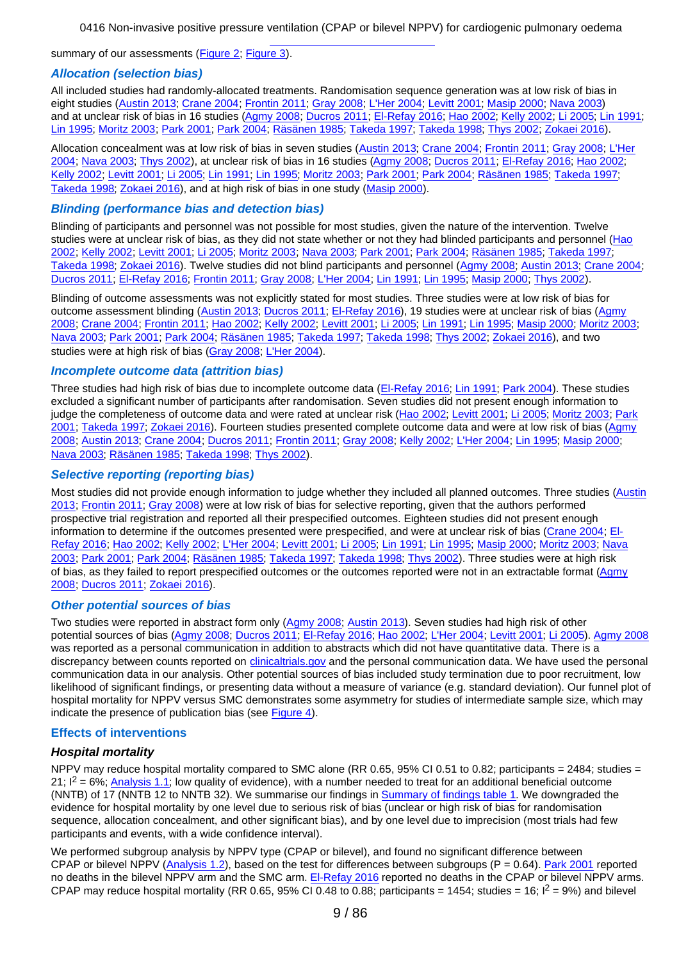summary of our assessments [\(Figure 2](#page-76-0); [Figure 3](#page-77-0)).

#### **Allocation (selection bias)**

All included studies had randomly-allocated treatments. Randomisation sequence generation was at low risk of bias in eight studies ([Austin 2013](#page-64-0); [Crane 2004](#page-64-0); [Frontin 2011](#page-64-0); [Gray 2008](#page-64-0); [L'Her 2004](#page-65-0); [Levitt 2001](#page-65-0); [Masip 2000](#page-65-0); [Nava 2003](#page-65-0)) and at unclear risk of bias in 16 studies [\(Agmy 2008](#page-63-0); [Ducros 2011](#page-64-0); [El-Refay 2016](#page-64-0); [Hao 2002](#page-65-0); [Kelly 2002](#page-65-0); [Li 2005](#page-65-0); [Lin 1991](#page-65-0); [Lin 1995](#page-65-0); [Moritz 2003](#page-65-0); [Park 2001](#page-65-0); [Park 2004](#page-66-0); [Räsänen 1985](#page-66-0); [Takeda 1997](#page-66-0); [Takeda 1998](#page-66-0); [Thys 2002](#page-66-0); [Zokaei 2016](#page-66-0)).

Allocation concealment was at low risk of bias in seven studies [\(Austin 2013](#page-64-0); [Crane 2004](#page-64-0); [Frontin 2011](#page-64-0); [Gray 2008](#page-64-0); [L'Her](#page-65-0) [2004](#page-65-0); [Nava 2003](#page-65-0); [Thys 2002](#page-66-0)), at unclear risk of bias in 16 studies [\(Agmy 2008](#page-63-0); [Ducros 2011](#page-64-0); [El-Refay 2016](#page-64-0); [Hao 2002](#page-65-0); [Kelly 2002](#page-65-0); [Levitt 2001](#page-65-0); [Li 2005](#page-65-0); [Lin 1991](#page-65-0); [Lin 1995](#page-65-0); [Moritz 2003](#page-65-0); [Park 2001](#page-65-0); [Park 2004](#page-66-0); [Räsänen 1985](#page-66-0); [Takeda 1997](#page-66-0); [Takeda 1998](#page-66-0); [Zokaei 2016](#page-66-0)), and at high risk of bias in one study [\(Masip 2000](#page-65-0)).

#### **Blinding (performance bias and detection bias)**

Blinding of participants and personnel was not possible for most studies, given the nature of the intervention. Twelve studies were at unclear risk of bias, as they did not state whether or not they had blinded participants and personnel [\(Hao](#page-65-0) [2002](#page-65-0); [Kelly 2002](#page-65-0); [Levitt 2001](#page-65-0); [Li 2005](#page-65-0); [Moritz 2003](#page-65-0); [Nava 2003](#page-65-0); [Park 2001](#page-65-0); [Park 2004](#page-66-0); [Räsänen 1985](#page-66-0); [Takeda 1997](#page-66-0); [Takeda 1998](#page-66-0); [Zokaei 2016](#page-66-0)). Twelve studies did not blind participants and personnel ([Agmy 2008](#page-63-0); [Austin 2013](#page-64-0); [Crane 2004](#page-64-0); [Ducros 2011](#page-64-0); [El-Refay 2016](#page-64-0); [Frontin 2011](#page-64-0); [Gray 2008](#page-64-0); [L'Her 2004](#page-65-0); [Lin 1991](#page-65-0); [Lin 1995](#page-65-0); [Masip 2000](#page-65-0); [Thys 2002](#page-66-0)).

Blinding of outcome assessments was not explicitly stated for most studies. Three studies were at low risk of bias for outcome assessment blinding ([Austin 2013](#page-64-0); [Ducros 2011](#page-64-0); [El-Refay 2016](#page-64-0)), 19 studies were at unclear risk of bias [\(Agmy](#page-63-0) [2008](#page-63-0); [Crane 2004](#page-64-0); [Frontin 2011](#page-64-0); [Hao 2002](#page-65-0); [Kelly 2002](#page-65-0); [Levitt 2001](#page-65-0); [Li 2005](#page-65-0); [Lin 1991](#page-65-0); [Lin 1995](#page-65-0); [Masip 2000](#page-65-0); [Moritz 2003](#page-65-0); [Nava 2003](#page-65-0); [Park 2001](#page-65-0); [Park 2004](#page-66-0); [Räsänen 1985](#page-66-0); [Takeda 1997](#page-66-0); [Takeda 1998](#page-66-0); [Thys 2002](#page-66-0); [Zokaei 2016](#page-66-0)), and two studies were at high risk of bias [\(Gray 2008](#page-64-0); [L'Her 2004](#page-65-0)).

#### **Incomplete outcome data (attrition bias)**

Three studies had high risk of bias due to incomplete outcome data [\(El-Refay 2016](#page-64-0); [Lin 1991](#page-65-0); [Park 2004](#page-66-0)). These studies excluded a significant number of participants after randomisation. Seven studies did not present enough information to judge the completeness of outcome data and were rated at unclear risk [\(Hao 2002](#page-65-0); [Levitt 2001](#page-65-0); [Li 2005](#page-65-0); [Moritz 2003](#page-65-0); [Park](#page-65-0) [2001](#page-65-0); [Takeda 1997](#page-66-0); [Zokaei 2016](#page-66-0)). Fourteen studies presented complete outcome data and were at low risk of bias [\(Agmy](#page-63-0) [2008](#page-63-0); [Austin 2013](#page-64-0); [Crane 2004](#page-64-0); [Ducros 2011](#page-64-0); [Frontin 2011](#page-64-0); [Gray 2008](#page-64-0); [Kelly 2002](#page-65-0); [L'Her 2004](#page-65-0); [Lin 1995](#page-65-0); [Masip 2000](#page-65-0); [Nava 2003](#page-65-0); [Räsänen 1985](#page-66-0); [Takeda 1998](#page-66-0); [Thys 2002](#page-66-0)).

#### **Selective reporting (reporting bias)**

Most studies did not provide enough information to judge whether they included all planned outcomes. Three studies [\(Austin](#page-64-0) [2013](#page-64-0); [Frontin 2011](#page-64-0); [Gray 2008](#page-64-0)) were at low risk of bias for selective reporting, given that the authors performed prospective trial registration and reported all their prespecified outcomes. Eighteen studies did not present enough information to determine if the outcomes presented were prespecified, and were at unclear risk of bias [\(Crane 2004](#page-64-0); [El-](#page-64-0)[Refay 2016](#page-64-0); [Hao 2002](#page-65-0); [Kelly 2002](#page-65-0); [L'Her 2004](#page-65-0); [Levitt 2001](#page-65-0); [Li 2005](#page-65-0); [Lin 1991](#page-65-0); [Lin 1995](#page-65-0); [Masip 2000](#page-65-0); [Moritz 2003](#page-65-0); [Nava](#page-65-0) [2003](#page-65-0); [Park 2001](#page-65-0); [Park 2004](#page-66-0); [Räsänen 1985](#page-66-0); [Takeda 1997](#page-66-0); [Takeda 1998](#page-66-0); [Thys 2002](#page-66-0)). Three studies were at high risk of bias, as they failed to report prespecified outcomes or the outcomes reported were not in an extractable format [\(Agmy](#page-63-0) [2008](#page-63-0); [Ducros 2011](#page-64-0); [Zokaei 2016](#page-66-0)).

### **Other potential sources of bias**

Two studies were reported in abstract form only ([Agmy 2008](#page-63-0); [Austin 2013](#page-64-0)). Seven studies had high risk of other potential sources of bias [\(Agmy 2008](#page-63-0); [Ducros 2011](#page-64-0); [El-Refay 2016](#page-64-0); [Hao 2002](#page-65-0); [L'Her 2004](#page-65-0); [Levitt 2001](#page-65-0); [Li 2005](#page-65-0)). [Agmy 2008](#page-63-0) was reported as a personal communication in addition to abstracts which did not have quantitative data. There is a discrepancy between counts reported on [clinicaltrials.gov](http://clinicaltrials.gov) and the personal communication data. We have used the personal communication data in our analysis. Other potential sources of bias included study termination due to poor recruitment, low likelihood of significant findings, or presenting data without a measure of variance (e.g. standard deviation). Our funnel plot of hospital mortality for NPPV versus SMC demonstrates some asymmetry for studies of intermediate sample size, which may indicate the presence of publication bias (see [Figure 4](#page-78-0)).

#### **Effects of interventions**

#### **Hospital mortality**

NPPV may reduce hospital mortality compared to SMC alone (RR 0.65, 95% CI 0.51 to 0.82; participants = 2484; studies =  $21$ ;  $I^2 = 6\%$ ; [Analysis 1.1](#page-73-0); low quality of evidence), with a number needed to treat for an additional beneficial outcome (NNTB) of 17 (NNTB 12 to NNTB 32). We summarise our findings in [Summary of findings table 1](#page-57-0). We downgraded the evidence for hospital mortality by one level due to serious risk of bias (unclear or high risk of bias for randomisation sequence, allocation concealment, and other significant bias), and by one level due to imprecision (most trials had few participants and events, with a wide confidence interval).

We performed subgroup analysis by NPPV type (CPAP or bilevel), and found no significant difference between CPAP or bilevel NPPV [\(Analysis 1.2](#page-73-0)), based on the test for differences between subgroups ( $P = 0.64$ ). [Park 2001](#page-65-0) reported no deaths in the bilevel NPPV arm and the SMC arm. [El-Refay 2016](#page-64-0) reported no deaths in the CPAP or bilevel NPPV arms. CPAP may reduce hospital mortality (RR 0.65, 95% CI 0.48 to 0.88; participants = 1454; studies = 16;  $I^2$  = 9%) and bilevel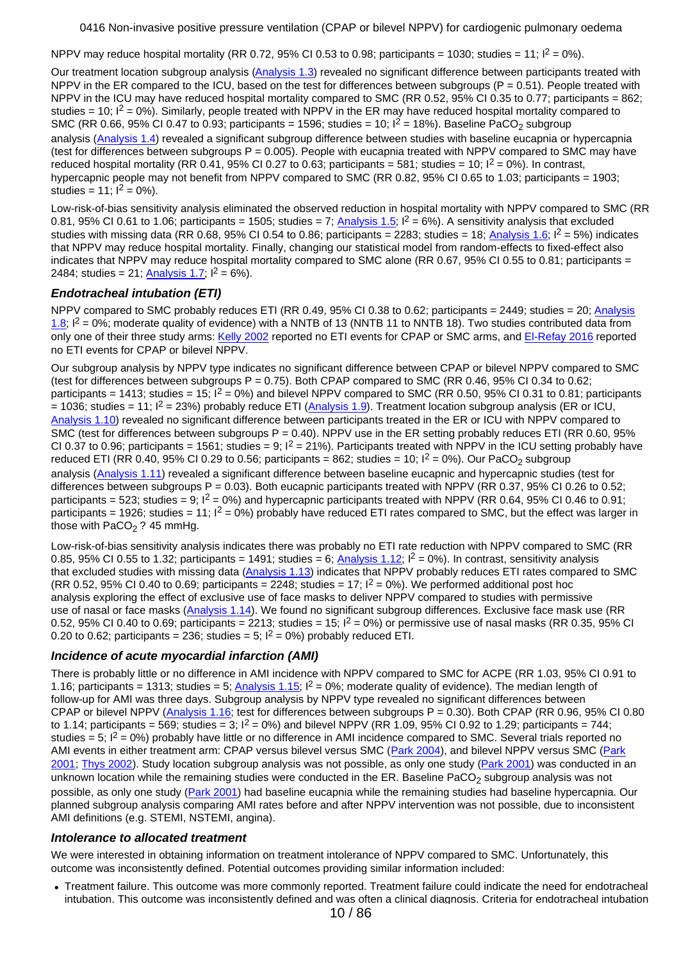NPPV may reduce hospital mortality (RR 0.72, 95% CI 0.53 to 0.98; participants = 1030; studies = 11;  $I^2 = 0\%$ ).

Our treatment location subgroup analysis [\(Analysis 1.3](#page-73-0)) revealed no significant difference between participants treated with NPPV in the ER compared to the ICU, based on the test for differences between subgroups ( $P = 0.51$ ). People treated with NPPV in the ICU may have reduced hospital mortality compared to SMC (RR 0.52, 95% CI 0.35 to 0.77; participants = 862; studies = 10;  $I^2$  = 0%). Similarly, people treated with NPPV in the ER may have reduced hospital mortality compared to SMC (RR 0.66, 95% CI 0.47 to 0.93; participants = 1596; studies = 10;  $I^2$  = 18%). Baseline PaCO<sub>2</sub> subgroup analysis ([Analysis 1.4](#page-73-0)) revealed a significant subgroup difference between studies with baseline eucapnia or hypercapnia (test for differences between subgroups  $P = 0.005$ ). People with eucapnia treated with NPPV compared to SMC may have reduced hospital mortality (RR 0.41, 95% CI 0.27 to 0.63; participants = 581; studies = 10;  $I^2 = 0$ %). In contrast, hypercapnic people may not benefit from NPPV compared to SMC (RR 0.82, 95% CI 0.65 to 1.03; participants = 1903; studies =  $11$ ;  $I^2 = 0\%$ ).

Low-risk-of-bias sensitivity analysis eliminated the observed reduction in hospital mortality with NPPV compared to SMC (RR 0.81, 95% CI 0.61 to 1.06; participants = 1505; studies = 7; [Analysis 1.5](#page-73-0);  $I^2 = 6\%$ ). A sensitivity analysis that excluded studies with missing data (RR 0.68, 95% CI 0.54 to 0.86; participants = 2283; studies = 18; [Analysis 1.6](#page-73-0);  $I^2 = 5$ %) indicates that NPPV may reduce hospital mortality. Finally, changing our statistical model from random-effects to fixed-effect also indicates that NPPV may reduce hospital mortality compared to SMC alone (RR 0.67, 95% CI 0.55 to 0.81; participants = 2484; studies = 21; [Analysis 1.7](#page-73-0);  $I^2 = 6\%$ ).

## **Endotracheal intubation (ETI)**

NPPV compared to SMC probably reduces ETI (RR 0.49, 95% CI 0.38 to 0.62; participants = 2449; studies = 20; [Analysis](#page-73-0) [1.8](#page-73-0);  $\vert^2$  = 0%; moderate quality of evidence) with a NNTB of 13 (NNTB 11 to NNTB 18). Two studies contributed data from only one of their three study arms: [Kelly 2002](#page-65-0) reported no ETI events for CPAP or SMC arms, and [El-Refay 2016](#page-64-0) reported no ETI events for CPAP or bilevel NPPV.

Our subgroup analysis by NPPV type indicates no significant difference between CPAP or bilevel NPPV compared to SMC (test for differences between subgroups  $P = 0.75$ ). Both CPAP compared to SMC (RR 0.46, 95% CI 0.34 to 0.62; participants = 1413; studies = 15;  $I^2 = 0\%$ ) and bilevel NPPV compared to SMC (RR 0.50, 95% CI 0.31 to 0.81; participants  $= 1036$ ; studies = 11;  $I^2 = 23\%$ ) probably reduce ETI ([Analysis 1.9](#page-73-0)). Treatment location subgroup analysis (ER or ICU, [Analysis 1.10](#page-73-0)) revealed no significant difference between participants treated in the ER or ICU with NPPV compared to SMC (test for differences between subgroups  $P = 0.40$ ). NPPV use in the ER setting probably reduces ETI (RR 0.60, 95% CI 0.37 to 0.96; participants = 1561; studies = 9;  $I^2$  = 21%). Participants treated with NPPV in the ICU setting probably have reduced ETI (RR 0.40, 95% CI 0.29 to 0.56; participants = 862; studies = 10;  $I^2$  = 0%). Our PaCO<sub>2</sub> subgroup analysis ([Analysis 1.11](#page-73-0)) revealed a significant difference between baseline eucapnic and hypercapnic studies (test for differences between subgroups  $P = 0.03$ . Both eucapnic participants treated with NPPV (RR 0.37, 95% CI 0.26 to 0.52; participants = 523; studies = 9;  $I^2$  = 0%) and hypercapnic participants treated with NPPV (RR 0.64, 95% CI 0.46 to 0.91; participants = 1926; studies = 11;  $I^2 = 0\%$ ) probably have reduced ETI rates compared to SMC, but the effect was larger in those with PaCO<sub>2</sub> ? 45 mmHg.

Low-risk-of-bias sensitivity analysis indicates there was probably no ETI rate reduction with NPPV compared to SMC (RR 0.85, 95% CI 0.55 to 1.32; participants = 1491; studies = 6; [Analysis 1.12](#page-73-0);  $I^2 = 0$ %). In contrast, sensitivity analysis that excluded studies with missing data [\(Analysis 1.13](#page-73-0)) indicates that NPPV probably reduces ETI rates compared to SMC (RR 0.52, 95% CI 0.40 to 0.69; participants =  $2248$ ; studies = 17;  $1^2$  = 0%). We performed additional post hoc analysis exploring the effect of exclusive use of face masks to deliver NPPV compared to studies with permissive use of nasal or face masks [\(Analysis 1.14](#page-74-0)). We found no significant subgroup differences. Exclusive face mask use (RR 0.52, 95% CI 0.40 to 0.69; participants = 2213; studies =  $15$ ;  $I^2$  = 0%) or permissive use of nasal masks (RR 0.35, 95% CI 0.20 to 0.62; participants = 236; studies = 5;  $I^2$  = 0%) probably reduced ETI.

## **Incidence of acute myocardial infarction (AMI)**

There is probably little or no difference in AMI incidence with NPPV compared to SMC for ACPE (RR 1.03, 95% CI 0.91 to 1.16; participants = 1313; studies = 5; [Analysis 1.15](#page-74-0);  $I^2 = 0$ %; moderate quality of evidence). The median length of follow-up for AMI was three days. Subgroup analysis by NPPV type revealed no significant differences between CPAP or bilevel NPPV [\(Analysis 1.16](#page-74-0); test for differences between subgroups P = 0.30). Both CPAP (RR 0.96, 95% CI 0.80 to 1.14; participants = 569; studies = 3;  $I^2 = 0$ %) and bilevel NPPV (RR 1.09, 95% CI 0.92 to 1.29; participants = 744; studies = 5;  $I^2$  = 0%) probably have little or no difference in AMI incidence compared to SMC. Several trials reported no AMI events in either treatment arm: CPAP versus bilevel versus SMC [\(Park 2004](#page-66-0)), and bilevel NPPV versus SMC [\(Park](#page-65-0) [2001](#page-65-0); [Thys 2002](#page-66-0)). Study location subgroup analysis was not possible, as only one study [\(Park 2001](#page-65-0)) was conducted in an unknown location while the remaining studies were conducted in the ER. Baseline PaCO<sub>2</sub> subgroup analysis was not possible, as only one study [\(Park 2001](#page-65-0)) had baseline eucapnia while the remaining studies had baseline hypercapnia. Our planned subgroup analysis comparing AMI rates before and after NPPV intervention was not possible, due to inconsistent AMI definitions (e.g. STEMI, NSTEMI, angina).

### **Intolerance to allocated treatment**

We were interested in obtaining information on treatment intolerance of NPPV compared to SMC. Unfortunately, this outcome was inconsistently defined. Potential outcomes providing similar information included:

Treatment failure. This outcome was more commonly reported. Treatment failure could indicate the need for endotracheal intubation. This outcome was inconsistently defined and was often a clinical diagnosis. Criteria for endotracheal intubation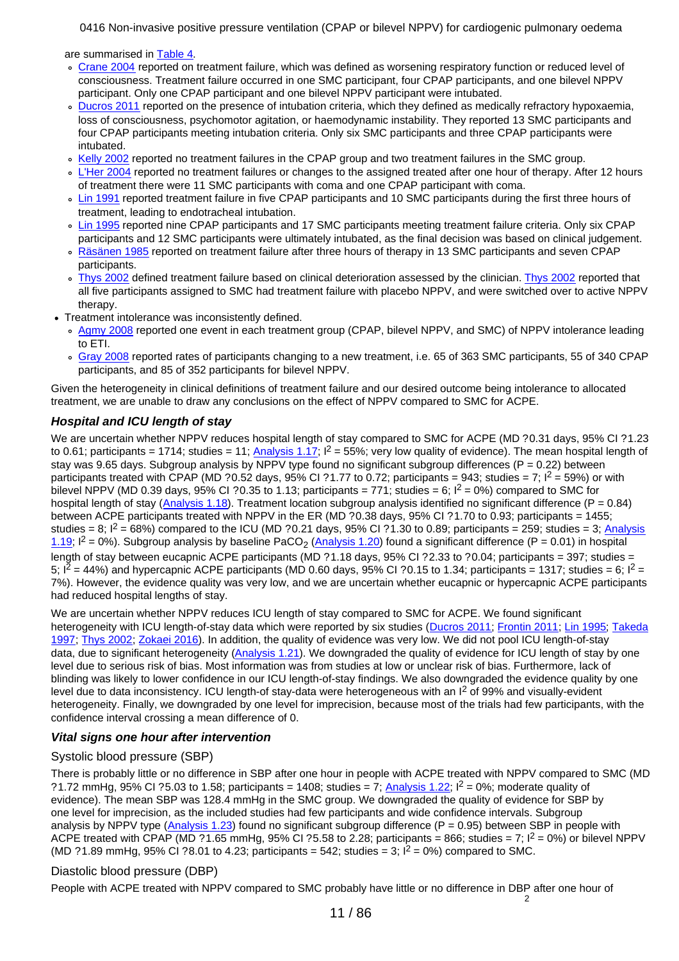are summarised in [Table 4](#page-62-0).

- [Crane 2004](#page-64-0) reported on treatment failure, which was defined as worsening respiratory function or reduced level of consciousness. Treatment failure occurred in one SMC participant, four CPAP participants, and one bilevel NPPV participant. Only one CPAP participant and one bilevel NPPV participant were intubated.
- o [Ducros 2011](#page-64-0) reported on the presence of intubation criteria, which they defined as medically refractory hypoxaemia, loss of consciousness, psychomotor agitation, or haemodynamic instability. They reported 13 SMC participants and four CPAP participants meeting intubation criteria. Only six SMC participants and three CPAP participants were intubated.
- [Kelly 2002](#page-65-0) reported no treatment failures in the CPAP group and two treatment failures in the SMC group.
- [L'Her 2004](#page-65-0) reported no treatment failures or changes to the assigned treated after one hour of therapy. After 12 hours  $\sigma$ of treatment there were 11 SMC participants with coma and one CPAP participant with coma.
- [Lin 1991](#page-65-0) reported treatment failure in five CPAP participants and 10 SMC participants during the first three hours of treatment, leading to endotracheal intubation.
- [Lin 1995](#page-65-0) reported nine CPAP participants and 17 SMC participants meeting treatment failure criteria. Only six CPAP participants and 12 SMC participants were ultimately intubated, as the final decision was based on clinical judgement.
- . [Räsänen 1985](#page-66-0) reported on treatment failure after three hours of therapy in 13 SMC participants and seven CPAP participants.
- o [Thys 2002](#page-66-0) defined treatment failure based on clinical deterioration assessed by the clinician. [Thys 2002](#page-66-0) reported that all five participants assigned to SMC had treatment failure with placebo NPPV, and were switched over to active NPPV therapy.
- Treatment intolerance was inconsistently defined.
- o [Agmy 2008](#page-63-0) reported one event in each treatment group (CPAP, bilevel NPPV, and SMC) of NPPV intolerance leading to ETI.
- [Gray 2008](#page-64-0) reported rates of participants changing to a new treatment, i.e. 65 of 363 SMC participants, 55 of 340 CPAP participants, and 85 of 352 participants for bilevel NPPV.

Given the heterogeneity in clinical definitions of treatment failure and our desired outcome being intolerance to allocated treatment, we are unable to draw any conclusions on the effect of NPPV compared to SMC for ACPE.

## **Hospital and ICU length of stay**

We are uncertain whether NPPV reduces hospital length of stay compared to SMC for ACPE (MD ?0.31 days, 95% CI ?1.23 to 0.61; participants = 1714; studies = 11; [Analysis 1.17](#page-74-0);  $I^2 = 55\%$ ; very low quality of evidence). The mean hospital length of stay was 9.65 days. Subgroup analysis by NPPV type found no significant subgroup differences ( $P = 0.22$ ) between participants treated with CPAP (MD ?0.52 days, 95% CI ?1.77 to 0.72; participants = 943; studies = 7;  $l^2$  = 59%) or with bilevel NPPV (MD 0.39 days, 95% CI ?0.35 to 1.13; participants = 771; studies = 6;  $I^2$  = 0%) compared to SMC for hospital length of stay [\(Analysis 1.18](#page-74-0)). Treatment location subgroup analysis identified no significant difference ( $P = 0.84$ ) between ACPE participants treated with NPPV in the ER (MD ?0.38 days, 95% CI ?1.70 to 0.93; participants = 1455; studies = 8;  $I^2$  = 68%) compared to the ICU (MD ?0.21 days, 95% CI ?1.30 to 0.89; participants = 259; studies = 3; [Analysis](#page-74-0) [1.19](#page-74-0);  $I^2 = 0$ %). Subgroup analysis by baseline PaCO<sub>2</sub> [\(Analysis 1.20](#page-74-0)) found a significant difference (P = 0.01) in hospital length of stay between eucapnic ACPE participants (MD ?1.18 days, 95% CI ?2.33 to ?0.04; participants = 397; studies = 5;  $\vert^2$  = 44%) and hypercapnic ACPE participants (MD 0.60 days, 95% CI ?0.15 to 1.34; participants = 1317; studies = 6;  $\vert^2$  = 7%). However, the evidence quality was very low, and we are uncertain whether eucapnic or hypercapnic ACPE participants had reduced hospital lengths of stay.

We are uncertain whether NPPV reduces ICU length of stay compared to SMC for ACPE. We found significant heterogeneity with ICU length-of-stay data which were reported by six studies [\(Ducros 2011](#page-64-0); [Frontin 2011](#page-64-0); [Lin 1995](#page-65-0); [Takeda](#page-66-0) [1997](#page-66-0); [Thys 2002](#page-66-0); [Zokaei 2016](#page-66-0)). In addition, the quality of evidence was very low. We did not pool ICU length-of-stay data, due to significant heterogeneity [\(Analysis 1.21](#page-74-0)). We downgraded the quality of evidence for ICU length of stay by one level due to serious risk of bias. Most information was from studies at low or unclear risk of bias. Furthermore, lack of blinding was likely to lower confidence in our ICU length-of-stay findings. We also downgraded the evidence quality by one level due to data inconsistency. ICU length-of stay-data were heterogeneous with an I<sup>2</sup> of 99% and visually-evident heterogeneity. Finally, we downgraded by one level for imprecision, because most of the trials had few participants, with the confidence interval crossing a mean difference of 0.

## **Vital signs one hour after intervention**

## Systolic blood pressure (SBP)

There is probably little or no difference in SBP after one hour in people with ACPE treated with NPPV compared to SMC (MD ?1.72 mmHg, 95% CI ?5.03 to 1.58; participants = 1408; studies = 7; [Analysis 1.22](#page-74-0);  $1^2$  = 0%; moderate quality of evidence). The mean SBP was 128.4 mmHg in the SMC group. We downgraded the quality of evidence for SBP by one level for imprecision, as the included studies had few participants and wide confidence intervals. Subgroup analysis by NPPV type ([Analysis 1.23](#page-74-0)) found no significant subgroup difference ( $P = 0.95$ ) between SBP in people with ACPE treated with CPAP (MD ?1.65 mmHg, 95% CI ?5.58 to 2.28; participants = 866; studies = 7;  $I^2$  = 0%) or bilevel NPPV (MD ?1.89 mmHg, 95% CI ?8.01 to 4.23; participants = 542; studies = 3;  $1^2$  = 0%) compared to SMC.

## Diastolic blood pressure (DBP)

People with ACPE treated with NPPV compared to SMC probably have little or no difference in DBP after one hour of  $\mathfrak{p}$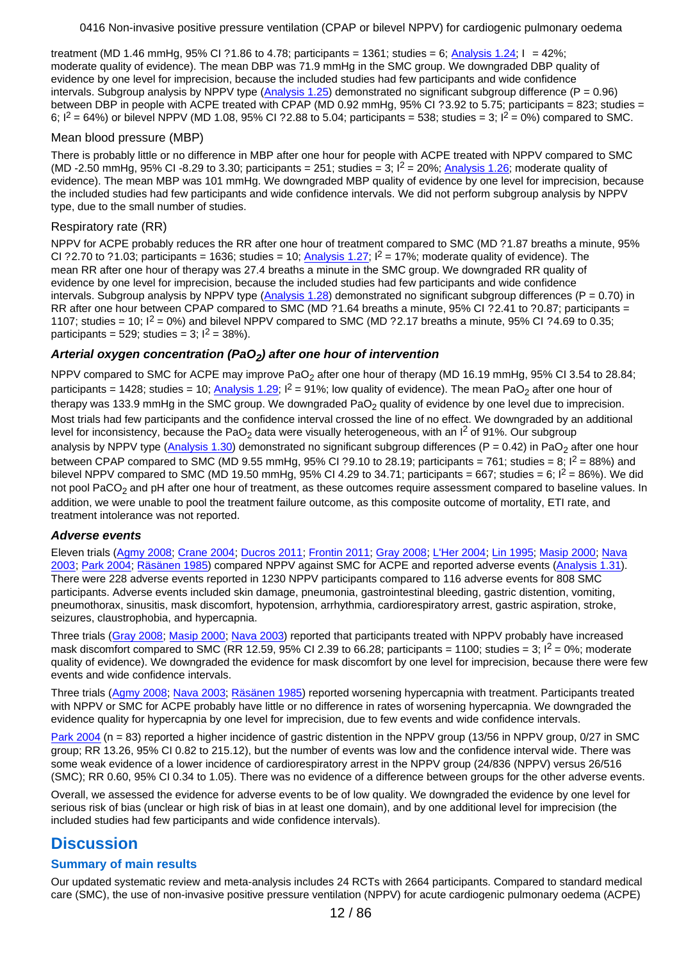treatment (MD 1.46 mmHg, 95% CI ?1.86 to 4.78; participants = 1361; studies = 6; [Analysis 1.24](#page-74-0); I = 42%; moderate quality of evidence). The mean DBP was 71.9 mmHg in the SMC group. We downgraded DBP quality of evidence by one level for imprecision, because the included studies had few participants and wide confidence intervals. Subgroup analysis by NPPV type [\(Analysis 1.25](#page-74-0)) demonstrated no significant subgroup difference ( $P = 0.96$ ) between DBP in people with ACPE treated with CPAP (MD 0.92 mmHg, 95% CI ?3.92 to 5.75; participants = 823; studies = 6;  $I^2 = 64\%$ ) or bilevel NPPV (MD 1.08, 95% CI ?2.88 to 5.04; participants = 538; studies = 3;  $I^2 = 0\%$ ) compared to SMC.

#### Mean blood pressure (MBP)

There is probably little or no difference in MBP after one hour for people with ACPE treated with NPPV compared to SMC (MD -2.50 mmHg, 95% CI -8.29 to 3.30; participants = 251; studies = 3;  $I^2$  = 20%; [Analysis 1.26](#page-74-0); moderate quality of evidence). The mean MBP was 101 mmHg. We downgraded MBP quality of evidence by one level for imprecision, because the included studies had few participants and wide confidence intervals. We did not perform subgroup analysis by NPPV type, due to the small number of studies.

#### Respiratory rate (RR)

NPPV for ACPE probably reduces the RR after one hour of treatment compared to SMC (MD ?1.87 breaths a minute, 95% CI ?2.70 to ?1.03; participants = 1636; studies = 10; [Analysis 1.27](#page-74-0);  $I^2$  = 17%; moderate quality of evidence). The mean RR after one hour of therapy was 27.4 breaths a minute in the SMC group. We downgraded RR quality of evidence by one level for imprecision, because the included studies had few participants and wide confidence intervals. Subgroup analysis by NPPV type [\(Analysis 1.28](#page-74-0)) demonstrated no significant subgroup differences ( $P = 0.70$ ) in RR after one hour between CPAP compared to SMC (MD ?1.64 breaths a minute, 95% CI ?2.41 to ?0.87; participants = 1107; studies = 10;  $I^2 = 0\%$ ) and bilevel NPPV compared to SMC (MD ?2.17 breaths a minute, 95% CI ?4.69 to 0.35; participants = 529; studies =  $3$ ;  $1^2$  = 38%).

## **Arterial oxygen concentration (PaO<sup>2</sup> ) after one hour of intervention**

NPPV compared to SMC for ACPE may improve PaO<sub>2</sub> after one hour of therapy (MD 16.19 mmHg, 95% CI 3.54 to 28.84; participants = 1428; studies = 10; <u>Analysis 1.29</u>; I<sup>2</sup> = 91%; low quality of evidence). The mean PaO<sub>2</sub> after one hour of therapy was 133.9 mmHg in the SMC group. We downgraded PaO<sub>2</sub> quality of evidence by one level due to imprecision. Most trials had few participants and the confidence interval crossed the line of no effect. We downgraded by an additional level for inconsistency, because the PaO<sub>2</sub> data were visually heterogeneous, with an I<sup>2</sup> of 91%. Our subgroup analysis by NPPV type (<u>[Analysis 1.30](#page-75-0)</u>) demonstrated no significant subgroup differences (P = 0.42) in PaO<sub>2</sub> after one hour between CPAP compared to SMC (MD 9.55 mmHg, 95% CI ?9.10 to 28.19; participants = 761; studies = 8;  $I^2$  = 88%) and bilevel NPPV compared to SMC (MD 19.50 mmHg, 95% CI 4.29 to 34.71; participants = 667; studies = 6;  $I^2$  = 86%). We did not pool PaCO<sub>2</sub> and pH after one hour of treatment, as these outcomes require assessment compared to baseline values. In addition, we were unable to pool the treatment failure outcome, as this composite outcome of mortality, ETI rate, and treatment intolerance was not reported.

### **Adverse events**

Eleven trials [\(Agmy 2008](#page-63-0); [Crane 2004](#page-64-0); [Ducros 2011](#page-64-0); [Frontin 2011](#page-64-0); [Gray 2008](#page-64-0); [L'Her 2004](#page-65-0); [Lin 1995](#page-65-0); [Masip 2000](#page-65-0); [Nava](#page-65-0) [2003](#page-65-0); [Park 2004](#page-66-0); [Räsänen 1985](#page-66-0)) compared NPPV against SMC for ACPE and reported adverse events [\(Analysis 1.31](#page-75-0)). There were 228 adverse events reported in 1230 NPPV participants compared to 116 adverse events for 808 SMC participants. Adverse events included skin damage, pneumonia, gastrointestinal bleeding, gastric distention, vomiting, pneumothorax, sinusitis, mask discomfort, hypotension, arrhythmia, cardiorespiratory arrest, gastric aspiration, stroke, seizures, claustrophobia, and hypercapnia.

Three trials [\(Gray 2008](#page-64-0); [Masip 2000](#page-65-0); [Nava 2003](#page-65-0)) reported that participants treated with NPPV probably have increased mask discomfort compared to SMC (RR 12.59, 95% CI 2.39 to 66.28; participants = 1100; studies = 3;  $1^2$  = 0%; moderate quality of evidence). We downgraded the evidence for mask discomfort by one level for imprecision, because there were few events and wide confidence intervals.

Three trials [\(Agmy 2008](#page-63-0); [Nava 2003](#page-65-0); [Räsänen 1985](#page-66-0)) reported worsening hypercapnia with treatment. Participants treated with NPPV or SMC for ACPE probably have little or no difference in rates of worsening hypercapnia. We downgraded the evidence quality for hypercapnia by one level for imprecision, due to few events and wide confidence intervals.

[Park 2004](#page-66-0) (n = 83) reported a higher incidence of gastric distention in the NPPV group (13/56 in NPPV group, 0/27 in SMC group; RR 13.26, 95% CI 0.82 to 215.12), but the number of events was low and the confidence interval wide. There was some weak evidence of a lower incidence of cardiorespiratory arrest in the NPPV group (24/836 (NPPV) versus 26/516 (SMC); RR 0.60, 95% CI 0.34 to 1.05). There was no evidence of a difference between groups for the other adverse events.

Overall, we assessed the evidence for adverse events to be of low quality. We downgraded the evidence by one level for serious risk of bias (unclear or high risk of bias in at least one domain), and by one additional level for imprecision (the included studies had few participants and wide confidence intervals).

# **Discussion**

### **Summary of main results**

Our updated systematic review and meta-analysis includes 24 RCTs with 2664 participants. Compared to standard medical care (SMC), the use of non-invasive positive pressure ventilation (NPPV) for acute cardiogenic pulmonary oedema (ACPE)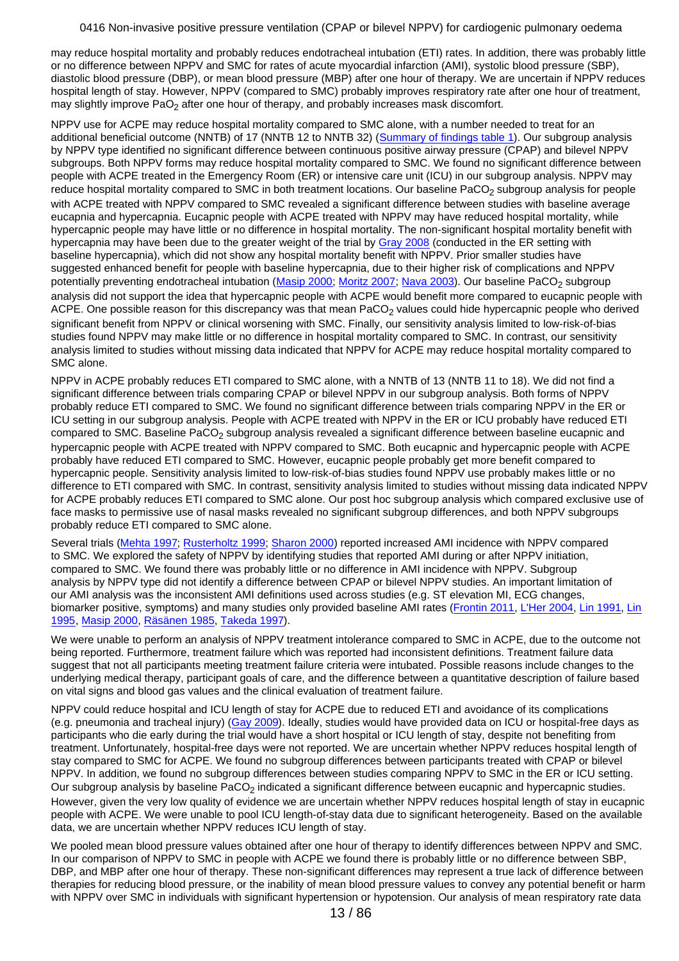may reduce hospital mortality and probably reduces endotracheal intubation (ETI) rates. In addition, there was probably little or no difference between NPPV and SMC for rates of acute myocardial infarction (AMI), systolic blood pressure (SBP), diastolic blood pressure (DBP), or mean blood pressure (MBP) after one hour of therapy. We are uncertain if NPPV reduces hospital length of stay. However, NPPV (compared to SMC) probably improves respiratory rate after one hour of treatment, may slightly improve PaO<sub>2</sub> after one hour of therapy, and probably increases mask discomfort.

NPPV use for ACPE may reduce hospital mortality compared to SMC alone, with a number needed to treat for an additional beneficial outcome (NNTB) of 17 (NNTB 12 to NNTB 32) [\(Summary of findings table 1](#page-57-0)). Our subgroup analysis by NPPV type identified no significant difference between continuous positive airway pressure (CPAP) and bilevel NPPV subgroups. Both NPPV forms may reduce hospital mortality compared to SMC. We found no significant difference between people with ACPE treated in the Emergency Room (ER) or intensive care unit (ICU) in our subgroup analysis. NPPV may reduce hospital mortality compared to SMC in both treatment locations. Our baseline PaCO<sub>2</sub> subgroup analysis for people with ACPE treated with NPPV compared to SMC revealed a significant difference between studies with baseline average eucapnia and hypercapnia. Eucapnic people with ACPE treated with NPPV may have reduced hospital mortality, while hypercapnic people may have little or no difference in hospital mortality. The non-significant hospital mortality benefit with hypercapnia may have been due to the greater weight of the trial by [Gray 2008](#page-64-0) (conducted in the ER setting with baseline hypercapnia), which did not show any hospital mortality benefit with NPPV. Prior smaller studies have suggested enhanced benefit for people with baseline hypercapnia, due to their higher risk of complications and NPPV potentially preventing endotracheal intubation (<u>[Masip 2000](#page-65-0); [Moritz 2007](#page-69-0); [Nava 2003](#page-65-0)</u>). Our baseline PaCO<sub>2</sub> subgroup analysis did not support the idea that hypercapnic people with ACPE would benefit more compared to eucapnic people with ACPE. One possible reason for this discrepancy was that mean PaCO<sub>2</sub> values could hide hypercapnic people who derived significant benefit from NPPV or clinical worsening with SMC. Finally, our sensitivity analysis limited to low-risk-of-bias studies found NPPV may make little or no difference in hospital mortality compared to SMC. In contrast, our sensitivity analysis limited to studies without missing data indicated that NPPV for ACPE may reduce hospital mortality compared to SMC alone.

NPPV in ACPE probably reduces ETI compared to SMC alone, with a NNTB of 13 (NNTB 11 to 18). We did not find a significant difference between trials comparing CPAP or bilevel NPPV in our subgroup analysis. Both forms of NPPV probably reduce ETI compared to SMC. We found no significant difference between trials comparing NPPV in the ER or ICU setting in our subgroup analysis. People with ACPE treated with NPPV in the ER or ICU probably have reduced ETI compared to SMC. Baseline PaCO<sub>2</sub> subgroup analysis revealed a significant difference between baseline eucapnic and hypercapnic people with ACPE treated with NPPV compared to SMC. Both eucapnic and hypercapnic people with ACPE probably have reduced ETI compared to SMC. However, eucapnic people probably get more benefit compared to hypercapnic people. Sensitivity analysis limited to low-risk-of-bias studies found NPPV use probably makes little or no difference to ETI compared with SMC. In contrast, sensitivity analysis limited to studies without missing data indicated NPPV for ACPE probably reduces ETI compared to SMC alone. Our post hoc subgroup analysis which compared exclusive use of face masks to permissive use of nasal masks revealed no significant subgroup differences, and both NPPV subgroups probably reduce ETI compared to SMC alone.

Several trials [\(Mehta 1997](#page-69-0); [Rusterholtz 1999](#page-69-0); [Sharon 2000](#page-70-0)) reported increased AMI incidence with NPPV compared to SMC. We explored the safety of NPPV by identifying studies that reported AMI during or after NPPV initiation, compared to SMC. We found there was probably little or no difference in AMI incidence with NPPV. Subgroup analysis by NPPV type did not identify a difference between CPAP or bilevel NPPV studies. An important limitation of our AMI analysis was the inconsistent AMI definitions used across studies (e.g. ST elevation MI, ECG changes, biomarker positive, symptoms) and many studies only provided baseline AMI rates [\(Frontin 2011](#page-64-0), [L'Her 2004](#page-65-0), [Lin 1991](#page-65-0), [Lin](#page-65-0) [1995](#page-65-0), [Masip 2000](#page-65-0), [Räsänen 1985](#page-66-0), [Takeda 1997](#page-66-0)).

We were unable to perform an analysis of NPPV treatment intolerance compared to SMC in ACPE, due to the outcome not being reported. Furthermore, treatment failure which was reported had inconsistent definitions. Treatment failure data suggest that not all participants meeting treatment failure criteria were intubated. Possible reasons include changes to the underlying medical therapy, participant goals of care, and the difference between a quantitative description of failure based on vital signs and blood gas values and the clinical evaluation of treatment failure.

NPPV could reduce hospital and ICU length of stay for ACPE due to reduced ETI and avoidance of its complications (e.g. pneumonia and tracheal injury) [\(Gay 2009](#page-71-0)). Ideally, studies would have provided data on ICU or hospital-free days as participants who die early during the trial would have a short hospital or ICU length of stay, despite not benefiting from treatment. Unfortunately, hospital-free days were not reported. We are uncertain whether NPPV reduces hospital length of stay compared to SMC for ACPE. We found no subgroup differences between participants treated with CPAP or bilevel NPPV. In addition, we found no subgroup differences between studies comparing NPPV to SMC in the ER or ICU setting. Our subgroup analysis by baseline PaCO<sub>2</sub> indicated a significant difference between eucapnic and hypercapnic studies. However, given the very low quality of evidence we are uncertain whether NPPV reduces hospital length of stay in eucapnic people with ACPE. We were unable to pool ICU length-of-stay data due to significant heterogeneity. Based on the available data, we are uncertain whether NPPV reduces ICU length of stay.

We pooled mean blood pressure values obtained after one hour of therapy to identify differences between NPPV and SMC. In our comparison of NPPV to SMC in people with ACPE we found there is probably little or no difference between SBP, DBP, and MBP after one hour of therapy. These non-significant differences may represent a true lack of difference between therapies for reducing blood pressure, or the inability of mean blood pressure values to convey any potential benefit or harm with NPPV over SMC in individuals with significant hypertension or hypotension. Our analysis of mean respiratory rate data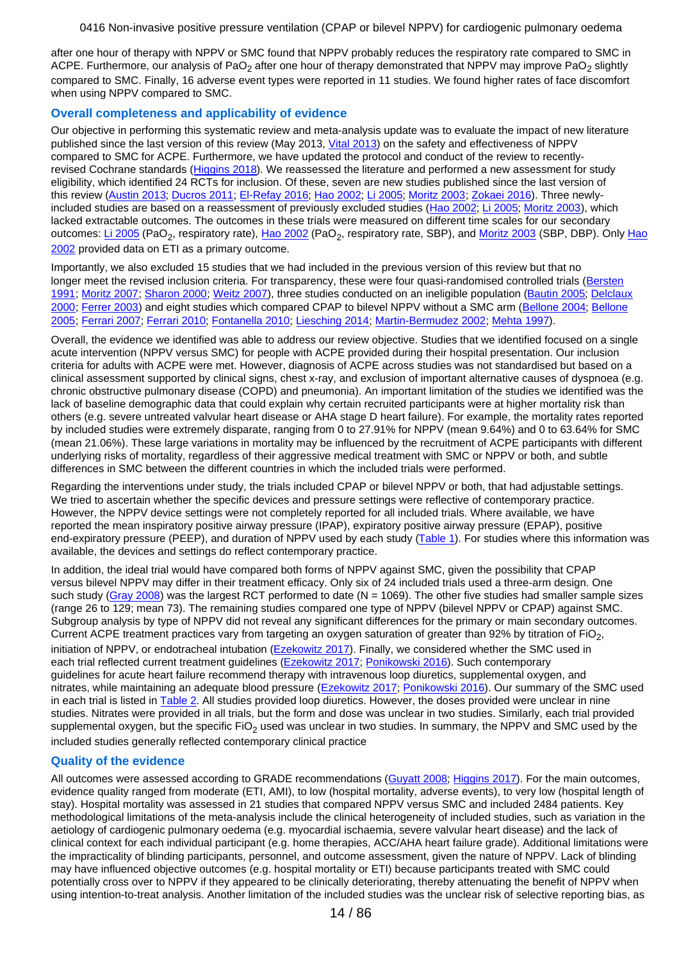after one hour of therapy with NPPV or SMC found that NPPV probably reduces the respiratory rate compared to SMC in ACPE. Furthermore, our analysis of PaO<sub>2</sub> after one hour of therapy demonstrated that NPPV may improve PaO<sub>2</sub> slightly compared to SMC. Finally, 16 adverse event types were reported in 11 studies. We found higher rates of face discomfort when using NPPV compared to SMC.

## **Overall completeness and applicability of evidence**

Our objective in performing this systematic review and meta-analysis update was to evaluate the impact of new literature published since the last version of this review (May 2013, [Vital 2013](#page-73-0)) on the safety and effectiveness of NPPV compared to SMC for ACPE. Furthermore, we have updated the protocol and conduct of the review to recently-revised Cochrane standards [\(Higgins 2018](#page-71-0)). We reassessed the literature and performed a new assessment for study eligibility, which identified 24 RCTs for inclusion. Of these, seven are new studies published since the last version of this review [\(Austin 2013](#page-64-0); [Ducros 2011](#page-64-0); [El-Refay 2016](#page-64-0); [Hao 2002](#page-65-0); [Li 2005](#page-65-0); [Moritz 2003](#page-65-0); [Zokaei 2016](#page-66-0)). Three newlyincluded studies are based on a reassessment of previously excluded studies [\(Hao 2002](#page-65-0); [Li 2005](#page-65-0); [Moritz 2003](#page-65-0)), which lacked extractable outcomes. The outcomes in these trials were measured on different time scales for our secondary outcomes: [Li 2005](#page-65-0) (PaO<sub>2</sub>, respiratory rate), <u>[Hao 2002](#page-65-0)</u> (PaO<sub>2</sub>, respiratory rate, SBP), and <u>Moritz 2003</u> (SBP, DBP). Only [Hao](#page-65-0) [2002](#page-65-0) provided data on ETI as a primary outcome.

Importantly, we also excluded 15 studies that we had included in the previous version of this review but that no longer meet the revised inclusion criteria. For transparency, these were four quasi-randomised controlled trials [\(Bersten](#page-67-0) [1991](#page-67-0); [Moritz 2007](#page-69-0); [Sharon 2000](#page-70-0); [Weitz 2007](#page-70-0)), three studies conducted on an ineligible population [\(Bautin 2005](#page-66-0); [Delclaux](#page-67-0) [2000](#page-67-0); [Ferrer 2003](#page-68-0)) and eight studies which compared CPAP to bilevel NPPV without a SMC arm [\(Bellone 2004](#page-67-0); [Bellone](#page-67-0) [2005](#page-67-0); [Ferrari 2007](#page-67-0); [Ferrari 2010](#page-68-0); [Fontanella 2010](#page-68-0); [Liesching 2014](#page-68-0); [Martin-Bermudez 2002](#page-68-0); [Mehta 1997](#page-69-0)).

Overall, the evidence we identified was able to address our review objective. Studies that we identified focused on a single acute intervention (NPPV versus SMC) for people with ACPE provided during their hospital presentation. Our inclusion criteria for adults with ACPE were met. However, diagnosis of ACPE across studies was not standardised but based on a clinical assessment supported by clinical signs, chest x-ray, and exclusion of important alternative causes of dyspnoea (e.g. chronic obstructive pulmonary disease (COPD) and pneumonia). An important limitation of the studies we identified was the lack of baseline demographic data that could explain why certain recruited participants were at higher mortality risk than others (e.g. severe untreated valvular heart disease or AHA stage D heart failure). For example, the mortality rates reported by included studies were extremely disparate, ranging from 0 to 27.91% for NPPV (mean 9.64%) and 0 to 63.64% for SMC (mean 21.06%). These large variations in mortality may be influenced by the recruitment of ACPE participants with different underlying risks of mortality, regardless of their aggressive medical treatment with SMC or NPPV or both, and subtle differences in SMC between the different countries in which the included trials were performed.

Regarding the interventions under study, the trials included CPAP or bilevel NPPV or both, that had adjustable settings. We tried to ascertain whether the specific devices and pressure settings were reflective of contemporary practice. However, the NPPV device settings were not completely reported for all included trials. Where available, we have reported the mean inspiratory positive airway pressure (IPAP), expiratory positive airway pressure (EPAP), positive end-expiratory pressure (PEEP), and duration of NPPV used by each study [\(Table 1](#page-59-0)). For studies where this information was available, the devices and settings do reflect contemporary practice.

In addition, the ideal trial would have compared both forms of NPPV against SMC, given the possibility that CPAP versus bilevel NPPV may differ in their treatment efficacy. Only six of 24 included trials used a three-arm design. One such study [\(Gray 2008](#page-64-0)) was the largest RCT performed to date ( $N = 1069$ ). The other five studies had smaller sample sizes (range 26 to 129; mean 73). The remaining studies compared one type of NPPV (bilevel NPPV or CPAP) against SMC. Subgroup analysis by type of NPPV did not reveal any significant differences for the primary or main secondary outcomes. Current ACPE treatment practices vary from targeting an oxygen saturation of greater than 92% by titration of FiO<sub>2</sub>, initiation of NPPV, or endotracheal intubation [\(Ezekowitz 2017](#page-70-0)). Finally, we considered whether the SMC used in each trial reflected current treatment guidelines [\(Ezekowitz 2017](#page-70-0); [Ponikowski 2016](#page-72-0)). Such contemporary guidelines for acute heart failure recommend therapy with intravenous loop diuretics, supplemental oxygen, and nitrates, while maintaining an adequate blood pressure [\(Ezekowitz 2017](#page-70-0); [Ponikowski 2016](#page-72-0)). Our summary of the SMC used in each trial is listed in [Table 2](#page-60-0). All studies provided loop diuretics. However, the doses provided were unclear in nine studies. Nitrates were provided in all trials, but the form and dose was unclear in two studies. Similarly, each trial provided supplemental oxygen, but the specific FiO<sub>2</sub> used was unclear in two studies. In summary, the NPPV and SMC used by the included studies generally reflected contemporary clinical practice

### **Quality of the evidence**

All outcomes were assessed according to GRADE recommendations [\(Guyatt 2008](#page-71-0); [Higgins 2017](#page-71-0)). For the main outcomes, evidence quality ranged from moderate (ETI, AMI), to low (hospital mortality, adverse events), to very low (hospital length of stay). Hospital mortality was assessed in 21 studies that compared NPPV versus SMC and included 2484 patients. Key methodological limitations of the meta-analysis include the clinical heterogeneity of included studies, such as variation in the aetiology of cardiogenic pulmonary oedema (e.g. myocardial ischaemia, severe valvular heart disease) and the lack of clinical context for each individual participant (e.g. home therapies, ACC/AHA heart failure grade). Additional limitations were the impracticality of blinding participants, personnel, and outcome assessment, given the nature of NPPV. Lack of blinding may have influenced objective outcomes (e.g. hospital mortality or ETI) because participants treated with SMC could potentially cross over to NPPV if they appeared to be clinically deteriorating, thereby attenuating the benefit of NPPV when using intention-to-treat analysis. Another limitation of the included studies was the unclear risk of selective reporting bias, as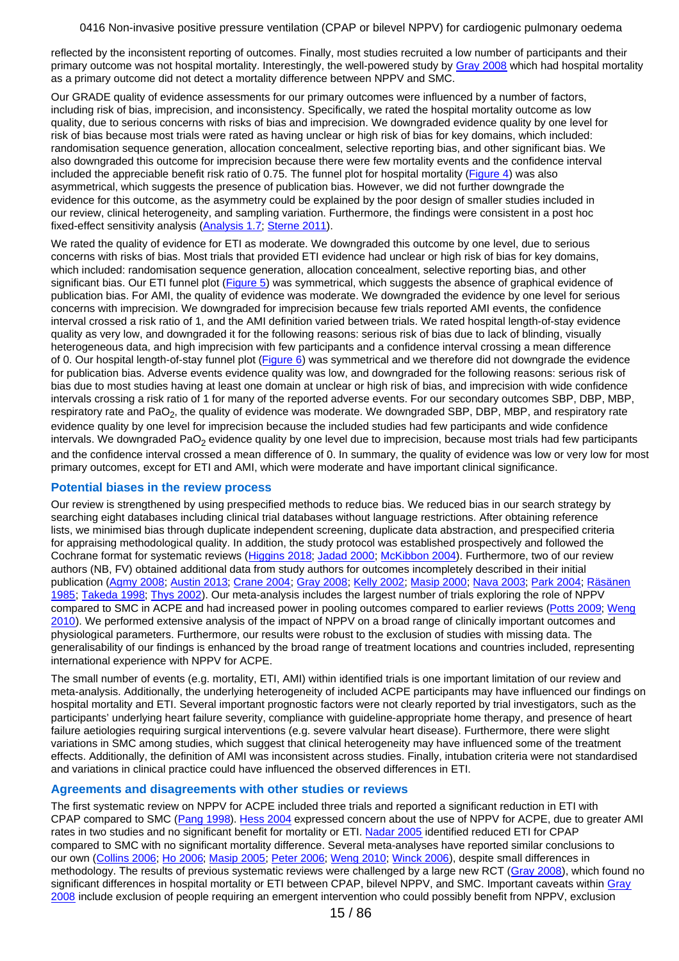reflected by the inconsistent reporting of outcomes. Finally, most studies recruited a low number of participants and their primary outcome was not hospital mortality. Interestingly, the well-powered study by [Gray 2008](#page-64-0) which had hospital mortality as a primary outcome did not detect a mortality difference between NPPV and SMC.

Our GRADE quality of evidence assessments for our primary outcomes were influenced by a number of factors, including risk of bias, imprecision, and inconsistency. Specifically, we rated the hospital mortality outcome as low quality, due to serious concerns with risks of bias and imprecision. We downgraded evidence quality by one level for risk of bias because most trials were rated as having unclear or high risk of bias for key domains, which included: randomisation sequence generation, allocation concealment, selective reporting bias, and other significant bias. We also downgraded this outcome for imprecision because there were few mortality events and the confidence interval included the appreciable benefit risk ratio of 0.75. The funnel plot for hospital mortality [\(Figure 4](#page-78-0)) was also asymmetrical, which suggests the presence of publication bias. However, we did not further downgrade the evidence for this outcome, as the asymmetry could be explained by the poor design of smaller studies included in our review, clinical heterogeneity, and sampling variation. Furthermore, the findings were consistent in a post hoc fixed-effect sensitivity analysis [\(Analysis 1.7](#page-73-0); [Sterne 2011](#page-72-0)).

We rated the quality of evidence for ETI as moderate. We downgraded this outcome by one level, due to serious concerns with risks of bias. Most trials that provided ETI evidence had unclear or high risk of bias for key domains, which included: randomisation sequence generation, allocation concealment, selective reporting bias, and other significant bias. Our ETI funnel plot [\(Figure 5](#page-79-0)) was symmetrical, which suggests the absence of graphical evidence of publication bias. For AMI, the quality of evidence was moderate. We downgraded the evidence by one level for serious concerns with imprecision. We downgraded for imprecision because few trials reported AMI events, the confidence interval crossed a risk ratio of 1, and the AMI definition varied between trials. We rated hospital length-of-stay evidence quality as very low, and downgraded it for the following reasons: serious risk of bias due to lack of blinding, visually heterogeneous data, and high imprecision with few participants and a confidence interval crossing a mean difference of 0. Our hospital length-of-stay funnel plot [\(Figure 6](#page-79-0)) was symmetrical and we therefore did not downgrade the evidence for publication bias. Adverse events evidence quality was low, and downgraded for the following reasons: serious risk of bias due to most studies having at least one domain at unclear or high risk of bias, and imprecision with wide confidence intervals crossing a risk ratio of 1 for many of the reported adverse events. For our secondary outcomes SBP, DBP, MBP, respiratory rate and PaO<sub>2</sub>, the quality of evidence was moderate. We downgraded SBP, DBP, MBP, and respiratory rate evidence quality by one level for imprecision because the included studies had few participants and wide confidence intervals. We downgraded PaO<sub>2</sub> evidence quality by one level due to imprecision, because most trials had few participants and the confidence interval crossed a mean difference of 0. In summary, the quality of evidence was low or very low for most primary outcomes, except for ETI and AMI, which were moderate and have important clinical significance.

#### **Potential biases in the review process**

Our review is strengthened by using prespecified methods to reduce bias. We reduced bias in our search strategy by searching eight databases including clinical trial databases without language restrictions. After obtaining reference lists, we minimised bias through duplicate independent screening, duplicate data abstraction, and prespecified criteria for appraising methodological quality. In addition, the study protocol was established prospectively and followed the Cochrane format for systematic reviews [\(Higgins 2018](#page-71-0); [Jadad 2000](#page-71-0); [McKibbon 2004](#page-71-0)). Furthermore, two of our review authors (NB, FV) obtained additional data from study authors for outcomes incompletely described in their initial publication [\(Agmy 2008](#page-63-0); [Austin 2013](#page-64-0); [Crane 2004](#page-64-0); [Gray 2008](#page-64-0); [Kelly 2002](#page-65-0); [Masip 2000](#page-65-0); [Nava 2003](#page-65-0); [Park 2004](#page-66-0); [Räsänen](#page-66-0) [1985](#page-66-0); [Takeda 1998](#page-66-0); [Thys 2002](#page-66-0)). Our meta-analysis includes the largest number of trials exploring the role of NPPV compared to SMC in ACPE and had increased power in pooling outcomes compared to earlier reviews [\(Potts 2009](#page-72-0); [Weng](#page-72-0) [2010](#page-72-0)). We performed extensive analysis of the impact of NPPV on a broad range of clinically important outcomes and physiological parameters. Furthermore, our results were robust to the exclusion of studies with missing data. The generalisability of our findings is enhanced by the broad range of treatment locations and countries included, representing international experience with NPPV for ACPE.

The small number of events (e.g. mortality, ETI, AMI) within identified trials is one important limitation of our review and meta-analysis. Additionally, the underlying heterogeneity of included ACPE participants may have influenced our findings on hospital mortality and ETI. Several important prognostic factors were not clearly reported by trial investigators, such as the participants' underlying heart failure severity, compliance with guideline-appropriate home therapy, and presence of heart failure aetiologies requiring surgical interventions (e.g. severe valvular heart disease). Furthermore, there were slight variations in SMC among studies, which suggest that clinical heterogeneity may have influenced some of the treatment effects. Additionally, the definition of AMI was inconsistent across studies. Finally, intubation criteria were not standardised and variations in clinical practice could have influenced the observed differences in ETI.

### **Agreements and disagreements with other studies or reviews**

The first systematic review on NPPV for ACPE included three trials and reported a significant reduction in ETI with CPAP compared to SMC [\(Pang 1998](#page-72-0)). [Hess 2004](#page-71-0) expressed concern about the use of NPPV for ACPE, due to greater AMI rates in two studies and no significant benefit for mortality or ETI. [Nadar 2005](#page-71-0) identified reduced ETI for CPAP compared to SMC with no significant mortality difference. Several meta-analyses have reported similar conclusions to our own [\(Collins 2006](#page-70-0); [Ho 2006](#page-71-0); [Masip 2005](#page-71-0); [Peter 2006](#page-72-0); [Weng 2010](#page-72-0); [Winck 2006](#page-72-0)), despite small differences in methodology. The results of previous systematic reviews were challenged by a large new RCT [\(Gray 2008](#page-64-0)), which found no significant differences in hospital mortality or ETI between CPAP, bilevel NPPV, and SMC. Important caveats within [Gray](#page-64-0) [2008](#page-64-0) include exclusion of people requiring an emergent intervention who could possibly benefit from NPPV, exclusion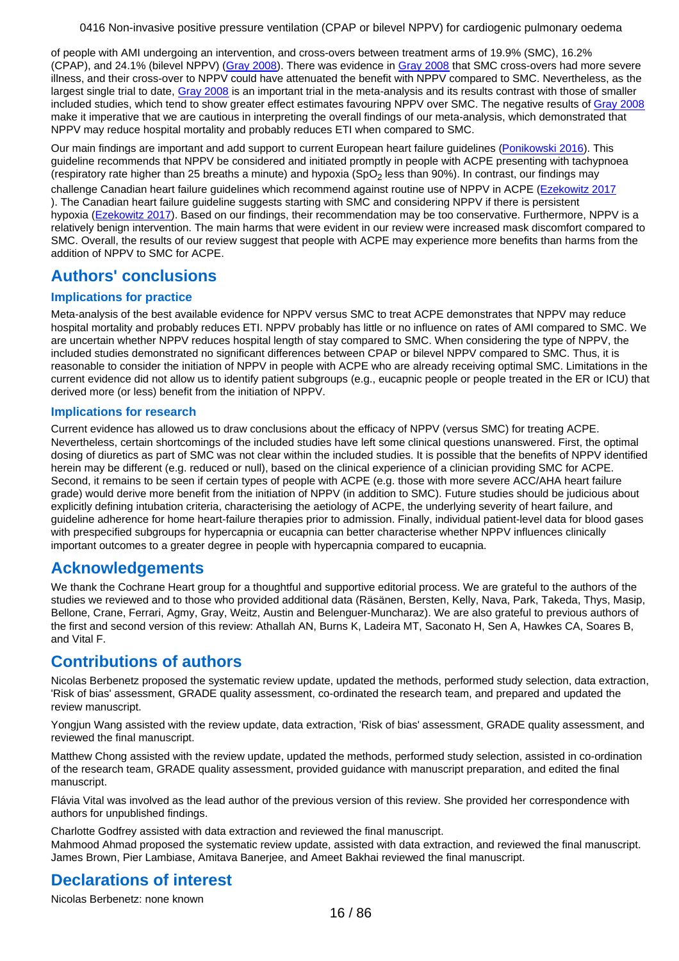of people with AMI undergoing an intervention, and cross-overs between treatment arms of 19.9% (SMC), 16.2% (CPAP), and 24.1% (bilevel NPPV) [\(Gray 2008](#page-64-0)). There was evidence in [Gray 2008](#page-64-0) that SMC cross-overs had more severe illness, and their cross-over to NPPV could have attenuated the benefit with NPPV compared to SMC. Nevertheless, as the largest single trial to date, [Gray 2008](#page-64-0) is an important trial in the meta-analysis and its results contrast with those of smaller included studies, which tend to show greater effect estimates favouring NPPV over SMC. The negative results of [Gray 2008](#page-64-0) make it imperative that we are cautious in interpreting the overall findings of our meta-analysis, which demonstrated that NPPV may reduce hospital mortality and probably reduces ETI when compared to SMC.

Our main findings are important and add support to current European heart failure guidelines [\(Ponikowski 2016](#page-72-0)). This guideline recommends that NPPV be considered and initiated promptly in people with ACPE presenting with tachypnoea (respiratory rate higher than 25 breaths a minute) and hypoxia (SpO<sub>2</sub> less than 90%). In contrast, our findings may challenge Canadian heart failure guidelines which recommend against routine use of NPPV in ACPE [\(Ezekowitz 2017](#page-70-0) ). The Canadian heart failure quideline suggests starting with SMC and considering NPPV if there is persistent hypoxia [\(Ezekowitz 2017](#page-70-0)). Based on our findings, their recommendation may be too conservative. Furthermore, NPPV is a relatively benign intervention. The main harms that were evident in our review were increased mask discomfort compared to SMC. Overall, the results of our review suggest that people with ACPE may experience more benefits than harms from the addition of NPPV to SMC for ACPE.

# **Authors' conclusions**

## **Implications for practice**

Meta-analysis of the best available evidence for NPPV versus SMC to treat ACPE demonstrates that NPPV may reduce hospital mortality and probably reduces ETI. NPPV probably has little or no influence on rates of AMI compared to SMC. We are uncertain whether NPPV reduces hospital length of stay compared to SMC. When considering the type of NPPV, the included studies demonstrated no significant differences between CPAP or bilevel NPPV compared to SMC. Thus, it is reasonable to consider the initiation of NPPV in people with ACPE who are already receiving optimal SMC. Limitations in the current evidence did not allow us to identify patient subgroups (e.g., eucapnic people or people treated in the ER or ICU) that derived more (or less) benefit from the initiation of NPPV.

## **Implications for research**

Current evidence has allowed us to draw conclusions about the efficacy of NPPV (versus SMC) for treating ACPE. Nevertheless, certain shortcomings of the included studies have left some clinical questions unanswered. First, the optimal dosing of diuretics as part of SMC was not clear within the included studies. It is possible that the benefits of NPPV identified herein may be different (e.g. reduced or null), based on the clinical experience of a clinician providing SMC for ACPE. Second, it remains to be seen if certain types of people with ACPE (e.g. those with more severe ACC/AHA heart failure grade) would derive more benefit from the initiation of NPPV (in addition to SMC). Future studies should be judicious about explicitly defining intubation criteria, characterising the aetiology of ACPE, the underlying severity of heart failure, and guideline adherence for home heart-failure therapies prior to admission. Finally, individual patient-level data for blood gases with prespecified subgroups for hypercapnia or eucapnia can better characterise whether NPPV influences clinically important outcomes to a greater degree in people with hypercapnia compared to eucapnia.

# **Acknowledgements**

We thank the Cochrane Heart group for a thoughtful and supportive editorial process. We are grateful to the authors of the studies we reviewed and to those who provided additional data (Räsänen, Bersten, Kelly, Nava, Park, Takeda, Thys, Masip, Bellone, Crane, Ferrari, Agmy, Gray, Weitz, Austin and Belenguer-Muncharaz). We are also grateful to previous authors of the first and second version of this review: Athallah AN, Burns K, Ladeira MT, Saconato H, Sen A, Hawkes CA, Soares B, and Vital F.

# **Contributions of authors**

Nicolas Berbenetz proposed the systematic review update, updated the methods, performed study selection, data extraction, 'Risk of bias' assessment, GRADE quality assessment, co-ordinated the research team, and prepared and updated the review manuscript.

Yongjun Wang assisted with the review update, data extraction, 'Risk of bias' assessment, GRADE quality assessment, and reviewed the final manuscript.

Matthew Chong assisted with the review update, updated the methods, performed study selection, assisted in co-ordination of the research team, GRADE quality assessment, provided guidance with manuscript preparation, and edited the final manuscript.

Flávia Vital was involved as the lead author of the previous version of this review. She provided her correspondence with authors for unpublished findings.

Charlotte Godfrey assisted with data extraction and reviewed the final manuscript. Mahmood Ahmad proposed the systematic review update, assisted with data extraction, and reviewed the final manuscript. James Brown, Pier Lambiase, Amitava Banerjee, and Ameet Bakhai reviewed the final manuscript.

# **Declarations of interest**

Nicolas Berbenetz: none known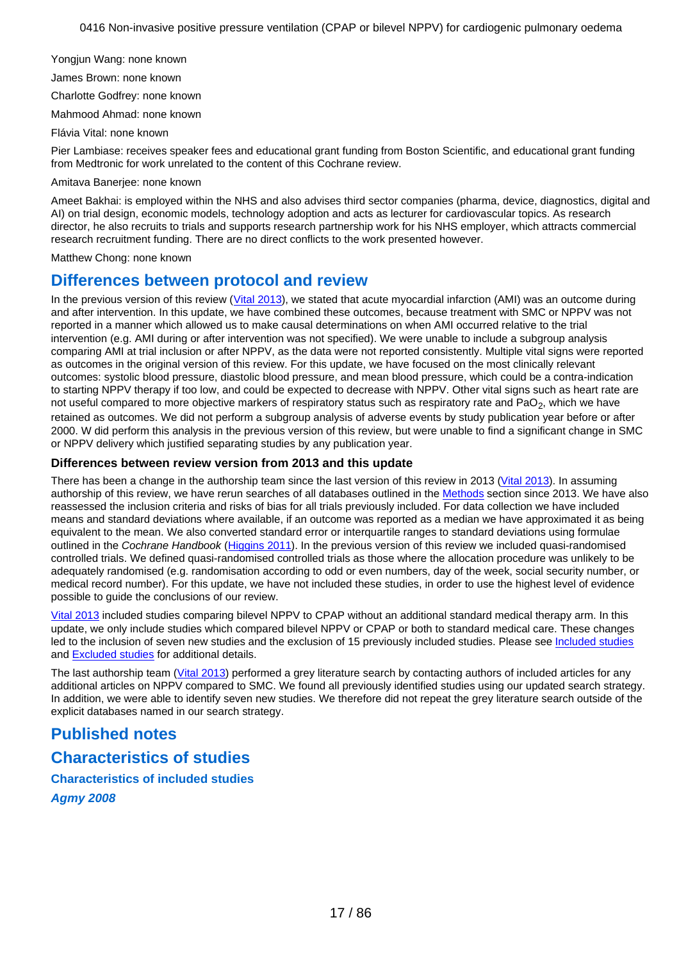<span id="page-16-0"></span>Yongjun Wang: none known

James Brown: none known

Charlotte Godfrey: none known

Mahmood Ahmad: none known Flávia Vital: none known

Pier Lambiase: receives speaker fees and educational grant funding from Boston Scientific, and educational grant funding from Medtronic for work unrelated to the content of this Cochrane review.

Amitava Banerjee: none known

Ameet Bakhai: is employed within the NHS and also advises third sector companies (pharma, device, diagnostics, digital and AI) on trial design, economic models, technology adoption and acts as lecturer for cardiovascular topics. As research director, he also recruits to trials and supports research partnership work for his NHS employer, which attracts commercial research recruitment funding. There are no direct conflicts to the work presented however.

Matthew Chong: none known

# **Differences between protocol and review**

In the previous version of this review [\(Vital 2013](#page-73-0)), we stated that acute myocardial infarction (AMI) was an outcome during and after intervention. In this update, we have combined these outcomes, because treatment with SMC or NPPV was not reported in a manner which allowed us to make causal determinations on when AMI occurred relative to the trial intervention (e.g. AMI during or after intervention was not specified). We were unable to include a subgroup analysis comparing AMI at trial inclusion or after NPPV, as the data were not reported consistently. Multiple vital signs were reported as outcomes in the original version of this review. For this update, we have focused on the most clinically relevant outcomes: systolic blood pressure, diastolic blood pressure, and mean blood pressure, which could be a contra-indication to starting NPPV therapy if too low, and could be expected to decrease with NPPV. Other vital signs such as heart rate are not useful compared to more objective markers of respiratory status such as respiratory rate and PaO<sub>2</sub>, which we have retained as outcomes. We did not perform a subgroup analysis of adverse events by study publication year before or after 2000. W did perform this analysis in the previous version of this review, but were unable to find a significant change in SMC or NPPV delivery which justified separating studies by any publication year.

## **Differences between review version from 2013 and this update**

There has been a change in the authorship team since the last version of this review in 2013 [\(Vital 2013](#page-73-0)). In assuming authorship of this review, we have rerun searches of all databases outlined in the [Methods](#page-3-0) section since 2013. We have also reassessed the inclusion criteria and risks of bias for all trials previously included. For data collection we have included means and standard deviations where available, if an outcome was reported as a median we have approximated it as being equivalent to the mean. We also converted standard error or interquartile ranges to standard deviations using formulae outlined in the Cochrane Handbook [\(Higgins 2011](#page-71-0)). In the previous version of this review we included quasi-randomised controlled trials. We defined quasi-randomised controlled trials as those where the allocation procedure was unlikely to be adequately randomised (e.g. randomisation according to odd or even numbers, day of the week, social security number, or medical record number). For this update, we have not included these studies, in order to use the highest level of evidence possible to guide the conclusions of our review.

[Vital 2013](#page-73-0) included studies comparing bilevel NPPV to CPAP without an additional standard medical therapy arm. In this update, we only include studies which compared bilevel NPPV or CPAP or both to standard medical care. These changes led to the inclusion of seven new studies and the exclusion of 15 previously included studies. Please see [Included studies](https://archie.cochrane.org/sections/documents/view?version=z1903302049153295786868237287439&format=REVMAN#INCLUDED_STUDIES_DESCR) and [Excluded studies](https://archie.cochrane.org/sections/documents/view?version=z1903302049153295786868237287439&format=REVMAN#EXCLUDED_STUDIES_DESCR) for additional details.

The last authorship team [\(Vital 2013](#page-73-0)) performed a grey literature search by contacting authors of included articles for any additional articles on NPPV compared to SMC. We found all previously identified studies using our updated search strategy. In addition, we were able to identify seven new studies. We therefore did not repeat the grey literature search outside of the explicit databases named in our search strategy.

# **Published notes**

# **Characteristics of studies**

**Characteristics of included studies Agmy 2008**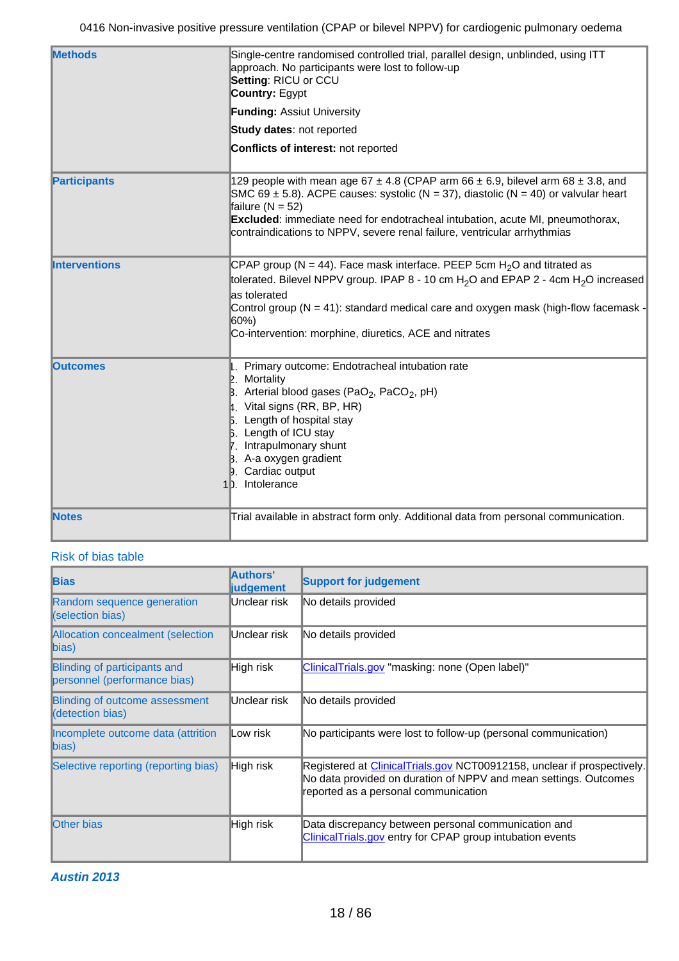| <b>Methods</b>       | Single-centre randomised controlled trial, parallel design, unblinded, using ITT<br>approach. No participants were lost to follow-up<br>Setting: RICU or CCU<br><b>Country: Egypt</b>                                                                                                                                                                                       |  |  |  |
|----------------------|-----------------------------------------------------------------------------------------------------------------------------------------------------------------------------------------------------------------------------------------------------------------------------------------------------------------------------------------------------------------------------|--|--|--|
|                      | Funding: Assiut University                                                                                                                                                                                                                                                                                                                                                  |  |  |  |
|                      | Study dates: not reported                                                                                                                                                                                                                                                                                                                                                   |  |  |  |
|                      | Conflicts of interest: not reported                                                                                                                                                                                                                                                                                                                                         |  |  |  |
| <b>Participants</b>  | 129 people with mean age 67 $\pm$ 4.8 (CPAP arm 66 $\pm$ 6.9, bilevel arm 68 $\pm$ 3.8, and<br>SMC 69 $\pm$ 5.8). ACPE causes: systolic (N = 37), diastolic (N = 40) or valvular heart<br>failure ( $N = 52$ )<br>Excluded: immediate need for endotracheal intubation, acute MI, pneumothorax,<br>contraindications to NPPV, severe renal failure, ventricular arrhythmias |  |  |  |
| <b>Interventions</b> | CPAP group (N = 44). Face mask interface. PEEP 5cm $H_2O$ and titrated as<br>tolerated. Bilevel NPPV group. IPAP 8 - 10 cm H <sub>2</sub> O and EPAP 2 - 4cm H <sub>2</sub> O increased<br>as tolerated<br>Control group $(N = 41)$ : standard medical care and oxygen mask (high-flow facemask -<br>60%)<br>Co-intervention: morphine, diuretics, ACE and nitrates         |  |  |  |
| <b>Outcomes</b>      | Primary outcome: Endotracheal intubation rate<br>$\mathbb{E}$ . Mortality<br>B. Arterial blood gases (PaO <sub>2</sub> , PaCO <sub>2</sub> , pH)<br>4. Vital signs (RR, BP, HR)<br><b>5.</b> Length of hospital stay<br><b>B.</b> Length of ICU stay<br>7. Intrapulmonary shunt<br>$\beta$ . A-a oxygen gradient<br><b>D.</b> Cardiac output<br>1 <sub>D.</sub> Intolerance |  |  |  |
| <b>Notes</b>         | Trial available in abstract form only. Additional data from personal communication.                                                                                                                                                                                                                                                                                         |  |  |  |

| <b>Bias</b>                                                  | Authors'<br><b>judgement</b> | <b>Support for judgement</b>                                                                                                                                                        |
|--------------------------------------------------------------|------------------------------|-------------------------------------------------------------------------------------------------------------------------------------------------------------------------------------|
| Random sequence generation<br>(selection bias)               | Unclear risk                 | No details provided                                                                                                                                                                 |
| Allocation concealment (selection<br>$\ $ bias)              | Unclear risk                 | No details provided                                                                                                                                                                 |
| Blinding of participants and<br>personnel (performance bias) | High risk                    | ClinicalTrials.gov "masking: none (Open label)"                                                                                                                                     |
| Blinding of outcome assessment<br>(detection bias)           | Unclear risk                 | No details provided                                                                                                                                                                 |
| Incomplete outcome data (attrition<br>bias)                  | Low risk                     | No participants were lost to follow-up (personal communication)                                                                                                                     |
| Selective reporting (reporting bias)                         | High risk                    | Registered at ClinicalTrials.gov NCT00912158, unclear if prospectively.<br>No data provided on duration of NPPV and mean settings. Outcomes<br>reported as a personal communication |
| <b>Other bias</b>                                            | High risk                    | Data discrepancy between personal communication and<br>ClinicalTrials.gov entry for CPAP group intubation events                                                                    |

**Austin 2013**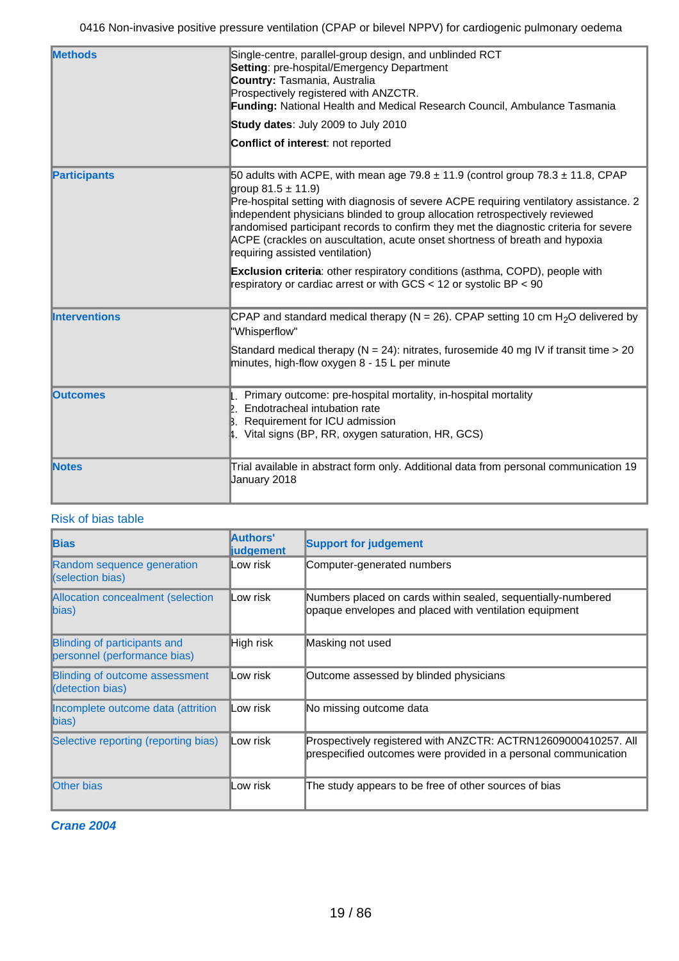| <b>Methods</b>       | Single-centre, parallel-group design, and unblinded RCT<br>Setting: pre-hospital/Emergency Department<br><b>Country: Tasmania, Australia</b><br>Prospectively registered with ANZCTR.<br>Funding: National Health and Medical Research Council, Ambulance Tasmania<br>Study dates: July 2009 to July 2010<br><b>Conflict of interest: not reported</b>                                                                                                                                                  |
|----------------------|---------------------------------------------------------------------------------------------------------------------------------------------------------------------------------------------------------------------------------------------------------------------------------------------------------------------------------------------------------------------------------------------------------------------------------------------------------------------------------------------------------|
| <b>Participants</b>  | 50 adults with ACPE, with mean age $79.8 \pm 11.9$ (control group $78.3 \pm 11.8$ , CPAP<br>group $81.5 \pm 11.9$ )<br>Pre-hospital setting with diagnosis of severe ACPE requiring ventilatory assistance. 2<br>independent physicians blinded to group allocation retrospectively reviewed<br>randomised participant records to confirm they met the diagnostic criteria for severe<br>ACPE (crackles on auscultation, acute onset shortness of breath and hypoxia<br>requiring assisted ventilation) |
|                      | <b>Exclusion criteria:</b> other respiratory conditions (asthma, COPD), people with<br>respiratory or cardiac arrest or with $GCS < 12$ or systolic BP $< 90$                                                                                                                                                                                                                                                                                                                                           |
| <b>Interventions</b> | CPAP and standard medical therapy ( $N = 26$ ). CPAP setting 10 cm H <sub>2</sub> O delivered by<br>"Whisperflow"<br>Standard medical therapy ( $N = 24$ ): nitrates, furosemide 40 mg IV if transit time > 20<br>minutes, high-flow oxygen 8 - 15 L per minute                                                                                                                                                                                                                                         |
| <b>Outcomes</b>      | . Primary outcome: pre-hospital mortality, in-hospital mortality<br>Endotracheal intubation rate<br><b>B.</b> Requirement for ICU admission<br>4. Vital signs (BP, RR, oxygen saturation, HR, GCS)                                                                                                                                                                                                                                                                                                      |
| <b>Notes</b>         | Trial available in abstract form only. Additional data from personal communication 19<br>January 2018                                                                                                                                                                                                                                                                                                                                                                                                   |

| <b>Bias</b>                                                  | Authors'<br><b>liudgement</b> | <b>Support for judgement</b>                                                                                                      |
|--------------------------------------------------------------|-------------------------------|-----------------------------------------------------------------------------------------------------------------------------------|
| Random sequence generation<br>(selection bias)               | Low risk                      | Computer-generated numbers                                                                                                        |
| Allocation concealment (selection<br>bias)                   | Low risk                      | Numbers placed on cards within sealed, sequentially-numbered<br>opaque envelopes and placed with ventilation equipment            |
| Blinding of participants and<br>personnel (performance bias) | High risk                     | Masking not used                                                                                                                  |
| <b>Blinding of outcome assessment</b><br>(detection bias)    | Low risk                      | Outcome assessed by blinded physicians                                                                                            |
| Incomplete outcome data (attrition<br>bias)                  | Low risk                      | No missing outcome data                                                                                                           |
| Selective reporting (reporting bias)                         | Low risk                      | Prospectively registered with ANZCTR: ACTRN12609000410257. All<br>prespecified outcomes were provided in a personal communication |
| <b>Other bias</b>                                            | Low risk                      | The study appears to be free of other sources of bias                                                                             |

**Crane 2004**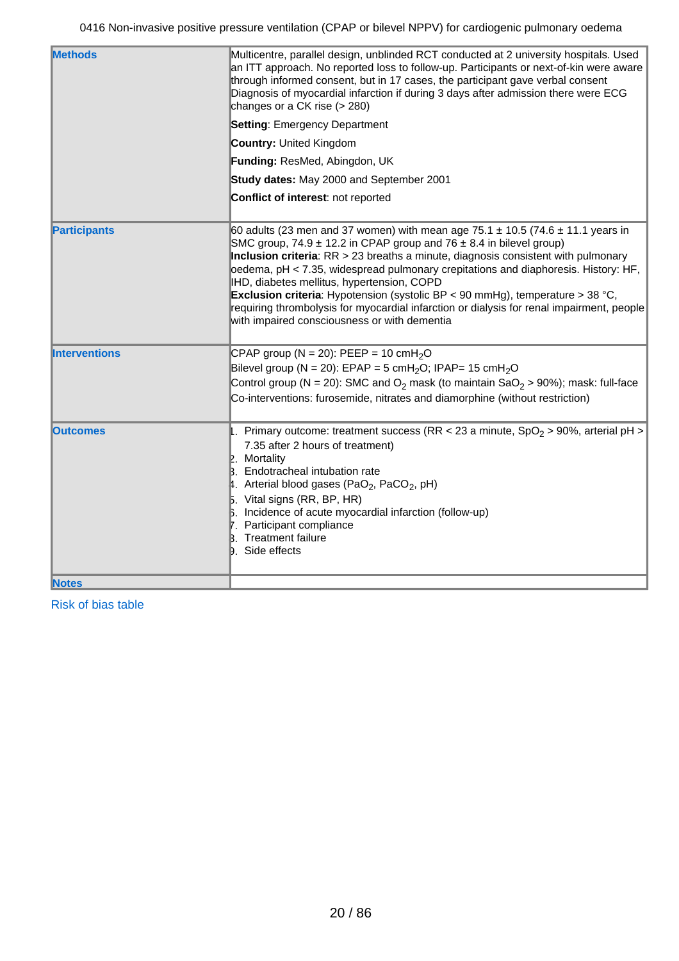| <b>Methods</b>       | Multicentre, parallel design, unblinded RCT conducted at 2 university hospitals. Used<br>an ITT approach. No reported loss to follow-up. Participants or next-of-kin were aware<br>through informed consent, but in 17 cases, the participant gave verbal consent<br>Diagnosis of myocardial infarction if during 3 days after admission there were ECG<br>changes or a CK rise (> 280)                                                                                                                                                                                                                                                 |
|----------------------|-----------------------------------------------------------------------------------------------------------------------------------------------------------------------------------------------------------------------------------------------------------------------------------------------------------------------------------------------------------------------------------------------------------------------------------------------------------------------------------------------------------------------------------------------------------------------------------------------------------------------------------------|
|                      | <b>Setting: Emergency Department</b>                                                                                                                                                                                                                                                                                                                                                                                                                                                                                                                                                                                                    |
|                      | <b>Country: United Kingdom</b>                                                                                                                                                                                                                                                                                                                                                                                                                                                                                                                                                                                                          |
|                      | Funding: ResMed, Abingdon, UK                                                                                                                                                                                                                                                                                                                                                                                                                                                                                                                                                                                                           |
|                      | Study dates: May 2000 and September 2001                                                                                                                                                                                                                                                                                                                                                                                                                                                                                                                                                                                                |
|                      | Conflict of interest: not reported                                                                                                                                                                                                                                                                                                                                                                                                                                                                                                                                                                                                      |
| <b>Participants</b>  | 60 adults (23 men and 37 women) with mean age $75.1 \pm 10.5$ (74.6 $\pm$ 11.1 years in<br>SMC group, 74.9 $\pm$ 12.2 in CPAP group and 76 $\pm$ 8.4 in bilevel group)<br>Inclusion criteria: $RR > 23$ breaths a minute, diagnosis consistent with pulmonary<br>oedema, pH < 7.35, widespread pulmonary crepitations and diaphoresis. History: HF,<br>IHD, diabetes mellitus, hypertension, COPD<br><b>Exclusion criteria</b> : Hypotension (systolic BP < 90 mmHg), temperature > 38 °C,<br>requiring thrombolysis for myocardial infarction or dialysis for renal impairment, people<br>with impaired consciousness or with dementia |
| <b>Interventions</b> | CPAP group (N = 20): PEEP = 10 cmH <sub>2</sub> O<br>Bilevel group (N = 20): EPAP = 5 cmH <sub>2</sub> O; IPAP= 15 cmH <sub>2</sub> O<br>Control group (N = 20): SMC and $O_2$ mask (to maintain Sa $O_2$ > 90%); mask: full-face<br>Co-interventions: furosemide, nitrates and diamorphine (without restriction)                                                                                                                                                                                                                                                                                                                       |
| <b>Outcomes</b>      | Primary outcome: treatment success (RR < 23 a minute, $SpO2$ > 90%, arterial pH ><br>7.35 after 2 hours of treatment)<br>Mortality<br><b>B.</b> Endotracheal intubation rate<br>4. Arterial blood gases (PaO <sub>2</sub> , PaCO <sub>2</sub> , pH)<br>$\mathbf{5}$ . Vital signs (RR, BP, HR)<br>6. Incidence of acute myocardial infarction (follow-up)<br>7. Participant compliance<br><b>B.</b> Treatment failure<br><b>D.</b> Side effects                                                                                                                                                                                         |
| <b>Notes</b>         |                                                                                                                                                                                                                                                                                                                                                                                                                                                                                                                                                                                                                                         |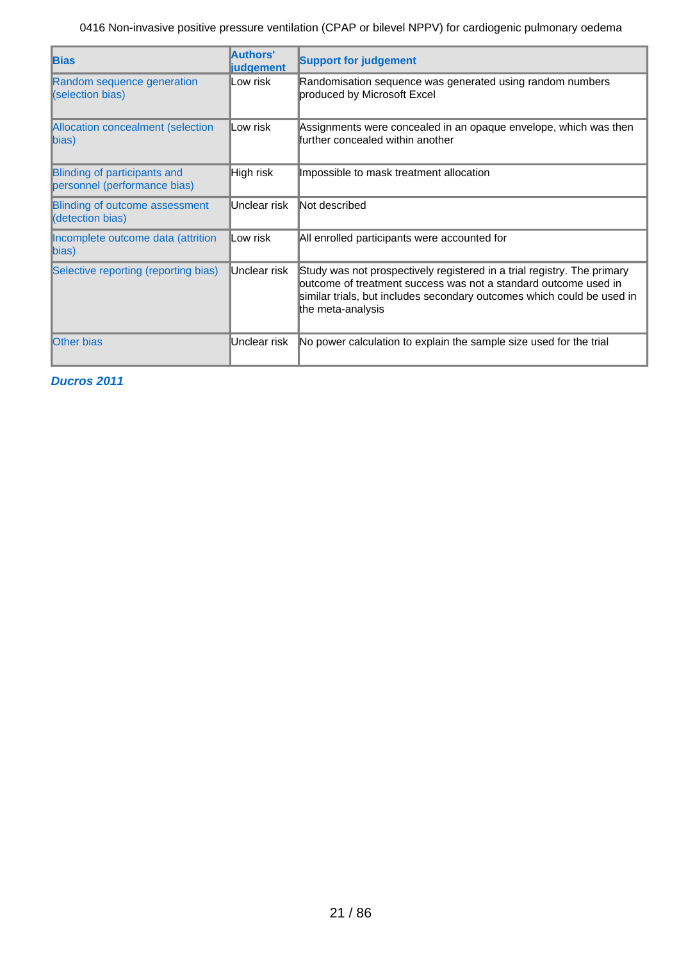| <b>Bias</b>                                                  | Authors'<br><b>liudgement</b> | <b>Support for judgement</b>                                                                                                                                                                                                              |
|--------------------------------------------------------------|-------------------------------|-------------------------------------------------------------------------------------------------------------------------------------------------------------------------------------------------------------------------------------------|
| Random sequence generation<br>(selection bias)               | ∥Low risk                     | Randomisation sequence was generated using random numbers<br>produced by Microsoft Excel                                                                                                                                                  |
| Allocation concealment (selection<br>$\ $ bias)              | Low risk                      | Assignments were concealed in an opaque envelope, which was then<br>further concealed within another                                                                                                                                      |
| Blinding of participants and<br>personnel (performance bias) | High risk                     | Impossible to mask treatment allocation                                                                                                                                                                                                   |
| Blinding of outcome assessment<br>(detection bias)           | Unclear risk                  | Not described                                                                                                                                                                                                                             |
| Incomplete outcome data (attrition<br>bias)                  | Low risk                      | All enrolled participants were accounted for                                                                                                                                                                                              |
| Selective reporting (reporting bias)                         | Unclear risk                  | Study was not prospectively registered in a trial registry. The primary<br>outcome of treatment success was not a standard outcome used in<br>similar trials, but includes secondary outcomes which could be used in<br>the meta-analysis |
| <b>Other bias</b>                                            | Unclear risk                  | No power calculation to explain the sample size used for the trial                                                                                                                                                                        |

**Ducros 2011**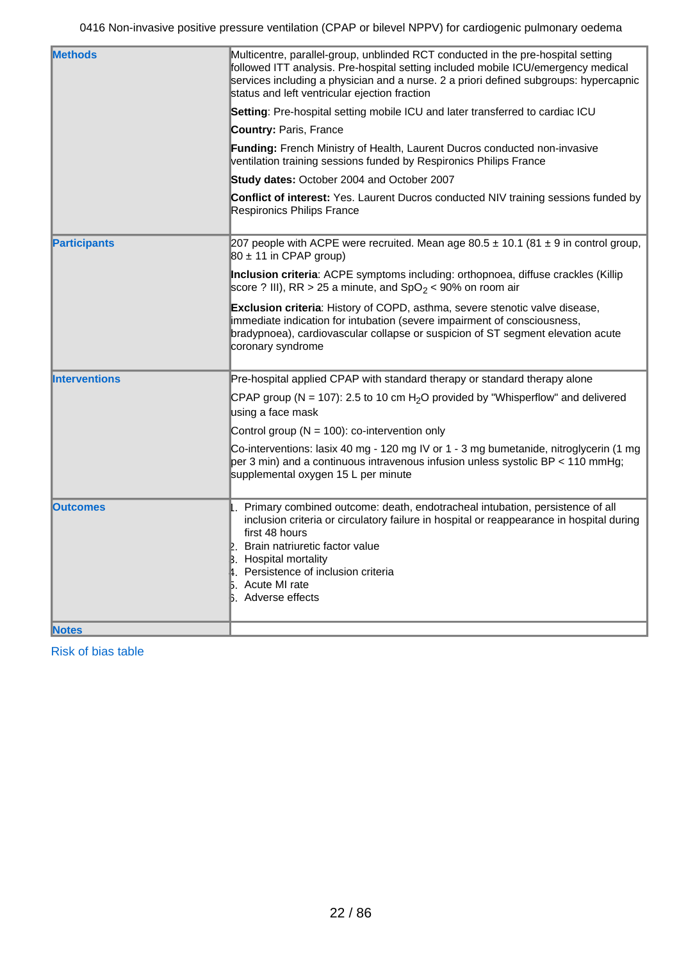| <b>Methods</b>       | Multicentre, parallel-group, unblinded RCT conducted in the pre-hospital setting<br>followed ITT analysis. Pre-hospital setting included mobile ICU/emergency medical<br>services including a physician and a nurse. 2 a priori defined subgroups: hypercapnic<br>status and left ventricular ejection fraction                                             |  |  |
|----------------------|-------------------------------------------------------------------------------------------------------------------------------------------------------------------------------------------------------------------------------------------------------------------------------------------------------------------------------------------------------------|--|--|
|                      | Setting: Pre-hospital setting mobile ICU and later transferred to cardiac ICU                                                                                                                                                                                                                                                                               |  |  |
|                      | <b>Country: Paris, France</b>                                                                                                                                                                                                                                                                                                                               |  |  |
|                      | <b>Funding:</b> French Ministry of Health, Laurent Ducros conducted non-invasive<br>ventilation training sessions funded by Respironics Philips France                                                                                                                                                                                                      |  |  |
|                      | Study dates: October 2004 and October 2007                                                                                                                                                                                                                                                                                                                  |  |  |
|                      | <b>Conflict of interest:</b> Yes. Laurent Ducros conducted NIV training sessions funded by<br>Respironics Philips France                                                                                                                                                                                                                                    |  |  |
| <b>Participants</b>  | 207 people with ACPE were recruited. Mean age $80.5 \pm 10.1$ (81 $\pm$ 9 in control group,<br>80 ± 11 in CPAP group)                                                                                                                                                                                                                                       |  |  |
|                      | Inclusion criteria: ACPE symptoms including: orthopnoea, diffuse crackles (Killip<br>score ? III), RR > 25 a minute, and SpO <sub>2</sub> < 90% on room air                                                                                                                                                                                                 |  |  |
|                      | Exclusion criteria: History of COPD, asthma, severe stenotic valve disease,<br>immediate indication for intubation (severe impairment of consciousness,<br>bradypnoea), cardiovascular collapse or suspicion of ST segment elevation acute<br>coronary syndrome                                                                                             |  |  |
| <b>Interventions</b> | Pre-hospital applied CPAP with standard therapy or standard therapy alone                                                                                                                                                                                                                                                                                   |  |  |
|                      | CPAP group (N = 107): 2.5 to 10 cm $H_2O$ provided by "Whisperflow" and delivered<br>using a face mask                                                                                                                                                                                                                                                      |  |  |
|                      | Control group ( $N = 100$ ): co-intervention only                                                                                                                                                                                                                                                                                                           |  |  |
|                      | Co-interventions: lasix 40 mg - 120 mg IV or 1 - 3 mg bumetanide, nitroglycerin (1 mg<br>per 3 min) and a continuous intravenous infusion unless systolic BP < 110 mmHg;<br>supplemental oxygen 15 L per minute                                                                                                                                             |  |  |
| <b>Outcomes</b>      | 1. Primary combined outcome: death, endotracheal intubation, persistence of all<br>inclusion criteria or circulatory failure in hospital or reappearance in hospital during<br>first 48 hours<br>2. Brain natriuretic factor value<br><b>B.</b> Hospital mortality<br>4. Persistence of inclusion criteria<br>5. Acute MI rate<br><b>b.</b> Adverse effects |  |  |
| <b>Notes</b>         |                                                                                                                                                                                                                                                                                                                                                             |  |  |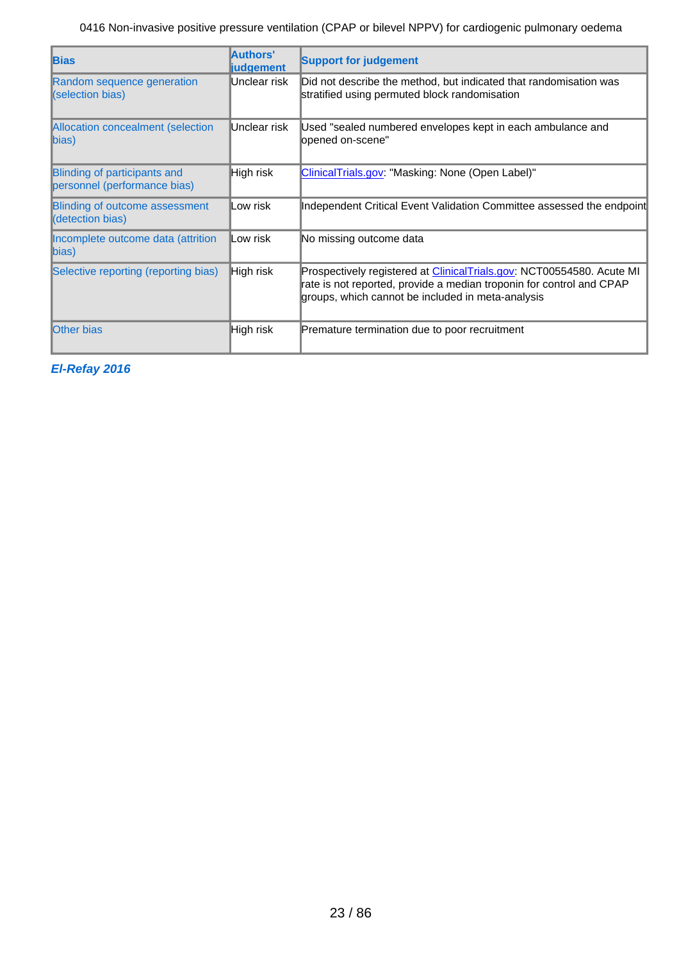| <b>Bias</b>                                                  | Authors'<br><b>judgement</b> | <b>Support for judgement</b>                                                                                                                                                                               |
|--------------------------------------------------------------|------------------------------|------------------------------------------------------------------------------------------------------------------------------------------------------------------------------------------------------------|
| Random sequence generation<br>(selection bias)               | Unclear risk                 | Did not describe the method, but indicated that randomisation was<br>stratified using permuted block randomisation                                                                                         |
| Allocation concealment (selection<br>bias)                   | Unclear risk                 | Used "sealed numbered envelopes kept in each ambulance and<br>opened on-scene"                                                                                                                             |
| Blinding of participants and<br>personnel (performance bias) | High risk                    | ClinicalTrials.gov: "Masking: None (Open Label)"                                                                                                                                                           |
| Blinding of outcome assessment<br>(detection bias)           | Low risk                     | Independent Critical Event Validation Committee assessed the endpoint                                                                                                                                      |
| Incomplete outcome data (attrition<br>$\ket{bias}$           | <b>Low risk</b>              | No missing outcome data                                                                                                                                                                                    |
| Selective reporting (reporting bias)                         | High risk                    | Prospectively registered at <i>ClinicalTrials.gov</i> : NCT00554580. Acute MI<br>rate is not reported, provide a median troponin for control and CPAP<br>groups, which cannot be included in meta-analysis |
| <b>Other bias</b>                                            | <b>High risk</b>             | Premature termination due to poor recruitment                                                                                                                                                              |

**El-Refay 2016**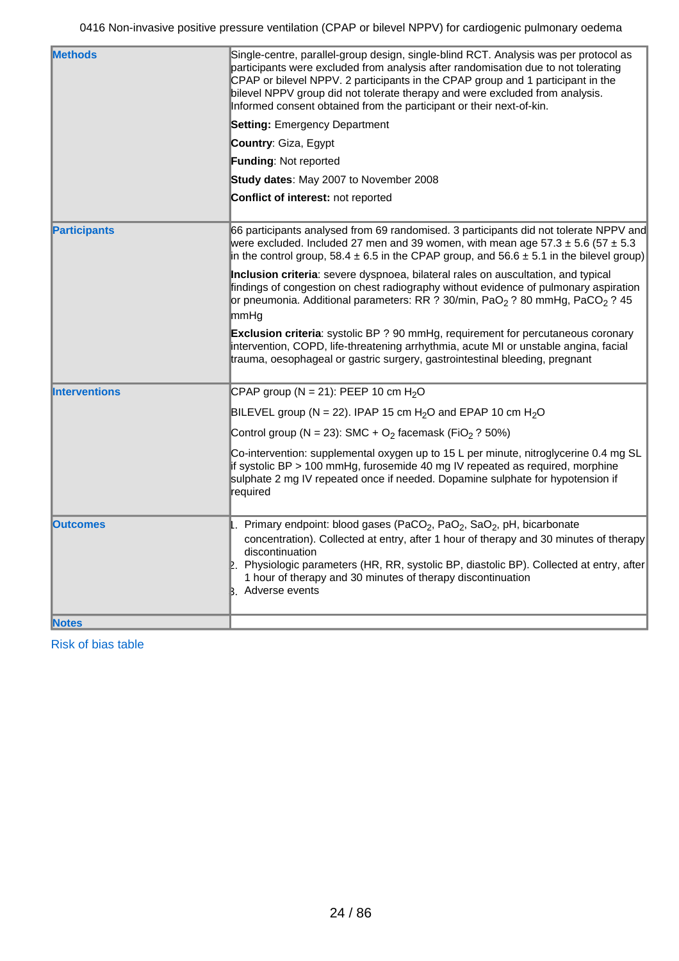| <b>Methods</b>       | Single-centre, parallel-group design, single-blind RCT. Analysis was per protocol as<br>participants were excluded from analysis after randomisation due to not tolerating<br>CPAP or bilevel NPPV. 2 participants in the CPAP group and 1 participant in the<br>bilevel NPPV group did not tolerate therapy and were excluded from analysis.<br>Informed consent obtained from the participant or their next-of-kin. |
|----------------------|-----------------------------------------------------------------------------------------------------------------------------------------------------------------------------------------------------------------------------------------------------------------------------------------------------------------------------------------------------------------------------------------------------------------------|
|                      | <b>Setting: Emergency Department</b>                                                                                                                                                                                                                                                                                                                                                                                  |
|                      | Country: Giza, Egypt                                                                                                                                                                                                                                                                                                                                                                                                  |
|                      | Funding: Not reported                                                                                                                                                                                                                                                                                                                                                                                                 |
|                      | Study dates: May 2007 to November 2008                                                                                                                                                                                                                                                                                                                                                                                |
|                      | Conflict of interest: not reported                                                                                                                                                                                                                                                                                                                                                                                    |
| <b>Participants</b>  | 66 participants analysed from 69 randomised. 3 participants did not tolerate NPPV and<br>were excluded. Included 27 men and 39 women, with mean age $57.3 \pm 5.6$ ( $57 \pm 5.3$ )<br>in the control group, 58.4 $\pm$ 6.5 in the CPAP group, and 56.6 $\pm$ 5.1 in the bilevel group)                                                                                                                               |
|                      | Inclusion criteria: severe dyspnoea, bilateral rales on auscultation, and typical<br>findings of congestion on chest radiography without evidence of pulmonary aspiration<br>or pneumonia. Additional parameters: RR ? 30/min, PaO <sub>2</sub> ? 80 mmHg, PaCO <sub>2</sub> ? 45<br>mmHg                                                                                                                             |
|                      | Exclusion criteria: systolic BP ? 90 mmHg, requirement for percutaneous coronary<br>intervention, COPD, life-threatening arrhythmia, acute MI or unstable angina, facial<br>trauma, oesophageal or gastric surgery, gastrointestinal bleeding, pregnant                                                                                                                                                               |
| <b>Interventions</b> | CPAP group (N = 21): PEEP 10 cm $H_2O$                                                                                                                                                                                                                                                                                                                                                                                |
|                      | BILEVEL group (N = 22). IPAP 15 cm H <sub>2</sub> O and EPAP 10 cm H <sub>2</sub> O                                                                                                                                                                                                                                                                                                                                   |
|                      | Control group (N = 23): SMC + $O_2$ facemask (FiO <sub>2</sub> ? 50%)                                                                                                                                                                                                                                                                                                                                                 |
|                      | Co-intervention: supplemental oxygen up to 15 L per minute, nitroglycerine 0.4 mg SL<br>if systolic BP > 100 mmHg, furosemide 40 mg IV repeated as required, morphine<br>sulphate 2 mg IV repeated once if needed. Dopamine sulphate for hypotension if<br>required                                                                                                                                                   |
| <b>Outcomes</b>      | 1. Primary endpoint: blood gases (PaCO <sub>2</sub> , PaO <sub>2</sub> , SaO <sub>2</sub> , pH, bicarbonate<br>concentration). Collected at entry, after 1 hour of therapy and 30 minutes of therapy<br>discontinuation<br>2. Physiologic parameters (HR, RR, systolic BP, diastolic BP). Collected at entry, after<br>1 hour of therapy and 30 minutes of therapy discontinuation<br>B. Adverse events               |
| <b>Notes</b>         |                                                                                                                                                                                                                                                                                                                                                                                                                       |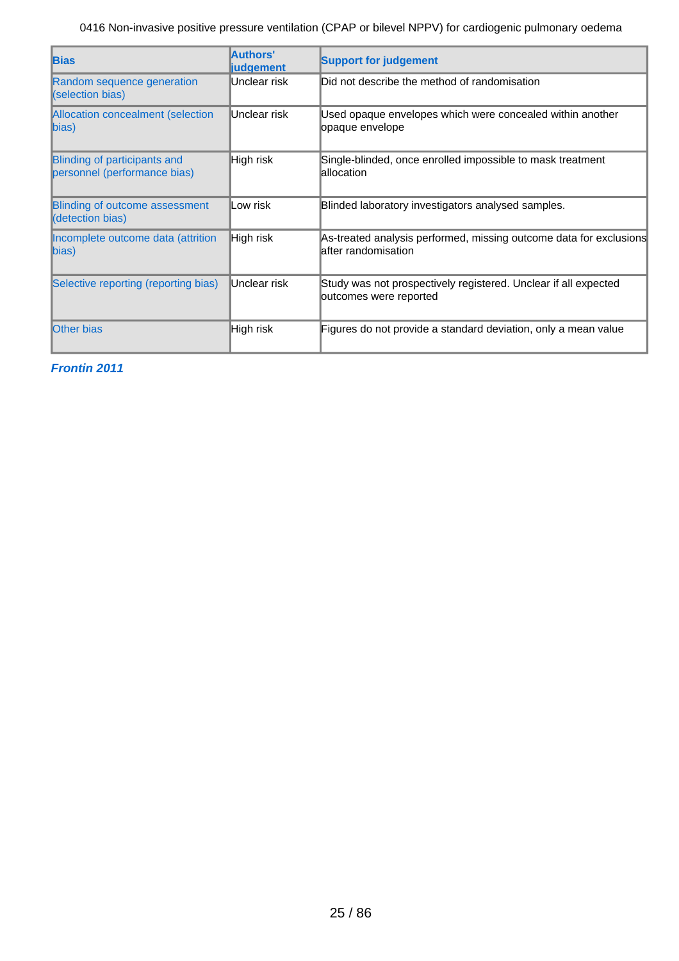| <b>Bias</b>                                                  | Authors'<br><b>liudgement</b> | <b>Support for judgement</b>                                                               |
|--------------------------------------------------------------|-------------------------------|--------------------------------------------------------------------------------------------|
| Random sequence generation<br>(selection bias)               | Unclear risk                  | Did not describe the method of randomisation                                               |
| Allocation concealment (selection<br>$\ket{bias}$            | Unclear risk                  | Used opaque envelopes which were concealed within another<br>opaque envelope               |
| Blinding of participants and<br>personnel (performance bias) | High risk                     | Single-blinded, once enrolled impossible to mask treatment<br>lallocation                  |
| Blinding of outcome assessment<br>(detection bias)           | ∥Low risk                     | Blinded laboratory investigators analysed samples.                                         |
| Incomplete outcome data (attrition<br>bias)                  | High risk                     | As-treated analysis performed, missing outcome data for exclusions<br>lafter randomisation |
| Selective reporting (reporting bias)                         | Unclear risk                  | Study was not prospectively registered. Unclear if all expected<br>outcomes were reported  |
| <b>Other bias</b>                                            | ∥High risk                    | Figures do not provide a standard deviation, only a mean value                             |

**Frontin 2011**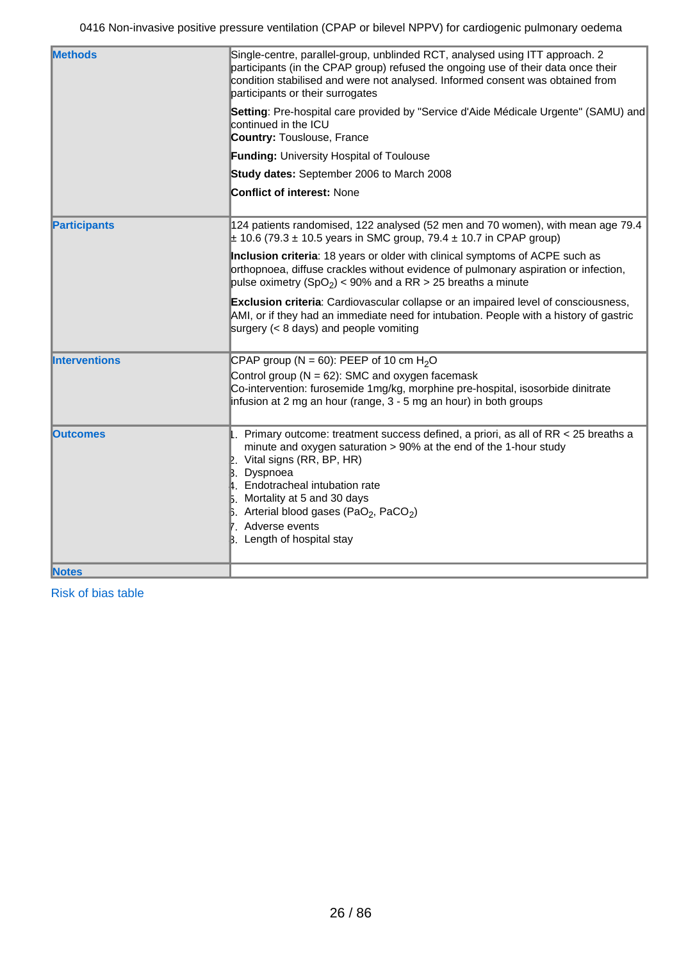| <b>Methods</b>       | Single-centre, parallel-group, unblinded RCT, analysed using ITT approach. 2<br>participants (in the CPAP group) refused the ongoing use of their data once their<br>condition stabilised and were not analysed. Informed consent was obtained from<br>participants or their surrogates                                                                                                                         |
|----------------------|-----------------------------------------------------------------------------------------------------------------------------------------------------------------------------------------------------------------------------------------------------------------------------------------------------------------------------------------------------------------------------------------------------------------|
|                      | Setting: Pre-hospital care provided by "Service d'Aide Médicale Urgente" (SAMU) and<br>continued in the ICU<br><b>Country: Touslouse, France</b>                                                                                                                                                                                                                                                                |
|                      | <b>Funding: University Hospital of Toulouse</b>                                                                                                                                                                                                                                                                                                                                                                 |
|                      | Study dates: September 2006 to March 2008                                                                                                                                                                                                                                                                                                                                                                       |
|                      | <b>Conflict of interest: None</b>                                                                                                                                                                                                                                                                                                                                                                               |
| <b>Participants</b>  | 124 patients randomised, 122 analysed (52 men and 70 women), with mean age 79.4<br>$\pm$ 10.6 (79.3 $\pm$ 10.5 years in SMC group, 79.4 $\pm$ 10.7 in CPAP group)                                                                                                                                                                                                                                               |
|                      | Inclusion criteria: 18 years or older with clinical symptoms of ACPE such as<br>orthopnoea, diffuse crackles without evidence of pulmonary aspiration or infection,<br>pulse oximetry (SpO <sub>2</sub> ) < 90% and a RR > 25 breaths a minute                                                                                                                                                                  |
|                      | Exclusion criteria: Cardiovascular collapse or an impaired level of consciousness,<br>AMI, or if they had an immediate need for intubation. People with a history of gastric<br>surgery $(8 \text{ days})$ and people vomiting                                                                                                                                                                                  |
| <b>Interventions</b> | CPAP group (N = 60): PEEP of 10 cm $H_2O$<br>Control group ( $N = 62$ ): SMC and oxygen facemask<br>Co-intervention: furosemide 1mg/kg, morphine pre-hospital, isosorbide dinitrate<br>infusion at 2 mg an hour (range, 3 - 5 mg an hour) in both groups                                                                                                                                                        |
| <b>Outcomes</b>      | 1. Primary outcome: treatment success defined, a priori, as all of RR $<$ 25 breaths a<br>minute and oxygen saturation > 90% at the end of the 1-hour study<br>2. Vital signs (RR, BP, HR)<br><b>B.</b> Dyspnoea<br>4. Endotracheal intubation rate<br>5. Mortality at 5 and 30 days<br>$\,$ 6. Arterial blood gases (PaO <sub>2</sub> , PaCO <sub>2</sub> )<br>7. Adverse events<br>B. Length of hospital stay |
| <b>Notes</b>         |                                                                                                                                                                                                                                                                                                                                                                                                                 |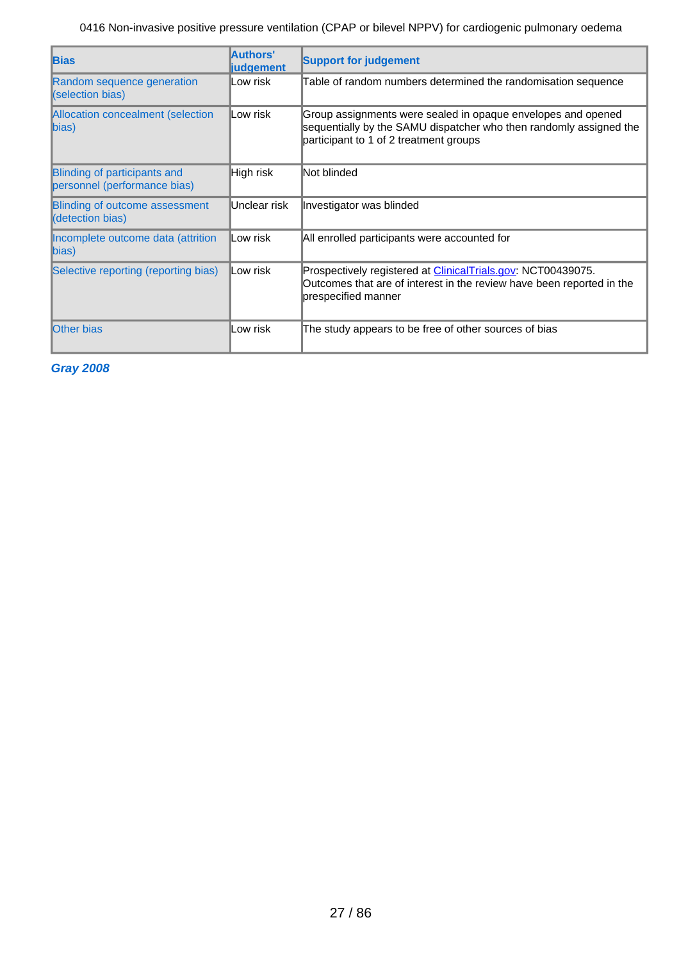| <b>Bias</b>                                                         | Authors'<br><b>judgement</b> | <b>Support for judgement</b>                                                                                                                                                 |
|---------------------------------------------------------------------|------------------------------|------------------------------------------------------------------------------------------------------------------------------------------------------------------------------|
| Random sequence generation<br>(selection bias)                      | Low risk                     | Table of random numbers determined the randomisation sequence                                                                                                                |
| Allocation concealment (selection<br>$\ket{bias}$                   | Low risk                     | Group assignments were sealed in opaque envelopes and opened<br>sequentially by the SAMU dispatcher who then randomly assigned the<br>participant to 1 of 2 treatment groups |
| <b>Blinding of participants and</b><br>personnel (performance bias) | High risk                    | Not blinded                                                                                                                                                                  |
| Blinding of outcome assessment<br>(detection bias)                  | Unclear risk                 | Investigator was blinded                                                                                                                                                     |
| Incomplete outcome data (attrition<br>$\ket{bias}$                  | Low risk                     | All enrolled participants were accounted for                                                                                                                                 |
| Selective reporting (reporting bias)                                | Low risk                     | Prospectively registered at <i>ClinicalTrials.gov:</i> NCT00439075.<br>Outcomes that are of interest in the review have been reported in the<br>prespecified manner          |
| <b>Other bias</b>                                                   | Low risk                     | The study appears to be free of other sources of bias                                                                                                                        |

**Gray 2008**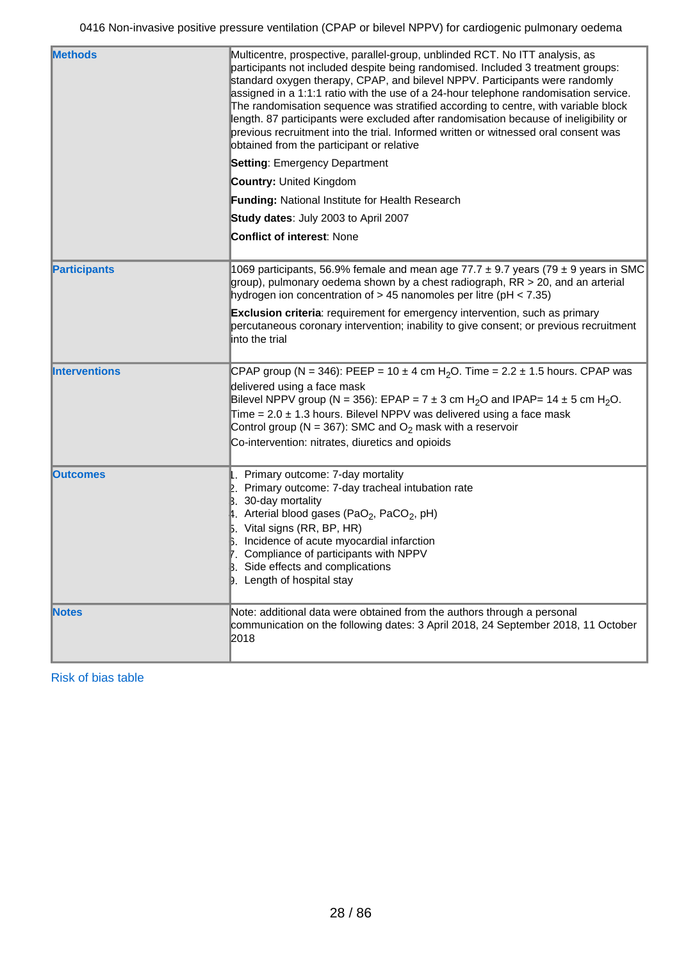| <b>Methods</b>       | Multicentre, prospective, parallel-group, unblinded RCT. No ITT analysis, as<br>participants not included despite being randomised. Included 3 treatment groups:<br>standard oxygen therapy, CPAP, and bilevel NPPV. Participants were randomly<br>assigned in a 1:1:1 ratio with the use of a 24-hour telephone randomisation service.<br>The randomisation sequence was stratified according to centre, with variable block<br>length. 87 participants were excluded after randomisation because of ineligibility or<br>previous recruitment into the trial. Informed written or witnessed oral consent was<br>obtained from the participant or relative<br><b>Setting: Emergency Department</b> |
|----------------------|----------------------------------------------------------------------------------------------------------------------------------------------------------------------------------------------------------------------------------------------------------------------------------------------------------------------------------------------------------------------------------------------------------------------------------------------------------------------------------------------------------------------------------------------------------------------------------------------------------------------------------------------------------------------------------------------------|
|                      | <b>Country: United Kingdom</b><br>Funding: National Institute for Health Research                                                                                                                                                                                                                                                                                                                                                                                                                                                                                                                                                                                                                  |
|                      |                                                                                                                                                                                                                                                                                                                                                                                                                                                                                                                                                                                                                                                                                                    |
|                      | Study dates: July 2003 to April 2007<br><b>Conflict of interest: None</b>                                                                                                                                                                                                                                                                                                                                                                                                                                                                                                                                                                                                                          |
|                      |                                                                                                                                                                                                                                                                                                                                                                                                                                                                                                                                                                                                                                                                                                    |
| <b>Participants</b>  | 1069 participants, 56.9% female and mean age 77.7 $\pm$ 9.7 years (79 $\pm$ 9 years in SMC<br>group), pulmonary oedema shown by a chest radiograph, $RR > 20$ , and an arterial<br>hydrogen ion concentration of $> 45$ nanomoles per litre (pH < 7.35)                                                                                                                                                                                                                                                                                                                                                                                                                                            |
|                      | <b>Exclusion criteria:</b> requirement for emergency intervention, such as primary<br>percutaneous coronary intervention; inability to give consent; or previous recruitment<br>into the trial                                                                                                                                                                                                                                                                                                                                                                                                                                                                                                     |
| <b>Interventions</b> | CPAP group (N = 346): PEEP = 10 ± 4 cm H <sub>2</sub> O. Time = 2.2 ± 1.5 hours. CPAP was<br>delivered using a face mask<br>Bilevel NPPV group (N = 356): EPAP = $7 \pm 3$ cm H <sub>2</sub> O and IPAP= 14 $\pm 5$ cm H <sub>2</sub> O.<br>Time = $2.0 \pm 1.3$ hours. Bilevel NPPV was delivered using a face mask<br>Control group (N = 367): SMC and $O_2$ mask with a reservoir<br>Co-intervention: nitrates, diuretics and opioids                                                                                                                                                                                                                                                           |
| <b>Outcomes</b>      | . Primary outcome: 7-day mortality<br>2. Primary outcome: 7-day tracheal intubation rate<br>$\beta$ . 30-day mortality<br>4. Arterial blood gases (PaO <sub>2</sub> , PaCO <sub>2</sub> , pH)<br>$5.$ Vital signs (RR, BP, HR)<br>6. Incidence of acute myocardial infarction<br>Compliance of participants with NPPV<br>B. Side effects and complications<br><b>D.</b> Length of hospital stay                                                                                                                                                                                                                                                                                                    |
| <b>Notes</b>         | Note: additional data were obtained from the authors through a personal<br>communication on the following dates: 3 April 2018, 24 September 2018, 11 October<br>2018                                                                                                                                                                                                                                                                                                                                                                                                                                                                                                                               |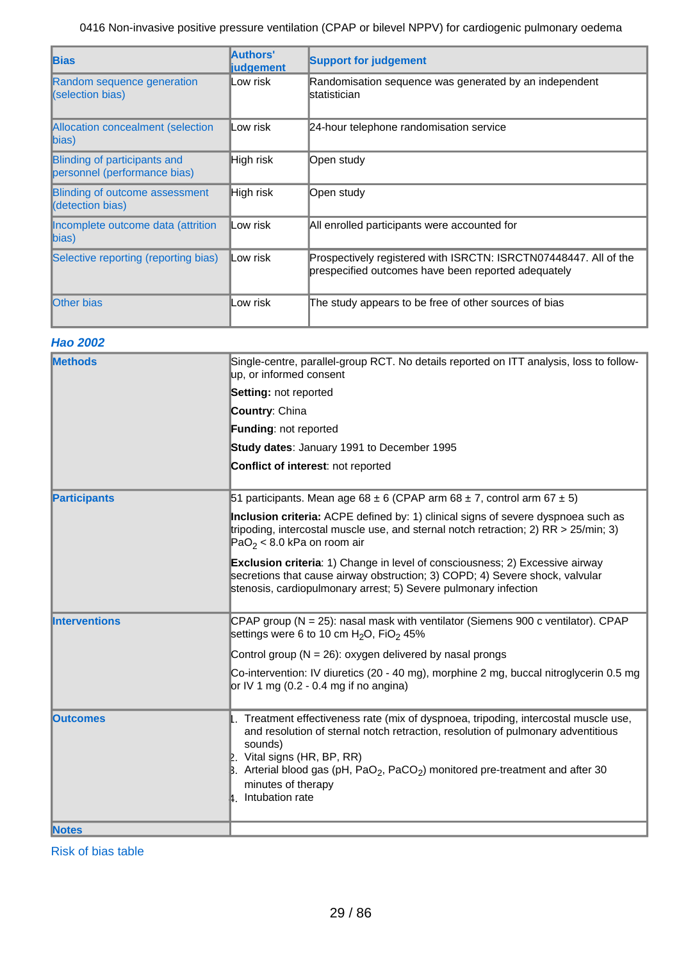| <b>Bias</b>                                                  | Authors'<br><b>liudgement</b> | <b>Support for judgement</b>                                                                                            |
|--------------------------------------------------------------|-------------------------------|-------------------------------------------------------------------------------------------------------------------------|
| Random sequence generation<br><b>(Selection bias)</b>        | Low risk                      | Randomisation sequence was generated by an independent<br>lstatistician                                                 |
| Allocation concealment (selection<br>$\ $ bias)              | ∥Low risk                     | 24-hour telephone randomisation service                                                                                 |
| Blinding of participants and<br>personnel (performance bias) | High risk                     | Open study                                                                                                              |
| <b>Blinding of outcome assessment</b><br>(detection bias)    | High risk                     | Open study                                                                                                              |
| Incomplete outcome data (attrition<br>$\ket{bias}$           | Low risk                      | All enrolled participants were accounted for                                                                            |
| Selective reporting (reporting bias)                         | Low risk                      | Prospectively registered with ISRCTN: ISRCTN07448447. All of the<br>prespecified outcomes have been reported adequately |
| <b>Other bias</b>                                            | _ow risk                      | The study appears to be free of other sources of bias                                                                   |

## **Hao 2002**

| <b>Methods</b>       | Single-centre, parallel-group RCT. No details reported on ITT analysis, loss to follow-<br>up, or informed consent                                                                                                                                                                                                                                                                   |
|----------------------|--------------------------------------------------------------------------------------------------------------------------------------------------------------------------------------------------------------------------------------------------------------------------------------------------------------------------------------------------------------------------------------|
|                      | Setting: not reported                                                                                                                                                                                                                                                                                                                                                                |
|                      | Country: China                                                                                                                                                                                                                                                                                                                                                                       |
|                      | <b>Funding: not reported</b>                                                                                                                                                                                                                                                                                                                                                         |
|                      | Study dates: January 1991 to December 1995                                                                                                                                                                                                                                                                                                                                           |
|                      | Conflict of interest: not reported                                                                                                                                                                                                                                                                                                                                                   |
| <b>Participants</b>  | 51 participants. Mean age 68 $\pm$ 6 (CPAP arm 68 $\pm$ 7, control arm 67 $\pm$ 5)                                                                                                                                                                                                                                                                                                   |
|                      | Inclusion criteria: ACPE defined by: 1) clinical signs of severe dyspnoea such as<br>tripoding, intercostal muscle use, and sternal notch retraction; 2) $RR > 25/min$ ; 3)<br>$PaO2 < 8.0$ kPa on room air                                                                                                                                                                          |
|                      | <b>Exclusion criteria:</b> 1) Change in level of consciousness; 2) Excessive airway<br>secretions that cause airway obstruction; 3) COPD; 4) Severe shock, valvular<br>stenosis, cardiopulmonary arrest; 5) Severe pulmonary infection                                                                                                                                               |
| <b>Interventions</b> | CPAP group (N = 25): nasal mask with ventilator (Siemens 900 c ventilator). CPAP<br>settings were 6 to 10 cm $H_2O$ , FiO <sub>2</sub> 45%                                                                                                                                                                                                                                           |
|                      | Control group ( $N = 26$ ): oxygen delivered by nasal prongs                                                                                                                                                                                                                                                                                                                         |
|                      | Co-intervention: IV diuretics (20 - 40 mg), morphine 2 mg, buccal nitroglycerin 0.5 mg<br>or IV 1 mg (0.2 - 0.4 mg if no angina)                                                                                                                                                                                                                                                     |
| <b>Outcomes</b>      | 1. Treatment effectiveness rate (mix of dyspnoea, tripoding, intercostal muscle use,<br>and resolution of sternal notch retraction, resolution of pulmonary adventitious<br>sounds)<br>$\mathbb{R}$ . Vital signs (HR, BP, RR)<br>B. Arterial blood gas (pH, PaO <sub>2</sub> , PaCO <sub>2</sub> ) monitored pre-treatment and after 30<br>minutes of therapy<br>4. Intubation rate |
| <b>Notes</b>         |                                                                                                                                                                                                                                                                                                                                                                                      |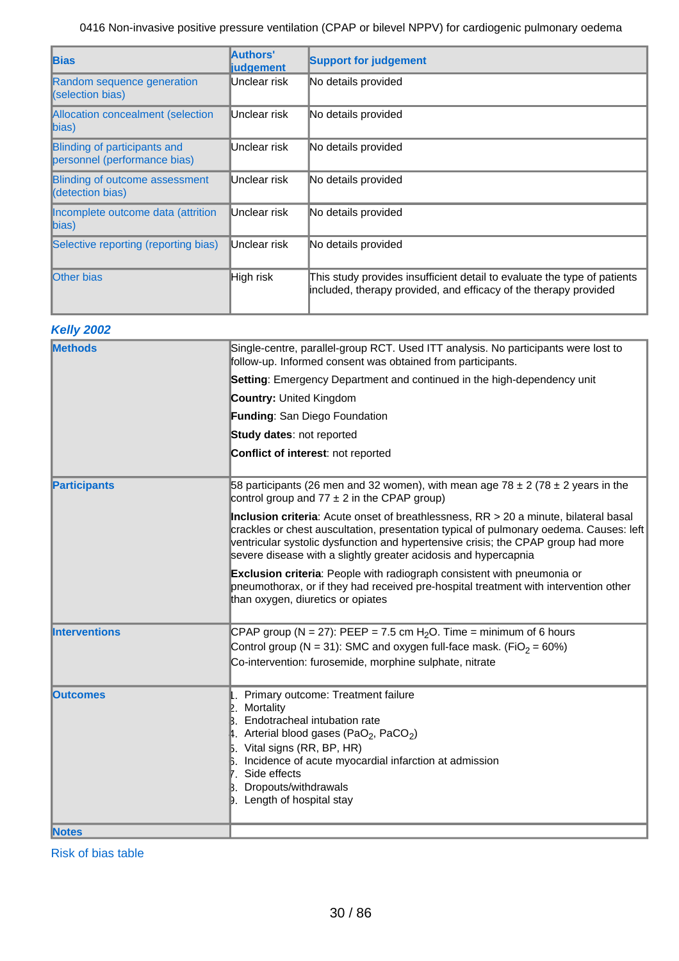| <b>Bias</b>                                                  | Authors'<br><b>liudgement</b> | <b>Support for judgement</b>                                                                                                                 |
|--------------------------------------------------------------|-------------------------------|----------------------------------------------------------------------------------------------------------------------------------------------|
| Random sequence generation<br><b>(Selection bias)</b>        | Unclear risk                  | No details provided                                                                                                                          |
| Allocation concealment (selection<br>$\mathsf{bias}$         | Unclear risk                  | No details provided                                                                                                                          |
| Blinding of participants and<br>personnel (performance bias) | Unclear risk                  | No details provided                                                                                                                          |
| <b>Blinding of outcome assessment</b><br>(detection bias)    | Unclear risk                  | No details provided                                                                                                                          |
| Incomplete outcome data (attrition<br>$\ket{bias}$           | Unclear risk                  | No details provided                                                                                                                          |
| Selective reporting (reporting bias)                         | Unclear risk                  | No details provided                                                                                                                          |
| <b>Other bias</b>                                            | High risk                     | This study provides insufficient detail to evaluate the type of patients<br>included, therapy provided, and efficacy of the therapy provided |

## **Kelly 2002**

| <b>Methods</b>       | Single-centre, parallel-group RCT. Used ITT analysis. No participants were lost to<br>follow-up. Informed consent was obtained from participants.                                                                                                                                                                                      |
|----------------------|----------------------------------------------------------------------------------------------------------------------------------------------------------------------------------------------------------------------------------------------------------------------------------------------------------------------------------------|
|                      | Setting: Emergency Department and continued in the high-dependency unit                                                                                                                                                                                                                                                                |
|                      | <b>Country: United Kingdom</b>                                                                                                                                                                                                                                                                                                         |
|                      | Funding: San Diego Foundation                                                                                                                                                                                                                                                                                                          |
|                      | Study dates: not reported                                                                                                                                                                                                                                                                                                              |
|                      | Conflict of interest: not reported                                                                                                                                                                                                                                                                                                     |
| <b>Participants</b>  | 58 participants (26 men and 32 women), with mean age 78 $\pm$ 2 (78 $\pm$ 2 years in the<br>control group and $77 \pm 2$ in the CPAP group)                                                                                                                                                                                            |
|                      | Inclusion criteria: Acute onset of breathlessness, RR > 20 a minute, bilateral basal<br>crackles or chest auscultation, presentation typical of pulmonary oedema. Causes: left<br>ventricular systolic dysfunction and hypertensive crisis; the CPAP group had more<br>severe disease with a slightly greater acidosis and hypercapnia |
|                      | <b>Exclusion criteria:</b> People with radiograph consistent with pneumonia or<br>pneumothorax, or if they had received pre-hospital treatment with intervention other<br>than oxygen, diuretics or opiates                                                                                                                            |
| <b>Interventions</b> | CPAP group (N = 27): PEEP = 7.5 cm $H_2O$ . Time = minimum of 6 hours                                                                                                                                                                                                                                                                  |
|                      | Control group (N = 31): SMC and oxygen full-face mask. (FiO <sub>2</sub> = 60%)                                                                                                                                                                                                                                                        |
|                      | Co-intervention: furosemide, morphine sulphate, nitrate                                                                                                                                                                                                                                                                                |
| <b>Outcomes</b>      | Primary outcome: Treatment failure<br>Mortality<br>Endotracheal intubation rate<br>Arterial blood gases (PaO <sub>2</sub> , PaCO <sub>2</sub> )<br>$\mathbf{5}$ . Vital signs (RR, BP, HR)<br>Incidence of acute myocardial infarction at admission<br>7. Side effects<br>Dropouts/withdrawals<br><b>D.</b> Length of hospital stay    |
| <b>Notes</b>         |                                                                                                                                                                                                                                                                                                                                        |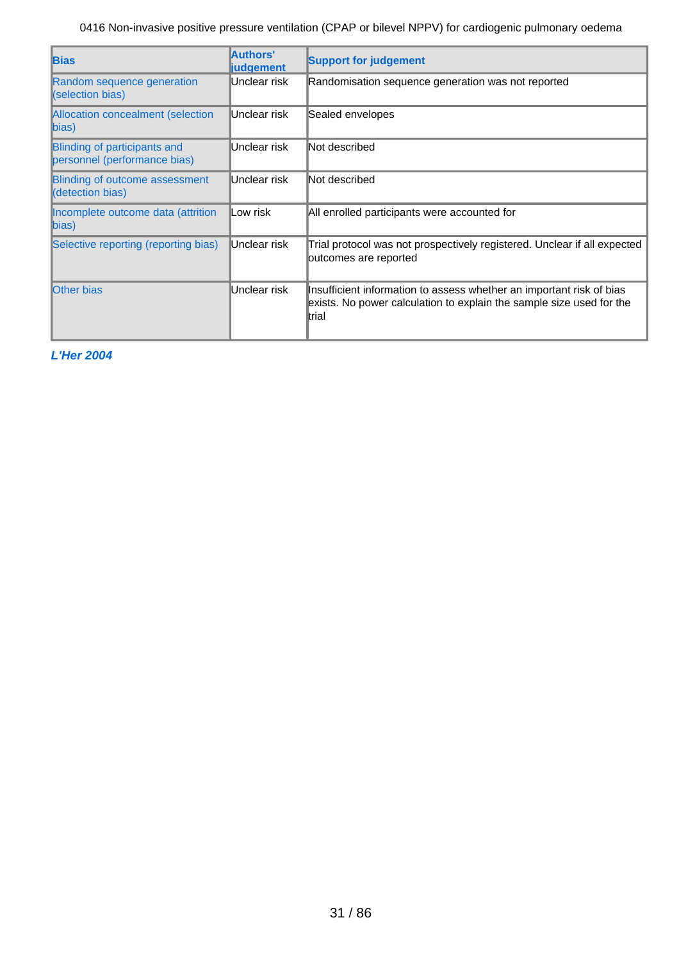| <b>Bias</b>                                                  | Authors'<br><b>liudgement</b> | <b>Support for judgement</b>                                                                                                                           |
|--------------------------------------------------------------|-------------------------------|--------------------------------------------------------------------------------------------------------------------------------------------------------|
| Random sequence generation<br>(selection bias)               | Unclear risk                  | Randomisation sequence generation was not reported                                                                                                     |
| <b>Allocation concealment (selection</b><br>$\ket{bias}$     | Unclear risk                  | Sealed envelopes                                                                                                                                       |
| Blinding of participants and<br>personnel (performance bias) | Unclear risk                  | Not described                                                                                                                                          |
| <b>Blinding of outcome assessment</b><br>(detection bias)    | Unclear risk                  | Not described                                                                                                                                          |
| Incomplete outcome data (attrition<br>$\ket{bias}$           | Low risk                      | All enrolled participants were accounted for                                                                                                           |
| Selective reporting (reporting bias)                         | Unclear risk                  | Trial protocol was not prospectively registered. Unclear if all expected<br>outcomes are reported                                                      |
| <b>Other bias</b>                                            | Unclear risk                  | Insufficient information to assess whether an important risk of bias<br>exists. No power calculation to explain the sample size used for the<br>ltrial |

**L'Her 2004**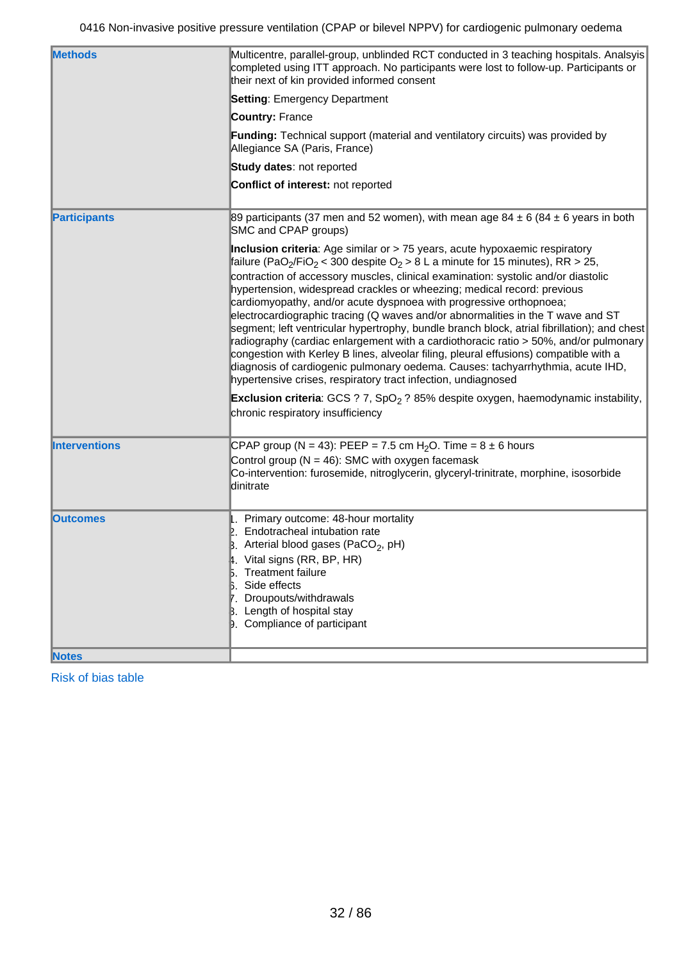| <b>Methods</b>       | Multicentre, parallel-group, unblinded RCT conducted in 3 teaching hospitals. Analsyis<br>completed using ITT approach. No participants were lost to follow-up. Participants or                                                                                                                                                                                                                                                                                                                                                                                                                                                                                                                                                                                                                                                                                                                                                                                                                                                                                                                            |  |  |  |
|----------------------|------------------------------------------------------------------------------------------------------------------------------------------------------------------------------------------------------------------------------------------------------------------------------------------------------------------------------------------------------------------------------------------------------------------------------------------------------------------------------------------------------------------------------------------------------------------------------------------------------------------------------------------------------------------------------------------------------------------------------------------------------------------------------------------------------------------------------------------------------------------------------------------------------------------------------------------------------------------------------------------------------------------------------------------------------------------------------------------------------------|--|--|--|
|                      | their next of kin provided informed consent                                                                                                                                                                                                                                                                                                                                                                                                                                                                                                                                                                                                                                                                                                                                                                                                                                                                                                                                                                                                                                                                |  |  |  |
|                      | <b>Setting: Emergency Department</b>                                                                                                                                                                                                                                                                                                                                                                                                                                                                                                                                                                                                                                                                                                                                                                                                                                                                                                                                                                                                                                                                       |  |  |  |
|                      | <b>Country: France</b>                                                                                                                                                                                                                                                                                                                                                                                                                                                                                                                                                                                                                                                                                                                                                                                                                                                                                                                                                                                                                                                                                     |  |  |  |
|                      | <b>Funding:</b> Technical support (material and ventilatory circuits) was provided by<br>Allegiance SA (Paris, France)                                                                                                                                                                                                                                                                                                                                                                                                                                                                                                                                                                                                                                                                                                                                                                                                                                                                                                                                                                                     |  |  |  |
|                      | Study dates: not reported                                                                                                                                                                                                                                                                                                                                                                                                                                                                                                                                                                                                                                                                                                                                                                                                                                                                                                                                                                                                                                                                                  |  |  |  |
|                      | Conflict of interest: not reported                                                                                                                                                                                                                                                                                                                                                                                                                                                                                                                                                                                                                                                                                                                                                                                                                                                                                                                                                                                                                                                                         |  |  |  |
| <b>Participants</b>  | 89 participants (37 men and 52 women), with mean age 84 $\pm$ 6 (84 $\pm$ 6 years in both<br>SMC and CPAP groups)                                                                                                                                                                                                                                                                                                                                                                                                                                                                                                                                                                                                                                                                                                                                                                                                                                                                                                                                                                                          |  |  |  |
|                      | Inclusion criteria: Age similar or > 75 years, acute hypoxaemic respiratory<br>failure (PaO <sub>2</sub> /FiO <sub>2</sub> < 300 despite O <sub>2</sub> > 8 L a minute for 15 minutes), RR > 25,<br>contraction of accessory muscles, clinical examination: systolic and/or diastolic<br>hypertension, widespread crackles or wheezing; medical record: previous<br>cardiomyopathy, and/or acute dyspnoea with progressive orthopnoea;<br>electrocardiographic tracing (Q waves and/or abnormalities in the T wave and ST<br>segment; left ventricular hypertrophy, bundle branch block, atrial fibrillation); and chest<br>radiography (cardiac enlargement with a cardiothoracic ratio > 50%, and/or pulmonary<br>congestion with Kerley B lines, alveolar filing, pleural effusions) compatible with a<br>diagnosis of cardiogenic pulmonary oedema. Causes: tachyarrhythmia, acute IHD,<br>hypertensive crises, respiratory tract infection, undiagnosed<br><b>Exclusion criteria</b> : GCS ? 7, SpO <sub>2</sub> ? 85% despite oxygen, haemodynamic instability,<br>chronic respiratory insufficiency |  |  |  |
| <b>Interventions</b> | CPAP group (N = 43): PEEP = 7.5 cm H <sub>2</sub> O. Time = $8 \pm 6$ hours<br>Control group ( $N = 46$ ): SMC with oxygen facemask<br>Co-intervention: furosemide, nitroglycerin, glyceryl-trinitrate, morphine, isosorbide<br>dinitrate                                                                                                                                                                                                                                                                                                                                                                                                                                                                                                                                                                                                                                                                                                                                                                                                                                                                  |  |  |  |
| <b>Outcomes</b>      | 1. Primary outcome: 48-hour mortality<br>Endotracheal intubation rate<br>$\beta$ . Arterial blood gases (PaCO <sub>2</sub> , pH)<br>4. Vital signs (RR, BP, HR)<br><b>Treatment failure</b><br>Side effects<br>Droupouts/withdrawals<br>Length of hospital stay<br>9. Compliance of participant                                                                                                                                                                                                                                                                                                                                                                                                                                                                                                                                                                                                                                                                                                                                                                                                            |  |  |  |
| <b>Notes</b>         |                                                                                                                                                                                                                                                                                                                                                                                                                                                                                                                                                                                                                                                                                                                                                                                                                                                                                                                                                                                                                                                                                                            |  |  |  |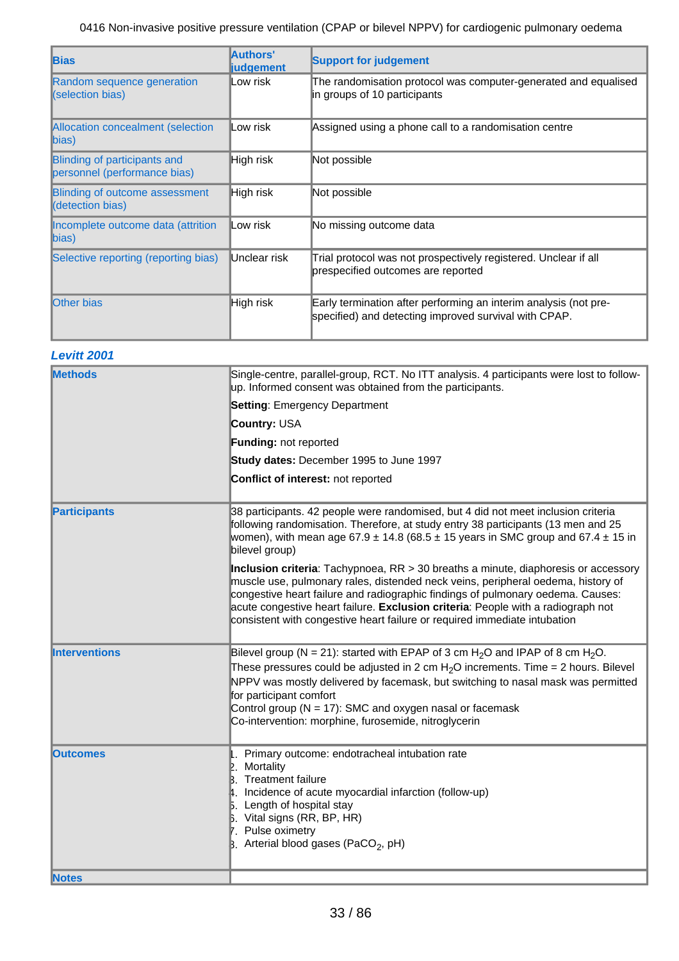| <b>Bias</b>                                                  | Authors'<br><b>liudgement</b> | <b>Support for judgement</b>                                                                                              |
|--------------------------------------------------------------|-------------------------------|---------------------------------------------------------------------------------------------------------------------------|
| Random sequence generation<br>(selection bias)               | Low risk                      | The randomisation protocol was computer-generated and equalised<br>in groups of 10 participants                           |
| Allocation concealment (selection<br>$\ $ bias)              | Low risk                      | Assigned using a phone call to a randomisation centre                                                                     |
| Blinding of participants and<br>personnel (performance bias) | High risk                     | Not possible                                                                                                              |
| <b>Blinding of outcome assessment</b><br>(detection bias)    | High risk                     | Not possible                                                                                                              |
| Incomplete outcome data (attrition<br>$\ket{bias}$           | Low risk                      | No missing outcome data                                                                                                   |
| Selective reporting (reporting bias)                         | Unclear risk                  | Trial protocol was not prospectively registered. Unclear if all<br>prespecified outcomes are reported                     |
| <b>Other bias</b>                                            | High risk                     | Early termination after performing an interim analysis (not pre-<br>specified) and detecting improved survival with CPAP. |

## **Levitt 2001**

| <b>Methods</b>       | Single-centre, parallel-group, RCT. No ITT analysis. 4 participants were lost to follow-<br>up. Informed consent was obtained from the participants.                                                                                                                                                                                                                                                                                |
|----------------------|-------------------------------------------------------------------------------------------------------------------------------------------------------------------------------------------------------------------------------------------------------------------------------------------------------------------------------------------------------------------------------------------------------------------------------------|
|                      | <b>Setting: Emergency Department</b>                                                                                                                                                                                                                                                                                                                                                                                                |
|                      | <b>Country: USA</b>                                                                                                                                                                                                                                                                                                                                                                                                                 |
|                      | <b>Funding: not reported</b>                                                                                                                                                                                                                                                                                                                                                                                                        |
|                      |                                                                                                                                                                                                                                                                                                                                                                                                                                     |
|                      | Study dates: December 1995 to June 1997                                                                                                                                                                                                                                                                                                                                                                                             |
|                      | Conflict of interest: not reported                                                                                                                                                                                                                                                                                                                                                                                                  |
| <b>Participants</b>  | 38 participants. 42 people were randomised, but 4 did not meet inclusion criteria<br>following randomisation. Therefore, at study entry 38 participants (13 men and 25<br>women), with mean age 67.9 $\pm$ 14.8 (68.5 $\pm$ 15 years in SMC group and 67.4 $\pm$ 15 in<br>bilevel group)                                                                                                                                            |
|                      | Inclusion criteria: Tachypnoea, RR > 30 breaths a minute, diaphoresis or accessory<br>muscle use, pulmonary rales, distended neck veins, peripheral oedema, history of<br>congestive heart failure and radiographic findings of pulmonary oedema. Causes:<br>acute congestive heart failure. Exclusion criteria: People with a radiograph not<br>consistent with congestive heart failure or required immediate intubation          |
| <b>Interventions</b> | Bilevel group (N = 21): started with EPAP of 3 cm H <sub>2</sub> O and IPAP of 8 cm H <sub>2</sub> O.<br>These pressures could be adjusted in 2 cm $H2O$ increments. Time = 2 hours. Bilevel<br>NPPV was mostly delivered by facemask, but switching to nasal mask was permitted<br>for participant comfort<br>Control group ( $N = 17$ ): SMC and oxygen nasal or facemask<br>Co-intervention: morphine, furosemide, nitroglycerin |
| <b>lOutcomes</b>     | Primary outcome: endotracheal intubation rate<br>Mortality<br><b>Treatment failure</b><br>4. Incidence of acute myocardial infarction (follow-up)<br><b>5.</b> Length of hospital stay<br>$\beta$ . Vital signs (RR, BP, HR)<br>7. Pulse oximetry<br>B. Arterial blood gases (PaCO <sub>2</sub> , pH)                                                                                                                               |
| <b>Notes</b>         |                                                                                                                                                                                                                                                                                                                                                                                                                                     |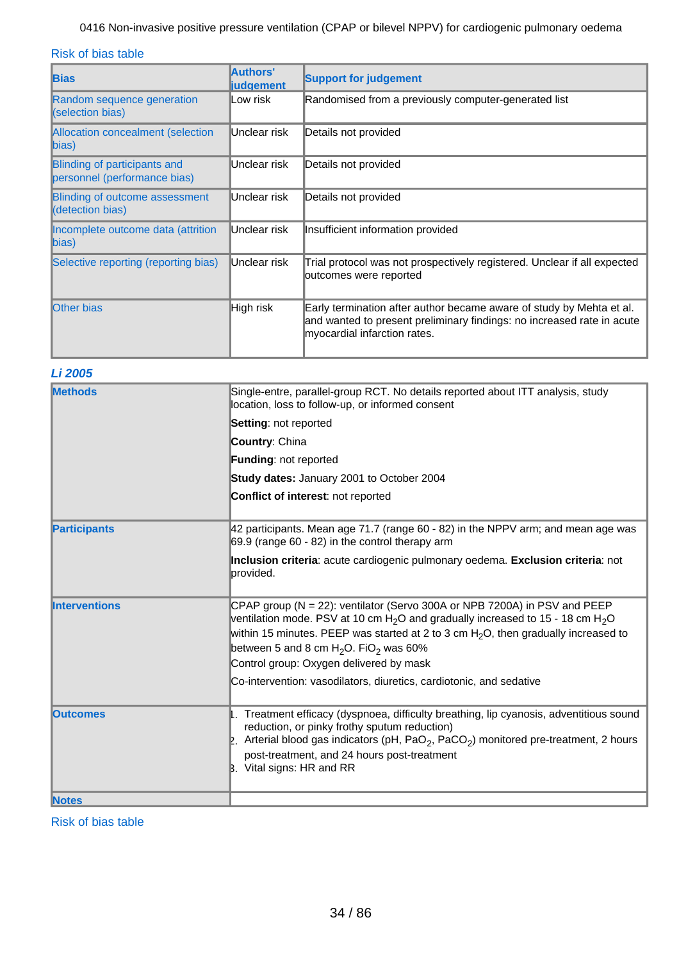Risk of bias table

| <b>Bias</b>                                                         | Authors'<br><b>judgement</b> | <b>Support for judgement</b>                                                                                                                                                   |
|---------------------------------------------------------------------|------------------------------|--------------------------------------------------------------------------------------------------------------------------------------------------------------------------------|
| Random sequence generation<br>(selection bias)                      | lLow risk                    | Randomised from a previously computer-generated list                                                                                                                           |
| Allocation concealment (selection<br>$\vert$ bias)                  | Unclear risk                 | Details not provided                                                                                                                                                           |
| <b>Blinding of participants and</b><br>personnel (performance bias) | Unclear risk                 | Details not provided                                                                                                                                                           |
| <b>Blinding of outcome assessment</b><br>(detection bias)           | Unclear risk                 | Details not provided                                                                                                                                                           |
| Incomplete outcome data (attrition<br>$\ket{bias}$                  | Unclear risk                 | Insufficient information provided                                                                                                                                              |
| Selective reporting (reporting bias)                                | Unclear risk                 | Trial protocol was not prospectively registered. Unclear if all expected<br>outcomes were reported                                                                             |
| <b>Other bias</b>                                                   | <b>High risk</b>             | Early termination after author became aware of study by Mehta et al.<br>and wanted to present preliminary findings: no increased rate in acute<br>myocardial infarction rates. |

## **Li 2005**

| <b>Methods</b>       | Single-entre, parallel-group RCT. No details reported about ITT analysis, study<br>location, loss to follow-up, or informed consent                                                                                                                                                                                                                            |  |  |
|----------------------|----------------------------------------------------------------------------------------------------------------------------------------------------------------------------------------------------------------------------------------------------------------------------------------------------------------------------------------------------------------|--|--|
|                      | Setting: not reported                                                                                                                                                                                                                                                                                                                                          |  |  |
|                      | Country: China                                                                                                                                                                                                                                                                                                                                                 |  |  |
|                      | Funding: not reported                                                                                                                                                                                                                                                                                                                                          |  |  |
|                      | Study dates: January 2001 to October 2004                                                                                                                                                                                                                                                                                                                      |  |  |
|                      | Conflict of interest: not reported                                                                                                                                                                                                                                                                                                                             |  |  |
| <b>Participants</b>  | 42 participants. Mean age 71.7 (range 60 - 82) in the NPPV arm; and mean age was<br>69.9 (range 60 - 82) in the control therapy arm                                                                                                                                                                                                                            |  |  |
|                      | Inclusion criteria: acute cardiogenic pulmonary oedema. Exclusion criteria: not<br>lprovided.                                                                                                                                                                                                                                                                  |  |  |
| <b>Interventions</b> | CPAP group ( $N = 22$ ): ventilator (Servo 300A or NPB 7200A) in PSV and PEEP<br>ventilation mode. PSV at 10 cm $H_2O$ and gradually increased to 15 - 18 cm $H_2O$<br>within 15 minutes. PEEP was started at 2 to 3 cm $H2O$ , then gradually increased to<br>between 5 and 8 cm $H_2O$ . FiO <sub>2</sub> was 60%<br>Control group: Oxygen delivered by mask |  |  |
|                      | Co-intervention: vasodilators, diuretics, cardiotonic, and sedative                                                                                                                                                                                                                                                                                            |  |  |
| <b>Outcomes</b>      | Treatment efficacy (dyspnoea, difficulty breathing, lip cyanosis, adventitious sound<br>reduction, or pinky frothy sputum reduction)<br>2. Arterial blood gas indicators (pH, PaO <sub>2</sub> , PaCO <sub>2</sub> ) monitored pre-treatment, 2 hours<br>post-treatment, and 24 hours post-treatment<br>B. Vital signs: HR and RR                              |  |  |
| <b>Notes</b>         |                                                                                                                                                                                                                                                                                                                                                                |  |  |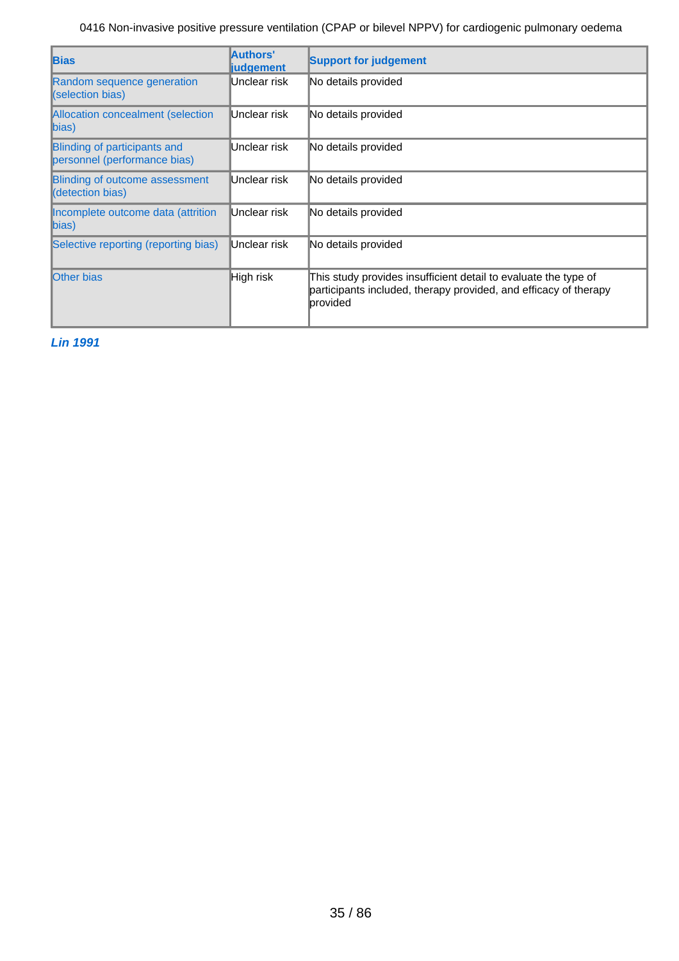| <b>Bias</b>                                                  | Authors'<br><b>liudgement</b> | <b>Support for judgement</b>                                                                                                                             |
|--------------------------------------------------------------|-------------------------------|----------------------------------------------------------------------------------------------------------------------------------------------------------|
| Random sequence generation<br>(selection bias)               | Unclear risk                  | No details provided                                                                                                                                      |
| <b>Allocation concealment (selection</b><br>$\vert$ bias)    | Unclear risk                  | No details provided                                                                                                                                      |
| Blinding of participants and<br>personnel (performance bias) | Unclear risk                  | No details provided                                                                                                                                      |
| <b>Blinding of outcome assessment</b><br>(detection bias)    | Unclear risk                  | No details provided                                                                                                                                      |
| Incomplete outcome data (attrition<br>bias)                  | Unclear risk                  | No details provided                                                                                                                                      |
| Selective reporting (reporting bias)                         | Unclear risk                  | No details provided                                                                                                                                      |
| <b>Other bias</b>                                            | High risk                     | This study provides insufficient detail to evaluate the type of<br>participants included, therapy provided, and efficacy of therapy<br><b>I</b> provided |

**Lin 1991**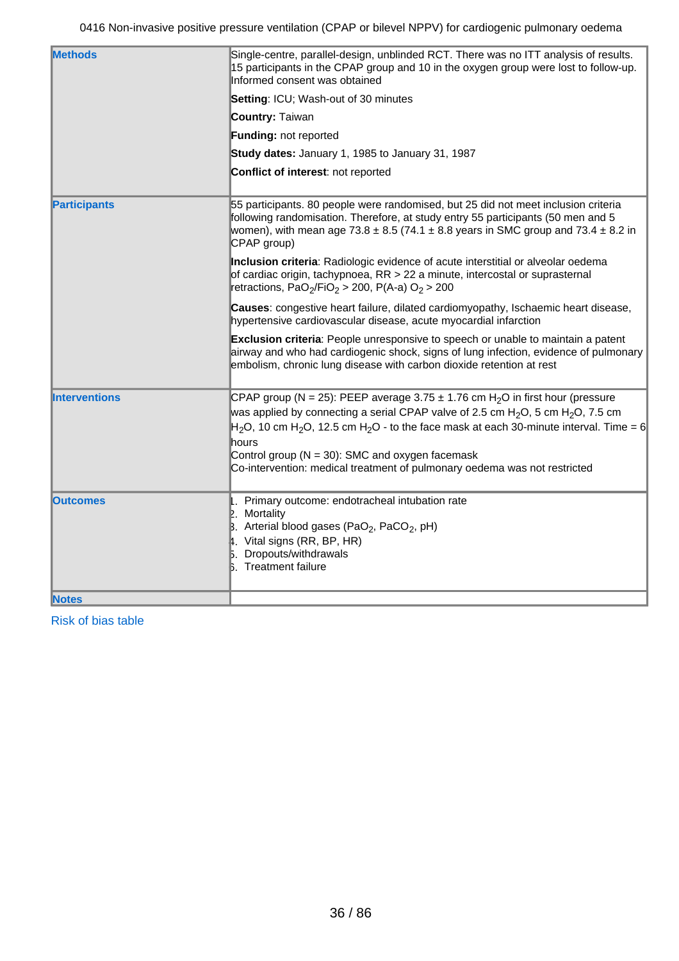| <b>Methods</b>       | Single-centre, parallel-design, unblinded RCT. There was no ITT analysis of results.<br>15 participants in the CPAP group and 10 in the oxygen group were lost to follow-up.                                                                                                                                                                                                                                                                                               |
|----------------------|----------------------------------------------------------------------------------------------------------------------------------------------------------------------------------------------------------------------------------------------------------------------------------------------------------------------------------------------------------------------------------------------------------------------------------------------------------------------------|
|                      | Informed consent was obtained                                                                                                                                                                                                                                                                                                                                                                                                                                              |
|                      | Setting: ICU; Wash-out of 30 minutes                                                                                                                                                                                                                                                                                                                                                                                                                                       |
|                      | <b>Country: Taiwan</b>                                                                                                                                                                                                                                                                                                                                                                                                                                                     |
|                      | Funding: not reported                                                                                                                                                                                                                                                                                                                                                                                                                                                      |
|                      | Study dates: January 1, 1985 to January 31, 1987                                                                                                                                                                                                                                                                                                                                                                                                                           |
|                      | Conflict of interest: not reported                                                                                                                                                                                                                                                                                                                                                                                                                                         |
| <b>Participants</b>  | 55 participants. 80 people were randomised, but 25 did not meet inclusion criteria<br>following randomisation. Therefore, at study entry 55 participants (50 men and 5<br>women), with mean age $73.8 \pm 8.5$ (74.1 $\pm$ 8.8 years in SMC group and 73.4 $\pm$ 8.2 in<br>CPAP group)                                                                                                                                                                                     |
|                      | Inclusion criteria: Radiologic evidence of acute interstitial or alveolar oedema<br>of cardiac origin, tachypnoea, RR > 22 a minute, intercostal or suprasternal<br>retractions, PaO <sub>2</sub> /FiO <sub>2</sub> > 200, P(A-a) O <sub>2</sub> > 200                                                                                                                                                                                                                     |
|                      | Causes: congestive heart failure, dilated cardiomyopathy, Ischaemic heart disease,<br>hypertensive cardiovascular disease, acute myocardial infarction                                                                                                                                                                                                                                                                                                                     |
|                      | <b>Exclusion criteria</b> : People unresponsive to speech or unable to maintain a patent<br>airway and who had cardiogenic shock, signs of lung infection, evidence of pulmonary<br>embolism, chronic lung disease with carbon dioxide retention at rest                                                                                                                                                                                                                   |
| <b>Interventions</b> | CPAP group (N = 25): PEEP average 3.75 $\pm$ 1.76 cm H <sub>2</sub> O in first hour (pressure<br>was applied by connecting a serial CPAP valve of 2.5 cm H <sub>2</sub> O, 5 cm H <sub>2</sub> O, 7.5 cm<br>$H_2O$ , 10 cm H <sub>2</sub> O, 12.5 cm H <sub>2</sub> O - to the face mask at each 30-minute interval. Time = 6<br>hours<br>Control group ( $N = 30$ ): SMC and oxygen facemask<br>Co-intervention: medical treatment of pulmonary oedema was not restricted |
| <b>Outcomes</b>      | 1. Primary outcome: endotracheal intubation rate<br>$\mathbb{E}$ . Mortality<br>B. Arterial blood gases (PaO <sub>2</sub> , PaCO <sub>2</sub> , pH)<br>$\uparrow$ . Vital signs (RR, BP, HR)<br>Dropouts/withdrawals<br><b>b.</b> Treatment failure                                                                                                                                                                                                                        |
| <b>Notes</b>         |                                                                                                                                                                                                                                                                                                                                                                                                                                                                            |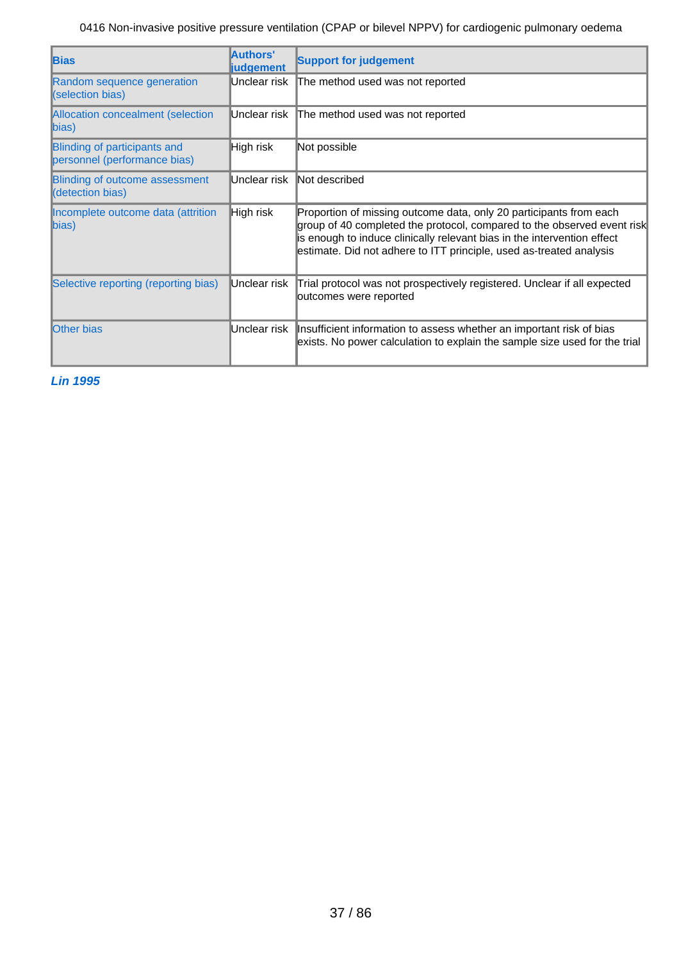| <b>Bias</b>                                                         | Authors'<br><b>judgement</b> | <b>Support for judgement</b>                                                                                                                                                                                                                                                                    |
|---------------------------------------------------------------------|------------------------------|-------------------------------------------------------------------------------------------------------------------------------------------------------------------------------------------------------------------------------------------------------------------------------------------------|
| Random sequence generation<br>(selection bias)                      | Unclear risk                 | The method used was not reported                                                                                                                                                                                                                                                                |
| Allocation concealment (selection<br>$\mathsf{bias}$                | IUnclear risk                | The method used was not reported                                                                                                                                                                                                                                                                |
| <b>Blinding of participants and</b><br>personnel (performance bias) | High risk                    | Not possible                                                                                                                                                                                                                                                                                    |
| <b>Blinding of outcome assessment</b><br>(detection bias)           | IUnclear risk                | Not described                                                                                                                                                                                                                                                                                   |
| Incomplete outcome data (attrition<br>$\ket{bias}$                  | High risk                    | Proportion of missing outcome data, only 20 participants from each<br>group of 40 completed the protocol, compared to the observed event risk<br>is enough to induce clinically relevant bias in the intervention effect<br>estimate. Did not adhere to ITT principle, used as-treated analysis |
| Selective reporting (reporting bias)                                | Unclear risk                 | Trial protocol was not prospectively registered. Unclear if all expected<br>outcomes were reported                                                                                                                                                                                              |
| <b>Other bias</b>                                                   | Unclear risk                 | Insufficient information to assess whether an important risk of bias<br>exists. No power calculation to explain the sample size used for the trial                                                                                                                                              |

**Lin 1995**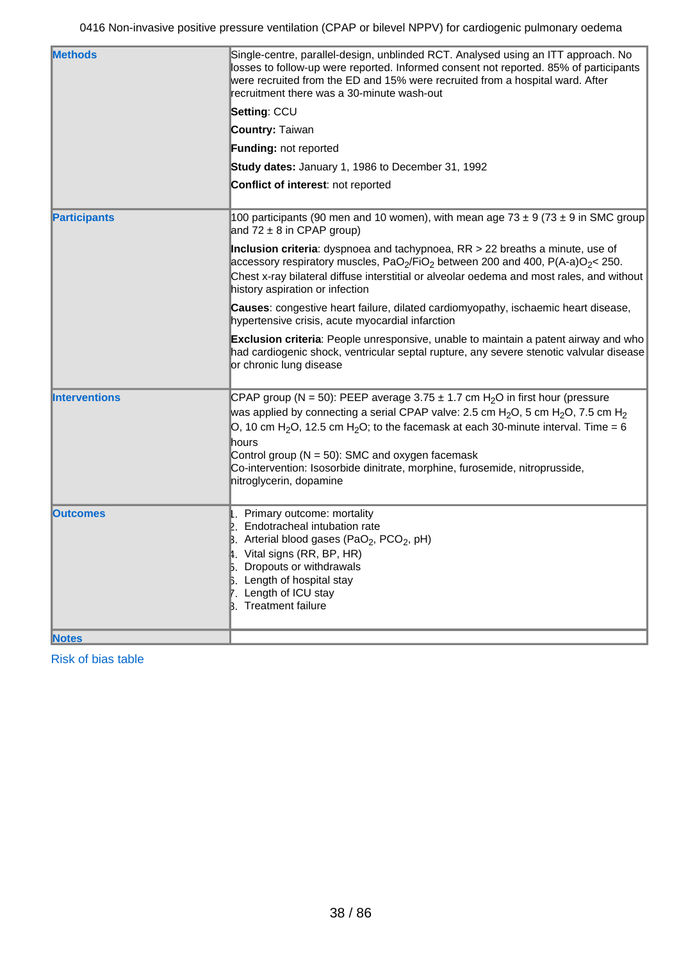| <b>Methods</b>       | Single-centre, parallel-design, unblinded RCT. Analysed using an ITT approach. No<br>losses to follow-up were reported. Informed consent not reported. 85% of participants<br>were recruited from the ED and 15% were recruited from a hospital ward. After<br>recruitment there was a 30-minute wash-out                                                                                                                                                                                                   |
|----------------------|-------------------------------------------------------------------------------------------------------------------------------------------------------------------------------------------------------------------------------------------------------------------------------------------------------------------------------------------------------------------------------------------------------------------------------------------------------------------------------------------------------------|
|                      | Setting: CCU                                                                                                                                                                                                                                                                                                                                                                                                                                                                                                |
|                      | Country: Taiwan                                                                                                                                                                                                                                                                                                                                                                                                                                                                                             |
|                      | <b>Funding: not reported</b>                                                                                                                                                                                                                                                                                                                                                                                                                                                                                |
|                      | Study dates: January 1, 1986 to December 31, 1992                                                                                                                                                                                                                                                                                                                                                                                                                                                           |
|                      | Conflict of interest: not reported                                                                                                                                                                                                                                                                                                                                                                                                                                                                          |
| <b>Participants</b>  | 100 participants (90 men and 10 women), with mean age 73 $\pm$ 9 (73 $\pm$ 9 in SMC group<br>and $72 \pm 8$ in CPAP group)                                                                                                                                                                                                                                                                                                                                                                                  |
|                      | Inclusion criteria: dyspnoea and tachypnoea, RR > 22 breaths a minute, use of<br>accessory respiratory muscles, PaO <sub>2</sub> /FiO <sub>2</sub> between 200 and 400, P(A-a)O <sub>2</sub> < 250.<br>Chest x-ray bilateral diffuse interstitial or alveolar oedema and most rales, and without<br>history aspiration or infection                                                                                                                                                                         |
|                      | Causes: congestive heart failure, dilated cardiomyopathy, ischaemic heart disease,<br>hypertensive crisis, acute myocardial infarction                                                                                                                                                                                                                                                                                                                                                                      |
|                      | Exclusion criteria: People unresponsive, unable to maintain a patent airway and who<br>had cardiogenic shock, ventricular septal rupture, any severe stenotic valvular disease<br>or chronic lung disease                                                                                                                                                                                                                                                                                                   |
| <b>Interventions</b> | CPAP group (N = 50): PEEP average 3.75 $\pm$ 1.7 cm H <sub>2</sub> O in first hour (pressure<br>was applied by connecting a serial CPAP valve: 2.5 cm H <sub>2</sub> O, 5 cm H <sub>2</sub> O, 7.5 cm H <sub>2</sub><br>O, 10 cm H <sub>2</sub> O, 12.5 cm H <sub>2</sub> O; to the facemask at each 30-minute interval. Time = 6<br>hours<br>Control group ( $N = 50$ ): SMC and oxygen facemask<br>Co-intervention: Isosorbide dinitrate, morphine, furosemide, nitroprusside,<br>nitroglycerin, dopamine |
| <b>Outcomes</b>      | . Primary outcome: mortality<br>2. Endotracheal intubation rate<br>B. Arterial blood gases (PaO <sub>2</sub> , PCO <sub>2</sub> , pH)<br>Vital signs (RR, BP, HR)<br>5. Dropouts or withdrawals<br>Length of hospital stay<br>. Length of ICU stay<br>B. Treatment failure                                                                                                                                                                                                                                  |
| <b>Notes</b>         |                                                                                                                                                                                                                                                                                                                                                                                                                                                                                                             |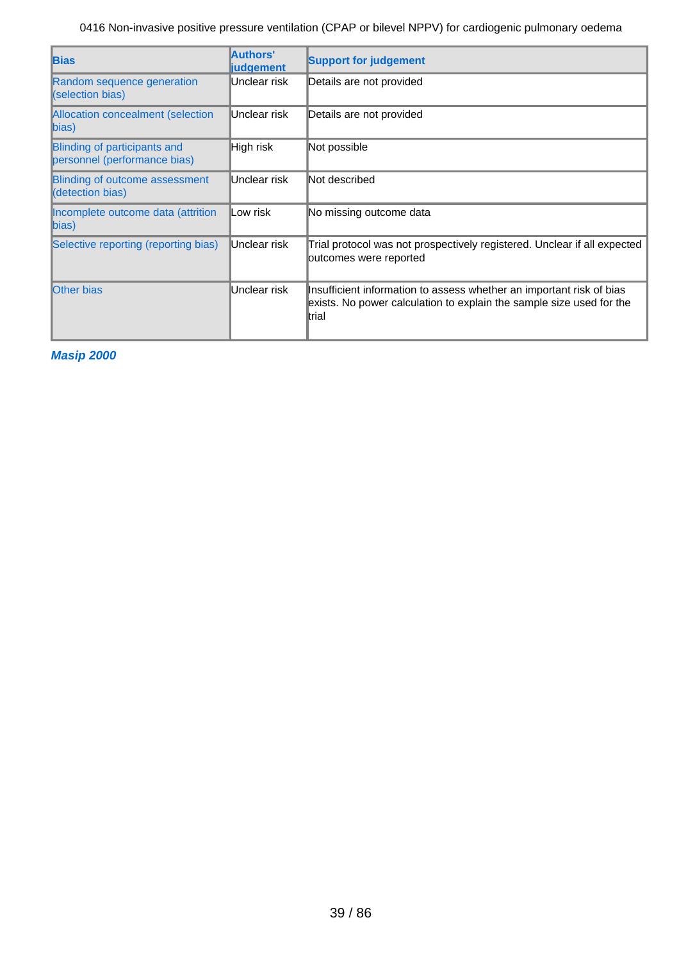| <b>Bias</b>                                                  | Authors'<br><b>judgement</b> | <b>Support for judgement</b>                                                                                                                           |
|--------------------------------------------------------------|------------------------------|--------------------------------------------------------------------------------------------------------------------------------------------------------|
| Random sequence generation<br>(selection bias)               | Unclear risk                 | Details are not provided                                                                                                                               |
| Allocation concealment (selection<br>$\ket{bias}$            | Unclear risk                 | Details are not provided                                                                                                                               |
| Blinding of participants and<br>personnel (performance bias) | High risk                    | Not possible                                                                                                                                           |
| <b>Blinding of outcome assessment</b><br>(detection bias)    | Unclear risk                 | Not described                                                                                                                                          |
| Incomplete outcome data (attrition<br>$\ket{bias}$           | ∥Low risk                    | No missing outcome data                                                                                                                                |
| Selective reporting (reporting bias)                         | Unclear risk                 | Trial protocol was not prospectively registered. Unclear if all expected<br>outcomes were reported                                                     |
| <b>Other bias</b>                                            | Unclear risk                 | Insufficient information to assess whether an important risk of bias<br>exists. No power calculation to explain the sample size used for the<br>ltrial |

**Masip 2000**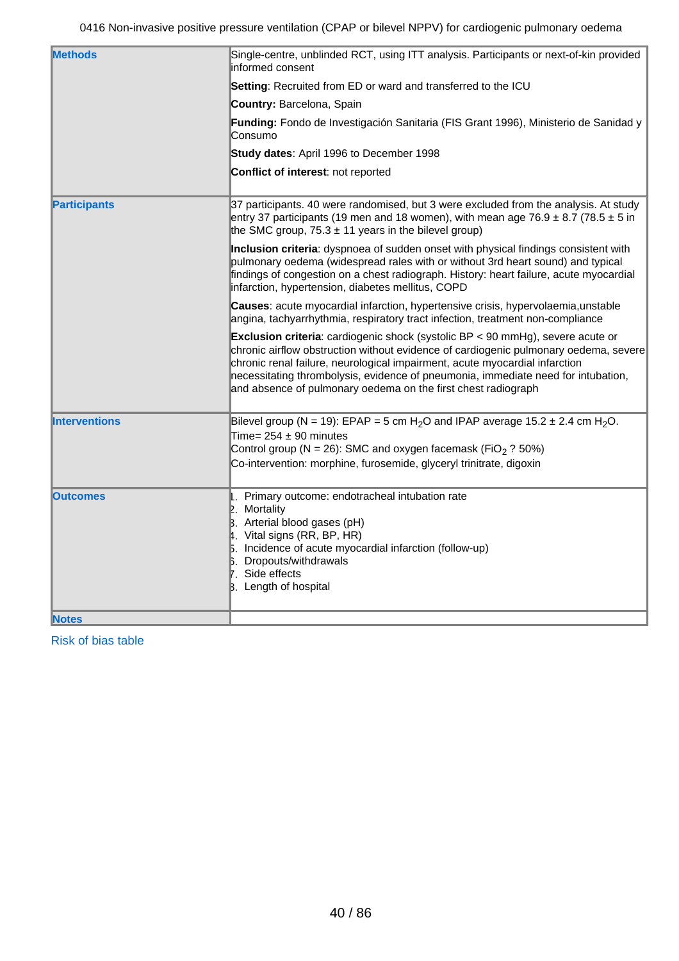| <b>Methods</b>       |                                                                                                                                                                                                                                                                                                                                                                                                                       |
|----------------------|-----------------------------------------------------------------------------------------------------------------------------------------------------------------------------------------------------------------------------------------------------------------------------------------------------------------------------------------------------------------------------------------------------------------------|
|                      | Single-centre, unblinded RCT, using ITT analysis. Participants or next-of-kin provided<br>informed consent                                                                                                                                                                                                                                                                                                            |
|                      | Setting: Recruited from ED or ward and transferred to the ICU                                                                                                                                                                                                                                                                                                                                                         |
|                      | Country: Barcelona, Spain                                                                                                                                                                                                                                                                                                                                                                                             |
|                      | Funding: Fondo de Investigación Sanitaria (FIS Grant 1996), Ministerio de Sanidad y<br>Consumo                                                                                                                                                                                                                                                                                                                        |
|                      | Study dates: April 1996 to December 1998                                                                                                                                                                                                                                                                                                                                                                              |
|                      | Conflict of interest: not reported                                                                                                                                                                                                                                                                                                                                                                                    |
| <b>Participants</b>  | 37 participants. 40 were randomised, but 3 were excluded from the analysis. At study<br>entry 37 participants (19 men and 18 women), with mean age 76.9 $\pm$ 8.7 (78.5 $\pm$ 5 in<br>the SMC group, $75.3 \pm 11$ years in the bilevel group)                                                                                                                                                                        |
|                      | Inclusion criteria: dyspnoea of sudden onset with physical findings consistent with<br>pulmonary oedema (widespread rales with or without 3rd heart sound) and typical<br>findings of congestion on a chest radiograph. History: heart failure, acute myocardial<br>infarction, hypertension, diabetes mellitus, COPD                                                                                                 |
|                      | <b>Causes:</b> acute myocardial infarction, hypertensive crisis, hypervolaemia, unstable<br>angina, tachyarrhythmia, respiratory tract infection, treatment non-compliance                                                                                                                                                                                                                                            |
|                      | <b>Exclusion criteria</b> : cardiogenic shock (systolic $BP < 90$ mmHg), severe acute or<br>chronic airflow obstruction without evidence of cardiogenic pulmonary oedema, severe<br>chronic renal failure, neurological impairment, acute myocardial infarction<br>necessitating thrombolysis, evidence of pneumonia, immediate need for intubation,<br>and absence of pulmonary oedema on the first chest radiograph |
| <b>Interventions</b> | Bilevel group (N = 19): EPAP = 5 cm H <sub>2</sub> O and IPAP average 15.2 $\pm$ 2.4 cm H <sub>2</sub> O.<br>Time= $254 \pm 90$ minutes<br>Control group (N = 26): SMC and oxygen facemask (FiO <sub>2</sub> ? 50%)<br>Co-intervention: morphine, furosemide, glyceryl trinitrate, digoxin                                                                                                                            |
|                      |                                                                                                                                                                                                                                                                                                                                                                                                                       |
| <b>lOutcomes</b>     | . Primary outcome: endotracheal intubation rate<br>$\mathbb{E}$ . Mortality<br>B. Arterial blood gases (pH)<br>4. Vital signs (RR, BP, HR)<br>5. Incidence of acute myocardial infarction (follow-up)<br><b>B.</b> Dropouts/withdrawals<br>7. Side effects<br>B. Length of hospital                                                                                                                                   |
| <b>Notes</b>         |                                                                                                                                                                                                                                                                                                                                                                                                                       |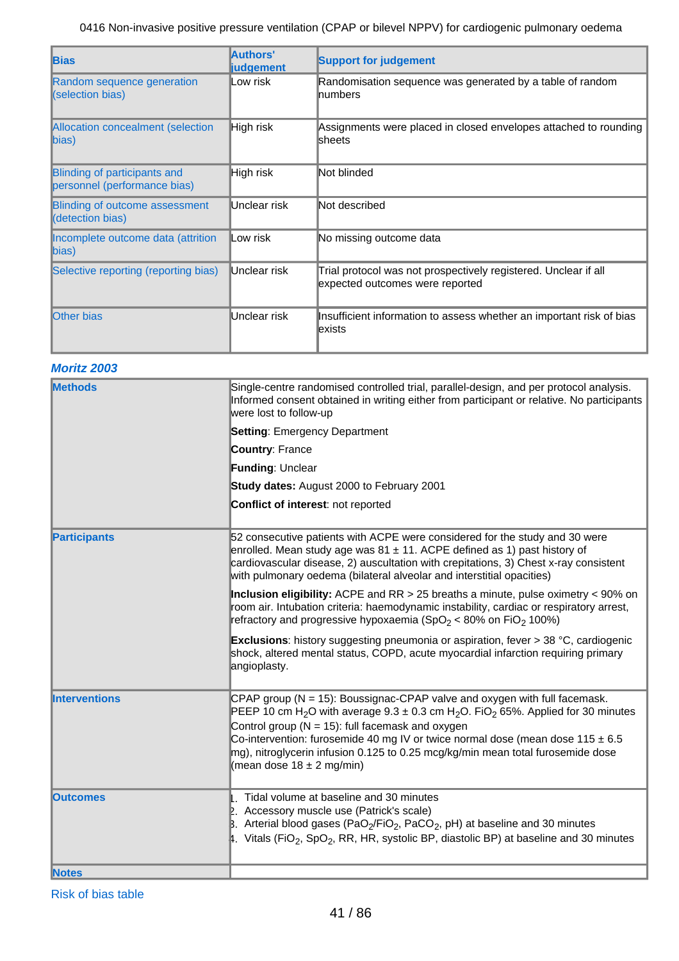| <b>Bias</b>                                                  | Authors'<br><b>liudgement</b> | <b>Support for judgement</b>                                                                       |
|--------------------------------------------------------------|-------------------------------|----------------------------------------------------------------------------------------------------|
| Random sequence generation<br>(selection bias)               | Low risk                      | Randomisation sequence was generated by a table of random<br><b>Inumbers</b>                       |
| <b>Allocation concealment (selection</b><br>bias)            | <b>High risk</b>              | Assignments were placed in closed envelopes attached to rounding<br><b>Sheets</b>                  |
| Blinding of participants and<br>personnel (performance bias) | High risk                     | Not blinded                                                                                        |
| Blinding of outcome assessment<br>(detection bias)           | Unclear risk                  | Not described                                                                                      |
| Incomplete outcome data (attrition<br>bias)                  | Low risk                      | No missing outcome data                                                                            |
| Selective reporting (reporting bias)                         | Unclear risk                  | Trial protocol was not prospectively registered. Unclear if all<br>expected outcomes were reported |
| <b>Other bias</b>                                            | Unclear risk                  | Insufficient information to assess whether an important risk of bias<br>lexists                    |

### **Moritz 2003**

| <b>Methods</b>       | Single-centre randomised controlled trial, parallel-design, and per protocol analysis.<br>Informed consent obtained in writing either from participant or relative. No participants<br>were lost to follow-up                                                                                                                                                                                                                                                               |
|----------------------|-----------------------------------------------------------------------------------------------------------------------------------------------------------------------------------------------------------------------------------------------------------------------------------------------------------------------------------------------------------------------------------------------------------------------------------------------------------------------------|
|                      | <b>Setting: Emergency Department</b>                                                                                                                                                                                                                                                                                                                                                                                                                                        |
|                      | <b>Country: France</b>                                                                                                                                                                                                                                                                                                                                                                                                                                                      |
|                      | Funding: Unclear                                                                                                                                                                                                                                                                                                                                                                                                                                                            |
|                      | Study dates: August 2000 to February 2001                                                                                                                                                                                                                                                                                                                                                                                                                                   |
|                      | Conflict of interest: not reported                                                                                                                                                                                                                                                                                                                                                                                                                                          |
| <b>Participants</b>  | 52 consecutive patients with ACPE were considered for the study and 30 were<br>enrolled. Mean study age was $81 \pm 11$ . ACPE defined as 1) past history of<br>cardiovascular disease, 2) auscultation with crepitations, 3) Chest x-ray consistent<br>with pulmonary oedema (bilateral alveolar and interstitial opacities)                                                                                                                                               |
|                      | Inclusion eligibility: ACPE and RR $>$ 25 breaths a minute, pulse oximetry $<$ 90% on<br>room air. Intubation criteria: haemodynamic instability, cardiac or respiratory arrest,<br>refractory and progressive hypoxaemia (SpO <sub>2</sub> < 80% on FiO <sub>2</sub> 100%)                                                                                                                                                                                                 |
|                      | <b>Exclusions:</b> history suggesting pneumonia or aspiration, fever > 38 °C, cardiogenic<br>shock, altered mental status, COPD, acute myocardial infarction requiring primary<br>angioplasty.                                                                                                                                                                                                                                                                              |
| <b>Interventions</b> | CPAP group ( $N = 15$ ): Boussignac-CPAP valve and oxygen with full facemask.<br>PEEP 10 cm H <sub>2</sub> O with average $9.3 \pm 0.3$ cm H <sub>2</sub> O. FiO <sub>2</sub> 65%. Applied for 30 minutes<br>Control group ( $N = 15$ ): full facemask and oxygen<br>Co-intervention: furosemide 40 mg IV or twice normal dose (mean dose 115 $\pm$ 6.5<br>mg), nitroglycerin infusion 0.125 to 0.25 mcg/kg/min mean total furosemide dose<br>(mean dose $18 \pm 2$ mg/min) |
| <b>Outcomes</b>      | 1. Tidal volume at baseline and 30 minutes<br>2. Accessory muscle use (Patrick's scale)<br>B. Arterial blood gases (PaO <sub>2</sub> /FiO <sub>2</sub> , PaCO <sub>2</sub> , pH) at baseline and 30 minutes<br>4. Vitals (FiO <sub>2</sub> , SpO <sub>2</sub> , RR, HR, systolic BP, diastolic BP) at baseline and 30 minutes                                                                                                                                               |
| <b>Notes</b>         |                                                                                                                                                                                                                                                                                                                                                                                                                                                                             |
|                      |                                                                                                                                                                                                                                                                                                                                                                                                                                                                             |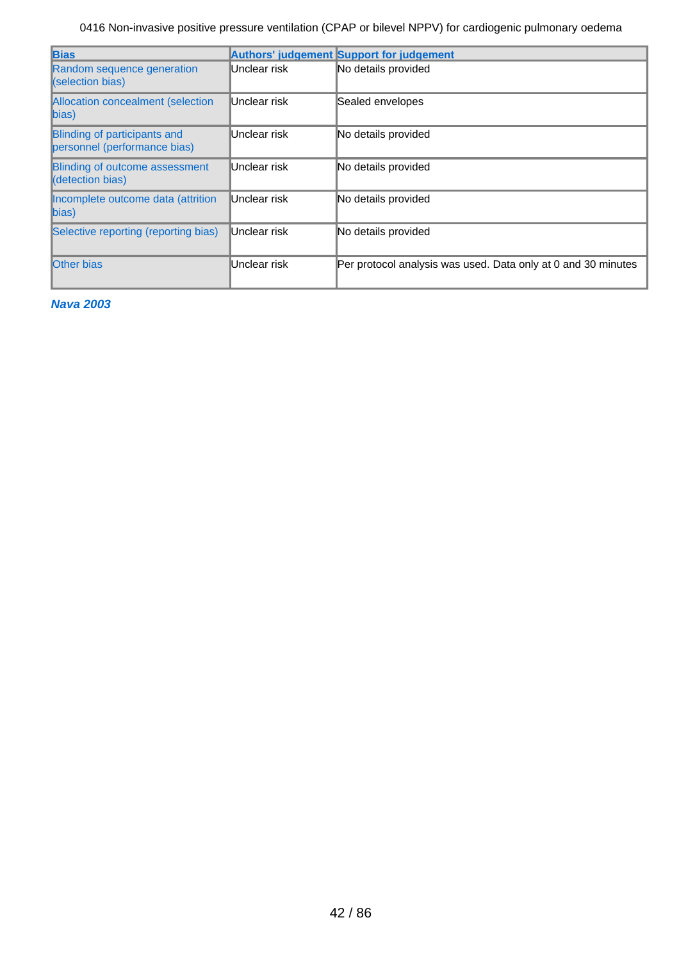| <b>Bias</b>                                                         |              | <b>Authors' judgement Support for judgement</b>               |
|---------------------------------------------------------------------|--------------|---------------------------------------------------------------|
| Random sequence generation<br>(selection bias)                      | Unclear risk | No details provided                                           |
| Allocation concealment (selection<br>$bias$                         | Unclear risk | Sealed envelopes                                              |
| <b>Blinding of participants and</b><br>personnel (performance bias) | Unclear risk | No details provided                                           |
| <b>Blinding of outcome assessment</b><br><b>(</b> detection bias)   | Unclear risk | No details provided                                           |
| Incomplete outcome data (attrition<br>bias)                         | Unclear risk | No details provided                                           |
| Selective reporting (reporting bias)                                | Unclear risk | No details provided                                           |
| <b>Other bias</b>                                                   | Unclear risk | Per protocol analysis was used. Data only at 0 and 30 minutes |

**Nava 2003**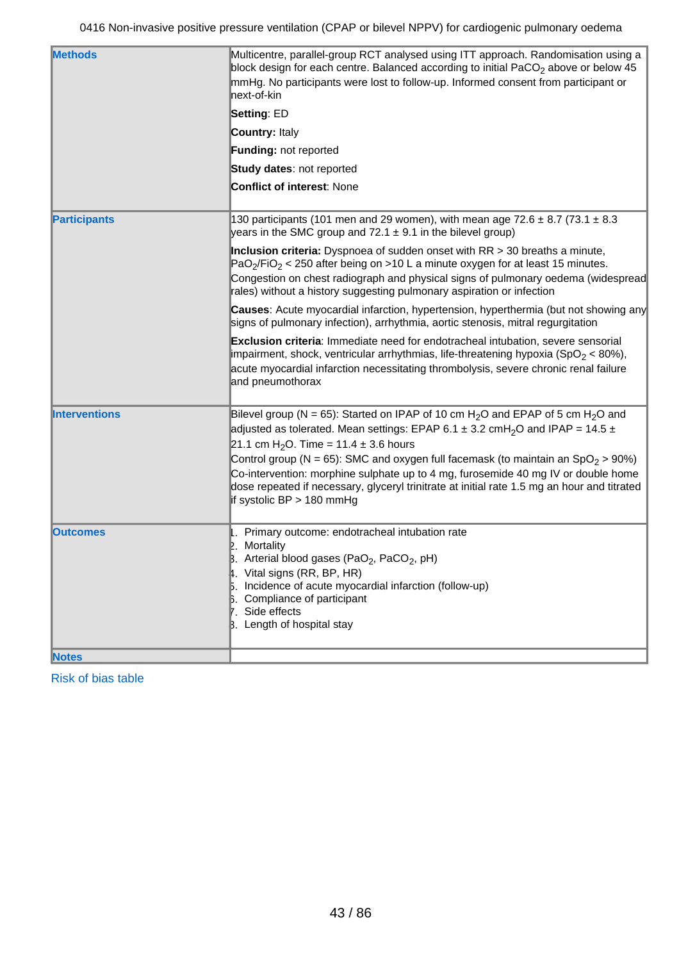| <b>Methods</b>       | Multicentre, parallel-group RCT analysed using ITT approach. Randomisation using a<br>block design for each centre. Balanced according to initial PaCO <sub>2</sub> above or below 45<br>mmHg. No participants were lost to follow-up. Informed consent from participant or<br>lnext-of-kin                                                                                                                                                                                                                                                                                                     |
|----------------------|-------------------------------------------------------------------------------------------------------------------------------------------------------------------------------------------------------------------------------------------------------------------------------------------------------------------------------------------------------------------------------------------------------------------------------------------------------------------------------------------------------------------------------------------------------------------------------------------------|
|                      | Setting: ED                                                                                                                                                                                                                                                                                                                                                                                                                                                                                                                                                                                     |
|                      | <b>Country: Italy</b>                                                                                                                                                                                                                                                                                                                                                                                                                                                                                                                                                                           |
|                      | Funding: not reported                                                                                                                                                                                                                                                                                                                                                                                                                                                                                                                                                                           |
|                      | Study dates: not reported                                                                                                                                                                                                                                                                                                                                                                                                                                                                                                                                                                       |
|                      | <b>Conflict of interest: None</b>                                                                                                                                                                                                                                                                                                                                                                                                                                                                                                                                                               |
| <b>Participants</b>  | 130 participants (101 men and 29 women), with mean age 72.6 $\pm$ 8.7 (73.1 $\pm$ 8.3<br>years in the SMC group and $72.1 \pm 9.1$ in the bilevel group)                                                                                                                                                                                                                                                                                                                                                                                                                                        |
|                      | Inclusion criteria: Dyspnoea of sudden onset with $RR > 30$ breaths a minute,<br>$PaO2/FiO2 < 250$ after being on >10 L a minute oxygen for at least 15 minutes.<br>Congestion on chest radiograph and physical signs of pulmonary oedema (widespread<br>rales) without a history suggesting pulmonary aspiration or infection                                                                                                                                                                                                                                                                  |
|                      | <b>Causes:</b> Acute myocardial infarction, hypertension, hyperthermia (but not showing any<br>signs of pulmonary infection), arrhythmia, aortic stenosis, mitral regurgitation                                                                                                                                                                                                                                                                                                                                                                                                                 |
|                      | Exclusion criteria: Immediate need for endotracheal intubation, severe sensorial<br>impairment, shock, ventricular arrhythmias, life-threatening hypoxia (SpO <sub>2</sub> < 80%),<br>acute myocardial infarction necessitating thrombolysis, severe chronic renal failure<br>and pneumothorax                                                                                                                                                                                                                                                                                                  |
| <b>Interventions</b> | Bilevel group (N = 65): Started on IPAP of 10 cm H <sub>2</sub> O and EPAP of 5 cm H <sub>2</sub> O and<br>adjusted as tolerated. Mean settings: EPAP 6.1 $\pm$ 3.2 cmH <sub>2</sub> O and IPAP = 14.5 $\pm$<br>21.1 cm H <sub>2</sub> O. Time = 11.4 $\pm$ 3.6 hours<br>Control group ( $N = 65$ ): SMC and oxygen full facemask (to maintain an SpO <sub>2</sub> > 90%)<br>Co-intervention: morphine sulphate up to 4 mg, furosemide 40 mg IV or double home<br>dose repeated if necessary, glyceryl trinitrate at initial rate 1.5 mg an hour and titrated<br>$\ $ if systolic BP > 180 mmHg |
| <b>Outcomes</b>      | . Primary outcome: endotracheal intubation rate<br>Mortality<br>IP.<br>$\beta$ . Arterial blood gases (PaO <sub>2</sub> , PaCO <sub>2</sub> , pH)<br>4. Vital signs (RR, BP, HR)<br>Incidence of acute myocardial infarction (follow-up)<br>Compliance of participant<br>'. Side effects<br>B. Length of hospital stay                                                                                                                                                                                                                                                                          |
| <b>Notes</b>         |                                                                                                                                                                                                                                                                                                                                                                                                                                                                                                                                                                                                 |
|                      |                                                                                                                                                                                                                                                                                                                                                                                                                                                                                                                                                                                                 |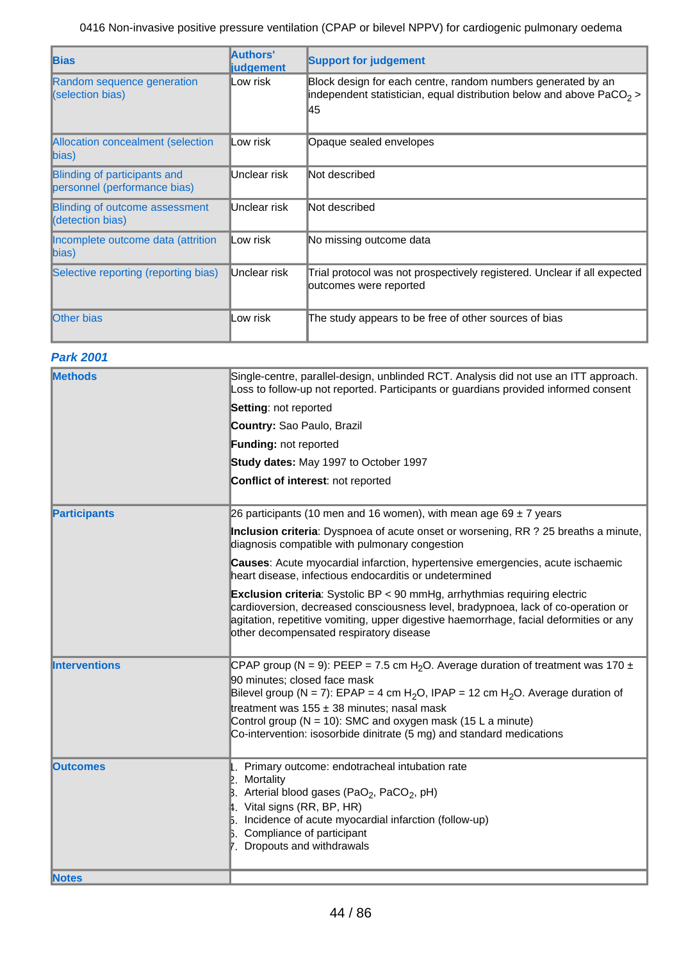| <b>Bias</b>                                                  | Authors'<br><b>liudgement</b> | <b>Support for judgement</b>                                                                                                                |
|--------------------------------------------------------------|-------------------------------|---------------------------------------------------------------------------------------------------------------------------------------------|
| Random sequence generation<br>(selection bias)               | Low risk                      | Block design for each centre, random numbers generated by an<br>independent statistician, equal distribution below and above $PaCO2$<br>145 |
| Allocation concealment (selection<br>$\ket{bias}$            | ∥Low risk                     | Opaque sealed envelopes                                                                                                                     |
| Blinding of participants and<br>personnel (performance bias) | Unclear risk                  | Not described                                                                                                                               |
| <b>Blinding of outcome assessment</b><br>(detection bias)    | Unclear risk                  | Not described                                                                                                                               |
| Incomplete outcome data (attrition<br>$\ $ bias)             | ∥Low risk                     | No missing outcome data                                                                                                                     |
| Selective reporting (reporting bias)                         | Unclear risk                  | Trial protocol was not prospectively registered. Unclear if all expected<br>outcomes were reported                                          |
| <b>Other bias</b>                                            | Low risk                      | The study appears to be free of other sources of bias                                                                                       |

### **Park 2001**

| <b>Methods</b>       | Single-centre, parallel-design, unblinded RCT. Analysis did not use an ITT approach.<br>Loss to follow-up not reported. Participants or guardians provided informed consent                                                                                                                                                                                                                                                          |
|----------------------|--------------------------------------------------------------------------------------------------------------------------------------------------------------------------------------------------------------------------------------------------------------------------------------------------------------------------------------------------------------------------------------------------------------------------------------|
|                      | Setting: not reported                                                                                                                                                                                                                                                                                                                                                                                                                |
|                      | Country: Sao Paulo, Brazil                                                                                                                                                                                                                                                                                                                                                                                                           |
|                      | <b>Funding: not reported</b>                                                                                                                                                                                                                                                                                                                                                                                                         |
|                      | Study dates: May 1997 to October 1997                                                                                                                                                                                                                                                                                                                                                                                                |
|                      | Conflict of interest: not reported                                                                                                                                                                                                                                                                                                                                                                                                   |
| <b>Participants</b>  | 26 participants (10 men and 16 women), with mean age 69 $\pm$ 7 years                                                                                                                                                                                                                                                                                                                                                                |
|                      | Inclusion criteria: Dyspnoea of acute onset or worsening, RR ? 25 breaths a minute,<br>diagnosis compatible with pulmonary congestion                                                                                                                                                                                                                                                                                                |
|                      | Causes: Acute myocardial infarction, hypertensive emergencies, acute ischaemic<br>heart disease, infectious endocarditis or undetermined                                                                                                                                                                                                                                                                                             |
|                      | <b>Exclusion criteria:</b> Systolic BP < 90 mmHg, arrhythmias requiring electric<br>cardioversion, decreased consciousness level, bradypnoea, lack of co-operation or<br>agitation, repetitive vomiting, upper digestive haemorrhage, facial deformities or any<br>other decompensated respiratory disease                                                                                                                           |
| <b>Interventions</b> | CPAP group (N = 9): PEEP = 7.5 cm H <sub>2</sub> O. Average duration of treatment was 170 ±<br>90 minutes; closed face mask<br>Bilevel group (N = 7): EPAP = 4 cm H <sub>2</sub> O, IPAP = 12 cm H <sub>2</sub> O. Average duration of<br>treatment was $155 \pm 38$ minutes; nasal mask<br>Control group ( $N = 10$ ): SMC and oxygen mask (15 L a minute)<br>Co-intervention: isosorbide dinitrate (5 mg) and standard medications |
| <b>lOutcomes</b>     | Primary outcome: endotracheal intubation rate<br>Mortality<br>Arterial blood gases (PaO <sub>2</sub> , PaCO <sub>2</sub> , pH)<br>$\,\,\sharp$ . Vital signs (RR, BP, HR)<br>5. Incidence of acute myocardial infarction (follow-up)<br><b>B.</b> Compliance of participant<br>7. Dropouts and withdrawals                                                                                                                           |
| <b>Notes</b>         |                                                                                                                                                                                                                                                                                                                                                                                                                                      |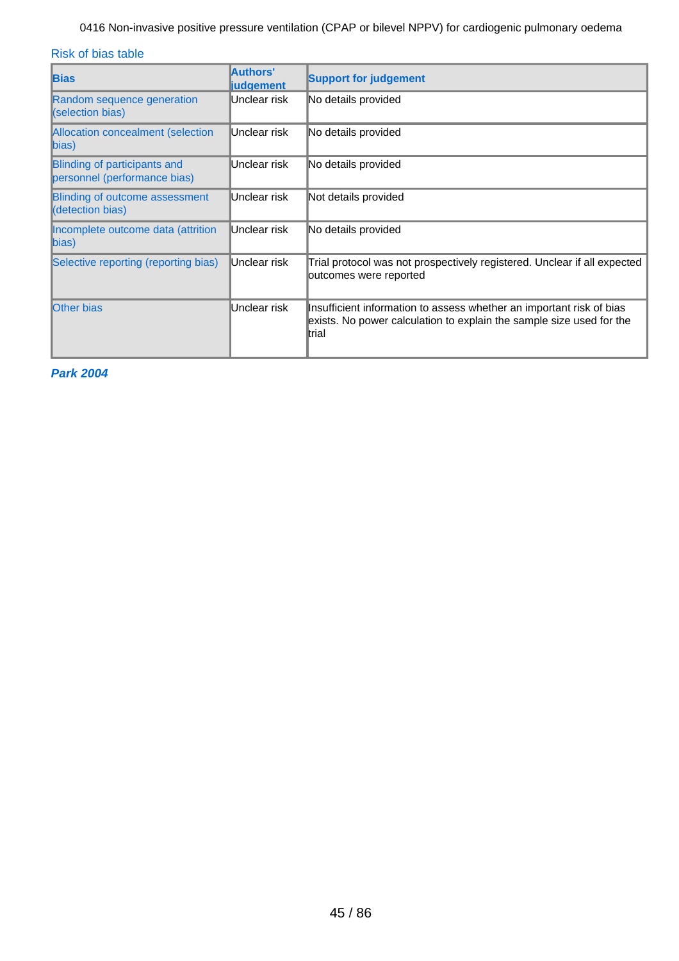Risk of bias table

| <b>Bias</b>                                                         | Authors'<br><b>judgement</b> | <b>Support for judgement</b>                                                                                                                           |
|---------------------------------------------------------------------|------------------------------|--------------------------------------------------------------------------------------------------------------------------------------------------------|
| Random sequence generation<br>(selection bias)                      | Unclear risk                 | No details provided                                                                                                                                    |
| Allocation concealment (selection<br>bias)                          | Unclear risk                 | No details provided                                                                                                                                    |
| <b>Blinding of participants and</b><br>personnel (performance bias) | Unclear risk                 | No details provided                                                                                                                                    |
| <b>Blinding of outcome assessment</b><br>(detection bias)           | Unclear risk                 | Not details provided                                                                                                                                   |
| Incomplete outcome data (attrition<br>$\ket{bias}$                  | Unclear risk                 | No details provided                                                                                                                                    |
| Selective reporting (reporting bias)                                | Unclear risk                 | Trial protocol was not prospectively registered. Unclear if all expected<br>outcomes were reported                                                     |
| <b>Other bias</b>                                                   | Unclear risk                 | Insufficient information to assess whether an important risk of bias<br>exists. No power calculation to explain the sample size used for the<br>ltrial |

**Park 2004**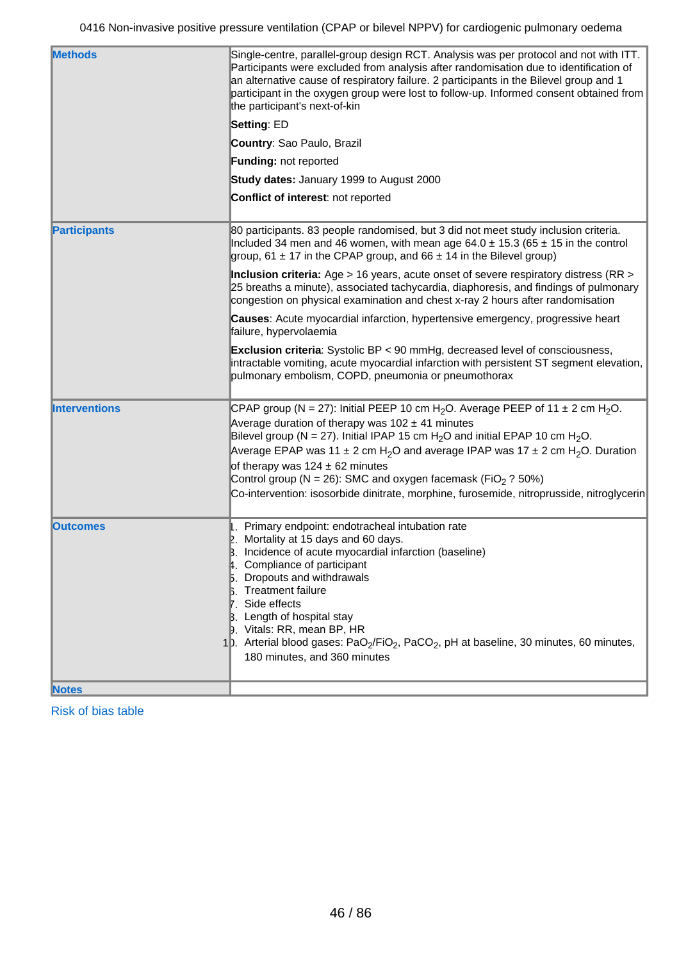| <b>Methods</b>       | Single-centre, parallel-group design RCT. Analysis was per protocol and not with ITT.<br>Participants were excluded from analysis after randomisation due to identification of<br>an alternative cause of respiratory failure. 2 participants in the Bilevel group and 1<br>participant in the oxygen group were lost to follow-up. Informed consent obtained from<br>the participant's next-of-kin                                                                                                                                                                                     |
|----------------------|-----------------------------------------------------------------------------------------------------------------------------------------------------------------------------------------------------------------------------------------------------------------------------------------------------------------------------------------------------------------------------------------------------------------------------------------------------------------------------------------------------------------------------------------------------------------------------------------|
|                      | <b>Setting: ED</b>                                                                                                                                                                                                                                                                                                                                                                                                                                                                                                                                                                      |
|                      | Country: Sao Paulo, Brazil                                                                                                                                                                                                                                                                                                                                                                                                                                                                                                                                                              |
|                      | Funding: not reported                                                                                                                                                                                                                                                                                                                                                                                                                                                                                                                                                                   |
|                      | Study dates: January 1999 to August 2000                                                                                                                                                                                                                                                                                                                                                                                                                                                                                                                                                |
|                      | Conflict of interest: not reported                                                                                                                                                                                                                                                                                                                                                                                                                                                                                                                                                      |
| <b>Participants</b>  | 80 participants. 83 people randomised, but 3 did not meet study inclusion criteria.<br>Included 34 men and 46 women, with mean age $64.0 \pm 15.3$ (65 $\pm$ 15 in the control<br>group, 61 $\pm$ 17 in the CPAP group, and 66 $\pm$ 14 in the Bilevel group)                                                                                                                                                                                                                                                                                                                           |
|                      | Inclusion criteria: Age $> 16$ years, acute onset of severe respiratory distress (RR $>$<br>25 breaths a minute), associated tachycardia, diaphoresis, and findings of pulmonary<br>congestion on physical examination and chest x-ray 2 hours after randomisation                                                                                                                                                                                                                                                                                                                      |
|                      | Causes: Acute myocardial infarction, hypertensive emergency, progressive heart<br>failure, hypervolaemia                                                                                                                                                                                                                                                                                                                                                                                                                                                                                |
|                      | <b>Exclusion criteria</b> : Systolic BP < 90 mmHg, decreased level of consciousness,<br>intractable vomiting, acute myocardial infarction with persistent ST segment elevation,<br>pulmonary embolism, COPD, pneumonia or pneumothorax                                                                                                                                                                                                                                                                                                                                                  |
| <b>Interventions</b> | CPAP group (N = 27): Initial PEEP 10 cm H <sub>2</sub> O. Average PEEP of 11 $\pm$ 2 cm H <sub>2</sub> O.<br>Average duration of therapy was $102 \pm 41$ minutes<br>Bilevel group (N = 27). Initial IPAP 15 cm $H_2O$ and initial EPAP 10 cm $H_2O$ .<br>Average EPAP was 11 $\pm$ 2 cm H <sub>2</sub> O and average IPAP was 17 $\pm$ 2 cm H <sub>2</sub> O. Duration<br>of therapy was $124 \pm 62$ minutes<br>Control group (N = 26): SMC and oxygen facemask (FiO <sub>2</sub> ? 50%)<br>Co-intervention: isosorbide dinitrate, morphine, furosemide, nitroprusside, nitroglycerin |
| <b>Outcomes</b>      | 1. Primary endpoint: endotracheal intubation rate<br>Mortality at 15 days and 60 days.<br>Incidence of acute myocardial infarction (baseline)<br>B<br>Compliance of participant<br>Dropouts and withdrawals<br><b>Treatment failure</b><br>Side effects<br>Length of hospital stay<br>9. Vitals: RR, mean BP, HR<br>1 <sup>b</sup> . Arterial blood gases: PaO <sub>2</sub> /FiO <sub>2</sub> , PaCO <sub>2</sub> , pH at baseline, 30 minutes, 60 minutes,<br>180 minutes, and 360 minutes                                                                                             |
|                      |                                                                                                                                                                                                                                                                                                                                                                                                                                                                                                                                                                                         |

**Notes**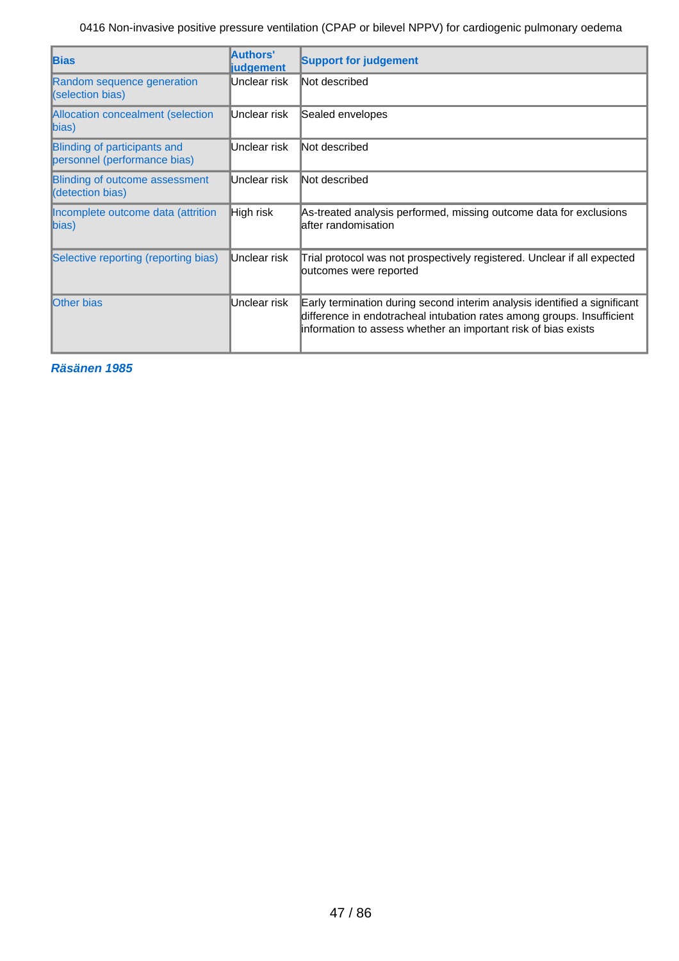| <b>Bias</b>                                                  | Authors'<br><b>judgement</b> | <b>Support for judgement</b>                                                                                                                                                                                          |
|--------------------------------------------------------------|------------------------------|-----------------------------------------------------------------------------------------------------------------------------------------------------------------------------------------------------------------------|
| Random sequence generation<br>(selection bias)               | Unclear risk                 | Not described                                                                                                                                                                                                         |
| Allocation concealment (selection<br>$\ket{bias}$            | Unclear risk                 | Sealed envelopes                                                                                                                                                                                                      |
| Blinding of participants and<br>personnel (performance bias) | Unclear risk                 | Not described                                                                                                                                                                                                         |
| <b>Blinding of outcome assessment</b><br>(detection bias)    | Unclear risk                 | Not described                                                                                                                                                                                                         |
| Incomplete outcome data (attrition<br>$\ket{bias}$           | High risk                    | As-treated analysis performed, missing outcome data for exclusions<br>lafter randomisation                                                                                                                            |
| Selective reporting (reporting bias)                         | Unclear risk                 | Trial protocol was not prospectively registered. Unclear if all expected<br>outcomes were reported                                                                                                                    |
| <b>Other bias</b>                                            | Unclear risk                 | Early termination during second interim analysis identified a significant<br>difference in endotracheal intubation rates among groups. Insufficient<br>information to assess whether an important risk of bias exists |

**Räsänen 1985**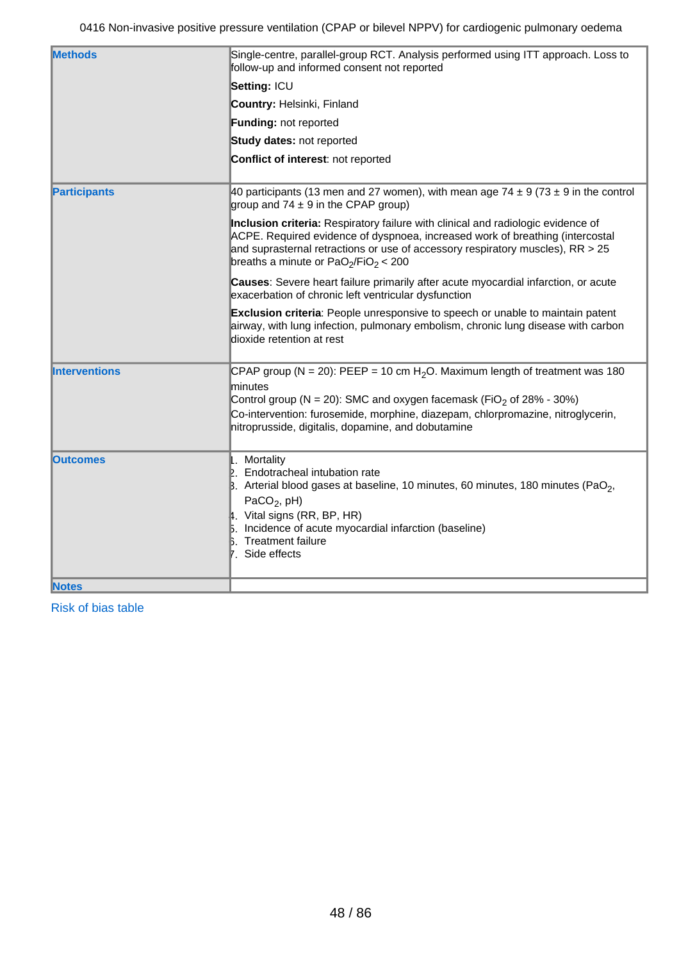| <b>Methods</b>       | Single-centre, parallel-group RCT. Analysis performed using ITT approach. Loss to<br>follow-up and informed consent not reported                                                                                                                                                                                               |
|----------------------|--------------------------------------------------------------------------------------------------------------------------------------------------------------------------------------------------------------------------------------------------------------------------------------------------------------------------------|
|                      | Setting: ICU                                                                                                                                                                                                                                                                                                                   |
|                      | Country: Helsinki, Finland                                                                                                                                                                                                                                                                                                     |
|                      | Funding: not reported                                                                                                                                                                                                                                                                                                          |
|                      | Study dates: not reported                                                                                                                                                                                                                                                                                                      |
|                      | Conflict of interest: not reported                                                                                                                                                                                                                                                                                             |
| <b>Participants</b>  | 40 participants (13 men and 27 women), with mean age 74 $\pm$ 9 (73 $\pm$ 9 in the control<br>group and $74 \pm 9$ in the CPAP group)                                                                                                                                                                                          |
|                      | Inclusion criteria: Respiratory failure with clinical and radiologic evidence of<br>ACPE. Required evidence of dyspnoea, increased work of breathing (intercostal<br>and suprasternal retractions or use of accessory respiratory muscles), $RR > 25$<br>breaths a minute or PaO <sub>2</sub> /FiO <sub>2</sub> < 200          |
|                      | Causes: Severe heart failure primarily after acute myocardial infarction, or acute<br>exacerbation of chronic left ventricular dysfunction                                                                                                                                                                                     |
|                      | Exclusion criteria: People unresponsive to speech or unable to maintain patent<br>airway, with lung infection, pulmonary embolism, chronic lung disease with carbon<br>dioxide retention at rest                                                                                                                               |
| <b>Interventions</b> | CPAP group (N = 20): PEEP = 10 cm H <sub>2</sub> O. Maximum length of treatment was 180<br>minutes<br>Control group (N = 20): SMC and oxygen facemask (FiO <sub>2</sub> of 28% - 30%)<br>Co-intervention: furosemide, morphine, diazepam, chlorpromazine, nitroglycerin,<br>nitroprusside, digitalis, dopamine, and dobutamine |
| <b>Outcomes</b>      | . Mortality<br>2. Endotracheal intubation rate<br>$\beta$ . Arterial blood gases at baseline, 10 minutes, 60 minutes, 180 minutes (PaO <sub>2</sub> ,<br>PaCO <sub>2</sub> , $pH$ )<br>4. Vital signs (RR, BP, HR)<br>5. Incidence of acute myocardial infarction (baseline)<br><b>Treatment failure</b><br>7. Side effects    |
| <b>Notes</b>         |                                                                                                                                                                                                                                                                                                                                |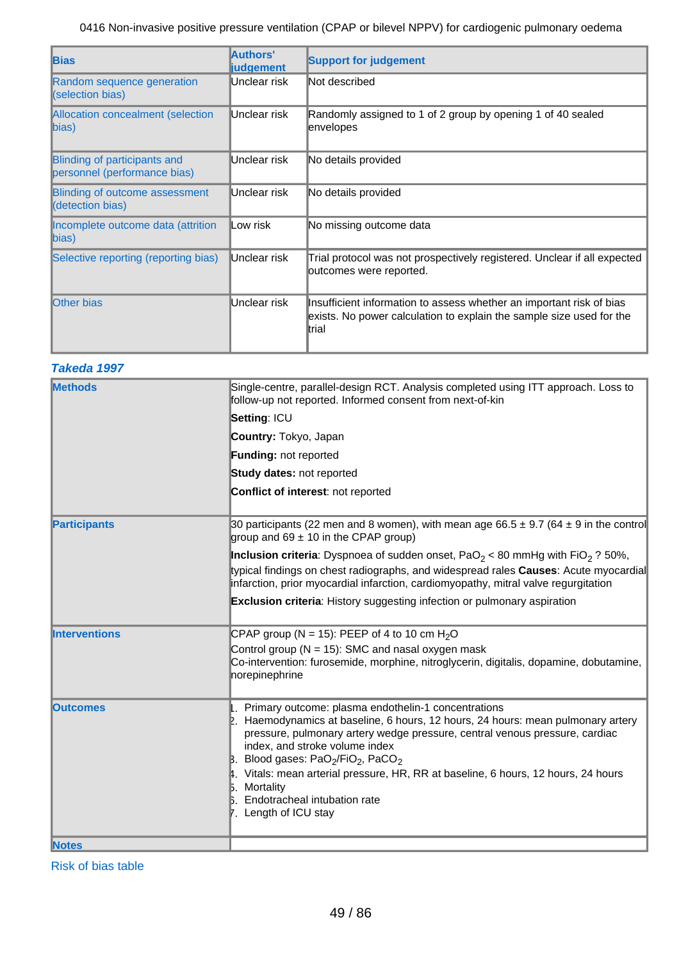| <b>Bias</b>                                                  | Authors'<br><b>liudgement</b> | <b>Support for judgement</b>                                                                                                                           |
|--------------------------------------------------------------|-------------------------------|--------------------------------------------------------------------------------------------------------------------------------------------------------|
| Random sequence generation<br>(selection bias)               | Unclear risk                  | Not described                                                                                                                                          |
| <b>Allocation concealment (selection</b><br>$\ $ bias)       | Unclear risk                  | Randomly assigned to 1 of 2 group by opening 1 of 40 sealed<br>envelopes                                                                               |
| Blinding of participants and<br>personnel (performance bias) | Unclear risk                  | No details provided                                                                                                                                    |
| Blinding of outcome assessment<br>(detection bias)           | Unclear risk                  | No details provided                                                                                                                                    |
| Incomplete outcome data (attrition<br>bias)                  | ∥Low risk                     | No missing outcome data                                                                                                                                |
| Selective reporting (reporting bias)                         | Unclear risk                  | Trial protocol was not prospectively registered. Unclear if all expected<br>outcomes were reported.                                                    |
| <b>Other bias</b>                                            | Unclear risk                  | Insufficient information to assess whether an important risk of bias<br>exists. No power calculation to explain the sample size used for the<br>ltrial |

### **Takeda 1997**

| <b>Methods</b>       | Single-centre, parallel-design RCT. Analysis completed using ITT approach. Loss to<br>follow-up not reported. Informed consent from next-of-kin                                                                                                                                                                                                                                                                                                                                |
|----------------------|--------------------------------------------------------------------------------------------------------------------------------------------------------------------------------------------------------------------------------------------------------------------------------------------------------------------------------------------------------------------------------------------------------------------------------------------------------------------------------|
|                      | Setting: ICU                                                                                                                                                                                                                                                                                                                                                                                                                                                                   |
|                      | Country: Tokyo, Japan                                                                                                                                                                                                                                                                                                                                                                                                                                                          |
|                      | <b>Funding: not reported</b>                                                                                                                                                                                                                                                                                                                                                                                                                                                   |
|                      | <b>Study dates: not reported</b>                                                                                                                                                                                                                                                                                                                                                                                                                                               |
|                      | Conflict of interest: not reported                                                                                                                                                                                                                                                                                                                                                                                                                                             |
| <b>Participants</b>  | 30 participants (22 men and 8 women), with mean age $66.5 \pm 9.7$ (64 $\pm$ 9 in the control<br>group and $69 \pm 10$ in the CPAP group)                                                                                                                                                                                                                                                                                                                                      |
|                      | <b>Inclusion criteria</b> : Dyspnoea of sudden onset, PaO <sub>2</sub> < 80 mmHg with FiO <sub>2</sub> ? 50%,<br>typical findings on chest radiographs, and widespread rales Causes: Acute myocardial<br>infarction, prior myocardial infarction, cardiomyopathy, mitral valve regurgitation                                                                                                                                                                                   |
|                      | <b>Exclusion criteria:</b> History suggesting infection or pulmonary aspiration                                                                                                                                                                                                                                                                                                                                                                                                |
| <b>Interventions</b> | CPAP group (N = 15): PEEP of 4 to 10 cm $H_2O$                                                                                                                                                                                                                                                                                                                                                                                                                                 |
|                      | Control group ( $N = 15$ ): SMC and nasal oxygen mask<br>Co-intervention: furosemide, morphine, nitroglycerin, digitalis, dopamine, dobutamine,<br>norepinephrine                                                                                                                                                                                                                                                                                                              |
| <b>Outcomes</b>      | Primary outcome: plasma endothelin-1 concentrations<br>Haemodynamics at baseline, 6 hours, 12 hours, 24 hours: mean pulmonary artery<br>pressure, pulmonary artery wedge pressure, central venous pressure, cardiac<br>index, and stroke volume index<br>B. Blood gases: PaO <sub>2</sub> /FiO <sub>2</sub> , PaCO <sub>2</sub><br>4. Vitals: mean arterial pressure, HR, RR at baseline, 6 hours, 12 hours, 24 hours<br>Mortality<br>Б.<br>Endotracheal intubation rate<br>b. |
|                      | ∤. Length of ICU stay                                                                                                                                                                                                                                                                                                                                                                                                                                                          |
| <b>Notes</b>         |                                                                                                                                                                                                                                                                                                                                                                                                                                                                                |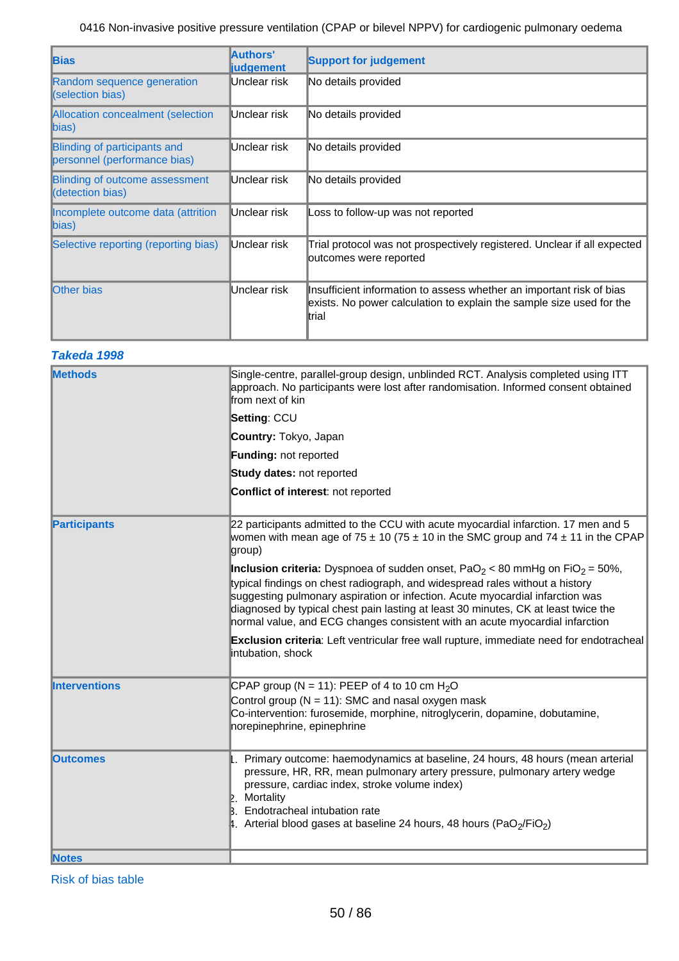| <b>Bias</b>                                                  | Authors'<br><b>liudgement</b> | <b>Support for judgement</b>                                                                                                                           |
|--------------------------------------------------------------|-------------------------------|--------------------------------------------------------------------------------------------------------------------------------------------------------|
| Random sequence generation<br>(selection bias)               | Unclear risk                  | No details provided                                                                                                                                    |
| Allocation concealment (selection<br>bias)                   | Unclear risk                  | No details provided                                                                                                                                    |
| Blinding of participants and<br>personnel (performance bias) | Unclear risk                  | No details provided                                                                                                                                    |
| <b>Blinding of outcome assessment</b><br>(detection bias)    | Unclear risk                  | No details provided                                                                                                                                    |
| Incomplete outcome data (attrition<br>$\ket{bias}$           | Unclear risk                  | Loss to follow-up was not reported                                                                                                                     |
| Selective reporting (reporting bias)                         | Unclear risk                  | Trial protocol was not prospectively registered. Unclear if all expected<br>outcomes were reported                                                     |
| <b>Other bias</b>                                            | Unclear risk                  | Insufficient information to assess whether an important risk of bias<br>exists. No power calculation to explain the sample size used for the<br>ltrial |

## **Takeda 1998**

| <b>Methods</b>       | Single-centre, parallel-group design, unblinded RCT. Analysis completed using ITT<br>approach. No participants were lost after randomisation. Informed consent obtained<br>from next of kin                                                                                                                                                                                                                                                       |
|----------------------|---------------------------------------------------------------------------------------------------------------------------------------------------------------------------------------------------------------------------------------------------------------------------------------------------------------------------------------------------------------------------------------------------------------------------------------------------|
|                      | Setting: CCU                                                                                                                                                                                                                                                                                                                                                                                                                                      |
|                      | Country: Tokyo, Japan                                                                                                                                                                                                                                                                                                                                                                                                                             |
|                      | Funding: not reported                                                                                                                                                                                                                                                                                                                                                                                                                             |
|                      | Study dates: not reported                                                                                                                                                                                                                                                                                                                                                                                                                         |
|                      | Conflict of interest: not reported                                                                                                                                                                                                                                                                                                                                                                                                                |
| <b>Participants</b>  | 22 participants admitted to the CCU with acute myocardial infarction. 17 men and 5<br>women with mean age of 75 $\pm$ 10 (75 $\pm$ 10 in the SMC group and 74 $\pm$ 11 in the CPAP<br>group)                                                                                                                                                                                                                                                      |
|                      | <b>Inclusion criteria:</b> Dyspnoea of sudden onset, PaO <sub>2</sub> < 80 mmHg on FiO <sub>2</sub> = 50%,<br>typical findings on chest radiograph, and widespread rales without a history<br>suggesting pulmonary aspiration or infection. Acute myocardial infarction was<br>diagnosed by typical chest pain lasting at least 30 minutes, CK at least twice the<br>normal value, and ECG changes consistent with an acute myocardial infarction |
|                      | Exclusion criteria: Left ventricular free wall rupture, immediate need for endotracheal<br>intubation, shock                                                                                                                                                                                                                                                                                                                                      |
| <b>Interventions</b> | CPAP group (N = 11): PEEP of 4 to 10 cm $H_2O$                                                                                                                                                                                                                                                                                                                                                                                                    |
|                      | Control group ( $N = 11$ ): SMC and nasal oxygen mask<br>Co-intervention: furosemide, morphine, nitroglycerin, dopamine, dobutamine,<br>norepinephrine, epinephrine                                                                                                                                                                                                                                                                               |
| <b>Outcomes</b>      | 1. Primary outcome: haemodynamics at baseline, 24 hours, 48 hours (mean arterial<br>pressure, HR, RR, mean pulmonary artery pressure, pulmonary artery wedge<br>pressure, cardiac index, stroke volume index)<br>Mortality<br>IP.<br>Endotracheal intubation rate<br>B.<br>4. Arterial blood gases at baseline 24 hours, 48 hours (PaO <sub>2</sub> /FiO <sub>2</sub> )                                                                           |
| <b>Notes</b>         |                                                                                                                                                                                                                                                                                                                                                                                                                                                   |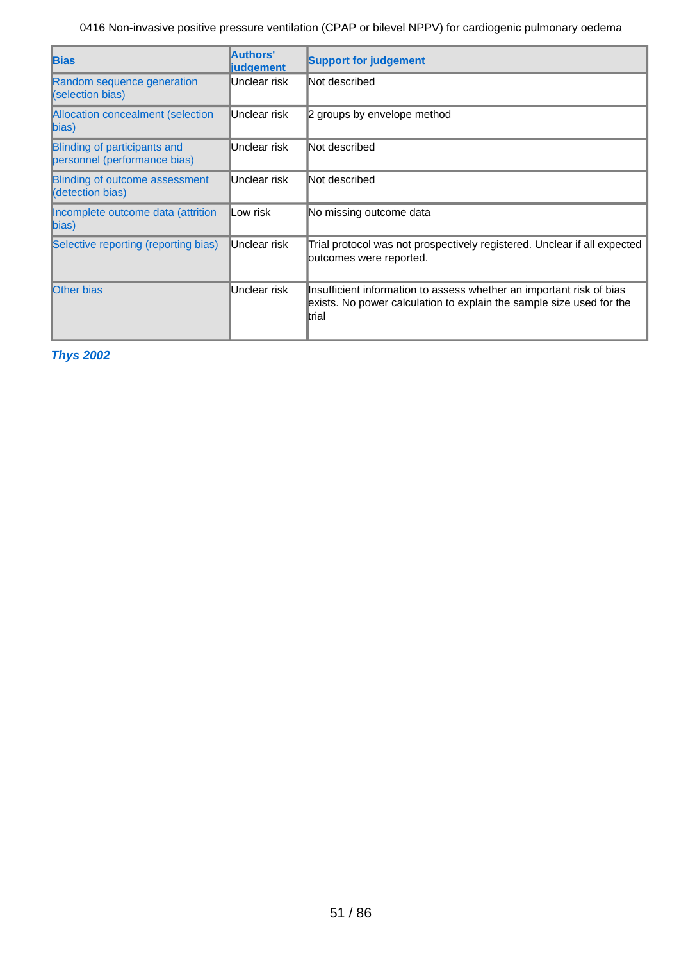| <b>Bias</b>                                                  | Authors'<br><b>liudgement</b> | <b>Support for judgement</b>                                                                                                                           |
|--------------------------------------------------------------|-------------------------------|--------------------------------------------------------------------------------------------------------------------------------------------------------|
| Random sequence generation<br>(selection bias)               | Unclear risk                  | Not described                                                                                                                                          |
| <b>Allocation concealment (selection</b><br>$\ket{bias}$     | Unclear risk                  | 2 groups by envelope method                                                                                                                            |
| Blinding of participants and<br>personnel (performance bias) | Unclear risk                  | Not described                                                                                                                                          |
| <b>Blinding of outcome assessment</b><br>(detection bias)    | Unclear risk                  | Not described                                                                                                                                          |
| Incomplete outcome data (attrition<br>$\ket{bias}$           | lLow risk                     | No missing outcome data                                                                                                                                |
| Selective reporting (reporting bias)                         | Unclear risk                  | Trial protocol was not prospectively registered. Unclear if all expected<br>outcomes were reported.                                                    |
| <b>Other bias</b>                                            | Unclear risk                  | Insufficient information to assess whether an important risk of bias<br>exists. No power calculation to explain the sample size used for the<br>∥trial |

**Thys 2002**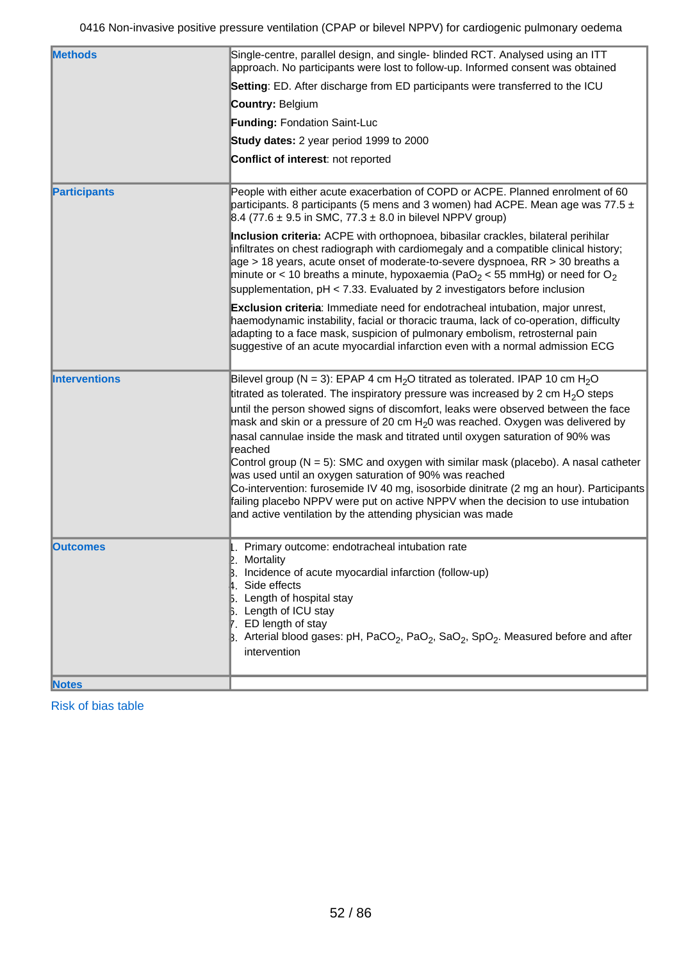| <b>Methods</b>       | Single-centre, parallel design, and single- blinded RCT. Analysed using an ITT<br>approach. No participants were lost to follow-up. Informed consent was obtained                                                                                                                                                                                                                                                                                 |
|----------------------|---------------------------------------------------------------------------------------------------------------------------------------------------------------------------------------------------------------------------------------------------------------------------------------------------------------------------------------------------------------------------------------------------------------------------------------------------|
|                      | Setting: ED. After discharge from ED participants were transferred to the ICU                                                                                                                                                                                                                                                                                                                                                                     |
|                      | Country: Belgium                                                                                                                                                                                                                                                                                                                                                                                                                                  |
|                      | <b>Funding: Fondation Saint-Luc</b>                                                                                                                                                                                                                                                                                                                                                                                                               |
|                      | Study dates: 2 year period 1999 to 2000                                                                                                                                                                                                                                                                                                                                                                                                           |
|                      | Conflict of interest: not reported                                                                                                                                                                                                                                                                                                                                                                                                                |
| <b>Participants</b>  | People with either acute exacerbation of COPD or ACPE. Planned enrolment of 60<br>participants. 8 participants (5 mens and 3 women) had ACPE. Mean age was 77.5 $\pm$<br>8.4 (77.6 $\pm$ 9.5 in SMC, 77.3 $\pm$ 8.0 in bilevel NPPV group)                                                                                                                                                                                                        |
|                      | Inclusion criteria: ACPE with orthopnoea, bibasilar crackles, bilateral perihilar<br>infiltrates on chest radiograph with cardiomegaly and a compatible clinical history;<br>age > 18 years, acute onset of moderate-to-severe dyspnoea, RR > 30 breaths a<br>minute or < 10 breaths a minute, hypoxaemia (PaO <sub>2</sub> < 55 mmHg) or need for O <sub>2</sub><br>supplementation, $pH < 7.33$ . Evaluated by 2 investigators before inclusion |
|                      | Exclusion criteria: Immediate need for endotracheal intubation, major unrest,<br>haemodynamic instability, facial or thoracic trauma, lack of co-operation, difficulty<br>adapting to a face mask, suspicion of pulmonary embolism, retrosternal pain<br>suggestive of an acute myocardial infarction even with a normal admission ECG                                                                                                            |
| <b>Interventions</b> | Bilevel group (N = 3): EPAP 4 cm H <sub>2</sub> O titrated as tolerated. IPAP 10 cm H <sub>2</sub> O                                                                                                                                                                                                                                                                                                                                              |
|                      | titrated as tolerated. The inspiratory pressure was increased by 2 cm $H2O$ steps                                                                                                                                                                                                                                                                                                                                                                 |
|                      | until the person showed signs of discomfort, leaks were observed between the face<br>mask and skin or a pressure of 20 cm $H_2$ 0 was reached. Oxygen was delivered by<br>nasal cannulae inside the mask and titrated until oxygen saturation of 90% was                                                                                                                                                                                          |
|                      | reached                                                                                                                                                                                                                                                                                                                                                                                                                                           |
|                      | Control group ( $N = 5$ ): SMC and oxygen with similar mask (placebo). A nasal catheter                                                                                                                                                                                                                                                                                                                                                           |
|                      | was used until an oxygen saturation of 90% was reached<br>Co-intervention: furosemide IV 40 mg, isosorbide dinitrate (2 mg an hour). Participants<br>failing placebo NPPV were put on active NPPV when the decision to use intubation<br>and active ventilation by the attending physician was made                                                                                                                                               |
| <b>Outcomes</b>      | 1. Primary outcome: endotracheal intubation rate                                                                                                                                                                                                                                                                                                                                                                                                  |
|                      | 2. Mortality<br>Incidence of acute myocardial infarction (follow-up)                                                                                                                                                                                                                                                                                                                                                                              |
|                      | 4. Side effects                                                                                                                                                                                                                                                                                                                                                                                                                                   |
|                      | 5. Length of hospital stay<br><b>B.</b> Length of ICU stay                                                                                                                                                                                                                                                                                                                                                                                        |
|                      | 7. ED length of stay                                                                                                                                                                                                                                                                                                                                                                                                                              |
|                      | B. Arterial blood gases: pH, PaCO <sub>2</sub> , PaO <sub>2</sub> , SaO <sub>2</sub> , SpO <sub>2</sub> . Measured before and after<br>intervention                                                                                                                                                                                                                                                                                               |
|                      |                                                                                                                                                                                                                                                                                                                                                                                                                                                   |
| <b>Notes</b>         |                                                                                                                                                                                                                                                                                                                                                                                                                                                   |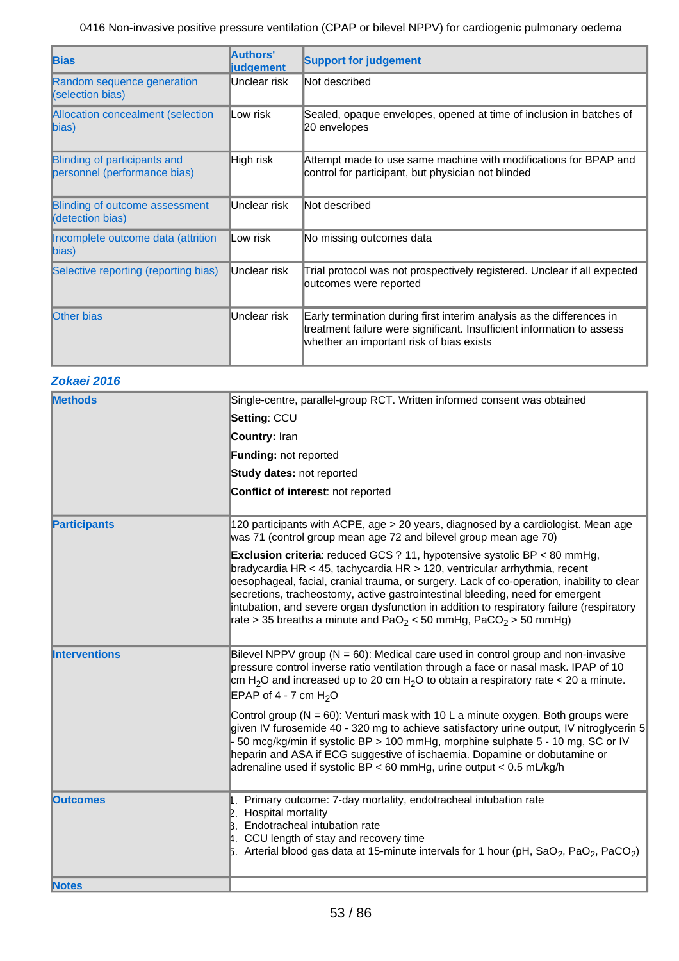| <b>Bias</b>                                                  | Authors'<br><b>judgement</b> | <b>Support for judgement</b>                                                                                                                                                                |
|--------------------------------------------------------------|------------------------------|---------------------------------------------------------------------------------------------------------------------------------------------------------------------------------------------|
| Random sequence generation<br>(selection bias)               | Unclear risk                 | Not described                                                                                                                                                                               |
| Allocation concealment (selection<br>$\ket{bias}$            | Low risk                     | Sealed, opaque envelopes, opened at time of inclusion in batches of<br>20 envelopes                                                                                                         |
| Blinding of participants and<br>personnel (performance bias) | High risk                    | Attempt made to use same machine with modifications for BPAP and<br>control for participant, but physician not blinded                                                                      |
| Blinding of outcome assessment<br>(detection bias)           | Unclear risk                 | Not described                                                                                                                                                                               |
| Incomplete outcome data (attrition<br>$\ket{\text{bias}}$    | ∥Low risk                    | No missing outcomes data                                                                                                                                                                    |
| Selective reporting (reporting bias)                         | Unclear risk                 | Trial protocol was not prospectively registered. Unclear if all expected<br>outcomes were reported                                                                                          |
| <b>Other bias</b>                                            | Unclear risk                 | Early termination during first interim analysis as the differences in<br>treatment failure were significant. Insufficient information to assess<br>whether an important risk of bias exists |

| Zokaei 2016 |  |
|-------------|--|
|             |  |

| <b>Methods</b>       | Single-centre, parallel-group RCT. Written informed consent was obtained                                                                                                                                                                                                                                                                                                                                                                                                                                                             |
|----------------------|--------------------------------------------------------------------------------------------------------------------------------------------------------------------------------------------------------------------------------------------------------------------------------------------------------------------------------------------------------------------------------------------------------------------------------------------------------------------------------------------------------------------------------------|
|                      | Setting: CCU                                                                                                                                                                                                                                                                                                                                                                                                                                                                                                                         |
|                      | Country: Iran                                                                                                                                                                                                                                                                                                                                                                                                                                                                                                                        |
|                      | <b>Funding: not reported</b>                                                                                                                                                                                                                                                                                                                                                                                                                                                                                                         |
|                      | Study dates: not reported                                                                                                                                                                                                                                                                                                                                                                                                                                                                                                            |
|                      | Conflict of interest: not reported                                                                                                                                                                                                                                                                                                                                                                                                                                                                                                   |
|                      |                                                                                                                                                                                                                                                                                                                                                                                                                                                                                                                                      |
| <b>Participants</b>  | 120 participants with ACPE, age > 20 years, diagnosed by a cardiologist. Mean age<br>was 71 (control group mean age 72 and bilevel group mean age 70)                                                                                                                                                                                                                                                                                                                                                                                |
|                      | <b>Exclusion criteria</b> : reduced GCS ? 11, hypotensive systolic BP $<$ 80 mmHg,<br>bradycardia HR < 45, tachycardia HR > 120, ventricular arrhythmia, recent<br>oesophageal, facial, cranial trauma, or surgery. Lack of co-operation, inability to clear<br>secretions, tracheostomy, active gastrointestinal bleeding, need for emergent<br>intubation, and severe organ dysfunction in addition to respiratory failure (respiratory<br>rate > 35 breaths a minute and PaO <sub>2</sub> < 50 mmHg, PaCO <sub>2</sub> > 50 mmHg) |
| <b>Interventions</b> | Bilevel NPPV group ( $N = 60$ ): Medical care used in control group and non-invasive<br>pressure control inverse ratio ventilation through a face or nasal mask. IPAP of 10<br>cm H <sub>2</sub> O and increased up to 20 cm H <sub>2</sub> O to obtain a respiratory rate < 20 a minute.<br>EPAP of 4 - 7 cm $H_2O$                                                                                                                                                                                                                 |
|                      | Control group ( $N = 60$ ): Venturi mask with 10 L a minute oxygen. Both groups were<br>given IV furosemide 40 - 320 mg to achieve satisfactory urine output, IV nitroglycerin 5<br>50 mcg/kg/min if systolic BP > 100 mmHg, morphine sulphate 5 - 10 mg, SC or IV<br>heparin and ASA if ECG suggestive of ischaemia. Dopamine or dobutamine or<br>adrenaline used if systolic BP < 60 mmHg, urine output < $0.5$ mL/kg/h                                                                                                            |
| <b>lOutcomes</b>     | . Primary outcome: 7-day mortality, endotracheal intubation rate<br>Hospital mortality<br>Endotracheal intubation rate<br>B.<br>CCU length of stay and recovery time<br><b>5.</b> Arterial blood gas data at 15-minute intervals for 1 hour (pH, SaO <sub>2</sub> , PaO <sub>2</sub> , PaCO <sub>2</sub> )                                                                                                                                                                                                                           |
| <b>Notes</b>         |                                                                                                                                                                                                                                                                                                                                                                                                                                                                                                                                      |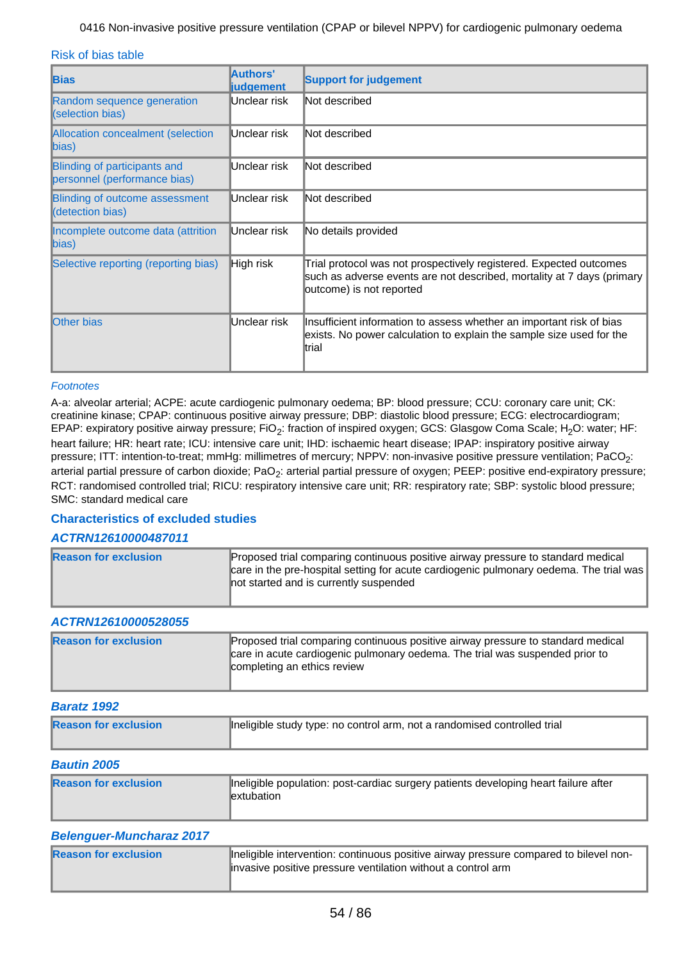Risk of bias table

| <b>Bias</b>                                                  | Authors'<br><b>judgement</b> | <b>Support for judgement</b>                                                                                                                                             |
|--------------------------------------------------------------|------------------------------|--------------------------------------------------------------------------------------------------------------------------------------------------------------------------|
| Random sequence generation<br>(selection bias)               | Unclear risk                 | Not described                                                                                                                                                            |
| Allocation concealment (selection<br>$\ket{bias}$            | Unclear risk                 | Not described                                                                                                                                                            |
| Blinding of participants and<br>personnel (performance bias) | Unclear risk                 | Not described                                                                                                                                                            |
| <b>Blinding of outcome assessment</b><br>(detection bias)    | Unclear risk                 | Not described                                                                                                                                                            |
| Incomplete outcome data (attrition<br>$\ket{bias}$           | Unclear risk                 | No details provided                                                                                                                                                      |
| Selective reporting (reporting bias)                         | High risk                    | Trial protocol was not prospectively registered. Expected outcomes<br>such as adverse events are not described, mortality at 7 days (primary<br>outcome) is not reported |
| <b>Other bias</b>                                            | Unclear risk                 | Insufficient information to assess whether an important risk of bias<br>exists. No power calculation to explain the sample size used for the<br>ltrial                   |

#### Footnotes

A-a: alveolar arterial; ACPE: acute cardiogenic pulmonary oedema; BP: blood pressure; CCU: coronary care unit; CK: creatinine kinase; CPAP: continuous positive airway pressure; DBP: diastolic blood pressure; ECG: electrocardiogram; EPAP: expiratory positive airway pressure; FiO<sub>2</sub>: fraction of inspired oxygen; GCS: Glasgow Coma Scale; H<sub>2</sub>O: water; HF: heart failure; HR: heart rate; ICU: intensive care unit; IHD: ischaemic heart disease; IPAP: inspiratory positive airway pressure; ITT: intention-to-treat; mmHg: millimetres of mercury; NPPV: non-invasive positive pressure ventilation; PaCO<sub>2</sub>: arterial partial pressure of carbon dioxide; PaO<sub>2</sub>: arterial partial pressure of oxygen; PEEP: positive end-expiratory pressure; RCT: randomised controlled trial; RICU: respiratory intensive care unit; RR: respiratory rate; SBP: systolic blood pressure; SMC: standard medical care

## **Characteristics of excluded studies**

### **ACTRN12610000487011**

| <b>Reason for exclusion</b> | Proposed trial comparing continuous positive airway pressure to standard medical<br>care in the pre-hospital setting for acute cardiogenic pulmonary oedema. The trial was<br>not started and is currently suspended |
|-----------------------------|----------------------------------------------------------------------------------------------------------------------------------------------------------------------------------------------------------------------|
|-----------------------------|----------------------------------------------------------------------------------------------------------------------------------------------------------------------------------------------------------------------|

### **ACTRN12610000528055**

| <b>Reason for exclusion</b> | Proposed trial comparing continuous positive airway pressure to standard medical<br>care in acute cardiogenic pulmonary oedema. The trial was suspended prior to<br><b>Completing an ethics review</b> |
|-----------------------------|--------------------------------------------------------------------------------------------------------------------------------------------------------------------------------------------------------|

#### **Baratz 1992**

| <b>Reason for exclusion</b> | Ineligible study type: no control arm, not a randomised controlled trial |
|-----------------------------|--------------------------------------------------------------------------|
| <b>Bautin 2005</b>          |                                                                          |

#### **Belenguer-Muncharaz 2017**

| <b>Reason for exclusion</b> | Ineligible intervention: continuous positive airway pressure compared to bilevel non-<br>linvasive positive pressure ventilation without a control arm |
|-----------------------------|--------------------------------------------------------------------------------------------------------------------------------------------------------|
|                             |                                                                                                                                                        |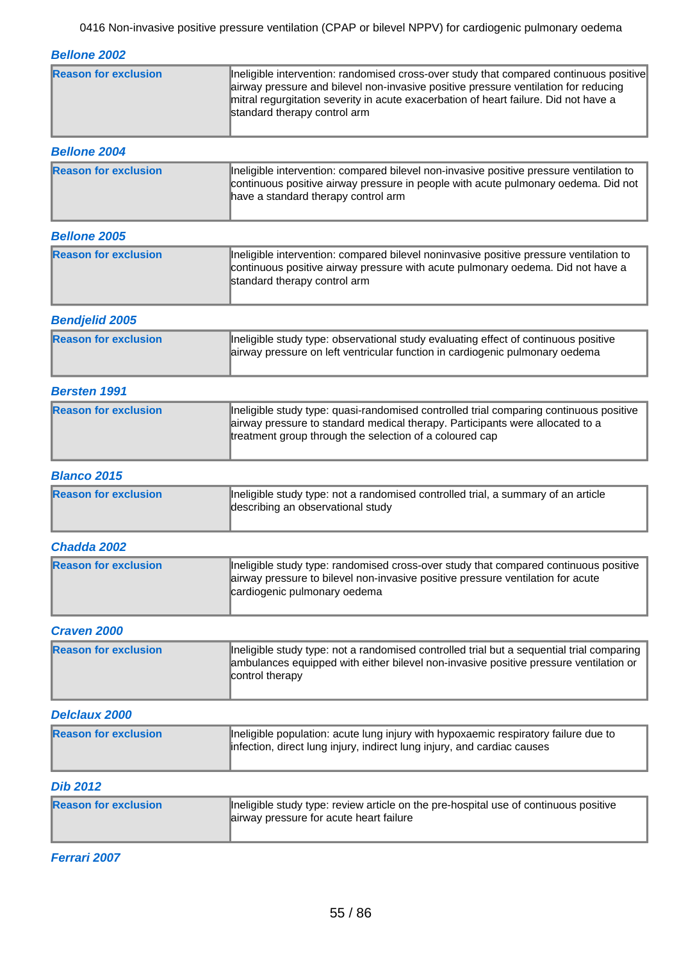**Bellone 2002**

| <b>Reason for exclusion</b> | Ineligible intervention: randomised cross-over study that compared continuous positive<br>airway pressure and bilevel non-invasive positive pressure ventilation for reducing<br>mitral regurgitation severity in acute exacerbation of heart failure. Did not have a<br>standard therapy control arm |
|-----------------------------|-------------------------------------------------------------------------------------------------------------------------------------------------------------------------------------------------------------------------------------------------------------------------------------------------------|
| <b>Bellone 2004</b>         |                                                                                                                                                                                                                                                                                                       |

| <b>Reason for exclusion</b> | Ineligible intervention: compared bilevel non-invasive positive pressure ventilation to<br>continuous positive airway pressure in people with acute pulmonary oedema. Did not<br>have a standard therapy control arm |
|-----------------------------|----------------------------------------------------------------------------------------------------------------------------------------------------------------------------------------------------------------------|

### **Bellone 2005**

| <b>Reason for exclusion</b> | Ineligible intervention: compared bilevel noninvasive positive pressure ventilation to<br>continuous positive airway pressure with acute pulmonary oedema. Did not have a<br>standard therapy control arm |
|-----------------------------|-----------------------------------------------------------------------------------------------------------------------------------------------------------------------------------------------------------|
|                             |                                                                                                                                                                                                           |

### **Bendjelid 2005**

| <b>Reason for exclusion</b> | Ineligible study type: observational study evaluating effect of continuous positive<br>airway pressure on left ventricular function in cardiogenic pulmonary oedema |
|-----------------------------|---------------------------------------------------------------------------------------------------------------------------------------------------------------------|

### **Bersten 1991**

| <b>Reason for exclusion</b> | Ineligible study type: quasi-randomised controlled trial comparing continuous positive<br>airway pressure to standard medical therapy. Participants were allocated to a<br>treatment group through the selection of a coloured cap |
|-----------------------------|------------------------------------------------------------------------------------------------------------------------------------------------------------------------------------------------------------------------------------|
|                             |                                                                                                                                                                                                                                    |

### **Blanco 2015**

| <b>Reason for exclusion</b> | Ineligible study type: not a randomised controlled trial, a summary of an article<br>describing an observational study |
|-----------------------------|------------------------------------------------------------------------------------------------------------------------|
|                             |                                                                                                                        |

## **Chadda 2002**

| <b>Reason for exclusion</b> | Ineligible study type: randomised cross-over study that compared continuous positive<br>airway pressure to bilevel non-invasive positive pressure ventilation for acute<br>cardiogenic pulmonary oedema |
|-----------------------------|---------------------------------------------------------------------------------------------------------------------------------------------------------------------------------------------------------|
|                             |                                                                                                                                                                                                         |

### **Craven 2000**

| <b>Reason for exclusion</b> | Ineligible study type: not a randomised controlled trial but a sequential trial comparing  <br>ambulances equipped with either bilevel non-invasive positive pressure ventilation or<br>control therapy |
|-----------------------------|---------------------------------------------------------------------------------------------------------------------------------------------------------------------------------------------------------|
|                             |                                                                                                                                                                                                         |

#### **Delclaux 2000**

| <b>Reason for exclusion</b> | Ineligible population: acute lung injury with hypoxaemic respiratory failure due to<br>infection, direct lung injury, indirect lung injury, and cardiac causes |
|-----------------------------|----------------------------------------------------------------------------------------------------------------------------------------------------------------|
|                             |                                                                                                                                                                |

### **Dib 2012**

| <b>Reason for exclusion</b> | Ineligible study type: review article on the pre-hospital use of continuous positive<br>airway pressure for acute heart failure |
|-----------------------------|---------------------------------------------------------------------------------------------------------------------------------|
|-----------------------------|---------------------------------------------------------------------------------------------------------------------------------|

**Ferrari 2007**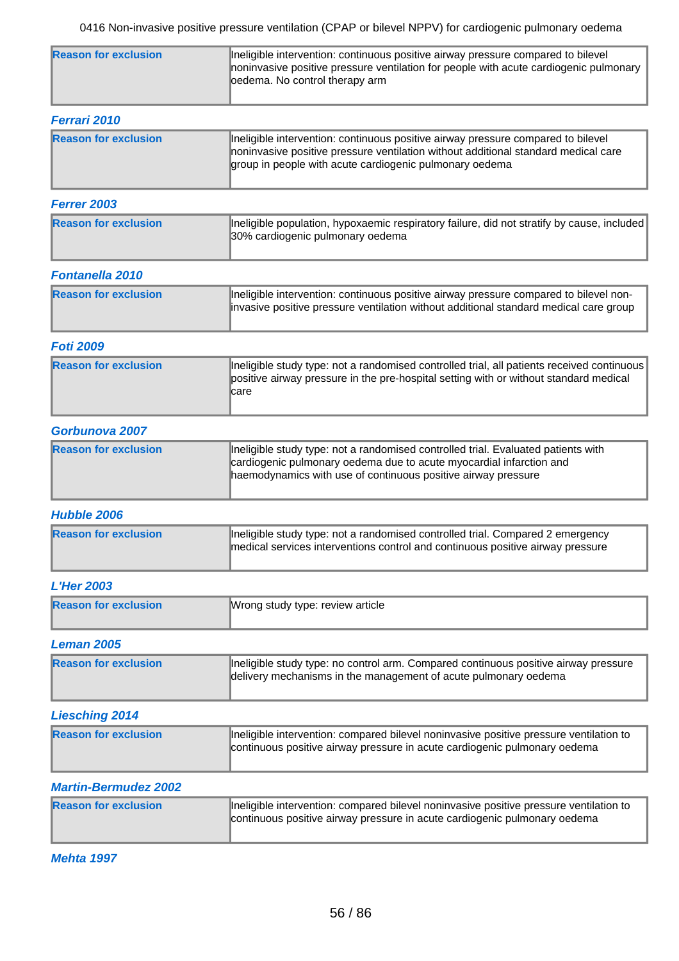| <b>Reason for exclusion</b> | Ineligible intervention: continuous positive airway pressure compared to bilevel<br>noninvasive positive pressure ventilation for people with acute cardiogenic pulmonary |
|-----------------------------|---------------------------------------------------------------------------------------------------------------------------------------------------------------------------|
|                             | loedema. No control therapy arm                                                                                                                                           |

| <b>Ferrari 2010</b>         |                                                                                                                                                                                                                                   |
|-----------------------------|-----------------------------------------------------------------------------------------------------------------------------------------------------------------------------------------------------------------------------------|
| <b>Reason for exclusion</b> | Ineligible intervention: continuous positive airway pressure compared to bilevel<br>noninvasive positive pressure ventilation without additional standard medical care<br>group in people with acute cardiogenic pulmonary oedema |

### **Ferrer 2003**

| <b>Reason for exclusion</b> | Ineligible population, hypoxaemic respiratory failure, did not stratify by cause, included  <br>30% cardiogenic pulmonary oedema |
|-----------------------------|----------------------------------------------------------------------------------------------------------------------------------|

### **Fontanella 2010**

| <b>Reason for exclusion</b> | Ineligible intervention: continuous positive airway pressure compared to bilevel non-<br>invasive positive pressure ventilation without additional standard medical care group |
|-----------------------------|--------------------------------------------------------------------------------------------------------------------------------------------------------------------------------|
|                             |                                                                                                                                                                                |

### **Foti 2009**

| <b>Reason for exclusion</b> | Ineligible study type: not a randomised controlled trial, all patients received continuous<br>positive airway pressure in the pre-hospital setting with or without standard medical<br>∥care |
|-----------------------------|----------------------------------------------------------------------------------------------------------------------------------------------------------------------------------------------|
|                             |                                                                                                                                                                                              |

### **Gorbunova 2007**

| <b>Reason for exclusion</b> | Ineligible study type: not a randomised controlled trial. Evaluated patients with<br>cardiogenic pulmonary oedema due to acute myocardial infarction and<br>haemodynamics with use of continuous positive airway pressure |
|-----------------------------|---------------------------------------------------------------------------------------------------------------------------------------------------------------------------------------------------------------------------|
|-----------------------------|---------------------------------------------------------------------------------------------------------------------------------------------------------------------------------------------------------------------------|

### **Hubble 2006**

| <b>Reason for exclusion</b> | Ineligible study type: not a randomised controlled trial. Compared 2 emergency<br>medical services interventions control and continuous positive airway pressure |
|-----------------------------|------------------------------------------------------------------------------------------------------------------------------------------------------------------|
|                             |                                                                                                                                                                  |

## **L'Her 2003**

| <b>Reason for exclusion</b> | Wrong study type: review article |
|-----------------------------|----------------------------------|
| <b>Leman 2005</b>           |                                  |

| <b>Reason for exclusion</b> | Ineligible study type: no control arm. Compared continuous positive airway pressure<br>delivery mechanisms in the management of acute pulmonary oedema |
|-----------------------------|--------------------------------------------------------------------------------------------------------------------------------------------------------|

## **Liesching 2014**

| <b>Reason for exclusion</b> | Ineligible intervention: compared bilevel noninvasive positive pressure ventilation to<br>continuous positive airway pressure in acute cardiogenic pulmonary oedema |
|-----------------------------|---------------------------------------------------------------------------------------------------------------------------------------------------------------------|
|                             |                                                                                                                                                                     |

## **Martin-Bermudez 2002**

| <b>Reason for exclusion</b> | Ineligible intervention: compared bilevel noninvasive positive pressure ventilation to<br>continuous positive airway pressure in acute cardiogenic pulmonary oedema |
|-----------------------------|---------------------------------------------------------------------------------------------------------------------------------------------------------------------|
|                             |                                                                                                                                                                     |

**Mehta 1997**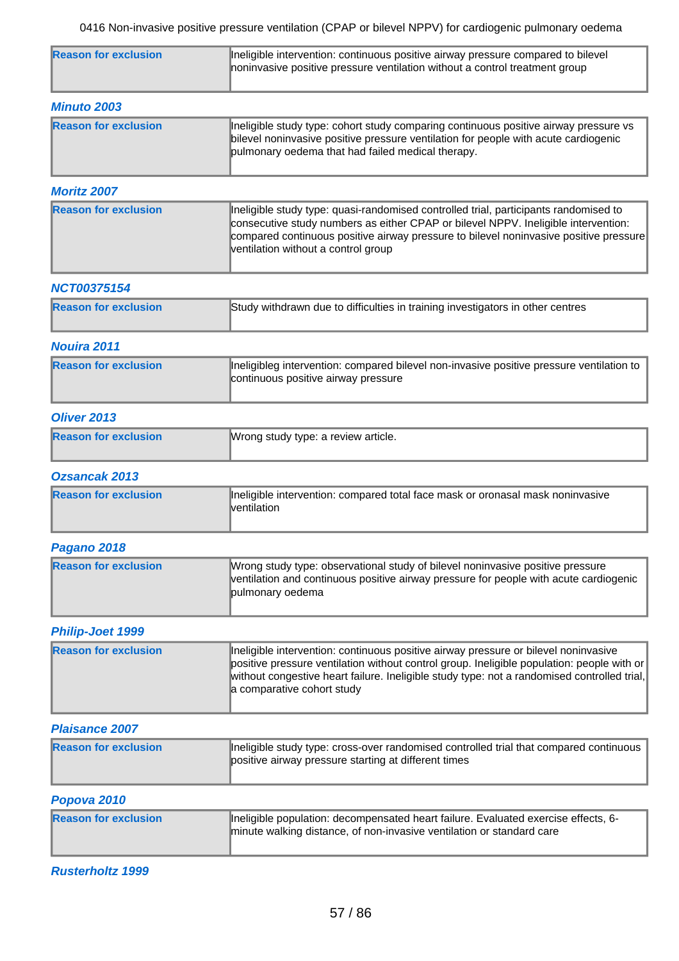| <b>Reason for exclusion</b> | Ineligible intervention: continuous positive airway pressure compared to bilevel<br>noninvasive positive pressure ventilation without a control treatment group |
|-----------------------------|-----------------------------------------------------------------------------------------------------------------------------------------------------------------|
| <b>Minuto 2003</b>          |                                                                                                                                                                 |

| <b>Reason for exclusion</b> | Ineligible study type: cohort study comparing continuous positive airway pressure vs<br>bilevel noninvasive positive pressure ventilation for people with acute cardiogenic<br>pulmonary oedema that had failed medical therapy. |  |
|-----------------------------|----------------------------------------------------------------------------------------------------------------------------------------------------------------------------------------------------------------------------------|--|
|                             |                                                                                                                                                                                                                                  |  |

### **Moritz 2007**

| <b>Reason for exclusion</b> | Ineligible study type: quasi-randomised controlled trial, participants randomised to<br>consecutive study numbers as either CPAP or bilevel NPPV. Ineligible intervention:<br>compared continuous positive airway pressure to bilevel noninvasive positive pressure<br>ventilation without a control group |
|-----------------------------|------------------------------------------------------------------------------------------------------------------------------------------------------------------------------------------------------------------------------------------------------------------------------------------------------------|
|-----------------------------|------------------------------------------------------------------------------------------------------------------------------------------------------------------------------------------------------------------------------------------------------------------------------------------------------------|

### **NCT00375154**

| <b>Reason for exclusion</b> | Study withdrawn due to difficulties in training investigators in other centres |
|-----------------------------|--------------------------------------------------------------------------------|
|-----------------------------|--------------------------------------------------------------------------------|

## **Nouira 2011**

| <b>Reason for exclusion</b> | Ineligibleg intervention: compared bilevel non-invasive positive pressure ventilation to  <br>continuous positive airway pressure |
|-----------------------------|-----------------------------------------------------------------------------------------------------------------------------------|
|                             |                                                                                                                                   |

### **Oliver 2013**

| <b>Reason for exclusion</b> | Wrong study type: a review article. |
|-----------------------------|-------------------------------------|
|                             |                                     |

## **Ozsancak 2013**

| <b>Reason for exclusion</b> | Ineligible intervention: compared total face mask or oronasal mask noninvasive<br>lventilation |
|-----------------------------|------------------------------------------------------------------------------------------------|
|                             |                                                                                                |

## **Pagano 2018**

| <b>Reason for exclusion</b> | Wrong study type: observational study of bilevel noninvasive positive pressure<br>ventilation and continuous positive airway pressure for people with acute cardiogenic<br>pulmonary oedema |
|-----------------------------|---------------------------------------------------------------------------------------------------------------------------------------------------------------------------------------------|
|-----------------------------|---------------------------------------------------------------------------------------------------------------------------------------------------------------------------------------------|

## **Philip-Joet 1999**

| <b>Reason for exclusion</b> | Ineligible intervention: continuous positive airway pressure or bilevel noninvasive<br>positive pressure ventilation without control group. Ineligible population: people with or<br>without congestive heart failure. Ineligible study type: not a randomised controlled trial,<br>a comparative cohort study |
|-----------------------------|----------------------------------------------------------------------------------------------------------------------------------------------------------------------------------------------------------------------------------------------------------------------------------------------------------------|
|                             |                                                                                                                                                                                                                                                                                                                |

#### **Plaisance 2007**

| <b>Reason for exclusion</b> | Ineligible study type: cross-over randomised controlled trial that compared continuous<br>positive airway pressure starting at different times |
|-----------------------------|------------------------------------------------------------------------------------------------------------------------------------------------|
|                             |                                                                                                                                                |

## **Popova 2010**

| <b>Reason for exclusion</b> | Ineligible population: decompensated heart failure. Evaluated exercise effects, 6-<br>minute walking distance, of non-invasive ventilation or standard care |
|-----------------------------|-------------------------------------------------------------------------------------------------------------------------------------------------------------|
|-----------------------------|-------------------------------------------------------------------------------------------------------------------------------------------------------------|

## **Rusterholtz 1999**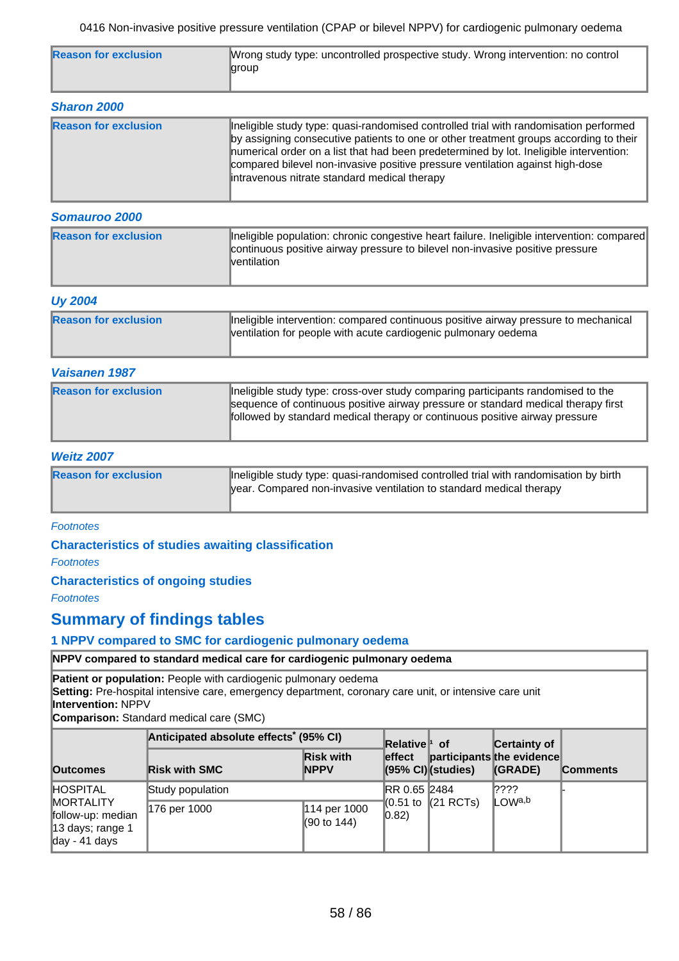| <b>Reason for exclusion</b>                         | Wrong study type: uncontrolled prospective study. Wrong intervention: no control<br>∥group |
|-----------------------------------------------------|--------------------------------------------------------------------------------------------|
| <b>CONTRACTOR</b><br>$\bullet\bullet\bullet\bullet$ |                                                                                            |

| <b>Sharon 2000</b>          |                                                                                                                                                                                                                                                                                                                                                                                                           |  |  |  |  |  |  |
|-----------------------------|-----------------------------------------------------------------------------------------------------------------------------------------------------------------------------------------------------------------------------------------------------------------------------------------------------------------------------------------------------------------------------------------------------------|--|--|--|--|--|--|
| <b>Reason for exclusion</b> | Ineligible study type: quasi-randomised controlled trial with randomisation performed<br>by assigning consecutive patients to one or other treatment groups according to their<br>numerical order on a list that had been predetermined by lot. Ineligible intervention:<br>compared bilevel non-invasive positive pressure ventilation against high-dose<br>intravenous nitrate standard medical therapy |  |  |  |  |  |  |

### **Somauroo 2000**

| <b>Reason for exclusion</b> | Ineligible population: chronic congestive heart failure. Ineligible intervention: compared<br>continuous positive airway pressure to bilevel non-invasive positive pressure<br>lventilation |
|-----------------------------|---------------------------------------------------------------------------------------------------------------------------------------------------------------------------------------------|
|                             |                                                                                                                                                                                             |

### **Uy 2004**

| ------                      |                                                                                                                                                       |
|-----------------------------|-------------------------------------------------------------------------------------------------------------------------------------------------------|
| <b>Reason for exclusion</b> | Ineligible intervention: compared continuous positive airway pressure to mechanical<br>ventilation for people with acute cardiogenic pulmonary oedema |

### **Vaisanen 1987**

| <b>Reason for exclusion</b> | Ineligible study type: cross-over study comparing participants randomised to the<br>sequence of continuous positive airway pressure or standard medical therapy first<br>followed by standard medical therapy or continuous positive airway pressure |
|-----------------------------|------------------------------------------------------------------------------------------------------------------------------------------------------------------------------------------------------------------------------------------------------|
|                             |                                                                                                                                                                                                                                                      |

### **Weitz 2007**

| <b>Reason for exclusion</b> | Ineligible study type: quasi-randomised controlled trial with randomisation by birth |
|-----------------------------|--------------------------------------------------------------------------------------|
|                             | year. Compared non-invasive ventilation to standard medical therapy                  |
|                             |                                                                                      |

#### **Footnotes**

**Characteristics of studies awaiting classification** 

**Footnotes** 

### **Characteristics of ongoing studies**

Footnotes

## **Summary of findings tables**

### **1 NPPV compared to SMC for cardiogenic pulmonary oedema**

### **NPPV compared to standard medical care for cardiogenic pulmonary oedema**

**Patient or population:** People with cardiogenic pulmonary oedema

**Setting:** Pre-hospital intensive care, emergency department, coronary care unit, or intensive care unit

**Intervention:** NPPV

**Comparison:** Standard medical care (SMC)

|                                                                                                             | Anticipated absolute effects <sup>*</sup> (95% CI) |                                        | <b>Relative</b> <sup>†</sup> of |                                            | Certainty of                         |                 |
|-------------------------------------------------------------------------------------------------------------|----------------------------------------------------|----------------------------------------|---------------------------------|--------------------------------------------|--------------------------------------|-----------------|
| <b>Outcomes</b>                                                                                             | <b>Risk with SMC</b>                               | <b>Risk with</b><br><b>INPPV</b>       | effect                          | $(95% \text{ Cl})$ (studies)               | participants the evidence<br>(GRADE) | <b>Comments</b> |
| <b>HOSPITAL</b><br><b>MORTALITY</b><br>follow-up: median<br>13 days; range 1<br>$\frac{1}{2}$ day - 41 days | Study population                                   |                                        | <b>IRR 0.65 2484</b>            |                                            | ∥????                                |                 |
|                                                                                                             | 176 per 1000                                       | 114 per 1000<br>$(90 \text{ to } 144)$ | $ 0.82\rangle$                  | $\parallel$ (0.51 to $\parallel$ (21 RCTs) | $\mathbb{L}$ OWa,b                   |                 |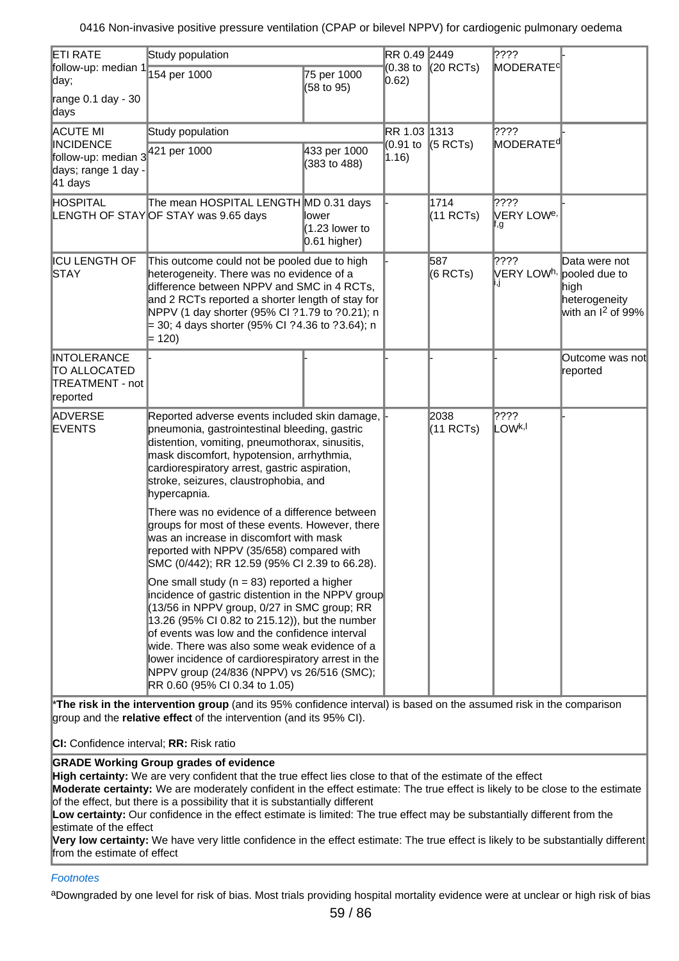| <b>ETI RATE</b><br>follow-up: median 1                                    | Study population                                                                                                                                                                                                                                                                                                                                                                                                                           |                                             |                            | RR 0.49 2449<br>$(0.38 \text{ to }  (20 \text{ RCTs})$ | $ ??\mathbf{?}$<br>MODERATE <sup>c</sup>            |                                                                                          |
|---------------------------------------------------------------------------|--------------------------------------------------------------------------------------------------------------------------------------------------------------------------------------------------------------------------------------------------------------------------------------------------------------------------------------------------------------------------------------------------------------------------------------------|---------------------------------------------|----------------------------|--------------------------------------------------------|-----------------------------------------------------|------------------------------------------------------------------------------------------|
| day;                                                                      | 154 per 1000                                                                                                                                                                                                                                                                                                                                                                                                                               | 75 per 1000<br>(58 to 95)                   | $ 0.62\rangle$             |                                                        |                                                     |                                                                                          |
| range $0.1$ day - 30<br>∥days                                             |                                                                                                                                                                                                                                                                                                                                                                                                                                            |                                             |                            |                                                        |                                                     |                                                                                          |
| ACUTE MI                                                                  | Study population                                                                                                                                                                                                                                                                                                                                                                                                                           |                                             | RR 1.03 1313               |                                                        | 2???!                                               |                                                                                          |
| <b>INCIDENCE</b><br>follow-up: median 3<br>days; range 1 day -<br>41 days | 421 per 1000                                                                                                                                                                                                                                                                                                                                                                                                                               | 433 per 1000<br>(383 to 488)                | (0.91 to<br>$ 1.16\rangle$ | $(5$ RCTs)                                             | MODERATE <sup>d</sup>                               |                                                                                          |
| HOSPITAL                                                                  | The mean HOSPITAL LENGTH MD 0.31 days<br>LENGTH OF STAYOF STAY was 9.65 days                                                                                                                                                                                                                                                                                                                                                               | ∥ower<br>$(1.23$ lower to<br>$0.61$ higher) |                            | 1714<br>(11 RCTs)                                      | 2???!<br>$\mathsf{V}\mathsf{ERY}$ LOW <sup>e,</sup> |                                                                                          |
| <b>ICU LENGTH OF</b><br><b>STAY</b>                                       | This outcome could not be pooled due to high<br>heterogeneity. There was no evidence of a<br>difference between NPPV and SMC in 4 RCTs,<br>and 2 RCTs reported a shorter length of stay for<br>NPPV (1 day shorter (95% CI ?1.79 to ?0.21); n<br>$=$ 30; 4 days shorter (95% CI ?4.36 to ?3.64); n<br>$= 120$                                                                                                                              |                                             |                            | 587<br>(6 RCTs)                                        | 2???!<br>VERY LOW <sup>h,</sup>                     | Data were not<br>pooled due to<br>high<br>heterogeneity<br>with an I <sup>2</sup> of 99% |
| <b>INTOLERANCE</b><br>TO ALLOCATED<br>TREATMENT - not<br>reported         |                                                                                                                                                                                                                                                                                                                                                                                                                                            |                                             |                            |                                                        |                                                     | Outcome was not<br>reported                                                              |
| ADVERSE<br><b>EVENTS</b>                                                  | Reported adverse events included skin damage,<br>pneumonia, gastrointestinal bleeding, gastric<br>distention, vomiting, pneumothorax, sinusitis,<br>mask discomfort, hypotension, arrhythmia,<br>cardiorespiratory arrest, gastric aspiration,<br>stroke, seizures, claustrophobia, and<br>hypercapnia.                                                                                                                                    |                                             |                            | 2038<br>$(11$ RCTs)                                    | 2???!<br>LOW <sup>k,I</sup>                         |                                                                                          |
|                                                                           | There was no evidence of a difference between<br>groups for most of these events. However, there<br>was an increase in discomfort with mask<br>reported with NPPV (35/658) compared with<br>SMC (0/442); RR 12.59 (95% CI 2.39 to 66.28).                                                                                                                                                                                                  |                                             |                            |                                                        |                                                     |                                                                                          |
|                                                                           | One small study ( $n = 83$ ) reported a higher<br>incidence of gastric distention in the NPPV group<br>(13/56 in NPPV group, 0/27 in SMC group; RR<br>13.26 (95% CI 0.82 to 215.12)), but the number<br>of events was low and the confidence interval<br>wide. There was also some weak evidence of a<br>lower incidence of cardiorespiratory arrest in the<br>NPPV group (24/836 (NPPV) vs 26/516 (SMC);<br>RR 0.60 (95% CI 0.34 to 1.05) |                                             |                            |                                                        |                                                     |                                                                                          |

\***The risk in the intervention group** (and its 95% confidence interval) is based on the assumed risk in the comparison group and the **relative effect** of the intervention (and its 95% CI).

**CI:** Confidence interval; **RR:** Risk ratio

### **GRADE Working Group grades of evidence**

**High certainty:** We are very confident that the true effect lies close to that of the estimate of the effect

**Moderate certainty:** We are moderately confident in the effect estimate: The true effect is likely to be close to the estimate of the effect, but there is a possibility that it is substantially different

**Low certainty:** Our confidence in the effect estimate is limited: The true effect may be substantially different from the estimate of the effect

**Very low certainty:** We have very little confidence in the effect estimate: The true effect is likely to be substantially different from the estimate of effect

### **Footnotes**

aDowngraded by one level for risk of bias. Most trials providing hospital mortality evidence were at unclear or high risk of bias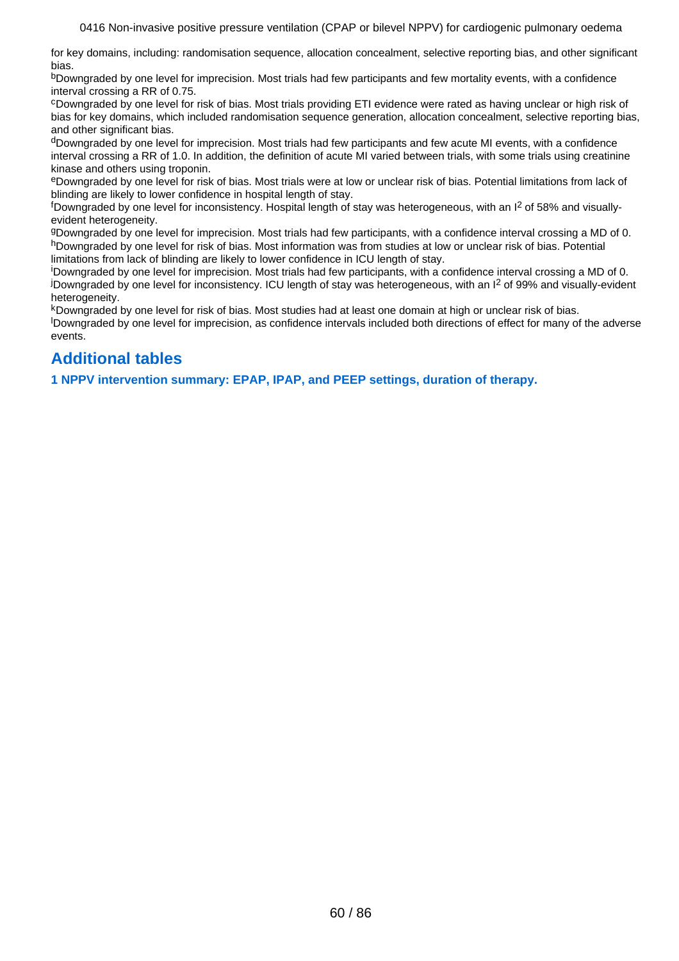for key domains, including: randomisation sequence, allocation concealment, selective reporting bias, and other significant bias.

bDowngraded by one level for imprecision. Most trials had few participants and few mortality events, with a confidence interval crossing a RR of 0.75.

<sup>c</sup>Downgraded by one level for risk of bias. Most trials providing ETI evidence were rated as having unclear or high risk of bias for key domains, which included randomisation sequence generation, allocation concealment, selective reporting bias, and other significant bias.

dDowngraded by one level for imprecision. Most trials had few participants and few acute MI events, with a confidence interval crossing a RR of 1.0. In addition, the definition of acute MI varied between trials, with some trials using creatinine kinase and others using troponin.

<sup>e</sup>Downgraded by one level for risk of bias. Most trials were at low or unclear risk of bias. Potential limitations from lack of blinding are likely to lower confidence in hospital length of stay.

 $f$ Downgraded by one level for inconsistency. Hospital length of stay was heterogeneous, with an  $I^2$  of 58% and visuallyevident heterogeneity.

<sup>g</sup>Downgraded by one level for imprecision. Most trials had few participants, with a confidence interval crossing a MD of 0. hDowngraded by one level for risk of bias. Most information was from studies at low or unclear risk of bias. Potential limitations from lack of blinding are likely to lower confidence in ICU length of stay.

<sup>i</sup>Downgraded by one level for imprecision. Most trials had few participants, with a confidence interval crossing a MD of 0. <sup>j</sup>Downgraded by one level for inconsistency. ICU length of stay was heterogeneous, with an I2 of 99% and visually-evident heterogeneity.

<sup>k</sup>Downgraded by one level for risk of bias. Most studies had at least one domain at high or unclear risk of bias. <sup>l</sup>Downgraded by one level for imprecision, as confidence intervals included both directions of effect for many of the adverse events.

# **Additional tables**

**1 NPPV intervention summary: EPAP, IPAP, and PEEP settings, duration of therapy.**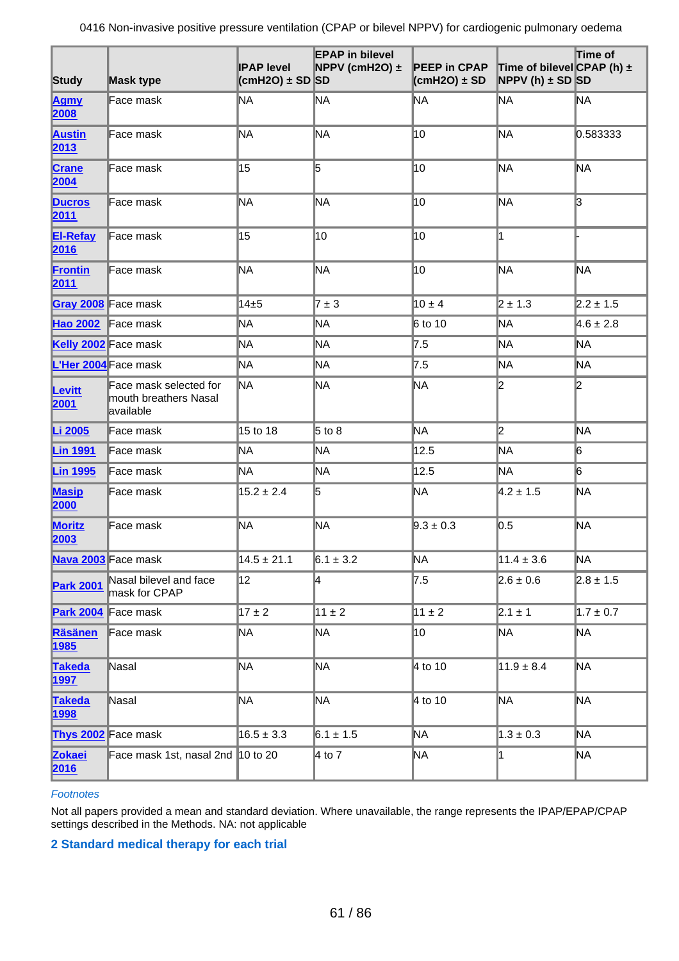| Study                        | <b>Mask type</b>                                             | <b>IPAP level</b><br>$\text{(cmH2O)} \pm \text{SD}$ SD | <b>EPAP</b> in bilevel<br>NPPV (cmH2O) $\pm$ | <b>PEEP in CPAP</b><br>$\text{(cmH2O)} \pm \text{SD}$ | Time of bilevel CPAP (h) $\pm$<br><b>NPPV</b> (h) $\pm$ SD SD | Time of        |
|------------------------------|--------------------------------------------------------------|--------------------------------------------------------|----------------------------------------------|-------------------------------------------------------|---------------------------------------------------------------|----------------|
| <b>Agmy</b><br>2008          | lFace mask                                                   | ∥NA                                                    | ΜA                                           | <b>NA</b>                                             | NΑ                                                            | ΜA             |
| <b>Austin</b><br>2013        | Face mask                                                    | <b>NA</b>                                              | MA                                           | 10                                                    | <b>NA</b>                                                     | 0.583333       |
| <b>Crane</b><br>2004         | Face mask                                                    | 15                                                     | 5                                            | 10                                                    | <b>NA</b>                                                     | MA             |
| <b>Ducros</b><br>2011        | Face mask                                                    | MA                                                     | MA                                           | 10                                                    | <b>NA</b>                                                     | l3             |
| <b>El-Refay</b><br>2016      | Face mask                                                    | 15                                                     | 10                                           | 10                                                    | I1                                                            |                |
| Frontin<br>2011              | Face mask                                                    | ΜA                                                     | ΜA                                           | 10                                                    | <b>NA</b>                                                     | ΜA             |
| <b>Gray 2008</b> Face mask   |                                                              | $14\pm 5$                                              | $7 \pm 3$                                    | $10 \pm 4$                                            | $2 \pm 1.3$                                                   | $2.2 \pm 1.5$  |
| Hao 2002 Face mask           |                                                              | ∦NA                                                    | ΝA                                           | 6 to 10                                               | <b>NA</b>                                                     | $4.6 \pm 2.8$  |
|                              | Kelly 2002 Face mask                                         | ∥NA                                                    | <b>NA</b>                                    | 7.5                                                   | <b>NA</b>                                                     | ΜA             |
| L'Her 2004 Face mask         |                                                              | ∥NA                                                    | ΝA                                           | 7.5                                                   | NΑ                                                            | ΝA             |
| Levitt<br>2001               | Face mask selected for<br>mouth breathers Nasal<br>available | ∦NA                                                    | ΝA                                           | <b>NA</b>                                             | I2                                                            | 2              |
| Li 2005                      | Face mask                                                    | 15 to 18                                               | $5$ to 8                                     | ΝA                                                    | $\mathbf{z}$                                                  | MA             |
| <b>Lin 1991</b>              | Face mask                                                    | <b>NA</b>                                              | ΜA                                           | 12.5                                                  | MA                                                            | 6              |
| <b>Lin 1995</b>              | Face mask                                                    | MA                                                     | ΝA                                           | 12.5                                                  | <b>NA</b>                                                     | $\overline{6}$ |
| <b>Masip</b><br>2000         | Face mask                                                    | $15.2 \pm 2.4$                                         | 5                                            | <b>NA</b>                                             | $4.2 \pm 1.5$                                                 | ΜA             |
| <b>Moritz</b><br>2003        | Face mask                                                    | ∦NA                                                    | ΝA                                           | $9.3 \pm 0.3$                                         | 0.5                                                           | ΝA             |
| Nava 2003 Face mask          |                                                              | $14.5 \pm 21.1$                                        | $6.1 \pm 3.2$                                | NA                                                    | $11.4 \pm 3.6$                                                | ∥NA            |
| <b>Park 2001</b>             | Nasal bilevel and face<br>mask for CPAP                      | 12                                                     | 4                                            | 7.5                                                   | $2.6 \pm 0.6$                                                 | $2.8 \pm 1.5$  |
| Park 2004 Face mask          |                                                              | $17 \pm 2$                                             | $11 \pm 2$                                   | $11 \pm 2$                                            | $2.1 \pm 1$                                                   | $1.7 \pm 0.7$  |
| <b>Räsänen</b><br>1985       | Face mask                                                    | NA.                                                    | ΜA                                           | 10                                                    | ∥NA                                                           | ∥NA            |
| <b>Takeda</b><br><b>1997</b> | Nasal                                                        | ∥NA                                                    | ΜA                                           | 4 to 10                                               | $11.9 \pm 8.4$                                                | ∥NA            |
| <b>Takeda</b><br>1998        | Nasal                                                        | ΜA                                                     | ΜA                                           | 4 to 10                                               | NΑ                                                            | ∥NA            |
| <b>Thys 2002</b> Face mask   |                                                              | $16.5 \pm 3.3$                                         | $6.1 \pm 1.5$                                | NA                                                    | $1.3 \pm 0.3$                                                 | ∥NA            |
| <b>Zokaei</b><br>2016        | Face mask 1st, nasal 2nd 10 to 20                            |                                                        | 4 to 7                                       | <b>NA</b>                                             | l1                                                            | ∥NA            |

### **Footnotes**

Not all papers provided a mean and standard deviation. Where unavailable, the range represents the IPAP/EPAP/CPAP settings described in the Methods. NA: not applicable

### **2 Standard medical therapy for each trial**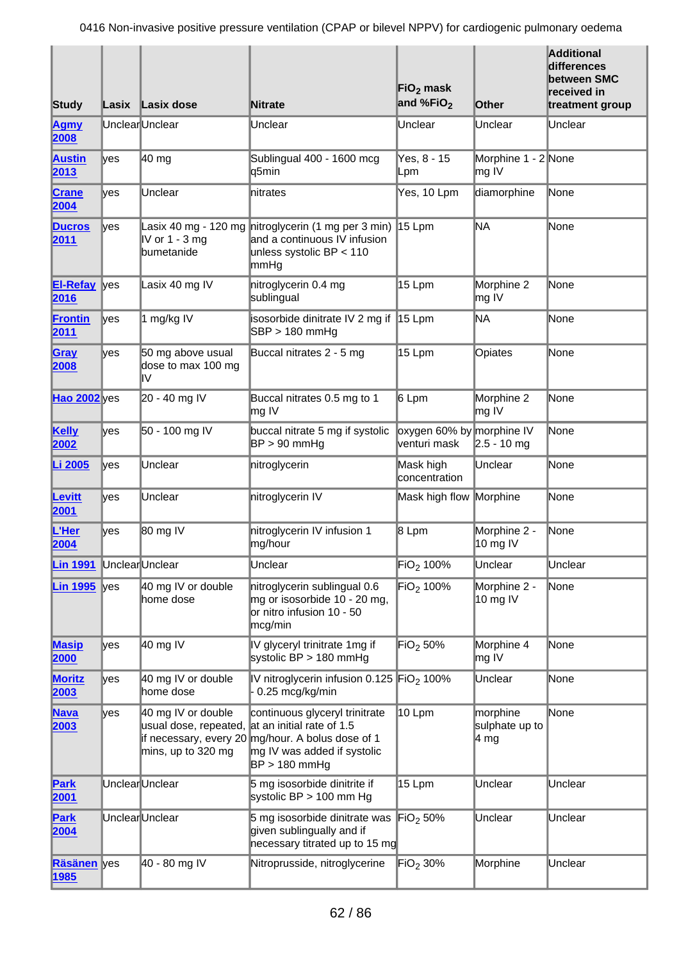| Study                      |      | Lasix Lasix dose                                                  | <b>Nitrate</b>                                                                                                                                                     | $FiO2$ mask<br>and %FiO <sub>2</sub>      | Other                                            | <b>Additional</b><br>differences<br>between SMC<br>received in<br>treatment group |
|----------------------------|------|-------------------------------------------------------------------|--------------------------------------------------------------------------------------------------------------------------------------------------------------------|-------------------------------------------|--------------------------------------------------|-----------------------------------------------------------------------------------|
| <b>Agmy</b><br>2008        |      | UnclearUnclear                                                    | Unclear                                                                                                                                                            | Unclear                                   | Unclear                                          | Unclear                                                                           |
| <b>Austin</b><br>2013      | lyes | 40 mg                                                             | Sublingual 400 - 1600 mcg<br>∥q5min                                                                                                                                | Yes, 8 - 15<br>∥Lpm                       | Morphine 1 - 2 None<br>$\mathsf{m}\mathsf{g}$ IV |                                                                                   |
| <b>Crane</b><br>2004       | lyes | Unclear                                                           | nitrates                                                                                                                                                           | Yes, 10 Lpm                               | diamorphine                                      | None                                                                              |
| <b>Ducros</b><br>2011      | lyes | IV or 1 - 3 mg<br>bumetanide                                      | Lasix 40 mg - 120 mg nitroglycerin (1 mg per 3 min)<br>and a continuous IV infusion<br>unless systolic $BP < 110$<br>∥mmHg                                         | 15 Lpm                                    | ΝA                                               | <b>None</b>                                                                       |
| <b>EI-Refay</b><br>2016    | yes  | Lasix 40 mg IV                                                    | nitroglycerin 0.4 mg<br>sublingual                                                                                                                                 | 15 Lpm                                    | Morphine 2<br>$mg$ IV                            | None                                                                              |
| <b>Frontin</b><br>2011     | lyes | 1 mg/kg IV                                                        | isosorbide dinitrate IV 2 mg if 15 Lpm<br>$SBP > 180$ mmHg                                                                                                         |                                           | ΝA                                               | <b>None</b>                                                                       |
| Gray<br>2008               | lyes | 50 mg above usual<br>dose to max 100 mg<br>I۷                     | Buccal nitrates 2 - 5 mg                                                                                                                                           | 15 Lpm                                    | Opiates                                          | None                                                                              |
| <b>Hao 2002</b> yes        |      | 20 - 40 mg IV                                                     | Buccal nitrates 0.5 mg to 1<br>$\ln g$ IV                                                                                                                          | 6 Lpm                                     | Morphine 2<br>$\mathsf{m}\mathsf{g}$ IV          | None                                                                              |
| Kelly<br>2002              | lyes | 50 - 100 mg IV                                                    | buccal nitrate 5 mg if systolic<br>$BP > 90$ mmHg                                                                                                                  | oxygen 60% by morphine IV<br>venturi mask | $2.5 - 10$ mg                                    | None                                                                              |
| Li 2005                    | lyes | Unclear                                                           | nitroglycerin                                                                                                                                                      | Mask high<br>concentration                | Unclear                                          | None                                                                              |
| <b>Levitt</b><br>2001      | ∦yes | Unclear                                                           | nitroglycerin IV                                                                                                                                                   | Mask high flow                            | Morphine                                         | None                                                                              |
| L'Her<br>2004              | lves | 80 mg IV                                                          | nitroglycerin IV infusion 1<br>mg/hour                                                                                                                             | 8 Lpm                                     | Morphine 2 -<br>$10$ mg IV                       | None                                                                              |
| <b>Lin 1991</b>            |      | UnclearUnclear                                                    | Unclear                                                                                                                                                            | $ FiO2$ 100%                              | Unclear                                          | Unclear                                                                           |
| <b>Lin 1995</b>            | yes  | 40 mg IV or double<br>home dose                                   | nitroglycerin sublingual 0.6<br>mg or isosorbide 10 - 20 mg,<br>or nitro infusion 10 - 50<br>mcg/min                                                               | FIO <sub>2</sub> 100%                     | Morphine 2 -<br>$10$ mg IV                       | None                                                                              |
| <b>Masip</b><br>2000       | lyes | 40 mg IV                                                          | IV glyceryl trinitrate 1mg if<br>systolic $BP > 180$ mmHg                                                                                                          | FiO <sub>2</sub> 50%                      | Morphine 4<br>$\mathsf{m}\mathsf{g}$ IV          | None                                                                              |
| <b>Moritz</b><br>2003      | lyes | 40 mg IV or double<br>home dose                                   | IV nitroglycerin infusion 0.125 FiO <sub>2</sub> 100%<br>0.25 mcg/kg/min                                                                                           |                                           | Unclear                                          | None                                                                              |
| <b>Nava</b><br>2003        | lyes | 40 mg IV or double<br>usual dose, repeated,<br>mins, up to 320 mg | continuous glyceryl trinitrate<br>at an initial rate of 1.5<br>if necessary, every 20 mg/hour. A bolus dose of 1<br>mg IV was added if systolic<br>$BP > 180$ mmHg | 10 Lpm                                    | morphine<br>sulphate up to<br>∣4 mg              | None                                                                              |
| Park<br>2001               |      | UnclearUnclear                                                    | 5 mg isosorbide dinitrite if<br>systolic $BP > 100$ mm Hg                                                                                                          | 15 Lpm                                    | Unclear                                          | Unclear                                                                           |
| Park<br>2004               |      | UnclearUnclear                                                    | 5 mg isosorbide dinitrate was<br>given sublingually and if<br>necessary titrated up to 15 mg                                                                       | $Fig. 50\%$                               | Unclear                                          | Unclear                                                                           |
| Räsänen yes<br><b>1985</b> |      | 40 - 80 mg IV                                                     | Nitroprusside, nitroglycerine                                                                                                                                      | FIO <sub>2</sub> 30%                      | Morphine                                         | Unclear                                                                           |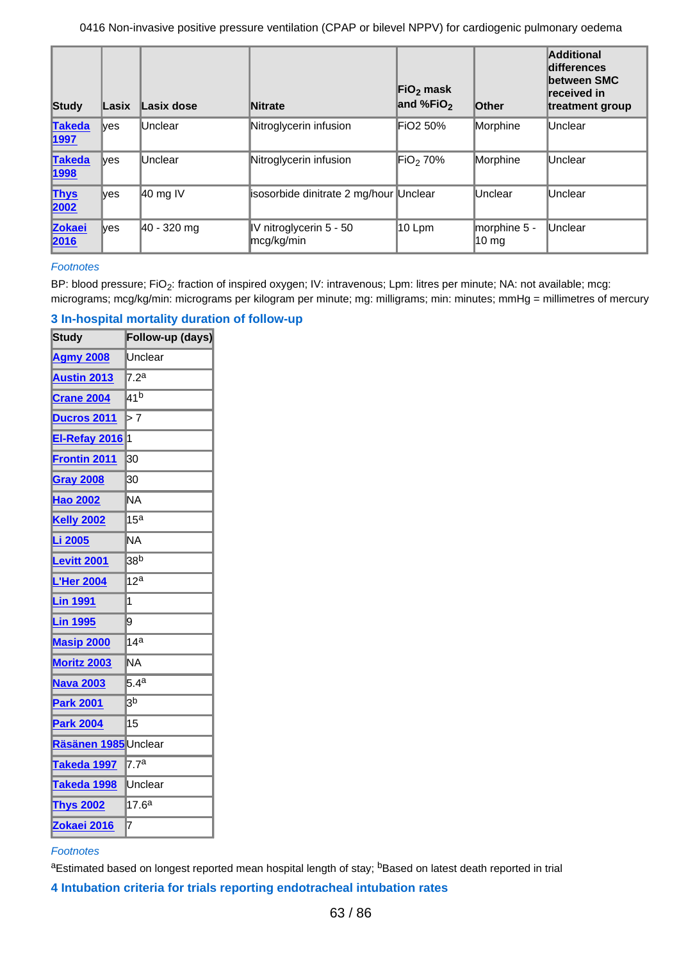| Study                        | Lasix      | Lasix dose          | <b>Nitrate</b>                          | $FiO2$ mask<br>and %FiO <sub>2</sub> | <b>Other</b>                    | Additional<br>differences<br><b>between SMC</b><br>received in<br>treatment group |
|------------------------------|------------|---------------------|-----------------------------------------|--------------------------------------|---------------------------------|-----------------------------------------------------------------------------------|
| <b>Takeda</b><br>1997        | lves       | Unclear             | Nitroglycerin infusion                  | FiO <sub>2</sub> 50%                 | Morphine                        | Unclear                                                                           |
| <b>Takeda</b><br><b>1998</b> | <b>Ves</b> | Unclear             | Nitroglycerin infusion                  | FIO <sub>2</sub> 70%                 | Morphine                        | Unclear                                                                           |
| <b>Thys</b><br>2002          | <b>Ves</b> | $ 40 \text{ mg}$ IV | isosorbide dinitrate 2 mg/hour Unclear  |                                      | <b>Unclear</b>                  | Unclear                                                                           |
| <b>Zokaei</b><br>2016        | <b>Ves</b> | 40 - 320 mg         | IV nitroglycerin $5 - 50$<br>mcg/kg/min | 10 Lpm                               | morphine 5 -<br>$10 \text{ mg}$ | Unclear                                                                           |

### **Footnotes**

BP: blood pressure; FiO<sub>2</sub>: fraction of inspired oxygen; IV: intravenous; Lpm: litres per minute; NA: not available; mcg: micrograms; mcg/kg/min: micrograms per kilogram per minute; mg: milligrams; min: minutes; mmHg = millimetres of mercury

| <b>Study</b>         | Follow-up (days)  |
|----------------------|-------------------|
| <b>Agmy 2008</b>     | Unclear           |
| <b>Austin 2013</b>   | 7.2a              |
| <b>Crane 2004</b>    | 41b               |
| <b>Ducros 2011</b>   | >7                |
| El-Refay 2016        | 1                 |
| Frontin 2011         | 30                |
| <b>Gray 2008</b>     | 30                |
| <b>Hao 2002</b>      | ΝA                |
| <b>Kelly 2002</b>    | 15 <sup>a</sup>   |
| Li 2005              | ΝA                |
| <b>Levitt 2001</b>   | 38 <sup>b</sup>   |
| <b>L'Her 2004</b>    | 12 <sup>a</sup>   |
| <b>Lin 1991</b>      | 1                 |
| <b>Lin 1995</b>      | 9                 |
| <b>Masip 2000</b>    | 14 <sup>a</sup>   |
| Moritz 2003          | ΝA                |
| <b>Nava 2003</b>     | 5.4a              |
| <b>Park 2001</b>     | 3 <sub>p</sub>    |
| <b>Park 2004</b>     | 15                |
| Räsänen 1985 Unclear |                   |
| Takeda 1997          | 7.7 <sup>a</sup>  |
| Takeda 1998          | Unclear           |
| <b>Thys 2002</b>     | 17.6 <sup>a</sup> |
| Zokaei 2016          | 7                 |

## **3 In-hospital mortality duration of follow-up**

### **Footnotes**

aEstimated based on longest reported mean hospital length of stay; bBased on latest death reported in trial

**4 Intubation criteria for trials reporting endotracheal intubation rates**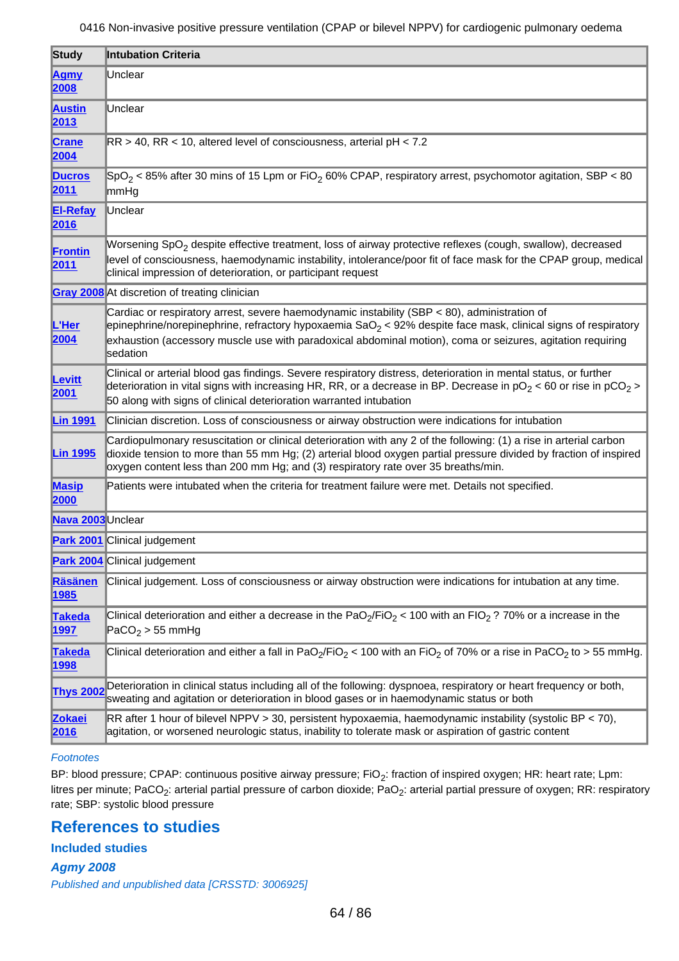<span id="page-63-0"></span>

| Study                   | <b>Intubation Criteria</b>                                                                                                                                                                                                                                                                                                                          |
|-------------------------|-----------------------------------------------------------------------------------------------------------------------------------------------------------------------------------------------------------------------------------------------------------------------------------------------------------------------------------------------------|
| <b>Agmy</b><br>2008     | Unclear                                                                                                                                                                                                                                                                                                                                             |
| <b>Austin</b><br>2013   | Unclear                                                                                                                                                                                                                                                                                                                                             |
| <b>Crane</b><br>2004    | $RR > 40$ , RR < 10, altered level of consciousness, arterial pH < 7.2                                                                                                                                                                                                                                                                              |
| <b>Ducros</b><br>2011   | $ SpO_2  < 85\%$ after 30 mins of 15 Lpm or FiO <sub>2</sub> 60% CPAP, respiratory arrest, psychomotor agitation, SBP < 80<br>mmHg                                                                                                                                                                                                                  |
| <b>El-Refay</b><br>2016 | Unclear                                                                                                                                                                                                                                                                                                                                             |
| <b>Frontin</b><br>2011  | Worsening SpO <sub>2</sub> despite effective treatment, loss of airway protective reflexes (cough, swallow), decreased<br>level of consciousness, haemodynamic instability, intolerance/poor fit of face mask for the CPAP group, medical<br>clinical impression of deterioration, or participant request                                           |
|                         | Gray 2008 At discretion of treating clinician                                                                                                                                                                                                                                                                                                       |
| L'Her<br>2004           | Cardiac or respiratory arrest, severe haemodynamic instability (SBP < 80), administration of<br>epinephrine/norepinephrine, refractory hypoxaemia SaO <sub>2</sub> < 92% despite face mask, clinical signs of respiratory<br>exhaustion (accessory muscle use with paradoxical abdominal motion), coma or seizures, agitation requiring<br>sedation |
| Levitt<br>2001          | Clinical or arterial blood gas findings. Severe respiratory distress, deterioration in mental status, or further<br>deterioration in vital signs with increasing HR, RR, or a decrease in BP. Decrease in $pO_2$ < 60 or rise in $pCO_2$ ><br>50 along with signs of clinical deterioration warranted intubation                                    |
| <b>Lin 1991</b>         | Clinician discretion. Loss of consciousness or airway obstruction were indications for intubation                                                                                                                                                                                                                                                   |
| <b>Lin 1995</b>         | Cardiopulmonary resuscitation or clinical deterioration with any 2 of the following: (1) a rise in arterial carbon<br>dioxide tension to more than 55 mm Hg; (2) arterial blood oxygen partial pressure divided by fraction of inspired<br>oxygen content less than 200 mm Hg; and (3) respiratory rate over 35 breaths/min.                        |
| <b>Masip</b><br>2000    | Patients were intubated when the criteria for treatment failure were met. Details not specified.                                                                                                                                                                                                                                                    |
| Nava 2003 Unclear       |                                                                                                                                                                                                                                                                                                                                                     |
|                         | <b>Park 2001</b> Clinical judgement                                                                                                                                                                                                                                                                                                                 |
|                         | <b>Park 2004</b> Clinical judgement                                                                                                                                                                                                                                                                                                                 |
| <b>Räsänen</b><br>1985  | Clinical judgement. Loss of consciousness or airway obstruction were indications for intubation at any time.                                                                                                                                                                                                                                        |
| <b>Takeda</b><br>1997   | Clinical deterioration and either a decrease in the PaO <sub>2</sub> /FiO <sub>2</sub> < 100 with an FIO <sub>2</sub> ? 70% or a increase in the<br>$\vert$ PaCO <sub>2</sub> > 55 mmHg                                                                                                                                                             |
| <b>Takeda</b><br>1998   | Clinical deterioration and either a fall in PaO <sub>2</sub> /FiO <sub>2</sub> < 100 with an FiO <sub>2</sub> of 70% or a rise in PaCO <sub>2</sub> to > 55 mmHg.                                                                                                                                                                                   |
| <b>Thys 2002</b>        | Deterioration in clinical status including all of the following: dyspnoea, respiratory or heart frequency or both,<br>sweating and agitation or deterioration in blood gases or in haemodynamic status or both                                                                                                                                      |
| <b>Zokaei</b><br>2016   | RR after 1 hour of bilevel NPPV > 30, persistent hypoxaemia, haemodynamic instability (systolic BP < 70),<br>agitation, or worsened neurologic status, inability to tolerate mask or aspiration of gastric content                                                                                                                                  |

### **Footnotes**

BP: blood pressure; CPAP: continuous positive airway pressure; FiO<sub>2</sub>: fraction of inspired oxygen; HR: heart rate; Lpm: litres per minute; PaCO<sub>2</sub>: arterial partial pressure of carbon dioxide; PaO<sub>2</sub>: arterial partial pressure of oxygen; RR: respiratory rate; SBP: systolic blood pressure

## **References to studies**

**Included studies** 

**Agmy 2008** Published and unpublished data [CRSSTD: 3006925]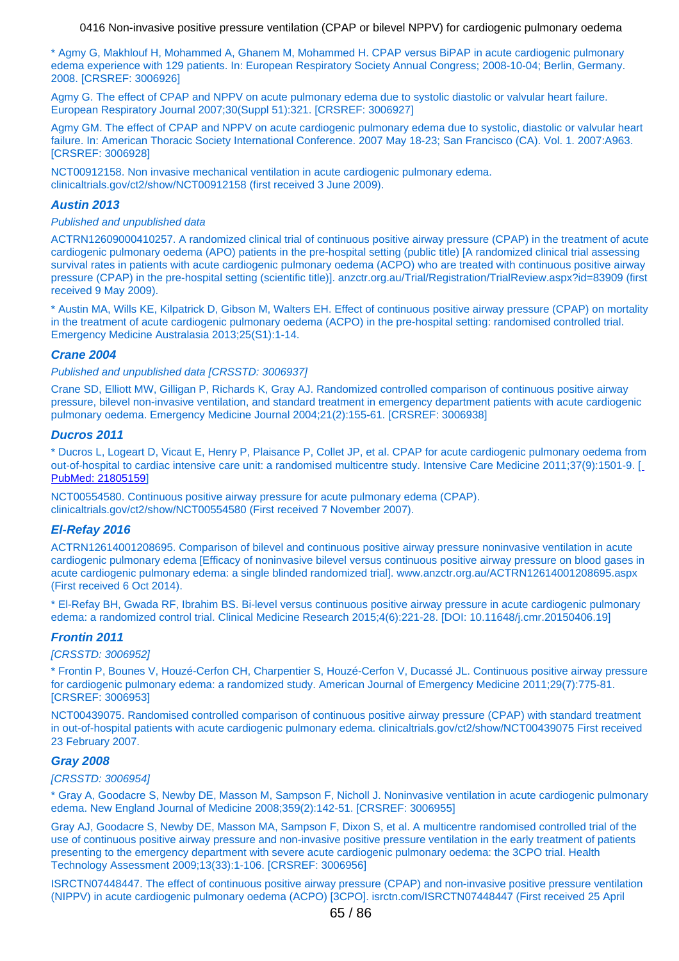<span id="page-64-0"></span>\* Agmy G, Makhlouf H, Mohammed A, Ghanem M, Mohammed H. CPAP versus BiPAP in acute cardiogenic pulmonary edema experience with 129 patients. In: European Respiratory Society Annual Congress; 2008-10-04; Berlin, Germany. 2008. [CRSREF: 3006926]

Agmy G. The effect of CPAP and NPPV on acute pulmonary edema due to systolic diastolic or valvular heart failure. European Respiratory Journal 2007;30(Suppl 51):321. [CRSREF: 3006927]

Agmy GM. The effect of CPAP and NPPV on acute cardiogenic pulmonary edema due to systolic, diastolic or valvular heart failure. In: American Thoracic Society International Conference. 2007 May 18-23; San Francisco (CA). Vol. 1. 2007:A963. [CRSREF: 3006928]

NCT00912158. Non invasive mechanical ventilation in acute cardiogenic pulmonary edema. clinicaltrials.gov/ct2/show/NCT00912158 (first received 3 June 2009).

#### **Austin 2013**

#### Published and unpublished data

ACTRN12609000410257. A randomized clinical trial of continuous positive airway pressure (CPAP) in the treatment of acute cardiogenic pulmonary oedema (APO) patients in the pre-hospital setting (public title) [A randomized clinical trial assessing survival rates in patients with acute cardiogenic pulmonary oedema (ACPO) who are treated with continuous positive airway pressure (CPAP) in the pre-hospital setting (scientific title)]. anzctr.org.au/Trial/Registration/TrialReview.aspx?id=83909 (first received 9 May 2009).

\* Austin MA, Wills KE, Kilpatrick D, Gibson M, Walters EH. Effect of continuous positive airway pressure (CPAP) on mortality in the treatment of acute cardiogenic pulmonary oedema (ACPO) in the pre-hospital setting: randomised controlled trial. Emergency Medicine Australasia 2013;25(S1):1-14.

#### **Crane 2004**

Published and unpublished data [CRSSTD: 3006937]

Crane SD, Elliott MW, Gilligan P, Richards K, Gray AJ. Randomized controlled comparison of continuous positive airway pressure, bilevel non-invasive ventilation, and standard treatment in emergency department patients with acute cardiogenic pulmonary oedema. Emergency Medicine Journal 2004;21(2):155-61. [CRSREF: 3006938]

#### **Ducros 2011**

\* Ducros L, Logeart D, Vicaut E, Henry P, Plaisance P, Collet JP, et al. CPAP for acute cardiogenic pulmonary oedema from out-of-hospital to cardiac intensive care unit: a randomised multicentre study. Intensive Care Medicine 2011;37(9):1501-9. [\[](http://www.ncbi.nlm.nih.gov/pubmed/21805159) [PubMed: 21805159](http://www.ncbi.nlm.nih.gov/pubmed/21805159)]

NCT00554580. Continuous positive airway pressure for acute pulmonary edema (CPAP). clinicaltrials.gov/ct2/show/NCT00554580 (First received 7 November 2007).

#### **El-Refay 2016**

ACTRN12614001208695. Comparison of bilevel and continuous positive airway pressure noninvasive ventilation in acute cardiogenic pulmonary edema [Efficacy of noninvasive bilevel versus continuous positive airway pressure on blood gases in acute cardiogenic pulmonary edema: a single blinded randomized trial]. www.anzctr.org.au/ACTRN12614001208695.aspx (First received 6 Oct 2014).

\* El-Refay BH, Gwada RF, Ibrahim BS. Bi-level versus continuous positive airway pressure in acute cardiogenic pulmonary edema: a randomized control trial. Clinical Medicine Research 2015;4(6):221-28. [DOI: 10.11648/j.cmr.20150406.19]

### **Frontin 2011**

#### [CRSSTD: 3006952]

\* Frontin P, Bounes V, Houzé-Cerfon CH, Charpentier S, Houzé-Cerfon V, Ducassé JL. Continuous positive airway pressure for cardiogenic pulmonary edema: a randomized study. American Journal of Emergency Medicine 2011;29(7):775-81. [CRSREF: 3006953]

NCT00439075. Randomised controlled comparison of continuous positive airway pressure (CPAP) with standard treatment in out-of-hospital patients with acute cardiogenic pulmonary edema. clinicaltrials.gov/ct2/show/NCT00439075 First received 23 February 2007.

#### **Gray 2008**

#### [CRSSTD: 3006954]

\* Gray A, Goodacre S, Newby DE, Masson M, Sampson F, Nicholl J. Noninvasive ventilation in acute cardiogenic pulmonary edema. New England Journal of Medicine 2008;359(2):142-51. [CRSREF: 3006955]

Gray AJ, Goodacre S, Newby DE, Masson MA, Sampson F, Dixon S, et al. A multicentre randomised controlled trial of the use of continuous positive airway pressure and non-invasive positive pressure ventilation in the early treatment of patients presenting to the emergency department with severe acute cardiogenic pulmonary oedema: the 3CPO trial. Health Technology Assessment 2009;13(33):1-106. [CRSREF: 3006956]

ISRCTN07448447. The effect of continuous positive airway pressure (CPAP) and non-invasive positive pressure ventilation (NIPPV) in acute cardiogenic pulmonary oedema (ACPO) [3CPO]. isrctn.com/ISRCTN07448447 (First received 25 April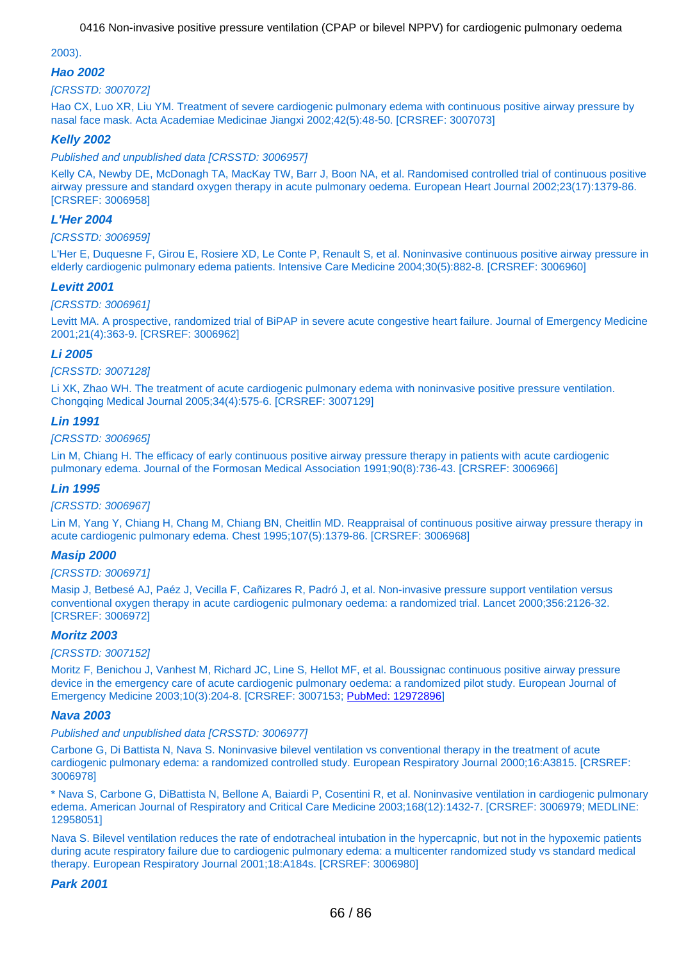### <span id="page-65-0"></span>2003).

### **Hao 2002**

### [CRSSTD: 3007072]

Hao CX, Luo XR, Liu YM. Treatment of severe cardiogenic pulmonary edema with continuous positive airway pressure by nasal face mask. Acta Academiae Medicinae Jiangxi 2002;42(5):48-50. [CRSREF: 3007073]

### **Kelly 2002**

Published and unpublished data [CRSSTD: 3006957]

Kelly CA, Newby DE, McDonagh TA, MacKay TW, Barr J, Boon NA, et al. Randomised controlled trial of continuous positive airway pressure and standard oxygen therapy in acute pulmonary oedema. European Heart Journal 2002;23(17):1379-86. [CRSREF: 3006958]

### **L'Her 2004**

#### [CRSSTD: 3006959]

L'Her E, Duquesne F, Girou E, Rosiere XD, Le Conte P, Renault S, et al. Noninvasive continuous positive airway pressure in elderly cardiogenic pulmonary edema patients. Intensive Care Medicine 2004;30(5):882-8. [CRSREF: 3006960]

#### **Levitt 2001**

#### [CRSSTD: 3006961]

Levitt MA. A prospective, randomized trial of BiPAP in severe acute congestive heart failure. Journal of Emergency Medicine 2001;21(4):363-9. [CRSREF: 3006962]

#### **Li 2005**

#### [CRSSTD: 3007128]

Li XK, Zhao WH. The treatment of acute cardiogenic pulmonary edema with noninvasive positive pressure ventilation. Chongqing Medical Journal 2005;34(4):575-6. [CRSREF: 3007129]

### **Lin 1991**

[CRSSTD: 3006965]

Lin M, Chiang H. The efficacy of early continuous positive airway pressure therapy in patients with acute cardiogenic pulmonary edema. Journal of the Formosan Medical Association 1991;90(8):736-43. [CRSREF: 3006966]

#### **Lin 1995**

#### [CRSSTD: 3006967]

Lin M, Yang Y, Chiang H, Chang M, Chiang BN, Cheitlin MD. Reappraisal of continuous positive airway pressure therapy in acute cardiogenic pulmonary edema. Chest 1995;107(5):1379-86. [CRSREF: 3006968]

### **Masip 2000**

#### [CRSSTD: 3006971]

Masip J, Betbesé AJ, Paéz J, Vecilla F, Cañizares R, Padró J, et al. Non-invasive pressure support ventilation versus conventional oxygen therapy in acute cardiogenic pulmonary oedema: a randomized trial. Lancet 2000;356:2126-32. [CRSREF: 3006972]

### **Moritz 2003**

#### [CRSSTD: 3007152]

Moritz F, Benichou J, Vanhest M, Richard JC, Line S, Hellot MF, et al. Boussignac continuous positive airway pressure device in the emergency care of acute cardiogenic pulmonary oedema: a randomized pilot study. European Journal of Emergency Medicine 2003;10(3):204-8. [CRSREF: 3007153; [PubMed: 12972896](http://www.ncbi.nlm.nih.gov/pubmed/12972896)]

#### **Nava 2003**

#### Published and unpublished data [CRSSTD: 3006977]

Carbone G, Di Battista N, Nava S. Noninvasive bilevel ventilation vs conventional therapy in the treatment of acute cardiogenic pulmonary edema: a randomized controlled study. European Respiratory Journal 2000;16:A3815. [CRSREF: 3006978]

\* Nava S, Carbone G, DiBattista N, Bellone A, Baiardi P, Cosentini R, et al. Noninvasive ventilation in cardiogenic pulmonary edema. American Journal of Respiratory and Critical Care Medicine 2003;168(12):1432-7. [CRSREF: 3006979; MEDLINE: 12958051]

Nava S. Bilevel ventilation reduces the rate of endotracheal intubation in the hypercapnic, but not in the hypoxemic patients during acute respiratory failure due to cardiogenic pulmonary edema: a multicenter randomized study vs standard medical therapy. European Respiratory Journal 2001;18:A184s. [CRSREF: 3006980]

### **Park 2001**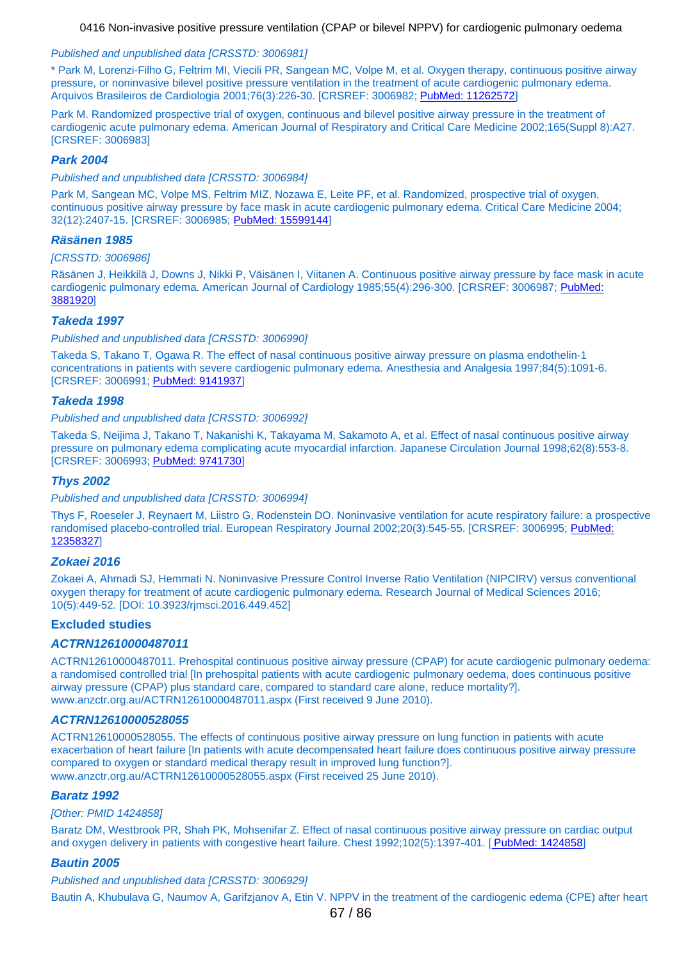#### <span id="page-66-0"></span>Published and unpublished data [CRSSTD: 3006981]

\* Park M, Lorenzi-Filho G, Feltrim MI, Viecili PR, Sangean MC, Volpe M, et al. Oxygen therapy, continuous positive airway pressure, or noninvasive bilevel positive pressure ventilation in the treatment of acute cardiogenic pulmonary edema. Arquivos Brasileiros de Cardiologia 2001;76(3):226-30. [CRSREF: 3006982; [PubMed: 11262572](http://www.ncbi.nlm.nih.gov/pubmed/11262572)]

Park M. Randomized prospective trial of oxygen, continuous and bilevel positive airway pressure in the treatment of cardiogenic acute pulmonary edema. American Journal of Respiratory and Critical Care Medicine 2002;165(Suppl 8):A27. [CRSREF: 3006983]

#### **Park 2004**

Published and unpublished data [CRSSTD: 3006984]

Park M, Sangean MC, Volpe MS, Feltrim MIZ, Nozawa E, Leite PF, et al. Randomized, prospective trial of oxygen, continuous positive airway pressure by face mask in acute cardiogenic pulmonary edema. Critical Care Medicine 2004; 32(12):2407-15. [CRSREF: 3006985; [PubMed: 15599144](http://www.ncbi.nlm.nih.gov/pubmed/15599144)]

#### **Räsänen 1985**

#### [CRSSTD: 3006986]

Räsänen J, Heikkilä J, Downs J, Nikki P, Väisänen I, Viitanen A. Continuous positive airway pressure by face mask in acute cardiogenic pulmonary edema. American Journal of Cardiology 1985;55(4):296-300. [CRSREF: 3006987; [PubMed:](http://www.ncbi.nlm.nih.gov/pubmed/3881920) [3881920](http://www.ncbi.nlm.nih.gov/pubmed/3881920)]

### **Takeda 1997**

Published and unpublished data [CRSSTD: 3006990]

Takeda S, Takano T, Ogawa R. The effect of nasal continuous positive airway pressure on plasma endothelin-1 concentrations in patients with severe cardiogenic pulmonary edema. Anesthesia and Analgesia 1997;84(5):1091-6. [CRSREF: 3006991; [PubMed: 9141937](http://www.ncbi.nlm.nih.gov/pubmed/9141937)]

#### **Takeda 1998**

Published and unpublished data [CRSSTD: 3006992]

Takeda S, Neijima J, Takano T, Nakanishi K, Takayama M, Sakamoto A, et al. Effect of nasal continuous positive airway pressure on pulmonary edema complicating acute myocardial infarction. Japanese Circulation Journal 1998;62(8):553-8. [CRSREF: 3006993; [PubMed: 9741730](http://www.ncbi.nlm.nih.gov/pubmed/9741730)]

#### **Thys 2002**

Published and unpublished data [CRSSTD: 3006994]

Thys F, Roeseler J, Reynaert M, Liistro G, Rodenstein DO. Noninvasive ventilation for acute respiratory failure: a prospective randomised placebo-controlled trial. European Respiratory Journal 2002;20(3):545-55. [CRSREF: 3006995; [PubMed:](http://www.ncbi.nlm.nih.gov/pubmed/12358327) [12358327](http://www.ncbi.nlm.nih.gov/pubmed/12358327)]

#### **Zokaei 2016**

Zokaei A, Ahmadi SJ, Hemmati N. Noninvasive Pressure Control Inverse Ratio Ventilation (NIPCIRV) versus conventional oxygen therapy for treatment of acute cardiogenic pulmonary edema. Research Journal of Medical Sciences 2016; 10(5):449-52. [DOI: 10.3923/rjmsci.2016.449.452]

#### **Excluded studies**

#### **ACTRN12610000487011**

ACTRN12610000487011. Prehospital continuous positive airway pressure (CPAP) for acute cardiogenic pulmonary oedema: a randomised controlled trial [In prehospital patients with acute cardiogenic pulmonary oedema, does continuous positive airway pressure (CPAP) plus standard care, compared to standard care alone, reduce mortality?]. www.anzctr.org.au/ACTRN12610000487011.aspx (First received 9 June 2010).

#### **ACTRN12610000528055**

ACTRN12610000528055. The effects of continuous positive airway pressure on lung function in patients with acute exacerbation of heart failure [In patients with acute decompensated heart failure does continuous positive airway pressure compared to oxygen or standard medical therapy result in improved lung function?]. www.anzctr.org.au/ACTRN12610000528055.aspx (First received 25 June 2010).

#### **Baratz 1992**

#### [Other: PMID 1424858]

Baratz DM, Westbrook PR, Shah PK, Mohsenifar Z. Effect of nasal continuous positive airway pressure on cardiac output and oxygen delivery in patients with congestive heart failure. Chest 1992;102(5):1397-401. [\[](http://www.ncbi.nlm.nih.gov/pubmed/1424858) [PubMed: 1424858](http://www.ncbi.nlm.nih.gov/pubmed/1424858)]

### **Bautin 2005**

Published and unpublished data [CRSSTD: 3006929]

Bautin A, Khubulava G, Naumov A, Garifzjanov A, Etin V. NPPV in the treatment of the cardiogenic edema (CPE) after heart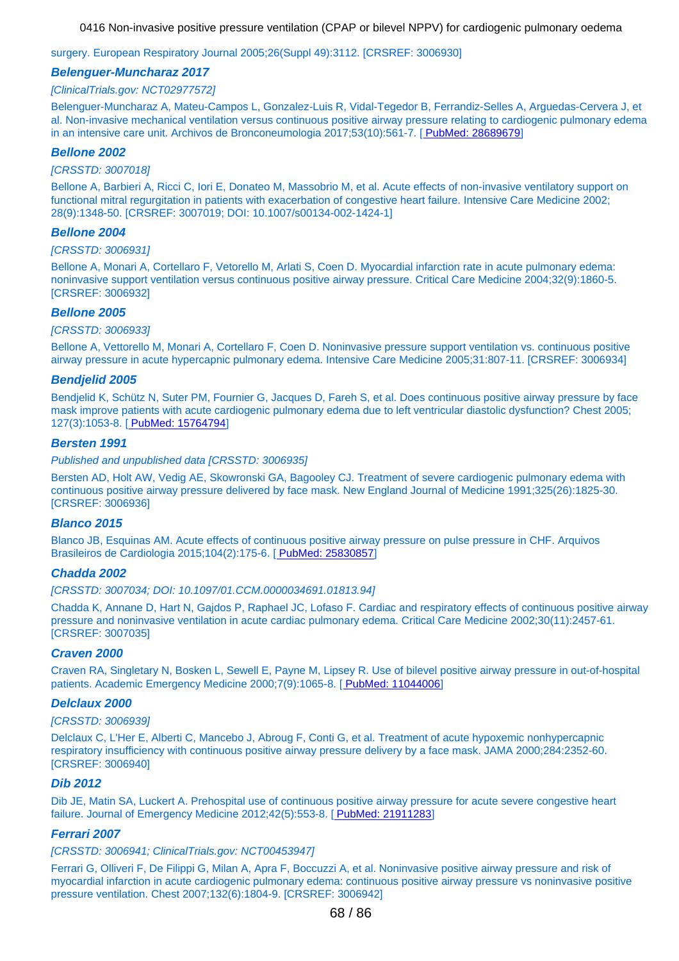surgery. European Respiratory Journal 2005;26(Suppl 49):3112. [CRSREF: 3006930]

#### **Belenguer-Muncharaz 2017**

#### [ClinicalTrials.gov: NCT02977572]

Belenguer-Muncharaz A, Mateu-Campos L, Gonzalez-Luis R, Vidal-Tegedor B, Ferrandiz-Selles A, Arguedas-Cervera J, et al. Non-invasive mechanical ventilation versus continuous positive airway pressure relating to cardiogenic pulmonary edema in an intensive care unit. Archivos de Bronconeumologia 2017;53(10):561-7. [\[](http://www.ncbi.nlm.nih.gov/pubmed/28689679) [PubMed: 28689679](http://www.ncbi.nlm.nih.gov/pubmed/28689679)]

#### **Bellone 2002**

#### [CRSSTD: 3007018]

Bellone A, Barbieri A, Ricci C, Iori E, Donateo M, Massobrio M, et al. Acute effects of non-invasive ventilatory support on functional mitral regurgitation in patients with exacerbation of congestive heart failure. Intensive Care Medicine 2002; 28(9):1348-50. [CRSREF: 3007019; DOI: 10.1007/s00134-002-1424-1]

#### **Bellone 2004**

#### [CRSSTD: 3006931]

Bellone A, Monari A, Cortellaro F, Vetorello M, Arlati S, Coen D. Myocardial infarction rate in acute pulmonary edema: noninvasive support ventilation versus continuous positive airway pressure. Critical Care Medicine 2004;32(9):1860-5. [CRSREF: 3006932]

#### **Bellone 2005**

#### [CRSSTD: 3006933]

Bellone A, Vettorello M, Monari A, Cortellaro F, Coen D. Noninvasive pressure support ventilation vs. continuous positive airway pressure in acute hypercapnic pulmonary edema. Intensive Care Medicine 2005;31:807-11. [CRSREF: 3006934]

#### **Bendjelid 2005**

Bendjelid K, Schütz N, Suter PM, Fournier G, Jacques D, Fareh S, et al. Does continuous positive airway pressure by face mask improve patients with acute cardiogenic pulmonary edema due to left ventricular diastolic dysfunction? Chest 2005; 127(3):1053-8. [\[](http://www.ncbi.nlm.nih.gov/pubmed/15764794) [PubMed: 15764794](http://www.ncbi.nlm.nih.gov/pubmed/15764794)]

### **Bersten 1991**

#### Published and unpublished data [CRSSTD: 3006935]

Bersten AD, Holt AW, Vedig AE, Skowronski GA, Bagooley CJ. Treatment of severe cardiogenic pulmonary edema with continuous positive airway pressure delivered by face mask. New England Journal of Medicine 1991;325(26):1825-30. [CRSREF: 3006936]

#### **Blanco 2015**

Blanco JB, Esquinas AM. Acute effects of cont[in](http://www.ncbi.nlm.nih.gov/pubmed/25830857)uous positive airway pressure on pulse pressure in CHF. Arquivos Brasileiros de Cardiologia 2015;104(2):175-6. [ [PubMed: 25830857](http://www.ncbi.nlm.nih.gov/pubmed/25830857)]

#### **Chadda 2002**

#### [CRSSTD: 3007034; DOI: 10.1097/01.CCM.0000034691.01813.94]

Chadda K, Annane D, Hart N, Gajdos P, Raphael JC, Lofaso F. Cardiac and respiratory effects of continuous positive airway pressure and noninvasive ventilation in acute cardiac pulmonary edema. Critical Care Medicine 2002;30(11):2457-61. [CRSREF: 3007035]

#### **Craven 2000**

Craven RA, Singletary N, Bosken L, Sewell E, Payne M, Lip[se](http://www.ncbi.nlm.nih.gov/pubmed/11044006)y R. Use of bilevel positive airway pressure in out-of-hospital patients. Academic Emergency Medicine 2000;7(9):1065-8. [ [PubMed: 11044006](http://www.ncbi.nlm.nih.gov/pubmed/11044006)]

#### **Delclaux 2000**

#### [CRSSTD: 3006939]

Delclaux C, L'Her E, Alberti C, Mancebo J, Abroug F, Conti G, et al. Treatment of acute hypoxemic nonhypercapnic respiratory insufficiency with continuous positive airway pressure delivery by a face mask. JAMA 2000;284:2352-60. [CRSREF: 3006940]

#### **Dib 2012**

Dib JE, Matin SA, Luckert A. Prehospital use of continuous positive airway pressure for acute severe congestive heart failure. Journal of Emergency Medicine 2012;42(5):553-8. [\[](http://www.ncbi.nlm.nih.gov/pubmed/21911283) [PubMed: 21911283](http://www.ncbi.nlm.nih.gov/pubmed/21911283)]

#### **Ferrari 2007**

#### [CRSSTD: 3006941; ClinicalTrials.gov: NCT00453947]

Ferrari G, Olliveri F, De Filippi G, Milan A, Apra F, Boccuzzi A, et al. Noninvasive positive airway pressure and risk of myocardial infarction in acute cardiogenic pulmonary edema: continuous positive airway pressure vs noninvasive positive pressure ventilation. Chest 2007;132(6):1804-9. [CRSREF: 3006942]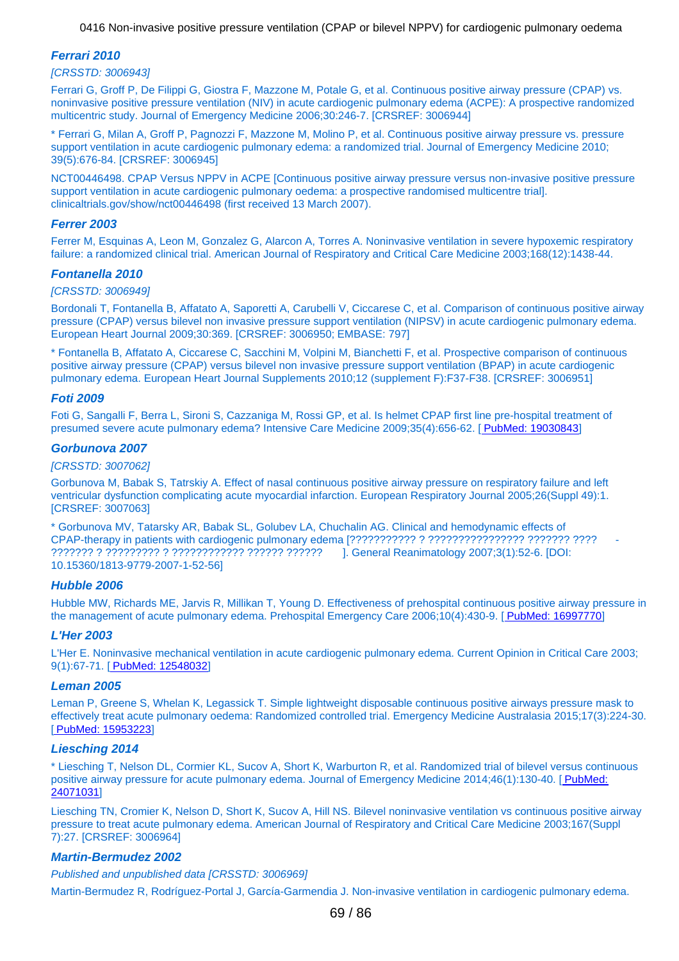### **Ferrari 2010**

#### [CRSSTD: 3006943]

Ferrari G, Groff P, De Filippi G, Giostra F, Mazzone M, Potale G, et al. Continuous positive airway pressure (CPAP) vs. noninvasive positive pressure ventilation (NIV) in acute cardiogenic pulmonary edema (ACPE): A prospective randomized multicentric study. Journal of Emergency Medicine 2006;30:246-7. [CRSREF: 3006944]

\* Ferrari G, Milan A, Groff P, Pagnozzi F, Mazzone M, Molino P, et al. Continuous positive airway pressure vs. pressure support ventilation in acute cardiogenic pulmonary edema: a randomized trial. Journal of Emergency Medicine 2010; 39(5):676-84. [CRSREF: 3006945]

NCT00446498. CPAP Versus NPPV in ACPE [Continuous positive airway pressure versus non-invasive positive pressure support ventilation in acute cardiogenic pulmonary oedema: a prospective randomised multicentre trial]. clinicaltrials.gov/show/nct00446498 (first received 13 March 2007).

#### **Ferrer 2003**

Ferrer M, Esquinas A, Leon M, Gonzalez G, Alarcon A, Torres A. Noninvasive ventilation in severe hypoxemic respiratory failure: a randomized clinical trial. American Journal of Respiratory and Critical Care Medicine 2003;168(12):1438-44.

#### **Fontanella 2010**

#### [CRSSTD: 3006949]

Bordonali T, Fontanella B, Affatato A, Saporetti A, Carubelli V, Ciccarese C, et al. Comparison of continuous positive airway pressure (CPAP) versus bilevel non invasive pressure support ventilation (NIPSV) in acute cardiogenic pulmonary edema. European Heart Journal 2009;30:369. [CRSREF: 3006950; EMBASE: 797]

\* Fontanella B, Affatato A, Ciccarese C, Sacchini M, Volpini M, Bianchetti F, et al. Prospective comparison of continuous positive airway pressure (CPAP) versus bilevel non invasive pressure support ventilation (BPAP) in acute cardiogenic pulmonary edema. European Heart Journal Supplements 2010;12 (supplement F):F37-F38. [CRSREF: 3006951]

#### **Foti 2009**

Foti G, Sangalli F, Berra L, Sironi S, Cazzaniga M, Rossi GP, et al. Is helmet CPAP first line pre-hospital treatment of presumed severe acute pulmonary edema? Intensive Care Medicine 2009;35(4):656-62. [\[](http://www.ncbi.nlm.nih.gov/pubmed/19030843) [PubMed: 19030843](http://www.ncbi.nlm.nih.gov/pubmed/19030843)]

#### **Gorbunova 2007**

#### [CRSSTD: 3007062]

Gorbunova M, Babak S, Tatrskiy A. Effect of nasal continuous positive airway pressure on respiratory failure and left ventricular dysfunction complicating acute myocardial infarction. European Respiratory Journal 2005;26(Suppl 49):1. [CRSREF: 3007063]

\* Gorbunova MV, Tatarsky AR, Babak SL, Golubev LA, Chuchalin AG. Clinical and hemodynamic effects of CPAP-therapy in patients with cardiogenic pulmonary edema [??????????? ? ???????????????? ??????? ???? - ??????? ? ????????? ? ???????????? ?????? ?????? ]. General Reanimatology 2007;3(1):52-6. [DOI: 10.15360/1813-9779-2007-1-52-56]

#### **Hubble 2006**

Hubble MW, Richards ME, Jarvis R, Millikan T, Young D. Effectiveness of prehospital continuous positive airway pressure in the management of acute pulmonary edema. Prehospital Emergency Care 2006;10(4):430-9. [\[](http://www.ncbi.nlm.nih.gov/pubmed/16997770) [PubMed: 16997770](http://www.ncbi.nlm.nih.gov/pubmed/16997770)]

#### **L'Her 2003**

L'Her E. Noninvasive mechanical ventilation in acute cardiogenic pulmonary edema. Current Opinion in Critical Care 2003; 9(1):67-71. [\[](http://www.ncbi.nlm.nih.gov/pubmed/12548032) [PubMed: 12548032](http://www.ncbi.nlm.nih.gov/pubmed/12548032)]

#### **Leman 2005**

Leman P, Greene S, Whelan K, Legassick T. Simple lightweight disposable continuous positive airways pressure mask to effectively treat acute pulmonary oedema: Randomized controlled trial. Emergency Medicine Australasia 2015;17(3):224-30. [\[](http://www.ncbi.nlm.nih.gov/pubmed/15953223) [PubMed: 15953223](http://www.ncbi.nlm.nih.gov/pubmed/15953223)]

#### **Liesching 2014**

\* Liesching T, Nelson DL, Cormier KL, Sucov A, Short K, Warburton R, et al. Randomized trial of bilevel versus continuous positive airway pressure for acute pulmonary edema. Journal of Emergency Medicine 2014;46(1):130-40. [\[](http://www.ncbi.nlm.nih.gov/pubmed/24071031) [PubMed:](http://www.ncbi.nlm.nih.gov/pubmed/24071031) [24071031](http://www.ncbi.nlm.nih.gov/pubmed/24071031)]

Liesching TN, Cromier K, Nelson D, Short K, Sucov A, Hill NS. Bilevel noninvasive ventilation vs continuous positive airway pressure to treat acute pulmonary edema. American Journal of Respiratory and Critical Care Medicine 2003;167(Suppl 7):27. [CRSREF: 3006964]

#### **Martin-Bermudez 2002**

Published and unpublished data [CRSSTD: 3006969]

Martin-Bermudez R, Rodríguez-Portal J, García-Garmendia J. Non-invasive ventilation in cardiogenic pulmonary edema.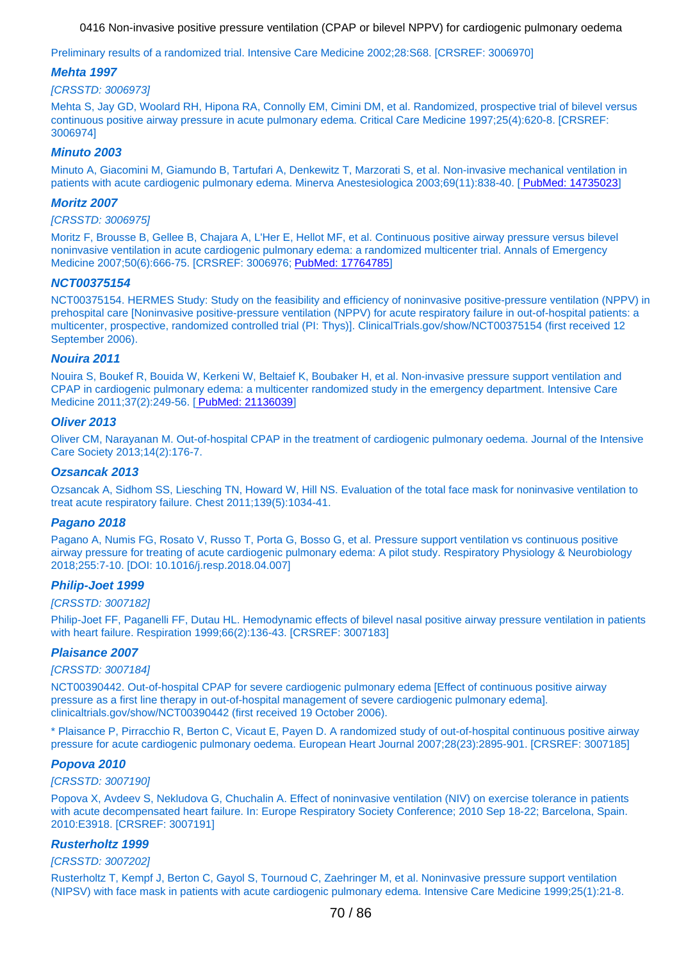Preliminary results of a randomized trial. Intensive Care Medicine 2002;28:S68. [CRSREF: 3006970]

#### **Mehta 1997**

#### [CRSSTD: 3006973]

Mehta S, Jay GD, Woolard RH, Hipona RA, Connolly EM, Cimini DM, et al. Randomized, prospective trial of bilevel versus continuous positive airway pressure in acute pulmonary edema. Critical Care Medicine 1997;25(4):620-8. [CRSREF: 3006974]

### **Minuto 2003**

Minuto A, Giacomini M, Giamundo B, Tartufari A, Denkewitz T, Marzorati S, et al. Non-invasive m[e](http://www.ncbi.nlm.nih.gov/pubmed/14735023)chanical ventilation in patients with acute cardiogenic pulmonary edema. Minerva Anestesiologica 2003;69(11):838-40. [ [PubMed: 14735023](http://www.ncbi.nlm.nih.gov/pubmed/14735023)]

#### **Moritz 2007**

#### [CRSSTD: 3006975]

Moritz F, Brousse B, Gellee B, Chajara A, L'Her E, Hellot MF, et al. Continuous positive airway pressure versus bilevel noninvasive ventilation in acute cardiogenic pulmonary edema: a randomized multicenter trial. Annals of Emergency Medicine 2007;50(6):666-75. [CRSREF: 3006976; [PubMed: 17764785](http://www.ncbi.nlm.nih.gov/pubmed/17764785)]

### **NCT00375154**

NCT00375154. HERMES Study: Study on the feasibility and efficiency of noninvasive positive-pressure ventilation (NPPV) in prehospital care [Noninvasive positive-pressure ventilation (NPPV) for acute respiratory failure in out-of-hospital patients: a multicenter, prospective, randomized controlled trial (PI: Thys)]. ClinicalTrials.gov/show/NCT00375154 (first received 12 September 2006).

#### **Nouira 2011**

Nouira S, Boukef R, Bouida W, Kerkeni W, Beltaief K, Boubaker H, et al. Non-invasive pressure support ventilation and CPAP in cardiogenic pulmonary edema: a multicenter randomized study in the emergency department. Intensive Care Medicine 2011;37(2):249-56. [\[](http://www.ncbi.nlm.nih.gov/pubmed/21136039) [PubMed: 21136039](http://www.ncbi.nlm.nih.gov/pubmed/21136039)]

#### **Oliver 2013**

Oliver CM, Narayanan M. Out-of-hospital CPAP in the treatment of cardiogenic pulmonary oedema. Journal of the Intensive Care Society 2013;14(2):176-7.

#### **Ozsancak 2013**

Ozsancak A, Sidhom SS, Liesching TN, Howard W, Hill NS. Evaluation of the total face mask for noninvasive ventilation to treat acute respiratory failure. Chest 2011;139(5):1034-41.

#### **Pagano 2018**

Pagano A, Numis FG, Rosato V, Russo T, Porta G, Bosso G, et al. Pressure support ventilation vs continuous positive airway pressure for treating of acute cardiogenic pulmonary edema: A pilot study. Respiratory Physiology & Neurobiology 2018;255:7-10. [DOI: 10.1016/j.resp.2018.04.007]

#### **Philip-Joet 1999**

#### [CRSSTD: 3007182]

Philip-Joet FF, Paganelli FF, Dutau HL. Hemodynamic effects of bilevel nasal positive airway pressure ventilation in patients with heart failure. Respiration 1999;66(2):136-43. [CRSREF: 3007183]

#### **Plaisance 2007**

#### [CRSSTD: 3007184]

NCT00390442. Out-of-hospital CPAP for severe cardiogenic pulmonary edema [Effect of continuous positive airway pressure as a first line therapy in out-of-hospital management of severe cardiogenic pulmonary edema]. clinicaltrials.gov/show/NCT00390442 (first received 19 October 2006).

\* Plaisance P, Pirracchio R, Berton C, Vicaut E, Payen D. A randomized study of out-of-hospital continuous positive airway pressure for acute cardiogenic pulmonary oedema. European Heart Journal 2007;28(23):2895-901. [CRSREF: 3007185]

#### **Popova 2010**

#### [CRSSTD: 3007190]

Popova X, Avdeev S, Nekludova G, Chuchalin A. Effect of noninvasive ventilation (NIV) on exercise tolerance in patients with acute decompensated heart failure. In: Europe Respiratory Society Conference: 2010 Sep 18-22; Barcelona, Spain. 2010:E3918. [CRSREF: 3007191]

### **Rusterholtz 1999**

#### [CRSSTD: 3007202]

Rusterholtz T, Kempf J, Berton C, Gayol S, Tournoud C, Zaehringer M, et al. Noninvasive pressure support ventilation (NIPSV) with face mask in patients with acute cardiogenic pulmonary edema. Intensive Care Medicine 1999;25(1):21-8.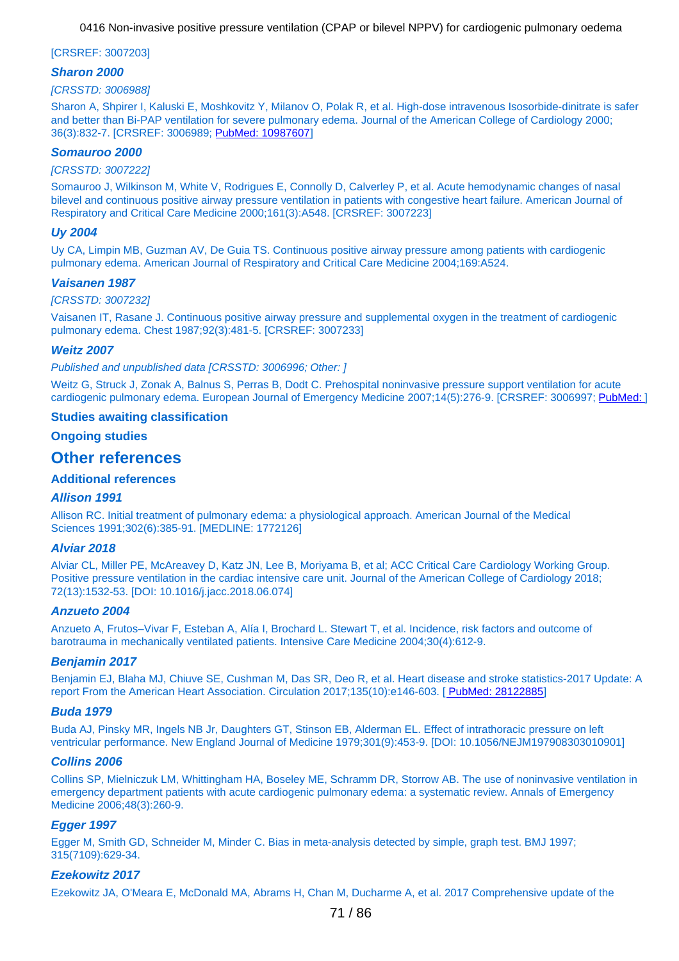#### [CRSREF: 3007203]

#### **Sharon 2000**

#### [CRSSTD: 3006988]

Sharon A, Shpirer I, Kaluski E, Moshkovitz Y, Milanov O, Polak R, et al. High-dose intravenous Isosorbide-dinitrate is safer and better than Bi-PAP ventilation for severe pulmonary edema. Journal of the American College of Cardiology 2000; 36(3):832-7. [CRSREF: 3006989; [PubMed: 10987607](http://www.ncbi.nlm.nih.gov/pubmed/10987607)]

#### **Somauroo 2000**

#### [CRSSTD: 3007222]

Somauroo J, Wilkinson M, White V, Rodrigues E, Connolly D, Calverley P, et al. Acute hemodynamic changes of nasal bilevel and continuous positive airway pressure ventilation in patients with congestive heart failure. American Journal of Respiratory and Critical Care Medicine 2000;161(3):A548. [CRSREF: 3007223]

### **Uy 2004**

Uy CA, Limpin MB, Guzman AV, De Guia TS. Continuous positive airway pressure among patients with cardiogenic pulmonary edema. American Journal of Respiratory and Critical Care Medicine 2004;169:A524.

#### **Vaisanen 1987**

#### [CRSSTD: 3007232]

Vaisanen IT, Rasane J. Continuous positive airway pressure and supplemental oxygen in the treatment of cardiogenic pulmonary edema. Chest 1987;92(3):481-5. [CRSREF: 3007233]

#### **Weitz 2007**

Published and unpublished data [CRSSTD: 3006996; Other: ]

Weitz G, Struck J, Zonak A, Balnus S, Perras B, Dodt C. Prehospital noninvasive pressure support ventilation for acute cardiogenic pulmonary edema. European Journal of Emergency Medicine 2007;14(5):276-9. [CRSREF: 3006997; [PubMed:](http://www.ncbi.nlm.nih.gov/pubmed/) ]

### **Studies awaiting classification**

#### **Ongoing studies**

## **Other references**

### **Additional references**

#### **Allison 1991**

Allison RC. Initial treatment of pulmonary edema: a physiological approach. American Journal of the Medical Sciences 1991;302(6):385-91. [MEDLINE: 1772126]

#### **Alviar 2018**

Alviar CL, Miller PE, McAreavey D, Katz JN, Lee B, Moriyama B, et al; ACC Critical Care Cardiology Working Group. Positive pressure ventilation in the cardiac intensive care unit. Journal of the American College of Cardiology 2018; 72(13):1532-53. [DOI: 10.1016/j.jacc.2018.06.074]

#### **Anzueto 2004**

Anzueto A, Frutos–Vivar F, Esteban A, Alía I, Brochard L. Stewart T, et al. Incidence, risk factors and outcome of barotrauma in mechanically ventilated patients. Intensive Care Medicine 2004;30(4):612-9.

#### **Benjamin 2017**

Benjamin EJ, Blaha MJ, Chiuve SE, Cushman M, Das SR, Deo R, et al. Heart disease and stroke statistics-2017 Update: A report From the American Heart Association. Circulation 2017;135(10):e146-603. [\[](http://www.ncbi.nlm.nih.gov/pubmed/28122885) [PubMed: 28122885](http://www.ncbi.nlm.nih.gov/pubmed/28122885)]

#### **Buda 1979**

Buda AJ, Pinsky MR, Ingels NB Jr, Daughters GT, Stinson EB, Alderman EL. Effect of intrathoracic pressure on left ventricular performance. New England Journal of Medicine 1979;301(9):453-9. [DOI: 10.1056/NEJM197908303010901]

#### **Collins 2006**

Collins SP, Mielniczuk LM, Whittingham HA, Boseley ME, Schramm DR, Storrow AB. The use of noninvasive ventilation in emergency department patients with acute cardiogenic pulmonary edema: a systematic review. Annals of Emergency Medicine 2006;48(3):260-9.

#### **Egger 1997**

Egger M, Smith GD, Schneider M, Minder C. Bias in meta-analysis detected by simple, graph test. BMJ 1997; 315(7109):629-34.

#### **Ezekowitz 2017**

Ezekowitz JA, O'Meara E, McDonald MA, Abrams H, Chan M, Ducharme A, et al. 2017 Comprehensive update of the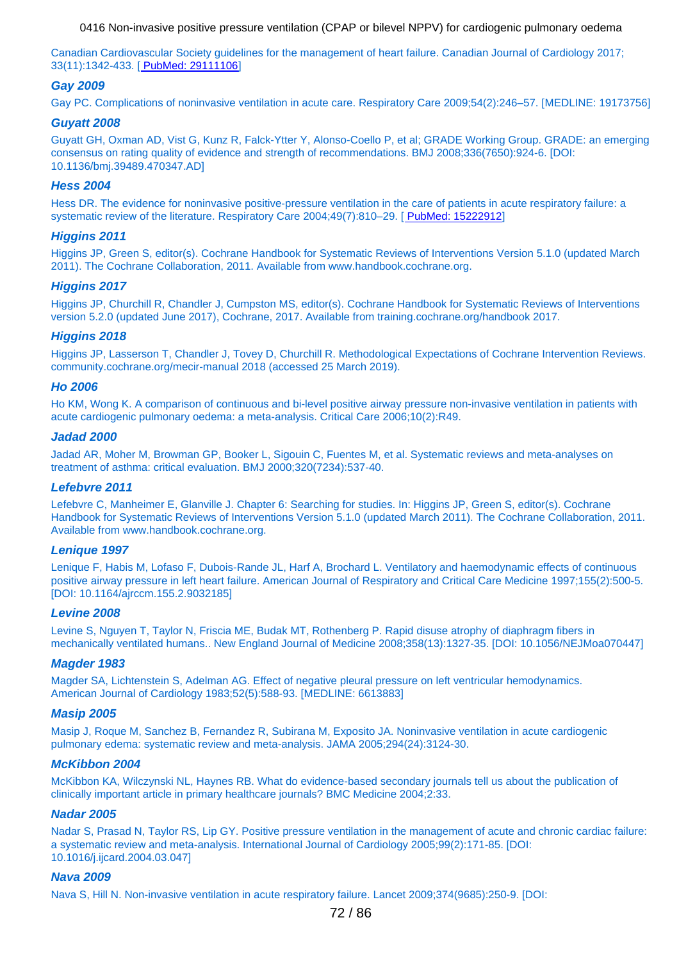Canadian Cardiov[a](http://www.ncbi.nlm.nih.gov/pubmed/29111106)scular Society guidelines for the management of heart failure. Canadian Journal of Cardiology 2017; 33(11):1342-433. [ [PubMed: 29111106](http://www.ncbi.nlm.nih.gov/pubmed/29111106)]

### **Gay 2009**

Gay PC. Complications of noninvasive ventilation in acute care. Respiratory Care 2009;54(2):246–57. [MEDLINE: 19173756]

#### **Guyatt 2008**

Guyatt GH, Oxman AD, Vist G, Kunz R, Falck-Ytter Y, Alonso-Coello P, et al; GRADE Working Group. GRADE: an emerging consensus on rating quality of evidence and strength of recommendations. BMJ 2008;336(7650):924-6. [DOI: 10.1136/bmj.39489.470347.AD]

#### **Hess 2004**

Hess DR. The evidence for noninvasive positive-pressure ventilation in th[e](http://www.ncbi.nlm.nih.gov/pubmed/15222912) care of patients in acute respiratory failure: a systematic review of the literature. Respiratory Care 2004;49(7):810–29. [ [PubMed: 15222912](http://www.ncbi.nlm.nih.gov/pubmed/15222912)]

#### **Higgins 2011**

Higgins JP, Green S, editor(s). Cochrane Handbook for Systematic Reviews of Interventions Version 5.1.0 (updated March 2011). The Cochrane Collaboration, 2011. Available from www.handbook.cochrane.org.

#### **Higgins 2017**

Higgins JP, Churchill R, Chandler J, Cumpston MS, editor(s). Cochrane Handbook for Systematic Reviews of Interventions version 5.2.0 (updated June 2017), Cochrane, 2017. Available from training.cochrane.org/handbook 2017.

#### **Higgins 2018**

Higgins JP, Lasserson T, Chandler J, Tovey D, Churchill R. Methodological Expectations of Cochrane Intervention Reviews. community.cochrane.org/mecir-manual 2018 (accessed 25 March 2019).

#### **Ho 2006**

Ho KM, Wong K. A comparison of continuous and bi-level positive airway pressure non-invasive ventilation in patients with acute cardiogenic pulmonary oedema: a meta-analysis. Critical Care 2006;10(2):R49.

#### **Jadad 2000**

Jadad AR, Moher M, Browman GP, Booker L, Sigouin C, Fuentes M, et al. Systematic reviews and meta-analyses on treatment of asthma: critical evaluation. BMJ 2000;320(7234):537-40.

#### **Lefebvre 2011**

Lefebvre C, Manheimer E, Glanville J. Chapter 6: Searching for studies. In: Higgins JP, Green S, editor(s). Cochrane Handbook for Systematic Reviews of Interventions Version 5.1.0 (updated March 2011). The Cochrane Collaboration, 2011. Available from www.handbook.cochrane.org.

#### **Lenique 1997**

Lenique F, Habis M, Lofaso F, Dubois-Rande JL, Harf A, Brochard L. Ventilatory and haemodynamic effects of continuous positive airway pressure in left heart failure. American Journal of Respiratory and Critical Care Medicine 1997;155(2):500-5. [DOI: 10.1164/ajrccm.155.2.9032185]

#### **Levine 2008**

Levine S, Nguyen T, Taylor N, Friscia ME, Budak MT, Rothenberg P. Rapid disuse atrophy of diaphragm fibers in mechanically ventilated humans.. New England Journal of Medicine 2008;358(13):1327-35. [DOI: 10.1056/NEJMoa070447]

#### **Magder 1983**

Magder SA, Lichtenstein S, Adelman AG. Effect of negative pleural pressure on left ventricular hemodynamics. American Journal of Cardiology 1983;52(5):588-93. [MEDLINE: 6613883]

#### **Masip 2005**

Masip J, Roque M, Sanchez B, Fernandez R, Subirana M, Exposito JA. Noninvasive ventilation in acute cardiogenic pulmonary edema: systematic review and meta-analysis. JAMA 2005;294(24):3124-30.

#### **McKibbon 2004**

McKibbon KA, Wilczynski NL, Haynes RB. What do evidence-based secondary journals tell us about the publication of clinically important article in primary healthcare journals? BMC Medicine 2004;2:33.

#### **Nadar 2005**

Nadar S, Prasad N, Taylor RS, Lip GY. Positive pressure ventilation in the management of acute and chronic cardiac failure: a systematic review and meta-analysis. International Journal of Cardiology 2005;99(2):171-85. [DOI: 10.1016/j.ijcard.2004.03.047]

#### **Nava 2009**

Nava S, Hill N. Non-invasive ventilation in acute respiratory failure. Lancet 2009;374(9685):250-9. [DOI: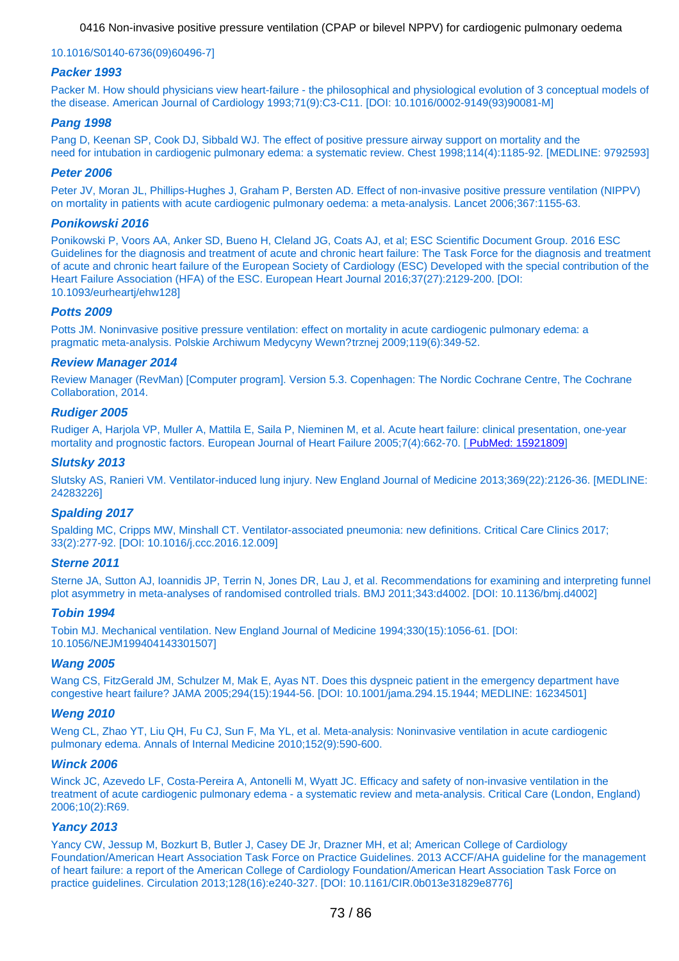#### 10.1016/S0140-6736(09)60496-7]

## **Packer 1993**

Packer M. How should physicians view heart-failure - the philosophical and physiological evolution of 3 conceptual models of the disease. American Journal of Cardiology 1993;71(9):C3-C11. [DOI: 10.1016/0002-9149(93)90081-M]

#### **Pang 1998**

Pang D, Keenan SP, Cook DJ, Sibbald WJ. The effect of positive pressure airway support on mortality and the need for intubation in cardiogenic pulmonary edema: a systematic review. Chest 1998;114(4):1185-92. [MEDLINE: 9792593]

## **Peter 2006**

Peter JV, Moran JL, Phillips-Hughes J, Graham P, Bersten AD. Effect of non-invasive positive pressure ventilation (NIPPV) on mortality in patients with acute cardiogenic pulmonary oedema: a meta-analysis. Lancet 2006;367:1155-63.

## **Ponikowski 2016**

Ponikowski P, Voors AA, Anker SD, Bueno H, Cleland JG, Coats AJ, et al; ESC Scientific Document Group. 2016 ESC Guidelines for the diagnosis and treatment of acute and chronic heart failure: The Task Force for the diagnosis and treatment of acute and chronic heart failure of the European Society of Cardiology (ESC) Developed with the special contribution of the Heart Failure Association (HFA) of the ESC. European Heart Journal 2016;37(27):2129-200. [DOI: 10.1093/eurheartj/ehw128]

## **Potts 2009**

Potts JM. Noninvasive positive pressure ventilation: effect on mortality in acute cardiogenic pulmonary edema: a pragmatic meta-analysis. Polskie Archiwum Medycyny Wewn?trznej 2009;119(6):349-52.

#### **Review Manager 2014**

Review Manager (RevMan) [Computer program]. Version 5.3. Copenhagen: The Nordic Cochrane Centre, The Cochrane Collaboration, 2014.

## **Rudiger 2005**

Rudiger A, Harjola VP, Muller A, Mattila E, Saila P, Nieminen M, et al. Acute heart failu[r](http://www.ncbi.nlm.nih.gov/pubmed/15921809)e: clinical presentation, one-year mortality and prognostic factors. European Journal of Heart Failure 2005;7(4):662-70. [ [PubMed: 15921809](http://www.ncbi.nlm.nih.gov/pubmed/15921809)]

#### **Slutsky 2013**

Slutsky AS, Ranieri VM. Ventilator-induced lung injury. New England Journal of Medicine 2013;369(22):2126-36. [MEDLINE: 24283226]

## **Spalding 2017**

Spalding MC, Cripps MW, Minshall CT. Ventilator-associated pneumonia: new definitions. Critical Care Clinics 2017; 33(2):277-92. [DOI: 10.1016/j.ccc.2016.12.009]

#### **Sterne 2011**

Sterne JA, Sutton AJ, Ioannidis JP, Terrin N, Jones DR, Lau J, et al. Recommendations for examining and interpreting funnel plot asymmetry in meta-analyses of randomised controlled trials. BMJ 2011;343:d4002. [DOI: 10.1136/bmj.d4002]

#### **Tobin 1994**

Tobin MJ. Mechanical ventilation. New England Journal of Medicine 1994;330(15):1056-61. [DOI: 10.1056/NEJM199404143301507]

#### **Wang 2005**

Wang CS, FitzGerald JM, Schulzer M, Mak E, Ayas NT. Does this dyspneic patient in the emergency department have congestive heart failure? JAMA 2005;294(15):1944-56. [DOI: 10.1001/jama.294.15.1944; MEDLINE: 16234501]

#### **Weng 2010**

Weng CL, Zhao YT, Liu QH, Fu CJ, Sun F, Ma YL, et al. Meta-analysis: Noninvasive ventilation in acute cardiogenic pulmonary edema. Annals of Internal Medicine 2010;152(9):590-600.

#### **Winck 2006**

Winck JC, Azevedo LF, Costa-Pereira A, Antonelli M, Wyatt JC. Efficacy and safety of non-invasive ventilation in the treatment of acute cardiogenic pulmonary edema - a systematic review and meta-analysis. Critical Care (London, England) 2006;10(2):R69.

#### **Yancy 2013**

Yancy CW, Jessup M, Bozkurt B, Butler J, Casey DE Jr, Drazner MH, et al; American College of Cardiology Foundation/American Heart Association Task Force on Practice Guidelines. 2013 ACCF/AHA guideline for the management of heart failure: a report of the American College of Cardiology Foundation/American Heart Association Task Force on practice guidelines. Circulation 2013;128(16):e240-327. [DOI: 10.1161/CIR.0b013e31829e8776]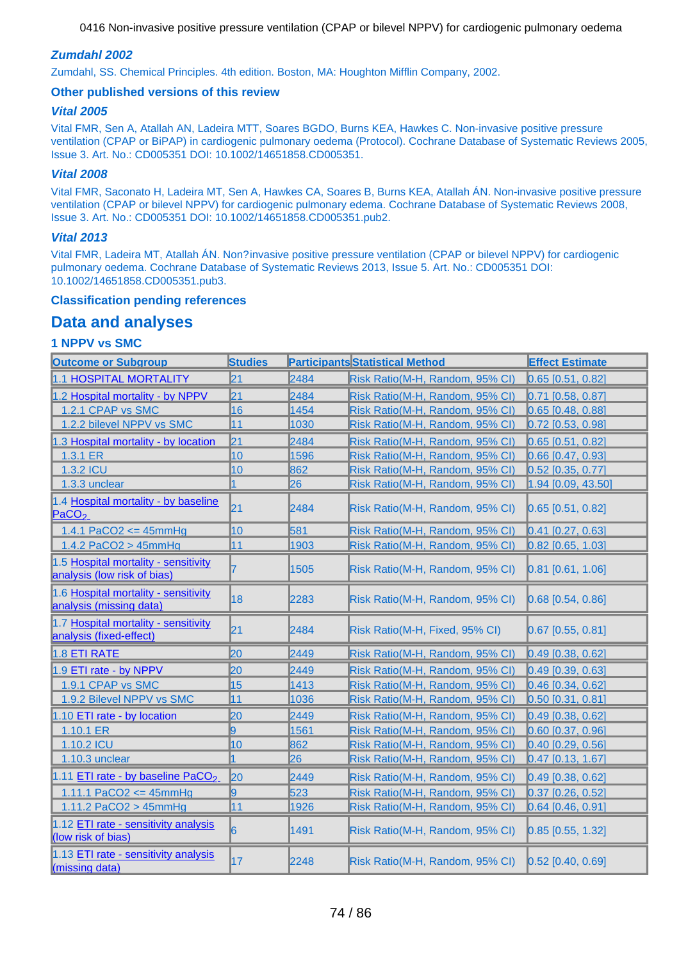## **Zumdahl 2002**

Zumdahl, SS. Chemical Principles. 4th edition. Boston, MA: Houghton Mifflin Company, 2002.

## **Other published versions of this review**

## **Vital 2005**

Vital FMR, Sen A, Atallah AN, Ladeira MTT, Soares BGDO, Burns KEA, Hawkes C. Non-invasive positive pressure ventilation (CPAP or BiPAP) in cardiogenic pulmonary oedema (Protocol). Cochrane Database of Systematic Reviews 2005, Issue 3. Art. No.: CD005351 DOI: 10.1002/14651858.CD005351.

## **Vital 2008**

Vital FMR, Saconato H, Ladeira MT, Sen A, Hawkes CA, Soares B, Burns KEA, Atallah ÁN. Non-invasive positive pressure ventilation (CPAP or bilevel NPPV) for cardiogenic pulmonary edema. Cochrane Database of Systematic Reviews 2008, Issue 3. Art. No.: CD005351 DOI: 10.1002/14651858.CD005351.pub2.

## **Vital 2013**

Vital FMR, Ladeira MT, Atallah ÁN. Non?invasive positive pressure ventilation (CPAP or bilevel NPPV) for cardiogenic pulmonary oedema. Cochrane Database of Systematic Reviews 2013, Issue 5. Art. No.: CD005351 DOI: 10.1002/14651858.CD005351.pub3.

## **Classification pending references**

## **Data and analyses**

## **1 NPPV vs SMC**

| <b>Outcome or Subgroup</b>                                          | <b>Studies</b> |      | <b>Participants Statistical Method</b> | <b>Effect Estimate</b>  |
|---------------------------------------------------------------------|----------------|------|----------------------------------------|-------------------------|
| 1.1 HOSPITAL MORTALITY                                              | 21             | 2484 | Risk Ratio(M-H, Random, 95% CI)        | $0.65$ [0.51, 0.82]     |
| 1.2 Hospital mortality - by NPPV                                    | 21             | 2484 | Risk Ratio(M-H, Random, 95% CI)        | $0.71$ [0.58, 0.87]     |
| 1.2.1 CPAP vs SMC                                                   | 16             | 1454 | Risk Ratio(M-H, Random, 95% CI)        | $0.65$ [0.48, 0.88]     |
| 1.2.2 bilevel NPPV vs SMC                                           | 11             | 1030 | Risk Ratio(M-H, Random, 95% CI)        | $0.72$ [0.53, 0.98]     |
| 1.3 Hospital mortality - by location                                | $\mathsf{21}$  | 2484 | Risk Ratio(M-H, Random, 95% CI)        | $0.65$ [0.51, 0.82]     |
| 1.3.1 ER                                                            | 10             | 1596 | Risk Ratio(M-H, Random, 95% CI)        | $0.66$ [0.47, 0.93]     |
| 1.3.2 ICU                                                           | 10             | 862  | Risk Ratio(M-H, Random, 95% CI)        | $0.52$ [0.35, 0.77]     |
| 1.3.3 unclear                                                       | $\overline{1}$ | 26   | Risk Ratio(M-H, Random, 95% CI)        | $1.94$ [0.09, 43.50]    |
| 1.4 Hospital mortality - by baseline<br>PACO <sub>2</sub>           | 21             | 2484 | Risk Ratio(M-H, Random, 95% CI)        | $0.65$ [0.51, 0.82]     |
| 1.4.1 PaCO2 <= $45mmHg$                                             | 10             | 581  | Risk Ratio(M-H, Random, 95% CI)        | $0.41$ [0.27, 0.63]     |
| 1.4.2 PaCO2 $>$ 45mmHg                                              | 11             | 1903 | Risk Ratio(M-H, Random, 95% CI)        | $0.82$ [0.65, 1.03]     |
| 1.5 Hospital mortality - sensitivity<br>analysis (low risk of bias) |                | 1505 | Risk Ratio(M-H, Random, 95% CI)        | $[0.81]$ $[0.61, 1.06]$ |
| 1.6 Hospital mortality - sensitivity<br>analysis (missing data)     | 18             | 2283 | Risk Ratio(M-H, Random, 95% CI)        | $[0.68]$ [0.54, 0.86]   |
| 1.7 Hospital mortality - sensitivity<br>analysis (fixed-effect)     | 21             | 2484 | Risk Ratio(M-H, Fixed, 95% CI)         | $0.67$ [0.55, 0.81]     |
| 1.8 ETI RATE                                                        | 20             | 2449 | Risk Ratio(M-H, Random, 95% CI)        | $0.49$ [0.38, 0.62]     |
| 1.9 ETI rate - by NPPV                                              | 20             | 2449 | Risk Ratio(M-H, Random, 95% CI)        | $0.49$ [0.39, 0.63]     |
| 1.9.1 CPAP vs SMC                                                   | 15             | 1413 | Risk Ratio(M-H, Random, 95% CI)        | $0.46$ [0.34, 0.62]     |
| 1.9.2 Bilevel NPPV vs SMC                                           | 11             | 1036 | Risk Ratio(M-H, Random, 95% CI)        | $0.50$ [0.31, 0.81]     |
| 1.10 ETI rate - by location                                         | 20             | 2449 | Risk Ratio(M-H, Random, 95% CI)        | $0.49$ [0.38, 0.62]     |
| 1.10.1 ER                                                           | 9              | 1561 | Risk Ratio(M-H, Random, 95% CI)        | $0.60$ [0.37, 0.96]     |
| 1.10.2 ICU                                                          | 10             | 862  | Risk Ratio(M-H, Random, 95% CI)        | $0.40$ [0.29, 0.56]     |
| 1.10.3 unclear                                                      |                | 26   | Risk Ratio(M-H, Random, 95% CI)        | $0.47$ [0.13, 1.67]     |
| 1.11 ETI rate - by baseline PaCO <sub>2</sub>                       | $\mathsf{I}20$ | 2449 | Risk Ratio(M-H, Random, 95% CI)        | $0.49$ [0.38, 0.62]     |
| 1.11.1 PaCO2 <= $45mmHg$                                            | 9              | 523  | Risk Ratio(M-H, Random, 95% CI)        | $0.37$ [0.26, 0.52]     |
| 1.11.2 PaCO2 > $45mmHg$                                             | 11             | 1926 | Risk Ratio(M-H, Random, 95% CI)        | $0.64$ [0.46, 0.91]     |
| 1.12 ETI rate - sensitivity analysis<br>(low risk of bias)          | 6              | 1491 | Risk Ratio(M-H, Random, 95% CI)        | $0.85$ [0.55, 1.32]     |
| 1.13 ETI rate - sensitivity analysis<br>(missing data)              | 17             | 2248 | Risk Ratio(M-H, Random, 95% CI)        | $0.52$ [0.40, 0.69]     |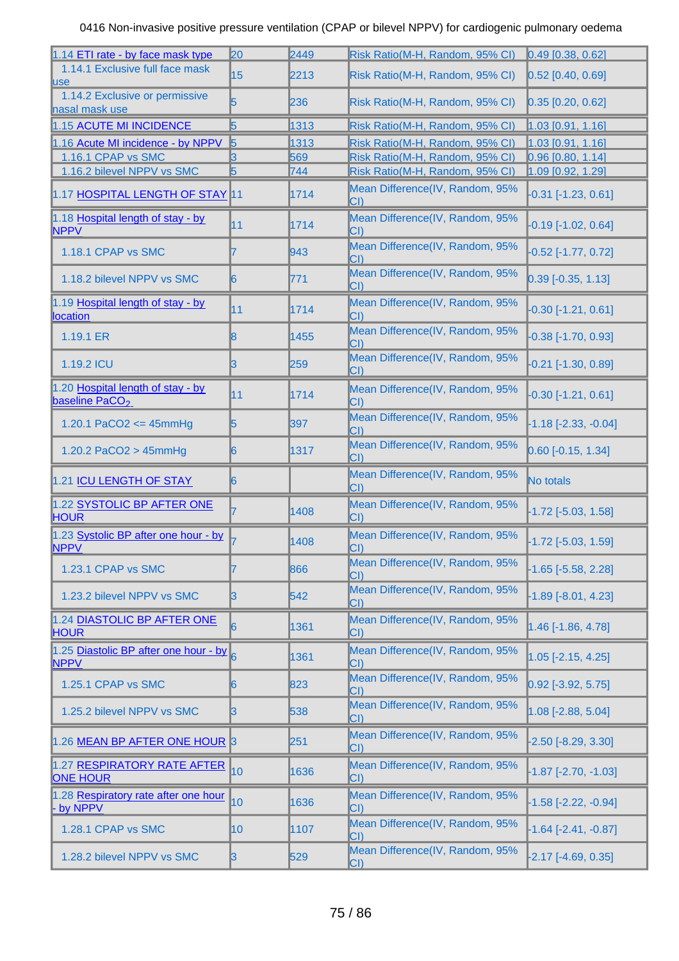| 1.14 ETI rate - by face mask type                               | 20              | 2449 | Risk Ratio(M-H, Random, 95% CI)                 | $0.49$ [0.38, 0.62]          |
|-----------------------------------------------------------------|-----------------|------|-------------------------------------------------|------------------------------|
| 1.14.1 Exclusive full face mask<br><b>luse</b>                  | 15              | 2213 | Risk Ratio(M-H, Random, 95% CI)                 | $0.52$ [0.40, 0.69]          |
| 1.14.2 Exclusive or permissive<br>nasal mask use                | 15              | 236  | Risk Ratio(M-H, Random, 95% CI)                 | $[0.35]$ $[0.20, 0.62]$      |
| 1.15 ACUTE MI INCIDENCE                                         | 15              | 1313 | Risk Ratio(M-H, Random, 95% CI)                 | $1.03$ [0.91, 1.16]          |
| 1.16 Acute MI incidence - by NPPV                               | 15              | 1313 | Risk Ratio(M-H, Random, 95% CI)                 | 1.03 [0.91, 1.16]            |
| 1.16.1 CPAP vs SMC                                              | IЗ              | 569  | Risk Ratio(M-H, Random, 95% CI)                 | $0.96$ [0.80, 1.14]          |
| 1.16.2 bilevel NPPV vs SMC                                      | 5               | 744  | Risk Ratio(M-H, Random, 95% CI)                 | 1.09 [0.92, 1.29]            |
| 1.17 HOSPITAL LENGTH OF STAY 11                                 |                 | 1714 | Mean Difference(IV, Random, 95%<br>$ CI\rangle$ | $-0.31$ $[-1.23, 0.61]$      |
| 1.18 Hospital length of stay - by<br><b>NPPV</b>                | <b>111</b>      | 1714 | Mean Difference(IV, Random, 95%<br>$ CI\rangle$ | $-0.19$ [ $-1.02$ , 0.64]    |
| 1.18.1 CPAP vs SMC                                              | 17              | 943  | Mean Difference(IV, Random, 95%<br>$ CI\rangle$ | $-0.52$ [ $-1.77, 0.72$ ]    |
| 1.18.2 bilevel NPPV vs SMC                                      | $\vert 6 \vert$ | 771  | Mean Difference(IV, Random, 95%<br>$ CI\rangle$ | $0.39$ [-0.35, 1.13]         |
| 1.19 Hospital length of stay - by<br><b>location</b>            | 11              | 1714 | Mean Difference(IV, Random, 95%<br>CI)          | $-0.30$ [ $-1.21$ , $0.61$ ] |
| 1.19.1 ER                                                       | 18              | 1455 | Mean Difference(IV, Random, 95%<br>CI)          | $-0.38$ [-1.70, 0.93]        |
| 1.19.2 ICU                                                      | ß               | 259  | Mean Difference(IV, Random, 95%<br>CI)          | $-0.21$ $[-1.30, 0.89]$      |
| 1.20 Hospital length of stay - by<br>baseline PaCO <sub>2</sub> | 11              | 1714 | Mean Difference(IV, Random, 95%<br>$ CI\rangle$ | $-0.30$ [-1.21, 0.61]        |
| 1.20.1 PaCO2 <= 45mmHg                                          | 15              | 397  | Mean Difference(IV, Random, 95%<br>$ CI\rangle$ | $-1.18[-2.33, -0.04]$        |
| 1.20.2 PaCO2 > 45mmHg                                           | 16              | 1317 | Mean Difference(IV, Random, 95%<br>$ CI\rangle$ | $[0.60$ [-0.15, 1.34]        |
| 1.21 ICU LENGTH OF STAY                                         | 16              |      | Mean Difference(IV, Random, 95%<br>$ CI\rangle$ | No totals                    |
| 1.22 SYSTOLIC BP AFTER ONE<br><b>HOUR</b>                       |                 | 1408 | Mean Difference(IV, Random, 95%<br>$ CI\rangle$ | $-1.72$ $[-5.03, 1.58]$      |
| 1.23 Systolic BP after one hour - by<br><b>NPPV</b>             |                 | 1408 | Mean Difference(IV, Random, 95%<br>$ CI\rangle$ | $-1.72$ [ $-5.03, 1.59$ ]    |
| 1.23.1 CPAP vs SMC                                              |                 |      |                                                 |                              |
|                                                                 | 7               | 866  | Mean Difference(IV, Random, 95%<br>CI)          | $-1.65$ [ $-5.58$ , 2.28]    |
| 1.23.2 bilevel NPPV vs SMC                                      | IЗ              | 542  | Mean Difference(IV, Random, 95%<br>CI)          | $-1.89$ $[-8.01, 4.23]$      |
| 1.24 DIASTOLIC BP AFTER ONE<br><b>HOUR</b>                      | 16              | 1361 | Mean Difference(IV, Random, 95%<br>$ CI\rangle$ | $1.46$ [-1.86, 4.78]         |
| 1.25 Diastolic BP after one hour - by 6<br><b>NPPV</b>          |                 | 1361 | Mean Difference(IV, Random, 95%<br>$ CI\rangle$ | $1.05$ [-2.15, 4.25]         |
| 1.25.1 CPAP vs SMC                                              | 16              | 823  | Mean Difference(IV, Random, 95%<br>CI)          | $0.92$ [-3.92, 5.75]         |
| 1.25.2 bilevel NPPV vs SMC                                      | 13              | 538  | Mean Difference(IV, Random, 95%<br>$ CI\rangle$ | $1.08$ [-2.88, 5.04]         |
| 1.26 MEAN BP AFTER ONE HOUR 3                                   |                 | 251  | Mean Difference(IV, Random, 95%<br>CI)          | $-2.50[-8.29, 3.30]$         |
| 1.27 RESPIRATORY RATE AFTER<br><b>ONE HOUR</b>                  | 10              | 1636 | Mean Difference(IV, Random, 95%<br>$ CI\rangle$ | $-1.87$ $[-2.70, -1.03]$     |
| 1.28 Respiratory rate after one hour<br>by NPPV                 | 10              | 1636 | Mean Difference(IV, Random, 95%<br>$ CI\rangle$ | $-1.58$ $[-2.22, -0.94]$     |
| 1.28.1 CPAP vs SMC                                              | 10              | 1107 | Mean Difference(IV, Random, 95%<br>$ CI\rangle$ | $-1.64$ $[-2.41, -0.87]$     |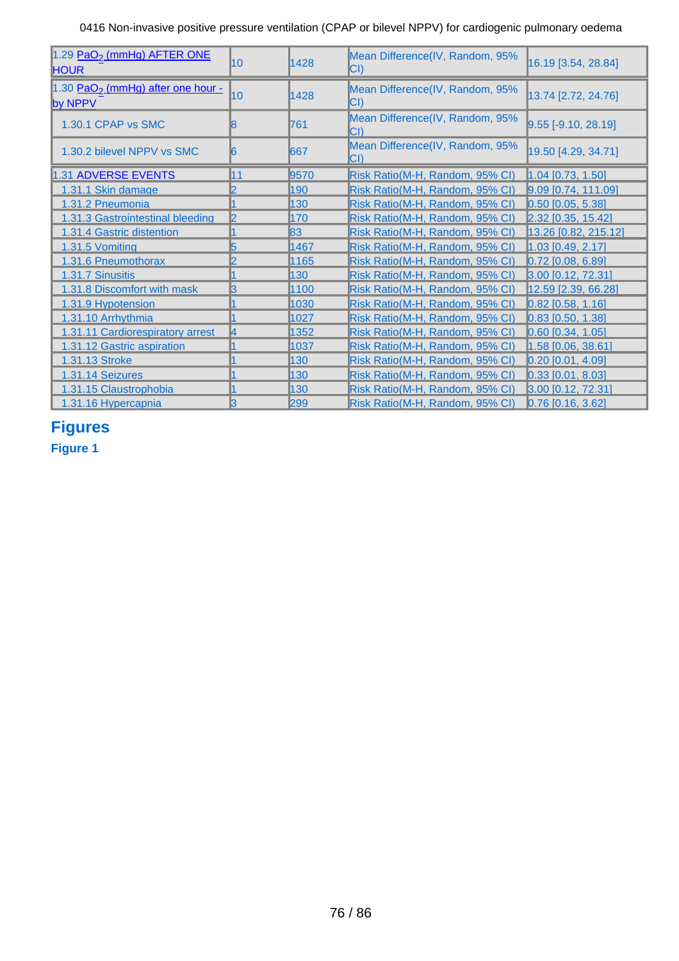| 1.29 PaO <sub>2</sub> (mmHg) AFTER ONE<br><b>HOUR</b>    | 10               | 1428 | Mean Difference(IV, Random, 95%<br>$ CI\rangle$ | 16.19 [3.54, 28.84]      |
|----------------------------------------------------------|------------------|------|-------------------------------------------------|--------------------------|
| 1.30 PaO <sub>2</sub> (mmHg) after one hour -<br>by NPPV | $\overline{110}$ | 1428 | Mean Difference(IV, Random, 95%<br>$ CI\rangle$ | 13.74 [2.72, 24.76]      |
| 1.30.1 CPAP vs SMC                                       | 18               | 761  | Mean Difference(IV, Random, 95%<br>$ CI\rangle$ | $9.55$ [-9.10, 28.19]    |
| 1.30.2 bilevel NPPV vs SMC                               | 16               | 1667 | Mean Difference(IV, Random, 95%<br>$ CI\rangle$ | 19.50 [4.29, 34.71]      |
| 1.31 ADVERSE EVENTS                                      | 11               | 9570 | Risk Ratio(M-H, Random, 95% CI)                 | $1.04$ [0.73, 1.50]      |
| 1.31.1 Skin damage                                       | 12               | 190  | Risk Ratio(M-H, Random, 95% CI)                 | $9.09$ [0.74, 111.09]    |
| 1.31.2 Pneumonia                                         |                  | 130  | Risk Ratio(M-H, Random, 95% CI)                 | $0.50$ [0.05, 5.38]      |
| 1.31.3 Gastrointestinal bleeding                         | l2               | 170  | Risk Ratio(M-H, Random, 95% CI)                 | $[2.32]$ $[0.35, 15.42]$ |
| 1.31.4 Gastric distention                                |                  | 83   | Risk Ratio(M-H, Random, 95% CI)                 | $[13.26]$ [0.82, 215.12] |
| 1.31.5 Vomiting                                          | 15               | 1467 | Risk Ratio(M-H, Random, 95% CI)                 | $1.03$ [0.49, 2.17]      |
| 1.31.6 Pneumothorax                                      | I2               | 1165 | Risk Ratio(M-H, Random, 95% CI)                 | $0.72$ [0.08, 6.89]      |
| 1.31.7 Sinusitis                                         |                  | 130  | Risk Ratio(M-H, Random, 95% CI)                 | 3.00 [0.12, 72.31]       |
| 1.31.8 Discomfort with mask                              | 13               | 1100 | Risk Ratio(M-H, Random, 95% CI)                 | 12.59 [2.39, 66.28]      |
| 1.31.9 Hypotension                                       |                  | 1030 | Risk Ratio(M-H, Random, 95% CI)                 | $0.82$ [0.58, 1.16]      |
| 1.31.10 Arrhythmia                                       |                  | 1027 | Risk Ratio(M-H, Random, 95% CI)                 | $0.83$ [0.50, 1.38]      |
| 1.31.11 Cardiorespiratory arrest                         | 14               | 1352 | Risk Ratio(M-H, Random, 95% CI)                 | $[0.60]$ [0.34, 1.05]    |
| 1.31.12 Gastric aspiration                               |                  | 1037 | Risk Ratio(M-H, Random, 95% CI)                 | $1.58$ [0.06, 38.61]     |
| 1.31.13 Stroke                                           |                  | 130  | Risk Ratio(M-H, Random, 95% CI)                 | $0.20$ [0.01, 4.09]      |
| 1.31.14 Seizures                                         |                  | 130  | Risk Ratio(M-H, Random, 95% CI)                 | $[0.33]$ $[0.01, 8.03]$  |
| 1.31.15 Claustrophobia                                   |                  | 130  | Risk Ratio(M-H, Random, 95% CI)                 | 3.00 [0.12, 72.31]       |
| 1.31.16 Hypercapnia                                      | 13               | 299  | Risk Ratio(M-H, Random, 95% CI)                 | $0.76$ [0.16, 3.62]      |

# **Figures**

**Figure 1**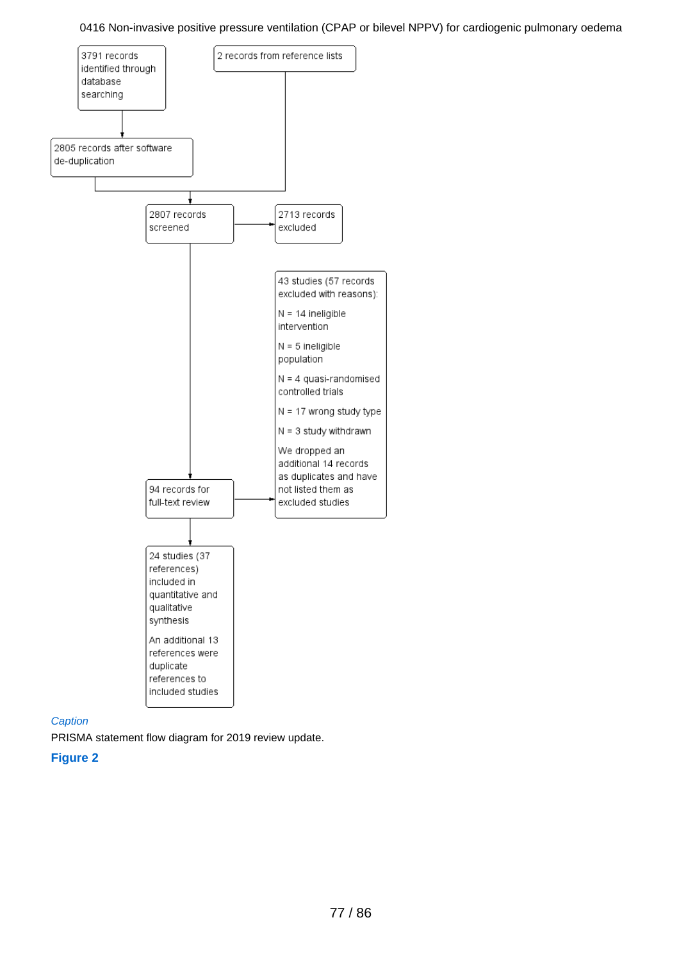

## **Caption**

PRISMA statement flow diagram for 2019 review update.

**Figure 2**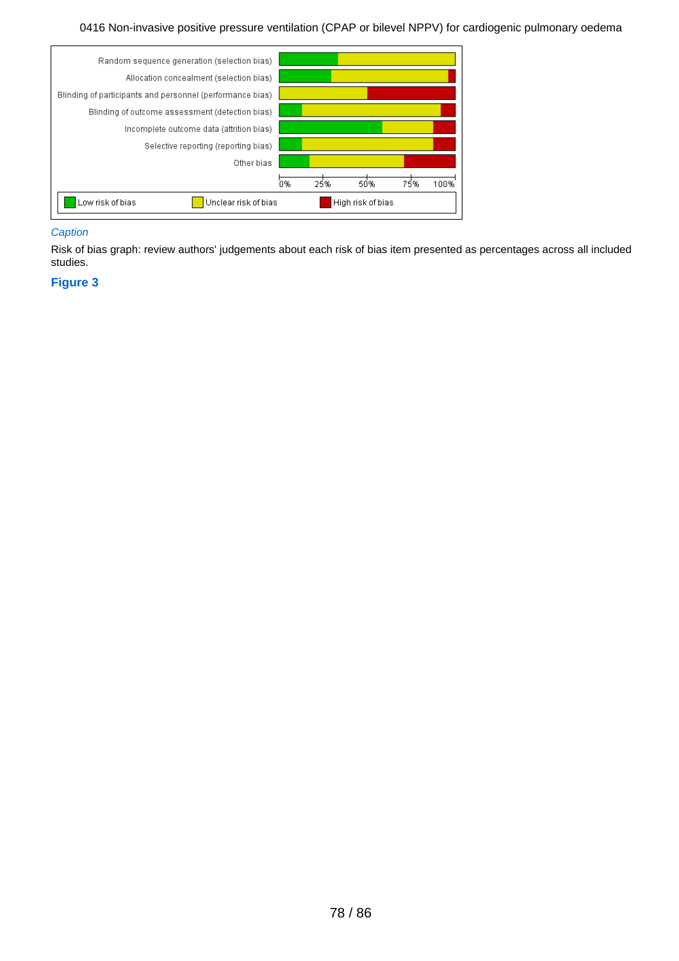

## **Caption**

Risk of bias graph: review authors' judgements about each risk of bias item presented as percentages across all included studies.

## **Figure 3**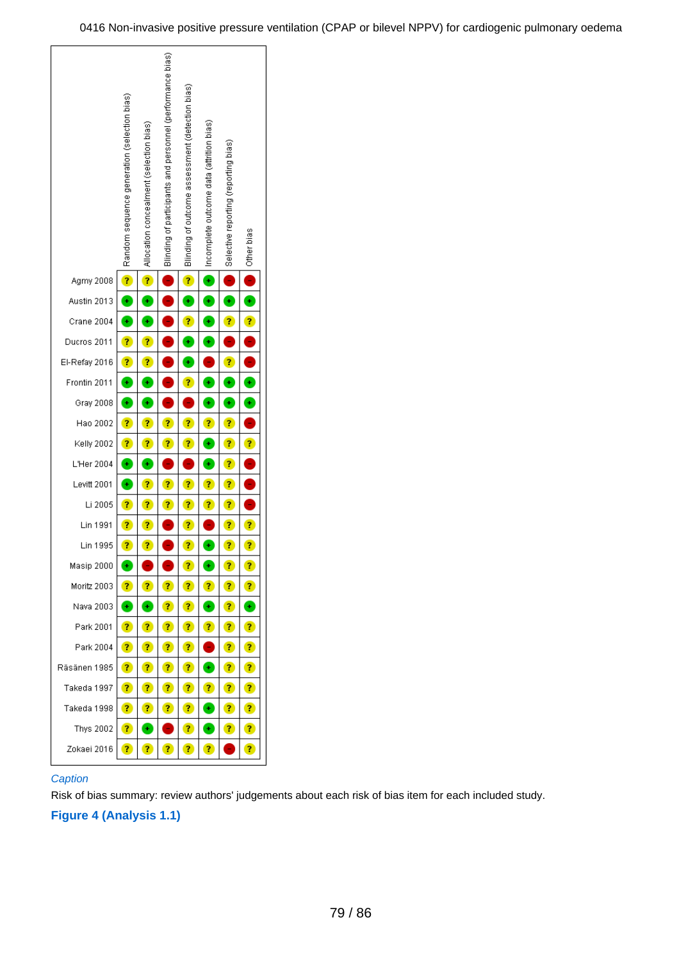

## **Caption**

Risk of bias summary: review authors' judgements about each risk of bias item for each included study.

## **Figure 4 (Analysis 1.1)**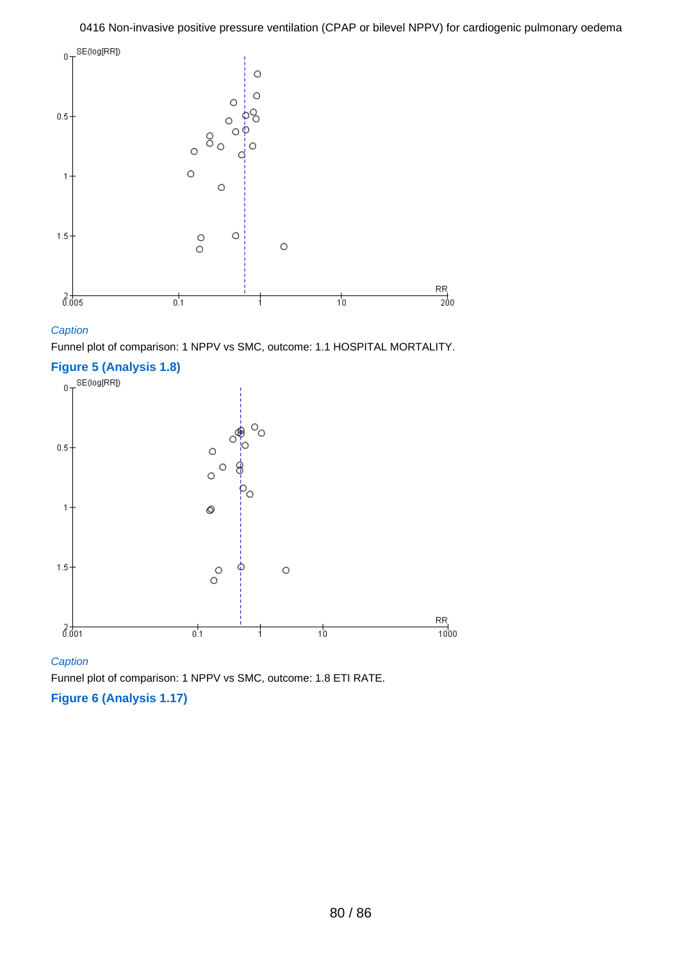

## **Caption**

Funnel plot of comparison: 1 NPPV vs SMC, outcome: 1.1 HOSPITAL MORTALITY.



## **Caption**

Funnel plot of comparison: 1 NPPV vs SMC, outcome: 1.8 ETI RATE.

## **Figure 6 (Analysis 1.17)**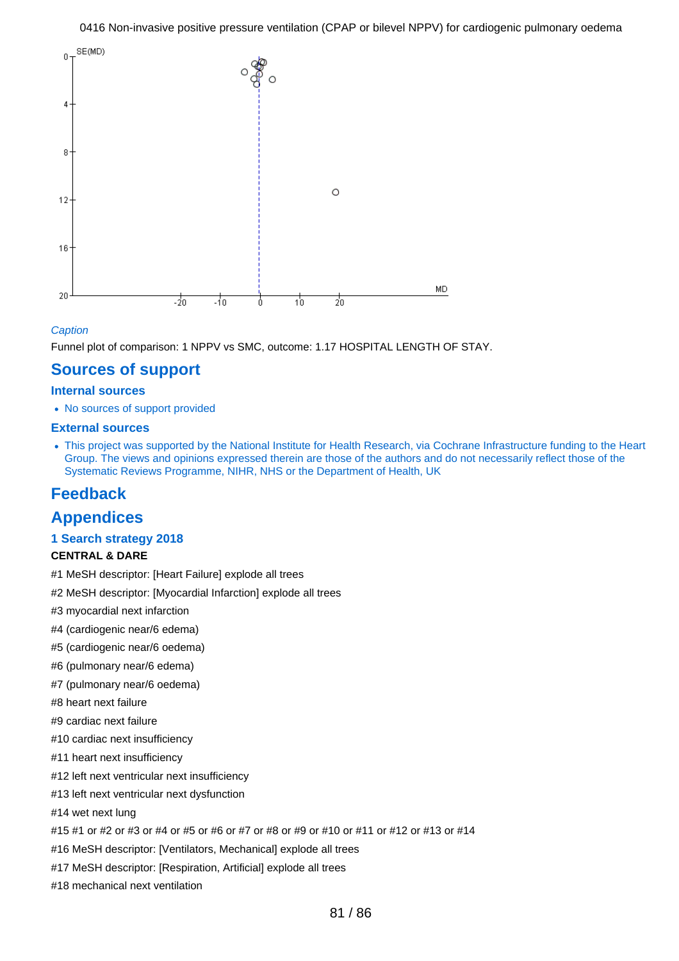

## **Caption**

Funnel plot of comparison: 1 NPPV vs SMC, outcome: 1.17 HOSPITAL LENGTH OF STAY.

## **Sources of support**

## **Internal sources**

• No sources of support provided

## **External sources**

This project was supported by the National Institute for Health Research, via Cochrane Infrastructure funding to the Heart Group. The views and opinions expressed therein are those of the authors and do not necessarily reflect those of the Systematic Reviews Programme, NIHR, NHS or the Department of Health, UK

## **Feedback**

## **Appendices**

## **1 Search strategy 2018**

## **CENTRAL & DARE**

- #1 MeSH descriptor: [Heart Failure] explode all trees
- #2 MeSH descriptor: [Myocardial Infarction] explode all trees
- #3 myocardial next infarction
- #4 (cardiogenic near/6 edema)
- #5 (cardiogenic near/6 oedema)
- #6 (pulmonary near/6 edema)
- #7 (pulmonary near/6 oedema)
- #8 heart next failure
- #9 cardiac next failure
- #10 cardiac next insufficiency
- #11 heart next insufficiency
- #12 left next ventricular next insufficiency
- #13 left next ventricular next dysfunction
- #14 wet next lung
- #15 #1 or #2 or #3 or #4 or #5 or #6 or #7 or #8 or #9 or #10 or #11 or #12 or #13 or #14
- #16 MeSH descriptor: [Ventilators, Mechanical] explode all trees
- #17 MeSH descriptor: [Respiration, Artificial] explode all trees
- #18 mechanical next ventilation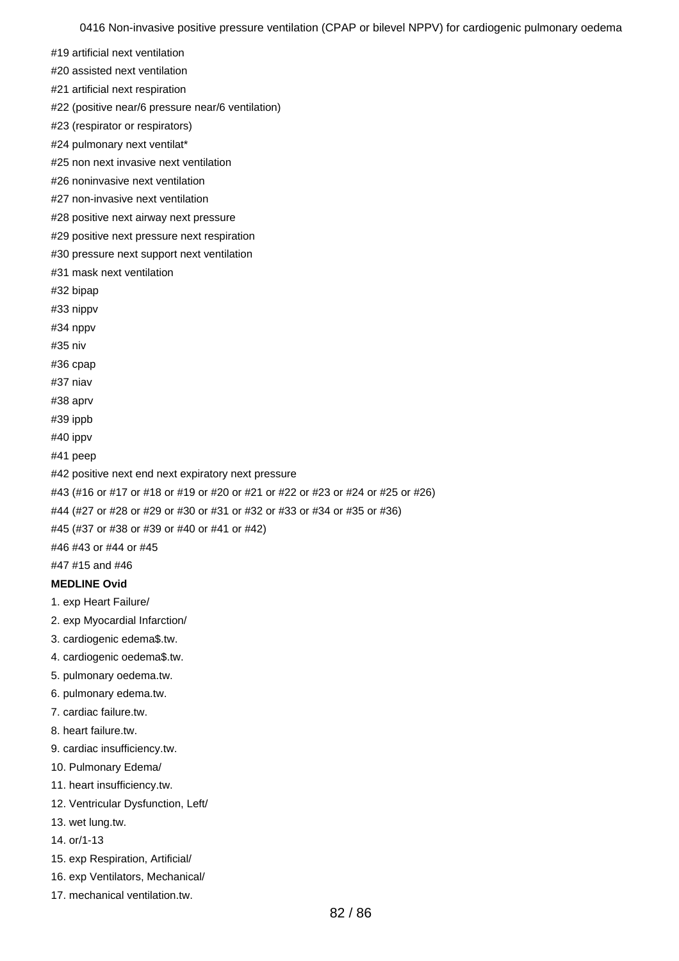#19 artificial next ventilation

#20 assisted next ventilation

#21 artificial next respiration

#22 (positive near/6 pressure near/6 ventilation)

#23 (respirator or respirators)

#24 pulmonary next ventilat\*

#25 non next invasive next ventilation

#26 noninvasive next ventilation

#27 non-invasive next ventilation

#28 positive next airway next pressure

#29 positive next pressure next respiration

#30 pressure next support next ventilation

#31 mask next ventilation

#32 bipap

#33 nippv

#34 nppv

#35 niv

#36 cpap

#37 niav

#38 aprv

#39 ippb

#40 ippv

#41 peep

#42 positive next end next expiratory next pressure

#43 (#16 or #17 or #18 or #19 or #20 or #21 or #22 or #23 or #24 or #25 or #26)

#44 (#27 or #28 or #29 or #30 or #31 or #32 or #33 or #34 or #35 or #36)

#45 (#37 or #38 or #39 or #40 or #41 or #42)

#46 #43 or #44 or #45

#47 #15 and #46

## **MEDLINE Ovid**

1. exp Heart Failure/

2. exp Myocardial Infarction/

3. cardiogenic edema\$.tw.

4. cardiogenic oedema\$.tw.

5. pulmonary oedema.tw.

6. pulmonary edema.tw.

7. cardiac failure.tw.

8. heart failure.tw.

9. cardiac insufficiency.tw.

10. Pulmonary Edema/

11. heart insufficiency.tw.

12. Ventricular Dysfunction, Left/

13. wet lung.tw.

14. or/1-13

15. exp Respiration, Artificial/

16. exp Ventilators, Mechanical/

17. mechanical ventilation.tw.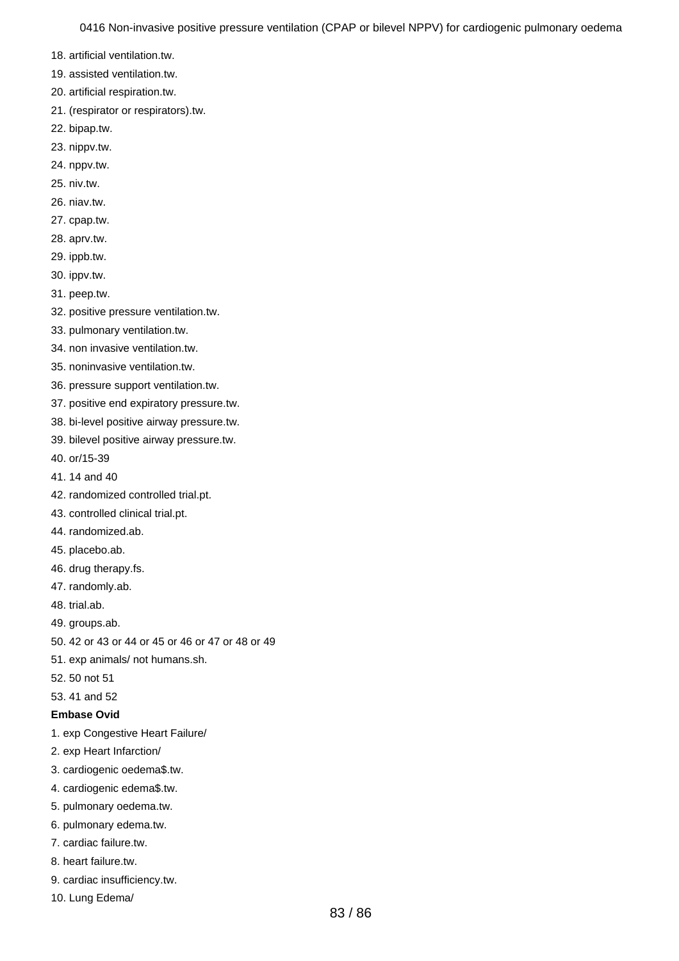- 18. artificial ventilation.tw.
- 19. assisted ventilation.tw.
- 20. artificial respiration.tw.
- 21. (respirator or respirators).tw.
- 22. bipap.tw.
- 23. nippv.tw.
- 24. nppv.tw.
- 25. niv.tw.
- 26. niav.tw.
- 27. cpap.tw.
- 28. aprv.tw.
- 29. ippb.tw.
- 30. ippv.tw.
- 31. peep.tw.
- 32. positive pressure ventilation.tw.
- 33. pulmonary ventilation.tw.
- 34. non invasive ventilation.tw.
- 35. noninvasive ventilation.tw.
- 36. pressure support ventilation.tw.
- 37. positive end expiratory pressure.tw.
- 38. bi-level positive airway pressure.tw.
- 39. bilevel positive airway pressure.tw.
- 40. or/15-39
- 41. 14 and 40
- 42. randomized controlled trial.pt.
- 43. controlled clinical trial.pt.
- 44. randomized.ab.
- 45. placebo.ab.
- 46. drug therapy.fs.
- 47. randomly.ab.
- 48. trial.ab.
- 49. groups.ab.
- 50. 42 or 43 or 44 or 45 or 46 or 47 or 48 or 49
- 51. exp animals/ not humans.sh.
- 52. 50 not 51
- 53. 41 and 52
- **Embase Ovid**
- 1. exp Congestive Heart Failure/
- 2. exp Heart Infarction/
- 3. cardiogenic oedema\$.tw.
- 4. cardiogenic edema\$.tw.
- 5. pulmonary oedema.tw.
- 6. pulmonary edema.tw.
- 7. cardiac failure.tw.
- 8. heart failure.tw.
- 9. cardiac insufficiency.tw.
- 10. Lung Edema/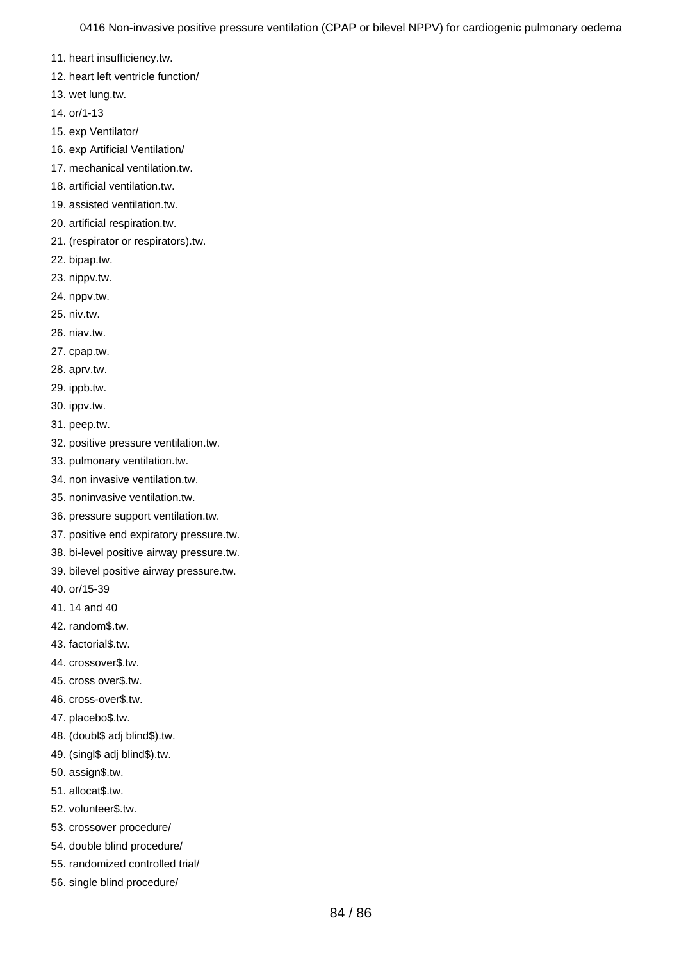11. heart insufficiency.tw.

- 12. heart left ventricle function/
- 13. wet lung.tw.
- 14. or/1-13
- 15. exp Ventilator/
- 16. exp Artificial Ventilation/
- 17. mechanical ventilation.tw.
- 18. artificial ventilation.tw.
- 19. assisted ventilation.tw.
- 20. artificial respiration.tw.
- 21. (respirator or respirators).tw.
- 22. bipap.tw.
- 23. nippv.tw.
- 24. nppv.tw.
- 25. niv.tw.
- 26. niav.tw.
- 27. cpap.tw.
- 28. aprv.tw.
- 29. ippb.tw.
- 30. ippv.tw.
- 31. peep.tw.
- 32. positive pressure ventilation.tw.
- 33. pulmonary ventilation.tw.
- 34. non invasive ventilation.tw.
- 35. noninvasive ventilation.tw.
- 36. pressure support ventilation.tw.
- 37. positive end expiratory pressure.tw.
- 38. bi-level positive airway pressure.tw.
- 39. bilevel positive airway pressure.tw.
- 40. or/15-39
- 41. 14 and 40
- 42. random\$.tw.
- 43. factorial\$.tw.
- 44. crossover\$.tw.
- 45. cross over\$.tw.
- 46. cross-over\$.tw.
- 47. placebo\$.tw.
- 48. (doubl\$ adj blind\$).tw.
- 49. (singl\$ adj blind\$).tw.
- 50. assign\$.tw.
- 51. allocat\$.tw.
- 52. volunteer\$.tw.
- 53. crossover procedure/
- 54. double blind procedure/
- 55. randomized controlled trial/
- 56. single blind procedure/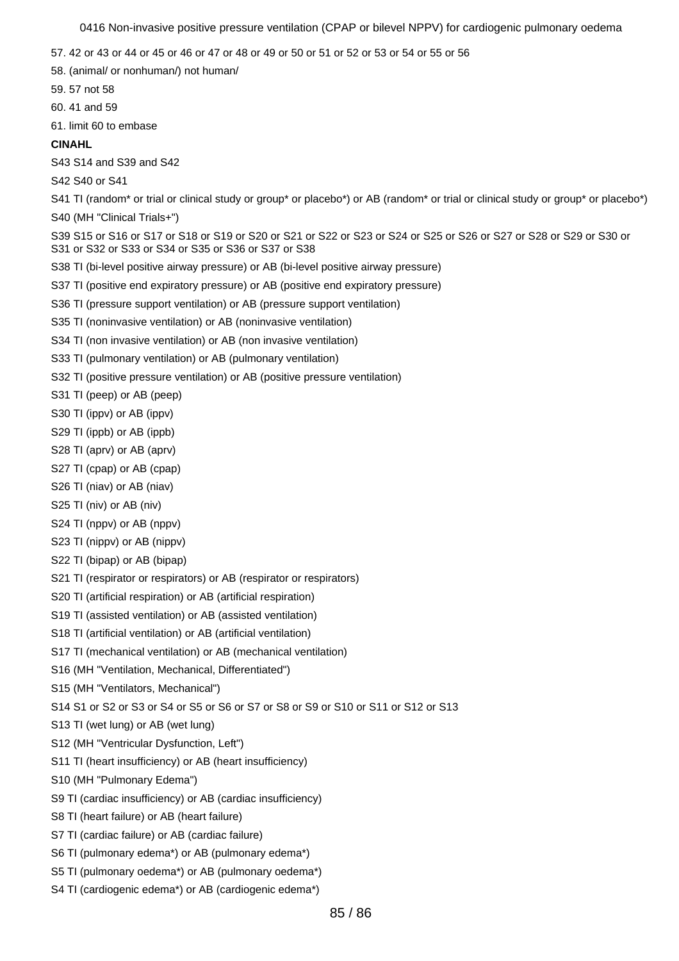- 57. 42 or 43 or 44 or 45 or 46 or 47 or 48 or 49 or 50 or 51 or 52 or 53 or 54 or 55 or 56
- 58. (animal/ or nonhuman/) not human/
- 59. 57 not 58
- 60. 41 and 59
- 61. limit 60 to embase

## **CINAHL**

- S43 S14 and S39 and S42
- S42 S40 or S41
- S41 TI (random<sup>\*</sup> or trial or clinical study or group<sup>\*</sup> or placebo<sup>\*</sup>) or AB (random<sup>\*</sup> or trial or clinical study or group<sup>\*</sup> or placebo<sup>\*</sup>)
- S40 (MH "Clinical Trials+")
- S39 S15 or S16 or S17 or S18 or S19 or S20 or S21 or S22 or S23 or S24 or S25 or S26 or S27 or S28 or S29 or S30 or S31 or S32 or S33 or S34 or S35 or S36 or S37 or S38
- S38 TI (bi-level positive airway pressure) or AB (bi-level positive airway pressure)
- S37 TI (positive end expiratory pressure) or AB (positive end expiratory pressure)
- S36 TI (pressure support ventilation) or AB (pressure support ventilation)
- S35 TI (noninvasive ventilation) or AB (noninvasive ventilation)
- S34 TI (non invasive ventilation) or AB (non invasive ventilation)
- S33 TI (pulmonary ventilation) or AB (pulmonary ventilation)
- S32 TI (positive pressure ventilation) or AB (positive pressure ventilation)
- S31 TI (peep) or AB (peep)
- S30 TI (ippv) or AB (ippv)
- S29 TI (ippb) or AB (ippb)
- S28 TI (aprv) or AB (aprv)
- S27 TI (cpap) or AB (cpap)
- S26 TI (niav) or AB (niav)
- S25 TI (niv) or AB (niv)
- S24 TI (nppv) or AB (nppv)
- S23 TI (nippv) or AB (nippv)
- S22 TI (bipap) or AB (bipap)
- S21 TI (respirator or respirators) or AB (respirator or respirators)
- S20 TI (artificial respiration) or AB (artificial respiration)
- S19 TI (assisted ventilation) or AB (assisted ventilation)
- S18 TI (artificial ventilation) or AB (artificial ventilation)
- S17 TI (mechanical ventilation) or AB (mechanical ventilation)
- S16 (MH "Ventilation, Mechanical, Differentiated")
- S15 (MH "Ventilators, Mechanical")
- S14 S1 or S2 or S3 or S4 or S5 or S6 or S7 or S8 or S9 or S10 or S11 or S12 or S13
- S13 TI (wet lung) or AB (wet lung)
- S12 (MH "Ventricular Dysfunction, Left")
- S11 TI (heart insufficiency) or AB (heart insufficiency)
- S10 (MH "Pulmonary Edema")
- S9 TI (cardiac insufficiency) or AB (cardiac insufficiency)
- S8 TI (heart failure) or AB (heart failure)
- S7 TI (cardiac failure) or AB (cardiac failure)
- S6 TI (pulmonary edema\*) or AB (pulmonary edema\*)
- S5 TI (pulmonary oedema\*) or AB (pulmonary oedema\*)
- S4 TI (cardiogenic edema\*) or AB (cardiogenic edema\*)